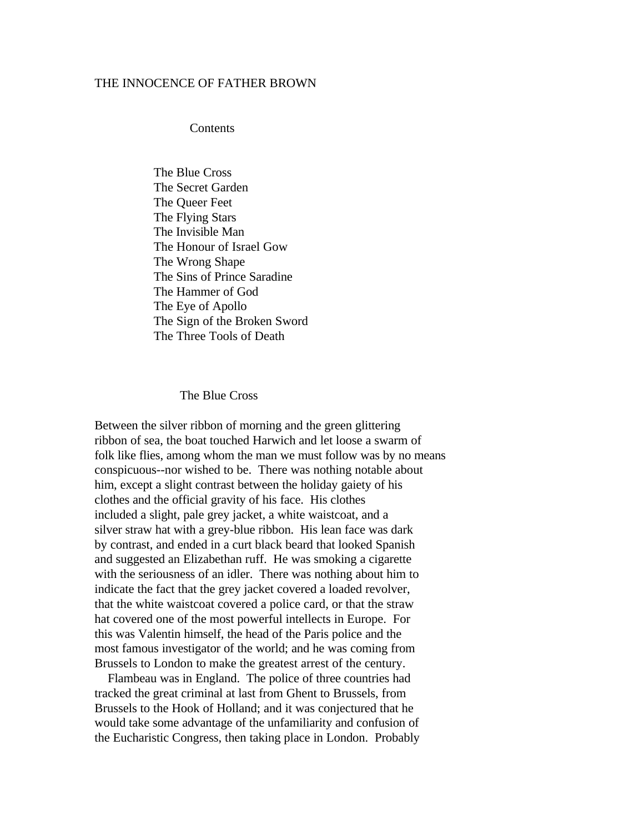## THE INNOCENCE OF FATHER BROWN

Contents

 The Blue Cross The Secret Garden The Queer Feet The Flying Stars The Invisible Man The Honour of Israel Gow The Wrong Shape The Sins of Prince Saradine The Hammer of God The Eye of Apollo The Sign of the Broken Sword The Three Tools of Death

## The Blue Cross

Between the silver ribbon of morning and the green glittering ribbon of sea, the boat touched Harwich and let loose a swarm of folk like flies, among whom the man we must follow was by no means conspicuous--nor wished to be. There was nothing notable about him, except a slight contrast between the holiday gaiety of his clothes and the official gravity of his face. His clothes included a slight, pale grey jacket, a white waistcoat, and a silver straw hat with a grey-blue ribbon. His lean face was dark by contrast, and ended in a curt black beard that looked Spanish and suggested an Elizabethan ruff. He was smoking a cigarette with the seriousness of an idler. There was nothing about him to indicate the fact that the grey jacket covered a loaded revolver, that the white waistcoat covered a police card, or that the straw hat covered one of the most powerful intellects in Europe. For this was Valentin himself, the head of the Paris police and the most famous investigator of the world; and he was coming from Brussels to London to make the greatest arrest of the century.

 Flambeau was in England. The police of three countries had tracked the great criminal at last from Ghent to Brussels, from Brussels to the Hook of Holland; and it was conjectured that he would take some advantage of the unfamiliarity and confusion of the Eucharistic Congress, then taking place in London. Probably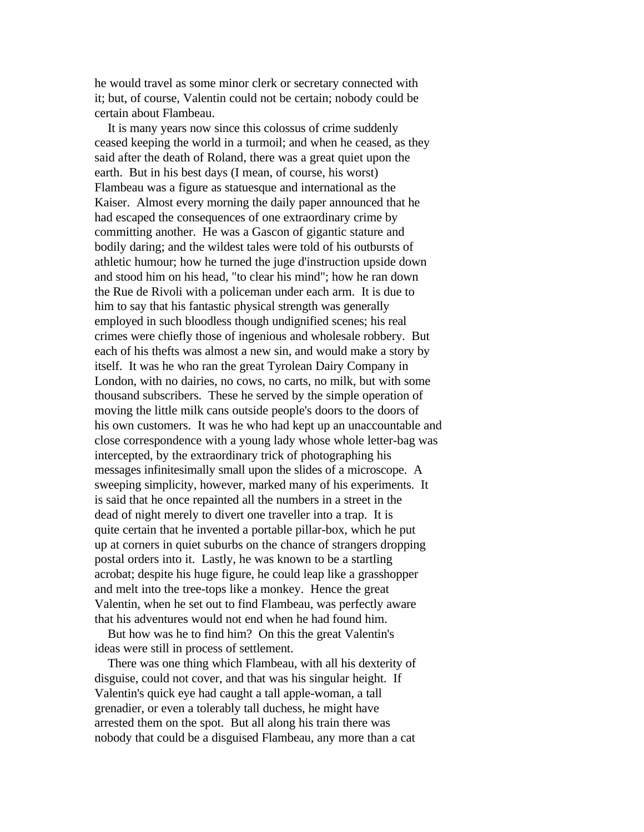he would travel as some minor clerk or secretary connected with it; but, of course, Valentin could not be certain; nobody could be certain about Flambeau.

 It is many years now since this colossus of crime suddenly ceased keeping the world in a turmoil; and when he ceased, as they said after the death of Roland, there was a great quiet upon the earth. But in his best days (I mean, of course, his worst) Flambeau was a figure as statuesque and international as the Kaiser. Almost every morning the daily paper announced that he had escaped the consequences of one extraordinary crime by committing another. He was a Gascon of gigantic stature and bodily daring; and the wildest tales were told of his outbursts of athletic humour; how he turned the juge d'instruction upside down and stood him on his head, "to clear his mind"; how he ran down the Rue de Rivoli with a policeman under each arm. It is due to him to say that his fantastic physical strength was generally employed in such bloodless though undignified scenes; his real crimes were chiefly those of ingenious and wholesale robbery. But each of his thefts was almost a new sin, and would make a story by itself. It was he who ran the great Tyrolean Dairy Company in London, with no dairies, no cows, no carts, no milk, but with some thousand subscribers. These he served by the simple operation of moving the little milk cans outside people's doors to the doors of his own customers. It was he who had kept up an unaccountable and close correspondence with a young lady whose whole letter-bag was intercepted, by the extraordinary trick of photographing his messages infinitesimally small upon the slides of a microscope. A sweeping simplicity, however, marked many of his experiments. It is said that he once repainted all the numbers in a street in the dead of night merely to divert one traveller into a trap. It is quite certain that he invented a portable pillar-box, which he put up at corners in quiet suburbs on the chance of strangers dropping postal orders into it. Lastly, he was known to be a startling acrobat; despite his huge figure, he could leap like a grasshopper and melt into the tree-tops like a monkey. Hence the great Valentin, when he set out to find Flambeau, was perfectly aware that his adventures would not end when he had found him.

 But how was he to find him? On this the great Valentin's ideas were still in process of settlement.

 There was one thing which Flambeau, with all his dexterity of disguise, could not cover, and that was his singular height. If Valentin's quick eye had caught a tall apple-woman, a tall grenadier, or even a tolerably tall duchess, he might have arrested them on the spot. But all along his train there was nobody that could be a disguised Flambeau, any more than a cat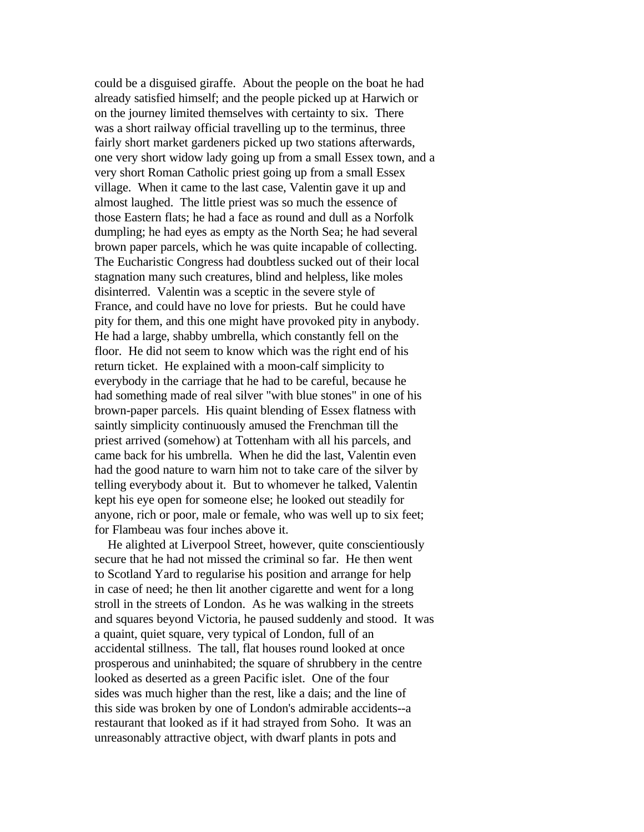could be a disguised giraffe. About the people on the boat he had already satisfied himself; and the people picked up at Harwich or on the journey limited themselves with certainty to six. There was a short railway official travelling up to the terminus, three fairly short market gardeners picked up two stations afterwards, one very short widow lady going up from a small Essex town, and a very short Roman Catholic priest going up from a small Essex village. When it came to the last case, Valentin gave it up and almost laughed. The little priest was so much the essence of those Eastern flats; he had a face as round and dull as a Norfolk dumpling; he had eyes as empty as the North Sea; he had several brown paper parcels, which he was quite incapable of collecting. The Eucharistic Congress had doubtless sucked out of their local stagnation many such creatures, blind and helpless, like moles disinterred. Valentin was a sceptic in the severe style of France, and could have no love for priests. But he could have pity for them, and this one might have provoked pity in anybody. He had a large, shabby umbrella, which constantly fell on the floor. He did not seem to know which was the right end of his return ticket. He explained with a moon-calf simplicity to everybody in the carriage that he had to be careful, because he had something made of real silver "with blue stones" in one of his brown-paper parcels. His quaint blending of Essex flatness with saintly simplicity continuously amused the Frenchman till the priest arrived (somehow) at Tottenham with all his parcels, and came back for his umbrella. When he did the last, Valentin even had the good nature to warn him not to take care of the silver by telling everybody about it. But to whomever he talked, Valentin kept his eye open for someone else; he looked out steadily for anyone, rich or poor, male or female, who was well up to six feet; for Flambeau was four inches above it.

 He alighted at Liverpool Street, however, quite conscientiously secure that he had not missed the criminal so far. He then went to Scotland Yard to regularise his position and arrange for help in case of need; he then lit another cigarette and went for a long stroll in the streets of London. As he was walking in the streets and squares beyond Victoria, he paused suddenly and stood. It was a quaint, quiet square, very typical of London, full of an accidental stillness. The tall, flat houses round looked at once prosperous and uninhabited; the square of shrubbery in the centre looked as deserted as a green Pacific islet. One of the four sides was much higher than the rest, like a dais; and the line of this side was broken by one of London's admirable accidents--a restaurant that looked as if it had strayed from Soho. It was an unreasonably attractive object, with dwarf plants in pots and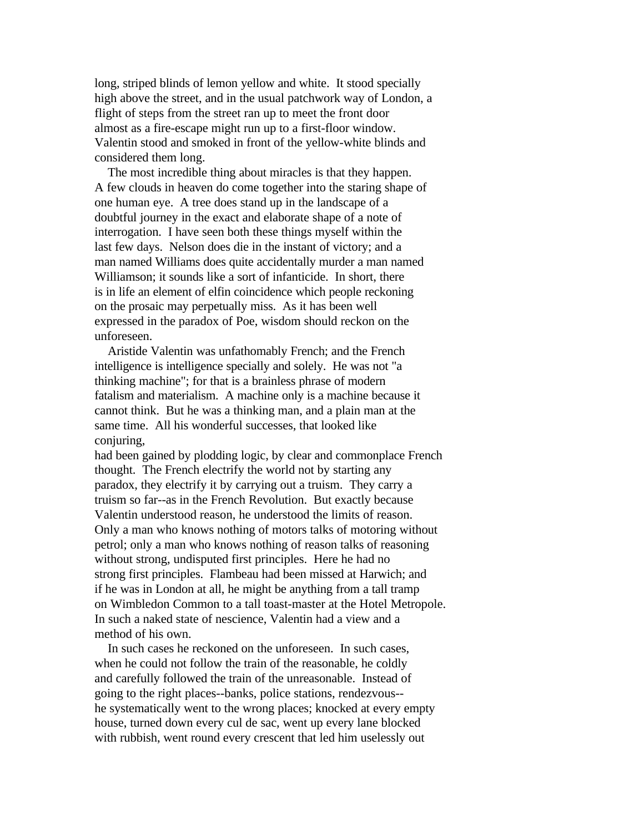long, striped blinds of lemon yellow and white. It stood specially high above the street, and in the usual patchwork way of London, a flight of steps from the street ran up to meet the front door almost as a fire-escape might run up to a first-floor window. Valentin stood and smoked in front of the yellow-white blinds and considered them long.

 The most incredible thing about miracles is that they happen. A few clouds in heaven do come together into the staring shape of one human eye. A tree does stand up in the landscape of a doubtful journey in the exact and elaborate shape of a note of interrogation. I have seen both these things myself within the last few days. Nelson does die in the instant of victory; and a man named Williams does quite accidentally murder a man named Williamson; it sounds like a sort of infanticide. In short, there is in life an element of elfin coincidence which people reckoning on the prosaic may perpetually miss. As it has been well expressed in the paradox of Poe, wisdom should reckon on the unforeseen.

 Aristide Valentin was unfathomably French; and the French intelligence is intelligence specially and solely. He was not "a thinking machine"; for that is a brainless phrase of modern fatalism and materialism. A machine only is a machine because it cannot think. But he was a thinking man, and a plain man at the same time. All his wonderful successes, that looked like conjuring,

had been gained by plodding logic, by clear and commonplace French thought. The French electrify the world not by starting any paradox, they electrify it by carrying out a truism. They carry a truism so far--as in the French Revolution. But exactly because Valentin understood reason, he understood the limits of reason. Only a man who knows nothing of motors talks of motoring without petrol; only a man who knows nothing of reason talks of reasoning without strong, undisputed first principles. Here he had no strong first principles. Flambeau had been missed at Harwich; and if he was in London at all, he might be anything from a tall tramp on Wimbledon Common to a tall toast-master at the Hotel Metropole. In such a naked state of nescience, Valentin had a view and a method of his own.

 In such cases he reckoned on the unforeseen. In such cases, when he could not follow the train of the reasonable, he coldly and carefully followed the train of the unreasonable. Instead of going to the right places--banks, police stations, rendezvous- he systematically went to the wrong places; knocked at every empty house, turned down every cul de sac, went up every lane blocked with rubbish, went round every crescent that led him uselessly out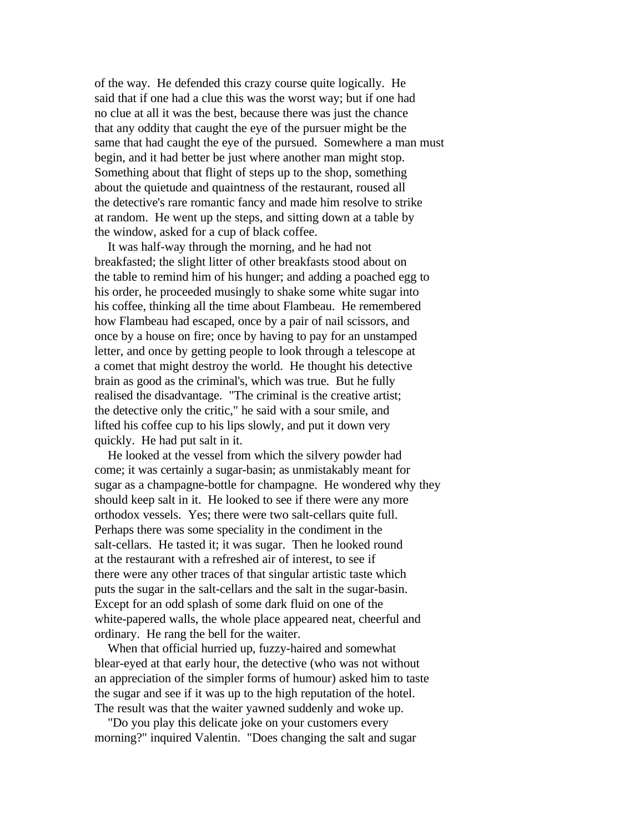of the way. He defended this crazy course quite logically. He said that if one had a clue this was the worst way; but if one had no clue at all it was the best, because there was just the chance that any oddity that caught the eye of the pursuer might be the same that had caught the eye of the pursued. Somewhere a man must begin, and it had better be just where another man might stop. Something about that flight of steps up to the shop, something about the quietude and quaintness of the restaurant, roused all the detective's rare romantic fancy and made him resolve to strike at random. He went up the steps, and sitting down at a table by the window, asked for a cup of black coffee.

 It was half-way through the morning, and he had not breakfasted; the slight litter of other breakfasts stood about on the table to remind him of his hunger; and adding a poached egg to his order, he proceeded musingly to shake some white sugar into his coffee, thinking all the time about Flambeau. He remembered how Flambeau had escaped, once by a pair of nail scissors, and once by a house on fire; once by having to pay for an unstamped letter, and once by getting people to look through a telescope at a comet that might destroy the world. He thought his detective brain as good as the criminal's, which was true. But he fully realised the disadvantage. "The criminal is the creative artist; the detective only the critic," he said with a sour smile, and lifted his coffee cup to his lips slowly, and put it down very quickly. He had put salt in it.

 He looked at the vessel from which the silvery powder had come; it was certainly a sugar-basin; as unmistakably meant for sugar as a champagne-bottle for champagne. He wondered why they should keep salt in it. He looked to see if there were any more orthodox vessels. Yes; there were two salt-cellars quite full. Perhaps there was some speciality in the condiment in the salt-cellars. He tasted it; it was sugar. Then he looked round at the restaurant with a refreshed air of interest, to see if there were any other traces of that singular artistic taste which puts the sugar in the salt-cellars and the salt in the sugar-basin. Except for an odd splash of some dark fluid on one of the white-papered walls, the whole place appeared neat, cheerful and ordinary. He rang the bell for the waiter.

 When that official hurried up, fuzzy-haired and somewhat blear-eyed at that early hour, the detective (who was not without an appreciation of the simpler forms of humour) asked him to taste the sugar and see if it was up to the high reputation of the hotel. The result was that the waiter yawned suddenly and woke up.

 "Do you play this delicate joke on your customers every morning?" inquired Valentin. "Does changing the salt and sugar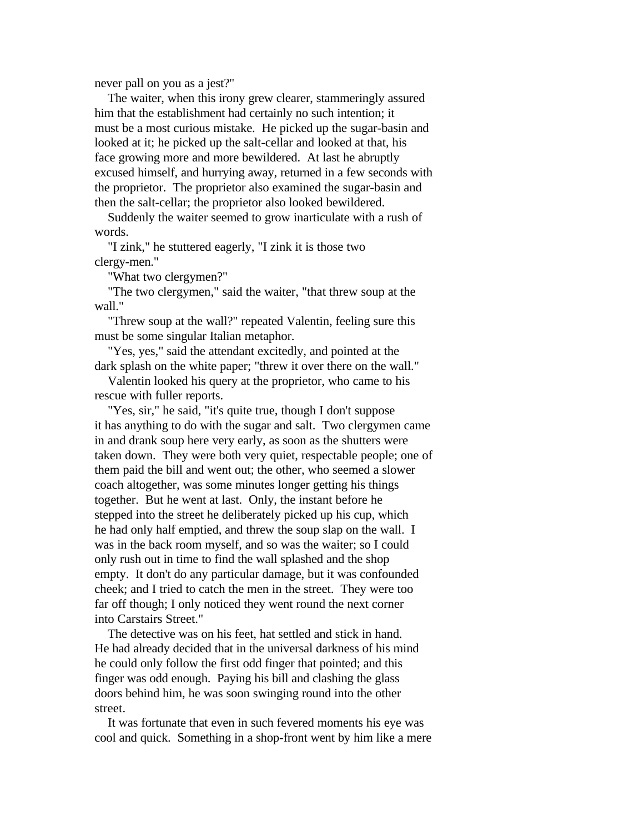never pall on you as a jest?"

 The waiter, when this irony grew clearer, stammeringly assured him that the establishment had certainly no such intention; it must be a most curious mistake. He picked up the sugar-basin and looked at it; he picked up the salt-cellar and looked at that, his face growing more and more bewildered. At last he abruptly excused himself, and hurrying away, returned in a few seconds with the proprietor. The proprietor also examined the sugar-basin and then the salt-cellar; the proprietor also looked bewildered.

 Suddenly the waiter seemed to grow inarticulate with a rush of words.

 "I zink," he stuttered eagerly, "I zink it is those two clergy-men."

"What two clergymen?"

 "The two clergymen," said the waiter, "that threw soup at the wall."

 "Threw soup at the wall?" repeated Valentin, feeling sure this must be some singular Italian metaphor.

 "Yes, yes," said the attendant excitedly, and pointed at the dark splash on the white paper; "threw it over there on the wall."

 Valentin looked his query at the proprietor, who came to his rescue with fuller reports.

 "Yes, sir," he said, "it's quite true, though I don't suppose it has anything to do with the sugar and salt. Two clergymen came in and drank soup here very early, as soon as the shutters were taken down. They were both very quiet, respectable people; one of them paid the bill and went out; the other, who seemed a slower coach altogether, was some minutes longer getting his things together. But he went at last. Only, the instant before he stepped into the street he deliberately picked up his cup, which he had only half emptied, and threw the soup slap on the wall. I was in the back room myself, and so was the waiter; so I could only rush out in time to find the wall splashed and the shop empty. It don't do any particular damage, but it was confounded cheek; and I tried to catch the men in the street. They were too far off though; I only noticed they went round the next corner into Carstairs Street."

 The detective was on his feet, hat settled and stick in hand. He had already decided that in the universal darkness of his mind he could only follow the first odd finger that pointed; and this finger was odd enough. Paying his bill and clashing the glass doors behind him, he was soon swinging round into the other street.

 It was fortunate that even in such fevered moments his eye was cool and quick. Something in a shop-front went by him like a mere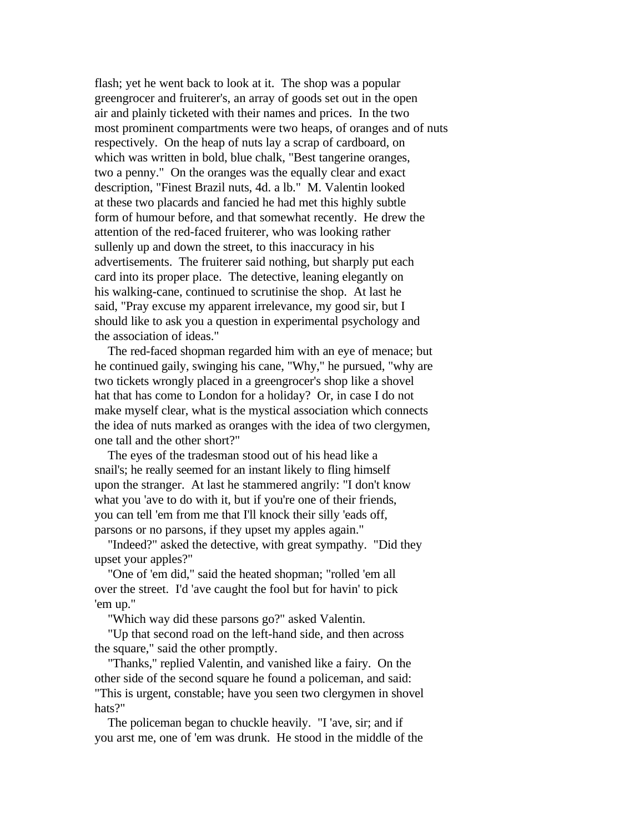flash; yet he went back to look at it. The shop was a popular greengrocer and fruiterer's, an array of goods set out in the open air and plainly ticketed with their names and prices. In the two most prominent compartments were two heaps, of oranges and of nuts respectively. On the heap of nuts lay a scrap of cardboard, on which was written in bold, blue chalk, "Best tangerine oranges, two a penny." On the oranges was the equally clear and exact description, "Finest Brazil nuts, 4d. a lb." M. Valentin looked at these two placards and fancied he had met this highly subtle form of humour before, and that somewhat recently. He drew the attention of the red-faced fruiterer, who was looking rather sullenly up and down the street, to this inaccuracy in his advertisements. The fruiterer said nothing, but sharply put each card into its proper place. The detective, leaning elegantly on his walking-cane, continued to scrutinise the shop. At last he said, "Pray excuse my apparent irrelevance, my good sir, but I should like to ask you a question in experimental psychology and the association of ideas."

 The red-faced shopman regarded him with an eye of menace; but he continued gaily, swinging his cane, "Why," he pursued, "why are two tickets wrongly placed in a greengrocer's shop like a shovel hat that has come to London for a holiday? Or, in case I do not make myself clear, what is the mystical association which connects the idea of nuts marked as oranges with the idea of two clergymen, one tall and the other short?"

 The eyes of the tradesman stood out of his head like a snail's; he really seemed for an instant likely to fling himself upon the stranger. At last he stammered angrily: "I don't know what you 'ave to do with it, but if you're one of their friends, you can tell 'em from me that I'll knock their silly 'eads off, parsons or no parsons, if they upset my apples again."

 "Indeed?" asked the detective, with great sympathy. "Did they upset your apples?"

 "One of 'em did," said the heated shopman; "rolled 'em all over the street. I'd 'ave caught the fool but for havin' to pick 'em up."

"Which way did these parsons go?" asked Valentin.

 "Up that second road on the left-hand side, and then across the square," said the other promptly.

 "Thanks," replied Valentin, and vanished like a fairy. On the other side of the second square he found a policeman, and said: "This is urgent, constable; have you seen two clergymen in shovel hats?"

 The policeman began to chuckle heavily. "I 'ave, sir; and if you arst me, one of 'em was drunk. He stood in the middle of the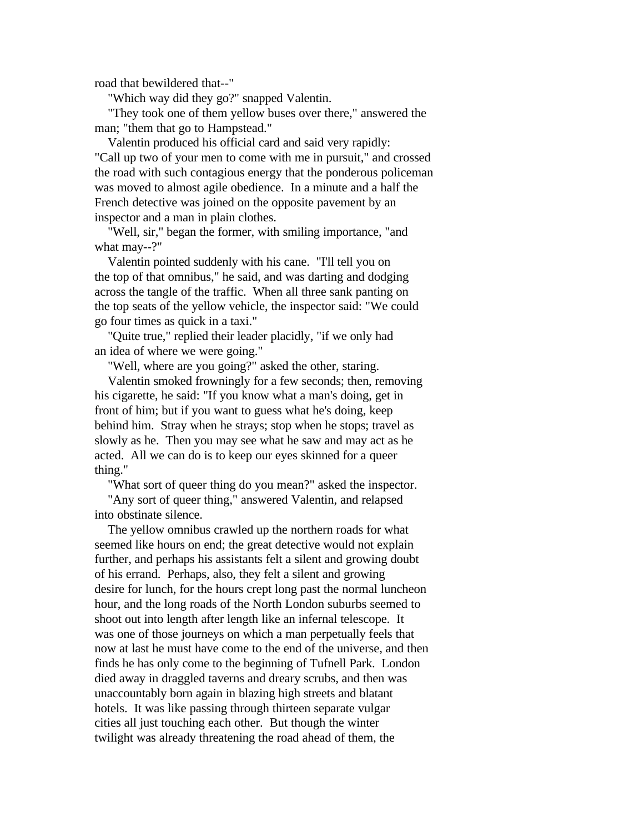road that bewildered that--"

"Which way did they go?" snapped Valentin.

 "They took one of them yellow buses over there," answered the man; "them that go to Hampstead."

 Valentin produced his official card and said very rapidly: "Call up two of your men to come with me in pursuit," and crossed the road with such contagious energy that the ponderous policeman was moved to almost agile obedience. In a minute and a half the French detective was joined on the opposite pavement by an inspector and a man in plain clothes.

 "Well, sir," began the former, with smiling importance, "and what may--?"

 Valentin pointed suddenly with his cane. "I'll tell you on the top of that omnibus," he said, and was darting and dodging across the tangle of the traffic. When all three sank panting on the top seats of the yellow vehicle, the inspector said: "We could go four times as quick in a taxi."

 "Quite true," replied their leader placidly, "if we only had an idea of where we were going."

"Well, where are you going?" asked the other, staring.

 Valentin smoked frowningly for a few seconds; then, removing his cigarette, he said: "If you know what a man's doing, get in front of him; but if you want to guess what he's doing, keep behind him. Stray when he strays; stop when he stops; travel as slowly as he. Then you may see what he saw and may act as he acted. All we can do is to keep our eyes skinned for a queer thing."

"What sort of queer thing do you mean?" asked the inspector.

 "Any sort of queer thing," answered Valentin, and relapsed into obstinate silence.

 The yellow omnibus crawled up the northern roads for what seemed like hours on end; the great detective would not explain further, and perhaps his assistants felt a silent and growing doubt of his errand. Perhaps, also, they felt a silent and growing desire for lunch, for the hours crept long past the normal luncheon hour, and the long roads of the North London suburbs seemed to shoot out into length after length like an infernal telescope. It was one of those journeys on which a man perpetually feels that now at last he must have come to the end of the universe, and then finds he has only come to the beginning of Tufnell Park. London died away in draggled taverns and dreary scrubs, and then was unaccountably born again in blazing high streets and blatant hotels. It was like passing through thirteen separate vulgar cities all just touching each other. But though the winter twilight was already threatening the road ahead of them, the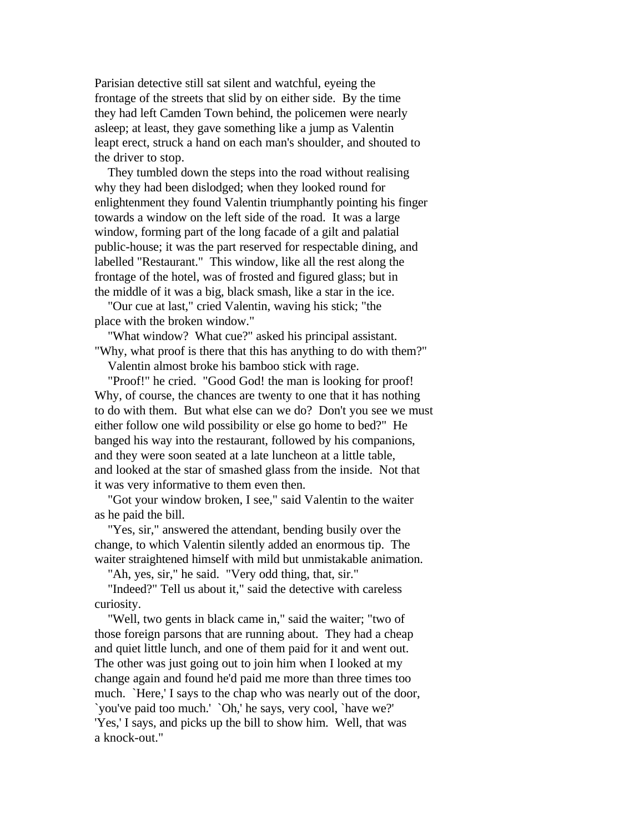Parisian detective still sat silent and watchful, eyeing the frontage of the streets that slid by on either side. By the time they had left Camden Town behind, the policemen were nearly asleep; at least, they gave something like a jump as Valentin leapt erect, struck a hand on each man's shoulder, and shouted to the driver to stop.

 They tumbled down the steps into the road without realising why they had been dislodged; when they looked round for enlightenment they found Valentin triumphantly pointing his finger towards a window on the left side of the road. It was a large window, forming part of the long facade of a gilt and palatial public-house; it was the part reserved for respectable dining, and labelled "Restaurant." This window, like all the rest along the frontage of the hotel, was of frosted and figured glass; but in the middle of it was a big, black smash, like a star in the ice.

 "Our cue at last," cried Valentin, waving his stick; "the place with the broken window."

 "What window? What cue?" asked his principal assistant. "Why, what proof is there that this has anything to do with them?"

Valentin almost broke his bamboo stick with rage.

 "Proof!" he cried. "Good God! the man is looking for proof! Why, of course, the chances are twenty to one that it has nothing to do with them. But what else can we do? Don't you see we must either follow one wild possibility or else go home to bed?" He banged his way into the restaurant, followed by his companions, and they were soon seated at a late luncheon at a little table, and looked at the star of smashed glass from the inside. Not that it was very informative to them even then.

 "Got your window broken, I see," said Valentin to the waiter as he paid the bill.

 "Yes, sir," answered the attendant, bending busily over the change, to which Valentin silently added an enormous tip. The waiter straightened himself with mild but unmistakable animation.

"Ah, yes, sir," he said. "Very odd thing, that, sir."

 "Indeed?" Tell us about it," said the detective with careless curiosity.

 "Well, two gents in black came in," said the waiter; "two of those foreign parsons that are running about. They had a cheap and quiet little lunch, and one of them paid for it and went out. The other was just going out to join him when I looked at my change again and found he'd paid me more than three times too much. `Here,' I says to the chap who was nearly out of the door, `you've paid too much.' `Oh,' he says, very cool, `have we?' 'Yes,' I says, and picks up the bill to show him. Well, that was a knock-out."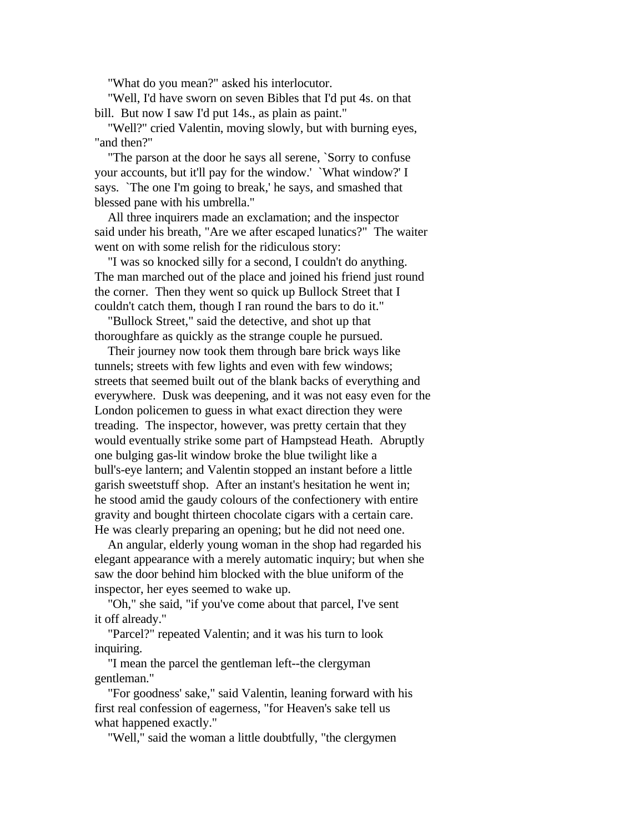"What do you mean?" asked his interlocutor.

 "Well, I'd have sworn on seven Bibles that I'd put 4s. on that bill. But now I saw I'd put 14s., as plain as paint."

 "Well?" cried Valentin, moving slowly, but with burning eyes, "and then?"

 "The parson at the door he says all serene, `Sorry to confuse your accounts, but it'll pay for the window.' `What window?' I says. `The one I'm going to break,' he says, and smashed that blessed pane with his umbrella."

 All three inquirers made an exclamation; and the inspector said under his breath, "Are we after escaped lunatics?" The waiter went on with some relish for the ridiculous story:

 "I was so knocked silly for a second, I couldn't do anything. The man marched out of the place and joined his friend just round the corner. Then they went so quick up Bullock Street that I couldn't catch them, though I ran round the bars to do it."

 "Bullock Street," said the detective, and shot up that thoroughfare as quickly as the strange couple he pursued.

 Their journey now took them through bare brick ways like tunnels; streets with few lights and even with few windows; streets that seemed built out of the blank backs of everything and everywhere. Dusk was deepening, and it was not easy even for the London policemen to guess in what exact direction they were treading. The inspector, however, was pretty certain that they would eventually strike some part of Hampstead Heath. Abruptly one bulging gas-lit window broke the blue twilight like a bull's-eye lantern; and Valentin stopped an instant before a little garish sweetstuff shop. After an instant's hesitation he went in; he stood amid the gaudy colours of the confectionery with entire gravity and bought thirteen chocolate cigars with a certain care. He was clearly preparing an opening; but he did not need one.

 An angular, elderly young woman in the shop had regarded his elegant appearance with a merely automatic inquiry; but when she saw the door behind him blocked with the blue uniform of the inspector, her eyes seemed to wake up.

 "Oh," she said, "if you've come about that parcel, I've sent it off already."

 "Parcel?" repeated Valentin; and it was his turn to look inquiring.

 "I mean the parcel the gentleman left--the clergyman gentleman."

 "For goodness' sake," said Valentin, leaning forward with his first real confession of eagerness, "for Heaven's sake tell us what happened exactly."

"Well," said the woman a little doubtfully, "the clergymen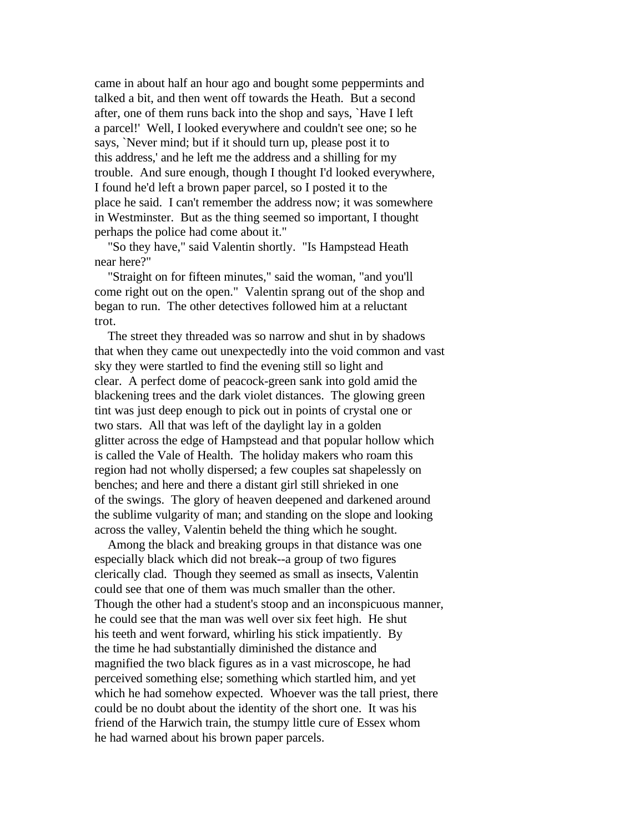came in about half an hour ago and bought some peppermints and talked a bit, and then went off towards the Heath. But a second after, one of them runs back into the shop and says, `Have I left a parcel!' Well, I looked everywhere and couldn't see one; so he says, `Never mind; but if it should turn up, please post it to this address,' and he left me the address and a shilling for my trouble. And sure enough, though I thought I'd looked everywhere, I found he'd left a brown paper parcel, so I posted it to the place he said. I can't remember the address now; it was somewhere in Westminster. But as the thing seemed so important, I thought perhaps the police had come about it."

 "So they have," said Valentin shortly. "Is Hampstead Heath near here?"

 "Straight on for fifteen minutes," said the woman, "and you'll come right out on the open." Valentin sprang out of the shop and began to run. The other detectives followed him at a reluctant trot.

 The street they threaded was so narrow and shut in by shadows that when they came out unexpectedly into the void common and vast sky they were startled to find the evening still so light and clear. A perfect dome of peacock-green sank into gold amid the blackening trees and the dark violet distances. The glowing green tint was just deep enough to pick out in points of crystal one or two stars. All that was left of the daylight lay in a golden glitter across the edge of Hampstead and that popular hollow which is called the Vale of Health. The holiday makers who roam this region had not wholly dispersed; a few couples sat shapelessly on benches; and here and there a distant girl still shrieked in one of the swings. The glory of heaven deepened and darkened around the sublime vulgarity of man; and standing on the slope and looking across the valley, Valentin beheld the thing which he sought.

 Among the black and breaking groups in that distance was one especially black which did not break--a group of two figures clerically clad. Though they seemed as small as insects, Valentin could see that one of them was much smaller than the other. Though the other had a student's stoop and an inconspicuous manner, he could see that the man was well over six feet high. He shut his teeth and went forward, whirling his stick impatiently. By the time he had substantially diminished the distance and magnified the two black figures as in a vast microscope, he had perceived something else; something which startled him, and yet which he had somehow expected. Whoever was the tall priest, there could be no doubt about the identity of the short one. It was his friend of the Harwich train, the stumpy little cure of Essex whom he had warned about his brown paper parcels.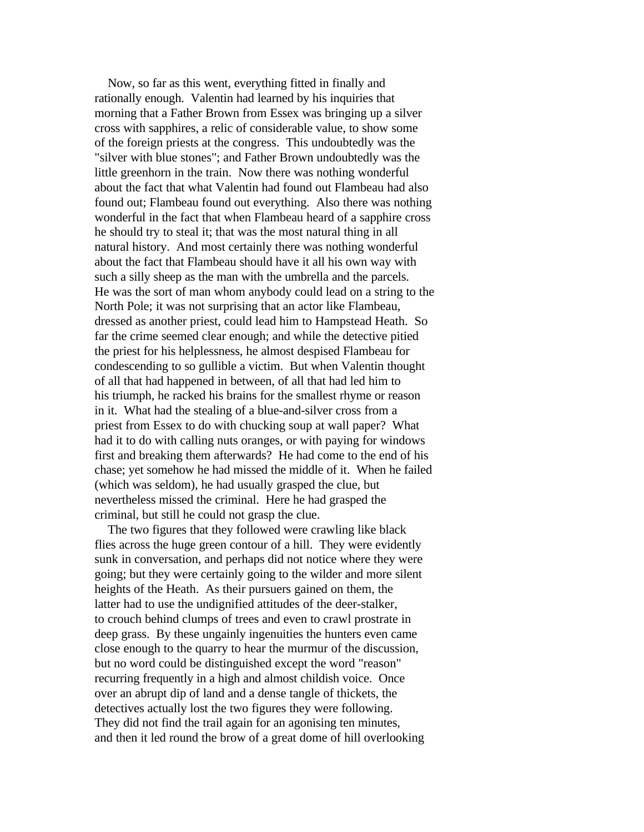Now, so far as this went, everything fitted in finally and rationally enough. Valentin had learned by his inquiries that morning that a Father Brown from Essex was bringing up a silver cross with sapphires, a relic of considerable value, to show some of the foreign priests at the congress. This undoubtedly was the "silver with blue stones"; and Father Brown undoubtedly was the little greenhorn in the train. Now there was nothing wonderful about the fact that what Valentin had found out Flambeau had also found out; Flambeau found out everything. Also there was nothing wonderful in the fact that when Flambeau heard of a sapphire cross he should try to steal it; that was the most natural thing in all natural history. And most certainly there was nothing wonderful about the fact that Flambeau should have it all his own way with such a silly sheep as the man with the umbrella and the parcels. He was the sort of man whom anybody could lead on a string to the North Pole; it was not surprising that an actor like Flambeau, dressed as another priest, could lead him to Hampstead Heath. So far the crime seemed clear enough; and while the detective pitied the priest for his helplessness, he almost despised Flambeau for condescending to so gullible a victim. But when Valentin thought of all that had happened in between, of all that had led him to his triumph, he racked his brains for the smallest rhyme or reason in it. What had the stealing of a blue-and-silver cross from a priest from Essex to do with chucking soup at wall paper? What had it to do with calling nuts oranges, or with paying for windows first and breaking them afterwards? He had come to the end of his chase; yet somehow he had missed the middle of it. When he failed (which was seldom), he had usually grasped the clue, but nevertheless missed the criminal. Here he had grasped the criminal, but still he could not grasp the clue.

 The two figures that they followed were crawling like black flies across the huge green contour of a hill. They were evidently sunk in conversation, and perhaps did not notice where they were going; but they were certainly going to the wilder and more silent heights of the Heath. As their pursuers gained on them, the latter had to use the undignified attitudes of the deer-stalker, to crouch behind clumps of trees and even to crawl prostrate in deep grass. By these ungainly ingenuities the hunters even came close enough to the quarry to hear the murmur of the discussion, but no word could be distinguished except the word "reason" recurring frequently in a high and almost childish voice. Once over an abrupt dip of land and a dense tangle of thickets, the detectives actually lost the two figures they were following. They did not find the trail again for an agonising ten minutes, and then it led round the brow of a great dome of hill overlooking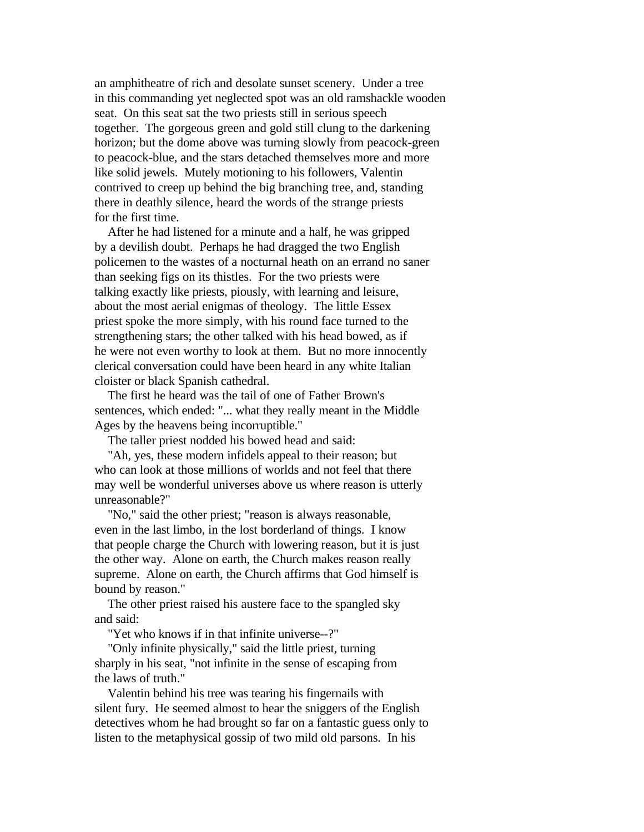an amphitheatre of rich and desolate sunset scenery. Under a tree in this commanding yet neglected spot was an old ramshackle wooden seat. On this seat sat the two priests still in serious speech together. The gorgeous green and gold still clung to the darkening horizon; but the dome above was turning slowly from peacock-green to peacock-blue, and the stars detached themselves more and more like solid jewels. Mutely motioning to his followers, Valentin contrived to creep up behind the big branching tree, and, standing there in deathly silence, heard the words of the strange priests for the first time.

 After he had listened for a minute and a half, he was gripped by a devilish doubt. Perhaps he had dragged the two English policemen to the wastes of a nocturnal heath on an errand no saner than seeking figs on its thistles. For the two priests were talking exactly like priests, piously, with learning and leisure, about the most aerial enigmas of theology. The little Essex priest spoke the more simply, with his round face turned to the strengthening stars; the other talked with his head bowed, as if he were not even worthy to look at them. But no more innocently clerical conversation could have been heard in any white Italian cloister or black Spanish cathedral.

 The first he heard was the tail of one of Father Brown's sentences, which ended: "... what they really meant in the Middle Ages by the heavens being incorruptible."

The taller priest nodded his bowed head and said:

 "Ah, yes, these modern infidels appeal to their reason; but who can look at those millions of worlds and not feel that there may well be wonderful universes above us where reason is utterly unreasonable?"

 "No," said the other priest; "reason is always reasonable, even in the last limbo, in the lost borderland of things. I know that people charge the Church with lowering reason, but it is just the other way. Alone on earth, the Church makes reason really supreme. Alone on earth, the Church affirms that God himself is bound by reason."

 The other priest raised his austere face to the spangled sky and said:

"Yet who knows if in that infinite universe--?"

 "Only infinite physically," said the little priest, turning sharply in his seat, "not infinite in the sense of escaping from the laws of truth."

 Valentin behind his tree was tearing his fingernails with silent fury. He seemed almost to hear the sniggers of the English detectives whom he had brought so far on a fantastic guess only to listen to the metaphysical gossip of two mild old parsons. In his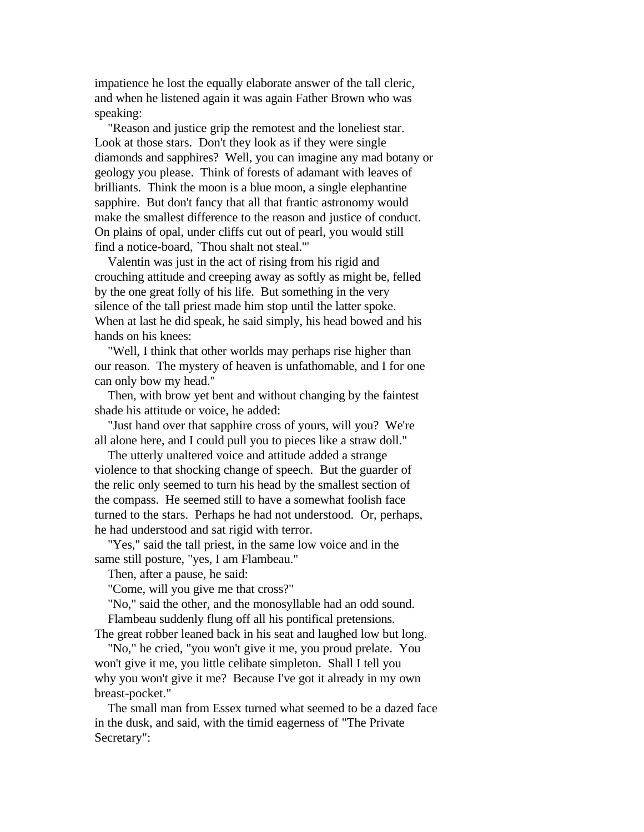impatience he lost the equally elaborate answer of the tall cleric, and when he listened again it was again Father Brown who was speaking:

 "Reason and justice grip the remotest and the loneliest star. Look at those stars. Don't they look as if they were single diamonds and sapphires? Well, you can imagine any mad botany or geology you please. Think of forests of adamant with leaves of brilliants. Think the moon is a blue moon, a single elephantine sapphire. But don't fancy that all that frantic astronomy would make the smallest difference to the reason and justice of conduct. On plains of opal, under cliffs cut out of pearl, you would still find a notice-board, `Thou shalt not steal.'"

 Valentin was just in the act of rising from his rigid and crouching attitude and creeping away as softly as might be, felled by the one great folly of his life. But something in the very silence of the tall priest made him stop until the latter spoke. When at last he did speak, he said simply, his head bowed and his hands on his knees:

 "Well, I think that other worlds may perhaps rise higher than our reason. The mystery of heaven is unfathomable, and I for one can only bow my head."

 Then, with brow yet bent and without changing by the faintest shade his attitude or voice, he added:

 "Just hand over that sapphire cross of yours, will you? We're all alone here, and I could pull you to pieces like a straw doll."

 The utterly unaltered voice and attitude added a strange violence to that shocking change of speech. But the guarder of the relic only seemed to turn his head by the smallest section of the compass. He seemed still to have a somewhat foolish face turned to the stars. Perhaps he had not understood. Or, perhaps, he had understood and sat rigid with terror.

 "Yes," said the tall priest, in the same low voice and in the same still posture, "yes, I am Flambeau."

Then, after a pause, he said:

"Come, will you give me that cross?"

 "No," said the other, and the monosyllable had an odd sound. Flambeau suddenly flung off all his pontifical pretensions.

The great robber leaned back in his seat and laughed low but long. "No," he cried, "you won't give it me, you proud prelate. You

won't give it me, you little celibate simpleton. Shall I tell you why you won't give it me? Because I've got it already in my own breast-pocket."

 The small man from Essex turned what seemed to be a dazed face in the dusk, and said, with the timid eagerness of "The Private Secretary":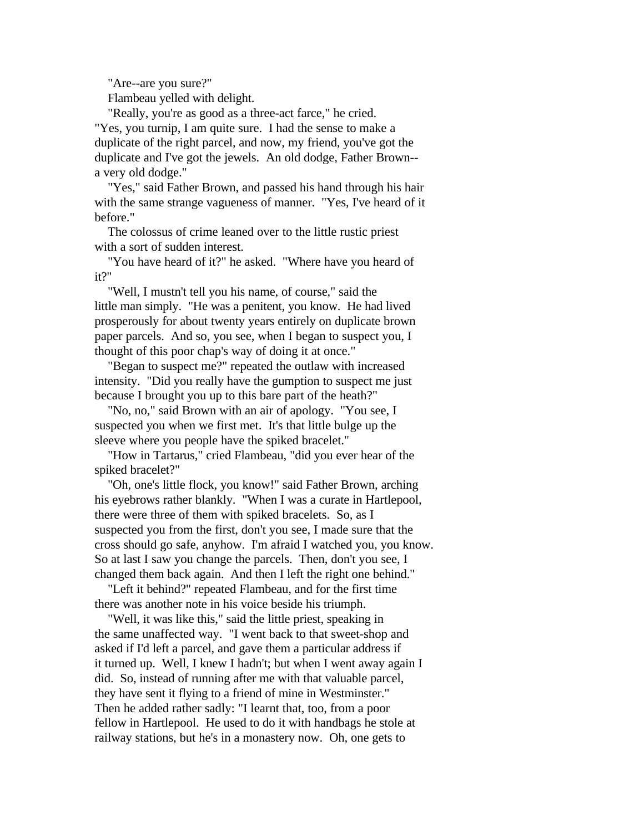"Are--are you sure?"

Flambeau yelled with delight.

 "Really, you're as good as a three-act farce," he cried. "Yes, you turnip, I am quite sure. I had the sense to make a duplicate of the right parcel, and now, my friend, you've got the duplicate and I've got the jewels. An old dodge, Father Brown- a very old dodge."

 "Yes," said Father Brown, and passed his hand through his hair with the same strange vagueness of manner. "Yes, I've heard of it before."

 The colossus of crime leaned over to the little rustic priest with a sort of sudden interest.

 "You have heard of it?" he asked. "Where have you heard of it?"

 "Well, I mustn't tell you his name, of course," said the little man simply. "He was a penitent, you know. He had lived prosperously for about twenty years entirely on duplicate brown paper parcels. And so, you see, when I began to suspect you, I thought of this poor chap's way of doing it at once."

 "Began to suspect me?" repeated the outlaw with increased intensity. "Did you really have the gumption to suspect me just because I brought you up to this bare part of the heath?"

 "No, no," said Brown with an air of apology. "You see, I suspected you when we first met. It's that little bulge up the sleeve where you people have the spiked bracelet."

 "How in Tartarus," cried Flambeau, "did you ever hear of the spiked bracelet?"

 "Oh, one's little flock, you know!" said Father Brown, arching his eyebrows rather blankly. "When I was a curate in Hartlepool, there were three of them with spiked bracelets. So, as I suspected you from the first, don't you see, I made sure that the cross should go safe, anyhow. I'm afraid I watched you, you know. So at last I saw you change the parcels. Then, don't you see, I changed them back again. And then I left the right one behind."

 "Left it behind?" repeated Flambeau, and for the first time there was another note in his voice beside his triumph.

 "Well, it was like this," said the little priest, speaking in the same unaffected way. "I went back to that sweet-shop and asked if I'd left a parcel, and gave them a particular address if it turned up. Well, I knew I hadn't; but when I went away again I did. So, instead of running after me with that valuable parcel, they have sent it flying to a friend of mine in Westminster." Then he added rather sadly: "I learnt that, too, from a poor fellow in Hartlepool. He used to do it with handbags he stole at railway stations, but he's in a monastery now. Oh, one gets to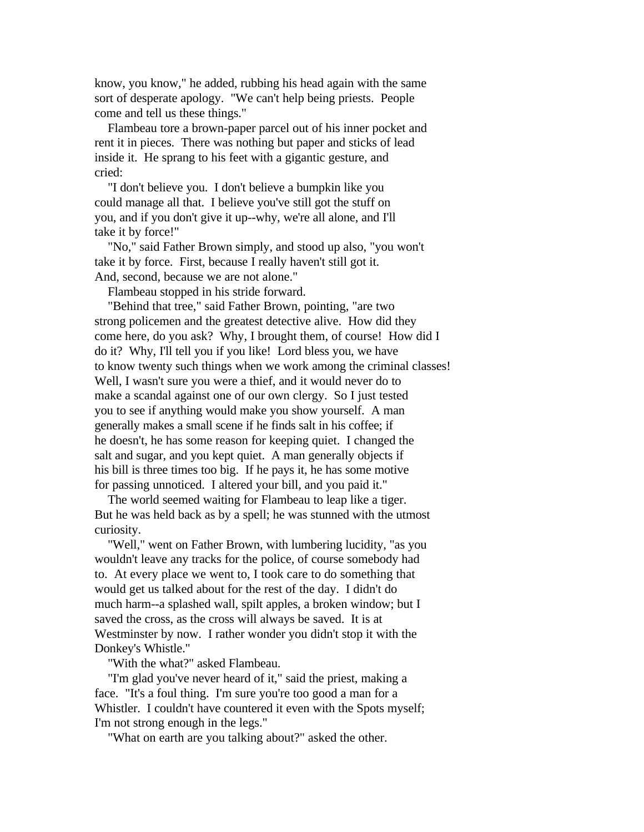know, you know," he added, rubbing his head again with the same sort of desperate apology. "We can't help being priests. People come and tell us these things."

 Flambeau tore a brown-paper parcel out of his inner pocket and rent it in pieces. There was nothing but paper and sticks of lead inside it. He sprang to his feet with a gigantic gesture, and cried:

 "I don't believe you. I don't believe a bumpkin like you could manage all that. I believe you've still got the stuff on you, and if you don't give it up--why, we're all alone, and I'll take it by force!"

 "No," said Father Brown simply, and stood up also, "you won't take it by force. First, because I really haven't still got it. And, second, because we are not alone."

Flambeau stopped in his stride forward.

 "Behind that tree," said Father Brown, pointing, "are two strong policemen and the greatest detective alive. How did they come here, do you ask? Why, I brought them, of course! How did I do it? Why, I'll tell you if you like! Lord bless you, we have to know twenty such things when we work among the criminal classes! Well, I wasn't sure you were a thief, and it would never do to make a scandal against one of our own clergy. So I just tested you to see if anything would make you show yourself. A man generally makes a small scene if he finds salt in his coffee; if he doesn't, he has some reason for keeping quiet. I changed the salt and sugar, and you kept quiet. A man generally objects if his bill is three times too big. If he pays it, he has some motive for passing unnoticed. I altered your bill, and you paid it."

 The world seemed waiting for Flambeau to leap like a tiger. But he was held back as by a spell; he was stunned with the utmost curiosity.

 "Well," went on Father Brown, with lumbering lucidity, "as you wouldn't leave any tracks for the police, of course somebody had to. At every place we went to, I took care to do something that would get us talked about for the rest of the day. I didn't do much harm--a splashed wall, spilt apples, a broken window; but I saved the cross, as the cross will always be saved. It is at Westminster by now. I rather wonder you didn't stop it with the Donkey's Whistle."

"With the what?" asked Flambeau.

 "I'm glad you've never heard of it," said the priest, making a face. "It's a foul thing. I'm sure you're too good a man for a Whistler. I couldn't have countered it even with the Spots myself; I'm not strong enough in the legs."

"What on earth are you talking about?" asked the other.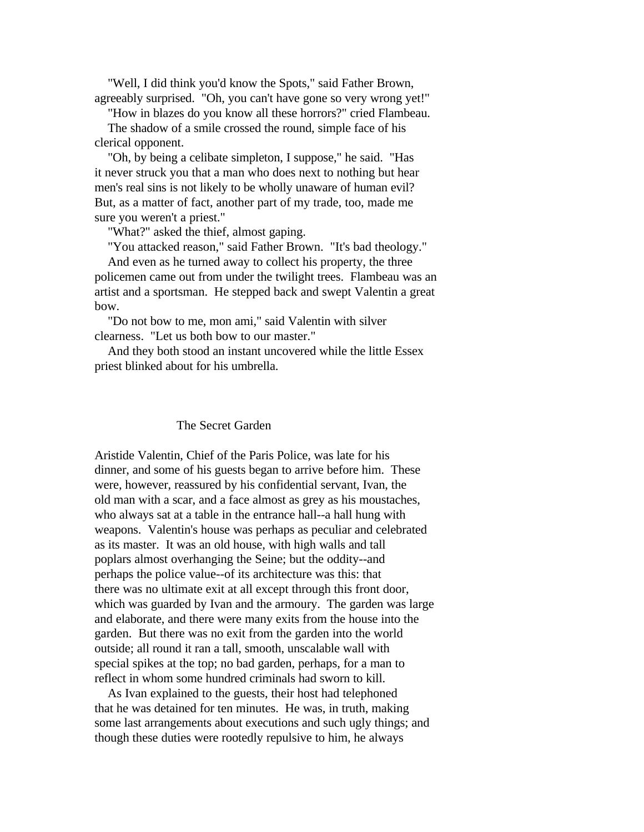"Well, I did think you'd know the Spots," said Father Brown, agreeably surprised. "Oh, you can't have gone so very wrong yet!"

 "How in blazes do you know all these horrors?" cried Flambeau. The shadow of a smile crossed the round, simple face of his clerical opponent.

 "Oh, by being a celibate simpleton, I suppose," he said. "Has it never struck you that a man who does next to nothing but hear men's real sins is not likely to be wholly unaware of human evil? But, as a matter of fact, another part of my trade, too, made me sure you weren't a priest."

"What?" asked the thief, almost gaping.

"You attacked reason," said Father Brown. "It's bad theology."

 And even as he turned away to collect his property, the three policemen came out from under the twilight trees. Flambeau was an artist and a sportsman. He stepped back and swept Valentin a great bow.

 "Do not bow to me, mon ami," said Valentin with silver clearness. "Let us both bow to our master."

 And they both stood an instant uncovered while the little Essex priest blinked about for his umbrella.

## The Secret Garden

Aristide Valentin, Chief of the Paris Police, was late for his dinner, and some of his guests began to arrive before him. These were, however, reassured by his confidential servant, Ivan, the old man with a scar, and a face almost as grey as his moustaches, who always sat at a table in the entrance hall--a hall hung with weapons. Valentin's house was perhaps as peculiar and celebrated as its master. It was an old house, with high walls and tall poplars almost overhanging the Seine; but the oddity--and perhaps the police value--of its architecture was this: that there was no ultimate exit at all except through this front door, which was guarded by Ivan and the armoury. The garden was large and elaborate, and there were many exits from the house into the garden. But there was no exit from the garden into the world outside; all round it ran a tall, smooth, unscalable wall with special spikes at the top; no bad garden, perhaps, for a man to reflect in whom some hundred criminals had sworn to kill.

 As Ivan explained to the guests, their host had telephoned that he was detained for ten minutes. He was, in truth, making some last arrangements about executions and such ugly things; and though these duties were rootedly repulsive to him, he always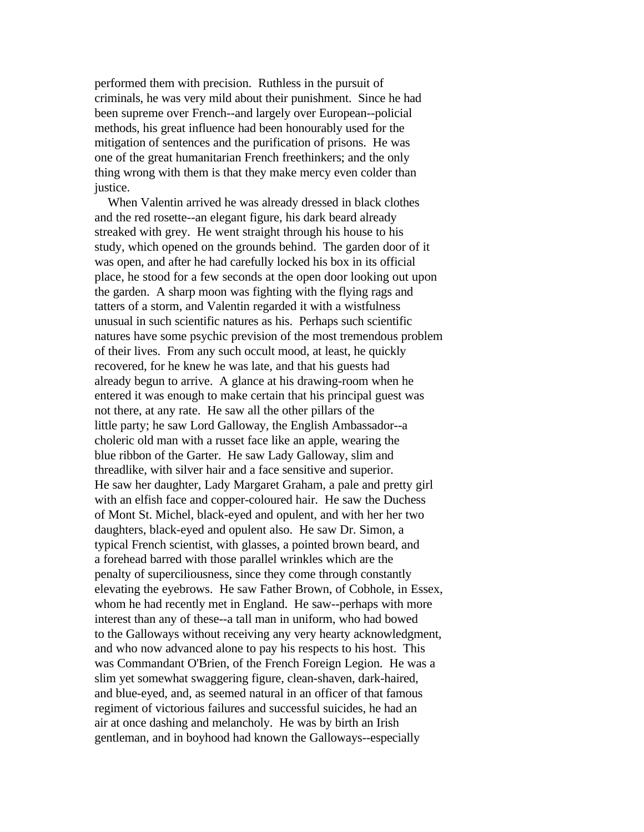performed them with precision. Ruthless in the pursuit of criminals, he was very mild about their punishment. Since he had been supreme over French--and largely over European--policial methods, his great influence had been honourably used for the mitigation of sentences and the purification of prisons. He was one of the great humanitarian French freethinkers; and the only thing wrong with them is that they make mercy even colder than justice.

 When Valentin arrived he was already dressed in black clothes and the red rosette--an elegant figure, his dark beard already streaked with grey. He went straight through his house to his study, which opened on the grounds behind. The garden door of it was open, and after he had carefully locked his box in its official place, he stood for a few seconds at the open door looking out upon the garden. A sharp moon was fighting with the flying rags and tatters of a storm, and Valentin regarded it with a wistfulness unusual in such scientific natures as his. Perhaps such scientific natures have some psychic prevision of the most tremendous problem of their lives. From any such occult mood, at least, he quickly recovered, for he knew he was late, and that his guests had already begun to arrive. A glance at his drawing-room when he entered it was enough to make certain that his principal guest was not there, at any rate. He saw all the other pillars of the little party; he saw Lord Galloway, the English Ambassador--a choleric old man with a russet face like an apple, wearing the blue ribbon of the Garter. He saw Lady Galloway, slim and threadlike, with silver hair and a face sensitive and superior. He saw her daughter, Lady Margaret Graham, a pale and pretty girl with an elfish face and copper-coloured hair. He saw the Duchess of Mont St. Michel, black-eyed and opulent, and with her her two daughters, black-eyed and opulent also. He saw Dr. Simon, a typical French scientist, with glasses, a pointed brown beard, and a forehead barred with those parallel wrinkles which are the penalty of superciliousness, since they come through constantly elevating the eyebrows. He saw Father Brown, of Cobhole, in Essex, whom he had recently met in England. He saw--perhaps with more interest than any of these--a tall man in uniform, who had bowed to the Galloways without receiving any very hearty acknowledgment, and who now advanced alone to pay his respects to his host. This was Commandant O'Brien, of the French Foreign Legion. He was a slim yet somewhat swaggering figure, clean-shaven, dark-haired, and blue-eyed, and, as seemed natural in an officer of that famous regiment of victorious failures and successful suicides, he had an air at once dashing and melancholy. He was by birth an Irish gentleman, and in boyhood had known the Galloways--especially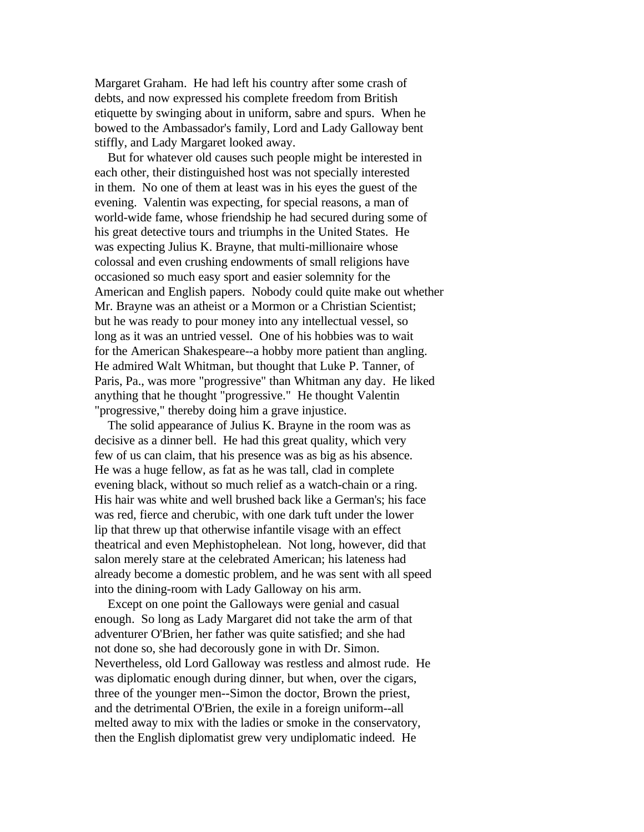Margaret Graham. He had left his country after some crash of debts, and now expressed his complete freedom from British etiquette by swinging about in uniform, sabre and spurs. When he bowed to the Ambassador's family, Lord and Lady Galloway bent stiffly, and Lady Margaret looked away.

 But for whatever old causes such people might be interested in each other, their distinguished host was not specially interested in them. No one of them at least was in his eyes the guest of the evening. Valentin was expecting, for special reasons, a man of world-wide fame, whose friendship he had secured during some of his great detective tours and triumphs in the United States. He was expecting Julius K. Brayne, that multi-millionaire whose colossal and even crushing endowments of small religions have occasioned so much easy sport and easier solemnity for the American and English papers. Nobody could quite make out whether Mr. Brayne was an atheist or a Mormon or a Christian Scientist; but he was ready to pour money into any intellectual vessel, so long as it was an untried vessel. One of his hobbies was to wait for the American Shakespeare--a hobby more patient than angling. He admired Walt Whitman, but thought that Luke P. Tanner, of Paris, Pa., was more "progressive" than Whitman any day. He liked anything that he thought "progressive." He thought Valentin "progressive," thereby doing him a grave injustice.

 The solid appearance of Julius K. Brayne in the room was as decisive as a dinner bell. He had this great quality, which very few of us can claim, that his presence was as big as his absence. He was a huge fellow, as fat as he was tall, clad in complete evening black, without so much relief as a watch-chain or a ring. His hair was white and well brushed back like a German's; his face was red, fierce and cherubic, with one dark tuft under the lower lip that threw up that otherwise infantile visage with an effect theatrical and even Mephistophelean. Not long, however, did that salon merely stare at the celebrated American; his lateness had already become a domestic problem, and he was sent with all speed into the dining-room with Lady Galloway on his arm.

 Except on one point the Galloways were genial and casual enough. So long as Lady Margaret did not take the arm of that adventurer O'Brien, her father was quite satisfied; and she had not done so, she had decorously gone in with Dr. Simon. Nevertheless, old Lord Galloway was restless and almost rude. He was diplomatic enough during dinner, but when, over the cigars, three of the younger men--Simon the doctor, Brown the priest, and the detrimental O'Brien, the exile in a foreign uniform--all melted away to mix with the ladies or smoke in the conservatory, then the English diplomatist grew very undiplomatic indeed. He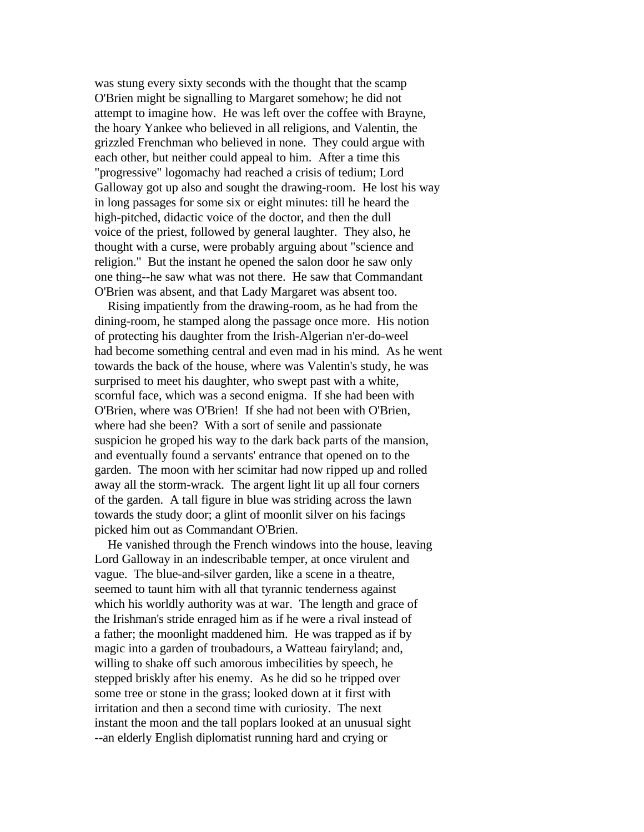was stung every sixty seconds with the thought that the scamp O'Brien might be signalling to Margaret somehow; he did not attempt to imagine how. He was left over the coffee with Brayne, the hoary Yankee who believed in all religions, and Valentin, the grizzled Frenchman who believed in none. They could argue with each other, but neither could appeal to him. After a time this "progressive" logomachy had reached a crisis of tedium; Lord Galloway got up also and sought the drawing-room. He lost his way in long passages for some six or eight minutes: till he heard the high-pitched, didactic voice of the doctor, and then the dull voice of the priest, followed by general laughter. They also, he thought with a curse, were probably arguing about "science and religion." But the instant he opened the salon door he saw only one thing--he saw what was not there. He saw that Commandant O'Brien was absent, and that Lady Margaret was absent too.

 Rising impatiently from the drawing-room, as he had from the dining-room, he stamped along the passage once more. His notion of protecting his daughter from the Irish-Algerian n'er-do-weel had become something central and even mad in his mind. As he went towards the back of the house, where was Valentin's study, he was surprised to meet his daughter, who swept past with a white, scornful face, which was a second enigma. If she had been with O'Brien, where was O'Brien! If she had not been with O'Brien, where had she been? With a sort of senile and passionate suspicion he groped his way to the dark back parts of the mansion, and eventually found a servants' entrance that opened on to the garden. The moon with her scimitar had now ripped up and rolled away all the storm-wrack. The argent light lit up all four corners of the garden. A tall figure in blue was striding across the lawn towards the study door; a glint of moonlit silver on his facings picked him out as Commandant O'Brien.

 He vanished through the French windows into the house, leaving Lord Galloway in an indescribable temper, at once virulent and vague. The blue-and-silver garden, like a scene in a theatre, seemed to taunt him with all that tyrannic tenderness against which his worldly authority was at war. The length and grace of the Irishman's stride enraged him as if he were a rival instead of a father; the moonlight maddened him. He was trapped as if by magic into a garden of troubadours, a Watteau fairyland; and, willing to shake off such amorous imbecilities by speech, he stepped briskly after his enemy. As he did so he tripped over some tree or stone in the grass; looked down at it first with irritation and then a second time with curiosity. The next instant the moon and the tall poplars looked at an unusual sight --an elderly English diplomatist running hard and crying or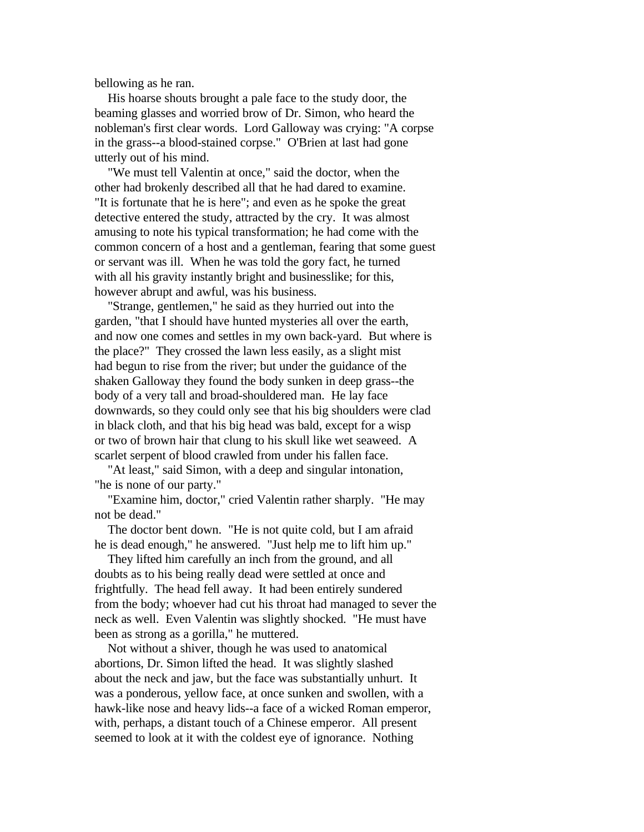bellowing as he ran.

 His hoarse shouts brought a pale face to the study door, the beaming glasses and worried brow of Dr. Simon, who heard the nobleman's first clear words. Lord Galloway was crying: "A corpse in the grass--a blood-stained corpse." O'Brien at last had gone utterly out of his mind.

 "We must tell Valentin at once," said the doctor, when the other had brokenly described all that he had dared to examine. "It is fortunate that he is here"; and even as he spoke the great detective entered the study, attracted by the cry. It was almost amusing to note his typical transformation; he had come with the common concern of a host and a gentleman, fearing that some guest or servant was ill. When he was told the gory fact, he turned with all his gravity instantly bright and businesslike; for this, however abrupt and awful, was his business.

 "Strange, gentlemen," he said as they hurried out into the garden, "that I should have hunted mysteries all over the earth, and now one comes and settles in my own back-yard. But where is the place?" They crossed the lawn less easily, as a slight mist had begun to rise from the river; but under the guidance of the shaken Galloway they found the body sunken in deep grass--the body of a very tall and broad-shouldered man. He lay face downwards, so they could only see that his big shoulders were clad in black cloth, and that his big head was bald, except for a wisp or two of brown hair that clung to his skull like wet seaweed. A scarlet serpent of blood crawled from under his fallen face.

 "At least," said Simon, with a deep and singular intonation, "he is none of our party."

 "Examine him, doctor," cried Valentin rather sharply. "He may not be dead."

 The doctor bent down. "He is not quite cold, but I am afraid he is dead enough," he answered. "Just help me to lift him up."

 They lifted him carefully an inch from the ground, and all doubts as to his being really dead were settled at once and frightfully. The head fell away. It had been entirely sundered from the body; whoever had cut his throat had managed to sever the neck as well. Even Valentin was slightly shocked. "He must have been as strong as a gorilla," he muttered.

 Not without a shiver, though he was used to anatomical abortions, Dr. Simon lifted the head. It was slightly slashed about the neck and jaw, but the face was substantially unhurt. It was a ponderous, yellow face, at once sunken and swollen, with a hawk-like nose and heavy lids--a face of a wicked Roman emperor, with, perhaps, a distant touch of a Chinese emperor. All present seemed to look at it with the coldest eye of ignorance. Nothing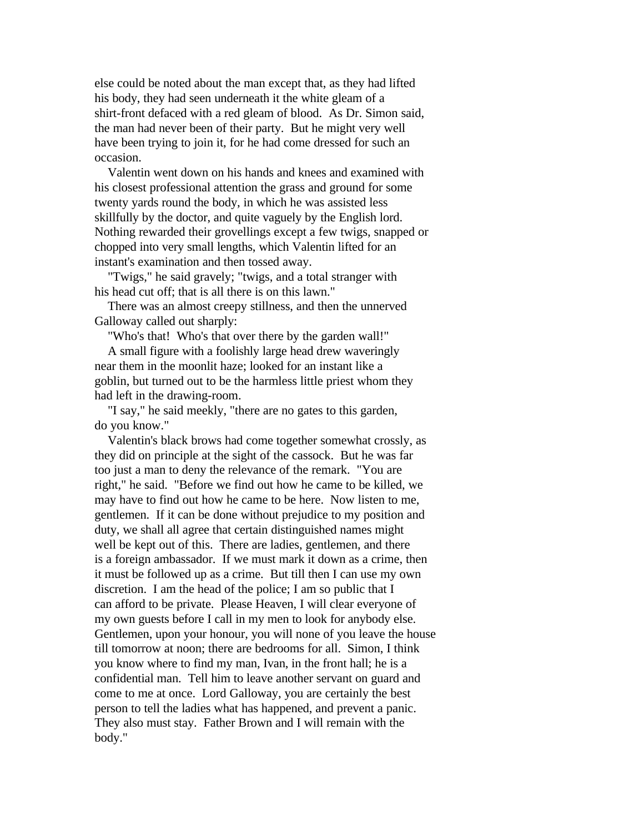else could be noted about the man except that, as they had lifted his body, they had seen underneath it the white gleam of a shirt-front defaced with a red gleam of blood. As Dr. Simon said, the man had never been of their party. But he might very well have been trying to join it, for he had come dressed for such an occasion.

 Valentin went down on his hands and knees and examined with his closest professional attention the grass and ground for some twenty yards round the body, in which he was assisted less skillfully by the doctor, and quite vaguely by the English lord. Nothing rewarded their grovellings except a few twigs, snapped or chopped into very small lengths, which Valentin lifted for an instant's examination and then tossed away.

 "Twigs," he said gravely; "twigs, and a total stranger with his head cut off; that is all there is on this lawn."

 There was an almost creepy stillness, and then the unnerved Galloway called out sharply:

"Who's that! Who's that over there by the garden wall!"

 A small figure with a foolishly large head drew waveringly near them in the moonlit haze; looked for an instant like a goblin, but turned out to be the harmless little priest whom they had left in the drawing-room.

 "I say," he said meekly, "there are no gates to this garden, do you know."

 Valentin's black brows had come together somewhat crossly, as they did on principle at the sight of the cassock. But he was far too just a man to deny the relevance of the remark. "You are right," he said. "Before we find out how he came to be killed, we may have to find out how he came to be here. Now listen to me, gentlemen. If it can be done without prejudice to my position and duty, we shall all agree that certain distinguished names might well be kept out of this. There are ladies, gentlemen, and there is a foreign ambassador. If we must mark it down as a crime, then it must be followed up as a crime. But till then I can use my own discretion. I am the head of the police; I am so public that I can afford to be private. Please Heaven, I will clear everyone of my own guests before I call in my men to look for anybody else. Gentlemen, upon your honour, you will none of you leave the house till tomorrow at noon; there are bedrooms for all. Simon, I think you know where to find my man, Ivan, in the front hall; he is a confidential man. Tell him to leave another servant on guard and come to me at once. Lord Galloway, you are certainly the best person to tell the ladies what has happened, and prevent a panic. They also must stay. Father Brown and I will remain with the body."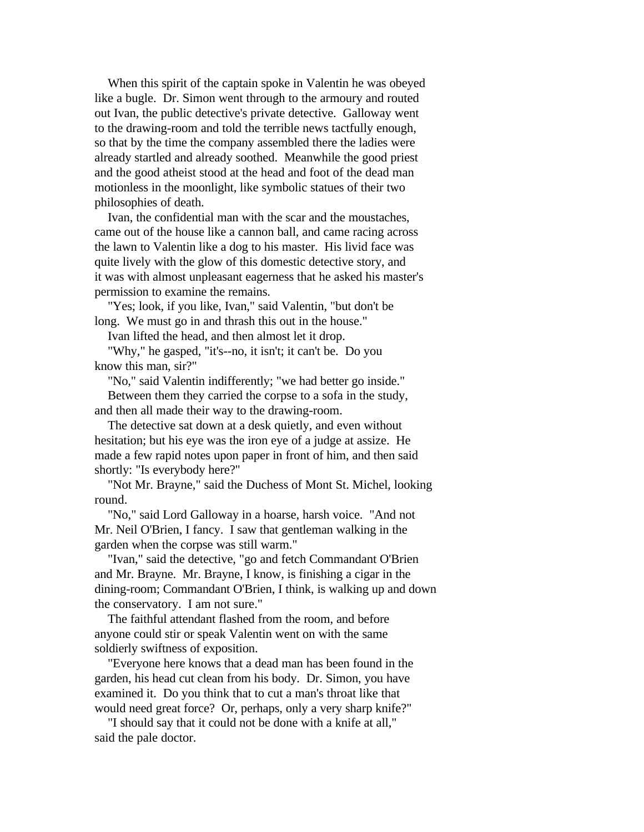When this spirit of the captain spoke in Valentin he was obeyed like a bugle. Dr. Simon went through to the armoury and routed out Ivan, the public detective's private detective. Galloway went to the drawing-room and told the terrible news tactfully enough, so that by the time the company assembled there the ladies were already startled and already soothed. Meanwhile the good priest and the good atheist stood at the head and foot of the dead man motionless in the moonlight, like symbolic statues of their two philosophies of death.

 Ivan, the confidential man with the scar and the moustaches, came out of the house like a cannon ball, and came racing across the lawn to Valentin like a dog to his master. His livid face was quite lively with the glow of this domestic detective story, and it was with almost unpleasant eagerness that he asked his master's permission to examine the remains.

 "Yes; look, if you like, Ivan," said Valentin, "but don't be long. We must go in and thrash this out in the house."

Ivan lifted the head, and then almost let it drop.

 "Why," he gasped, "it's--no, it isn't; it can't be. Do you know this man, sir?"

 "No," said Valentin indifferently; "we had better go inside." Between them they carried the corpse to a sofa in the study, and then all made their way to the drawing-room.

 The detective sat down at a desk quietly, and even without hesitation; but his eye was the iron eye of a judge at assize. He made a few rapid notes upon paper in front of him, and then said shortly: "Is everybody here?"

 "Not Mr. Brayne," said the Duchess of Mont St. Michel, looking round.

 "No," said Lord Galloway in a hoarse, harsh voice. "And not Mr. Neil O'Brien, I fancy. I saw that gentleman walking in the garden when the corpse was still warm."

 "Ivan," said the detective, "go and fetch Commandant O'Brien and Mr. Brayne. Mr. Brayne, I know, is finishing a cigar in the dining-room; Commandant O'Brien, I think, is walking up and down the conservatory. I am not sure."

 The faithful attendant flashed from the room, and before anyone could stir or speak Valentin went on with the same soldierly swiftness of exposition.

 "Everyone here knows that a dead man has been found in the garden, his head cut clean from his body. Dr. Simon, you have examined it. Do you think that to cut a man's throat like that would need great force? Or, perhaps, only a very sharp knife?"

 "I should say that it could not be done with a knife at all," said the pale doctor.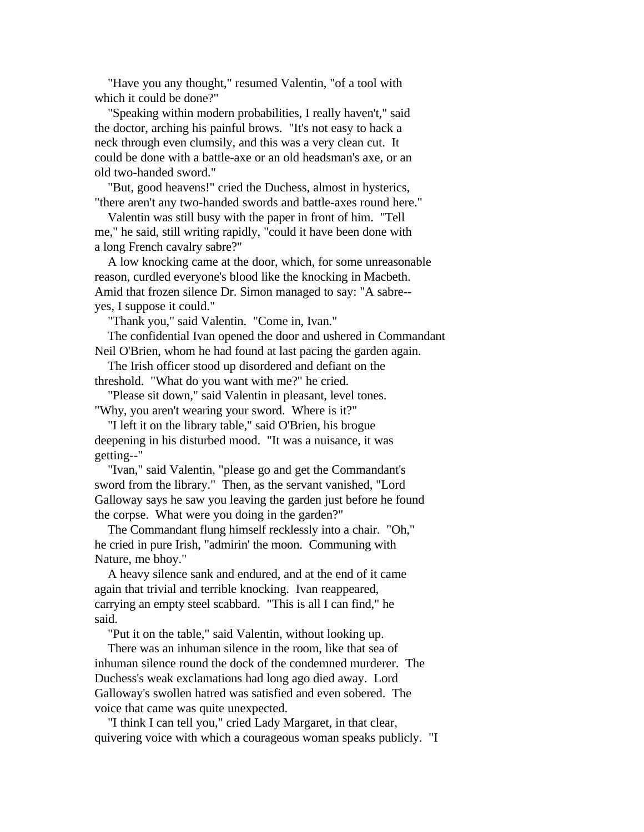"Have you any thought," resumed Valentin, "of a tool with which it could be done?"

 "Speaking within modern probabilities, I really haven't," said the doctor, arching his painful brows. "It's not easy to hack a neck through even clumsily, and this was a very clean cut. It could be done with a battle-axe or an old headsman's axe, or an old two-handed sword."

 "But, good heavens!" cried the Duchess, almost in hysterics, "there aren't any two-handed swords and battle-axes round here."

 Valentin was still busy with the paper in front of him. "Tell me," he said, still writing rapidly, "could it have been done with a long French cavalry sabre?"

 A low knocking came at the door, which, for some unreasonable reason, curdled everyone's blood like the knocking in Macbeth. Amid that frozen silence Dr. Simon managed to say: "A sabre- yes, I suppose it could."

"Thank you," said Valentin. "Come in, Ivan."

 The confidential Ivan opened the door and ushered in Commandant Neil O'Brien, whom he had found at last pacing the garden again.

 The Irish officer stood up disordered and defiant on the threshold. "What do you want with me?" he cried.

 "Please sit down," said Valentin in pleasant, level tones. "Why, you aren't wearing your sword. Where is it?"

 "I left it on the library table," said O'Brien, his brogue deepening in his disturbed mood. "It was a nuisance, it was getting--"

 "Ivan," said Valentin, "please go and get the Commandant's sword from the library." Then, as the servant vanished, "Lord Galloway says he saw you leaving the garden just before he found the corpse. What were you doing in the garden?"

 The Commandant flung himself recklessly into a chair. "Oh," he cried in pure Irish, "admirin' the moon. Communing with Nature, me bhoy."

 A heavy silence sank and endured, and at the end of it came again that trivial and terrible knocking. Ivan reappeared, carrying an empty steel scabbard. "This is all I can find," he said.

"Put it on the table," said Valentin, without looking up.

 There was an inhuman silence in the room, like that sea of inhuman silence round the dock of the condemned murderer. The Duchess's weak exclamations had long ago died away. Lord Galloway's swollen hatred was satisfied and even sobered. The voice that came was quite unexpected.

 "I think I can tell you," cried Lady Margaret, in that clear, quivering voice with which a courageous woman speaks publicly. "I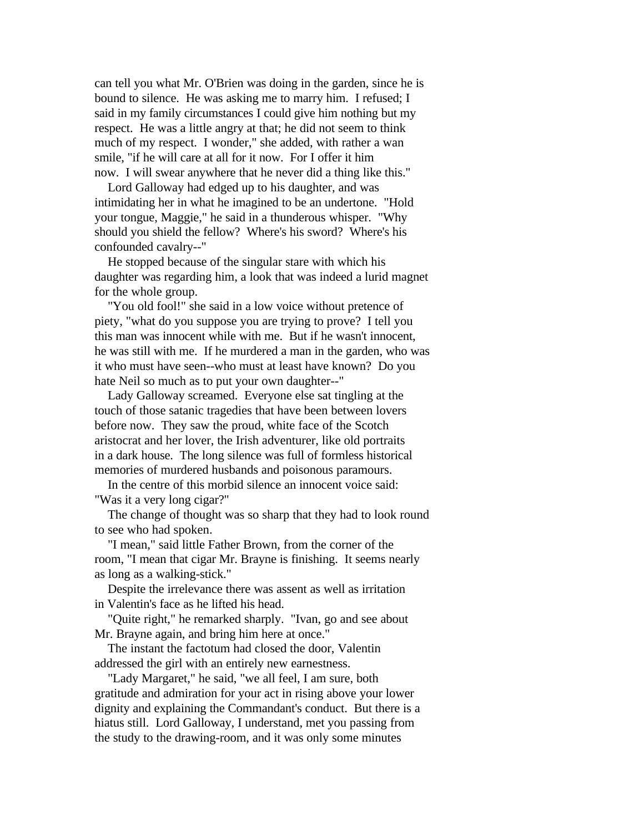can tell you what Mr. O'Brien was doing in the garden, since he is bound to silence. He was asking me to marry him. I refused; I said in my family circumstances I could give him nothing but my respect. He was a little angry at that; he did not seem to think much of my respect. I wonder," she added, with rather a wan smile, "if he will care at all for it now. For I offer it him now. I will swear anywhere that he never did a thing like this."

 Lord Galloway had edged up to his daughter, and was intimidating her in what he imagined to be an undertone. "Hold your tongue, Maggie," he said in a thunderous whisper. "Why should you shield the fellow? Where's his sword? Where's his confounded cavalry--"

 He stopped because of the singular stare with which his daughter was regarding him, a look that was indeed a lurid magnet for the whole group.

 "You old fool!" she said in a low voice without pretence of piety, "what do you suppose you are trying to prove? I tell you this man was innocent while with me. But if he wasn't innocent, he was still with me. If he murdered a man in the garden, who was it who must have seen--who must at least have known? Do you hate Neil so much as to put your own daughter--"

 Lady Galloway screamed. Everyone else sat tingling at the touch of those satanic tragedies that have been between lovers before now. They saw the proud, white face of the Scotch aristocrat and her lover, the Irish adventurer, like old portraits in a dark house. The long silence was full of formless historical memories of murdered husbands and poisonous paramours.

 In the centre of this morbid silence an innocent voice said: "Was it a very long cigar?"

 The change of thought was so sharp that they had to look round to see who had spoken.

 "I mean," said little Father Brown, from the corner of the room, "I mean that cigar Mr. Brayne is finishing. It seems nearly as long as a walking-stick."

 Despite the irrelevance there was assent as well as irritation in Valentin's face as he lifted his head.

 "Quite right," he remarked sharply. "Ivan, go and see about Mr. Brayne again, and bring him here at once."

 The instant the factotum had closed the door, Valentin addressed the girl with an entirely new earnestness.

 "Lady Margaret," he said, "we all feel, I am sure, both gratitude and admiration for your act in rising above your lower dignity and explaining the Commandant's conduct. But there is a hiatus still. Lord Galloway, I understand, met you passing from the study to the drawing-room, and it was only some minutes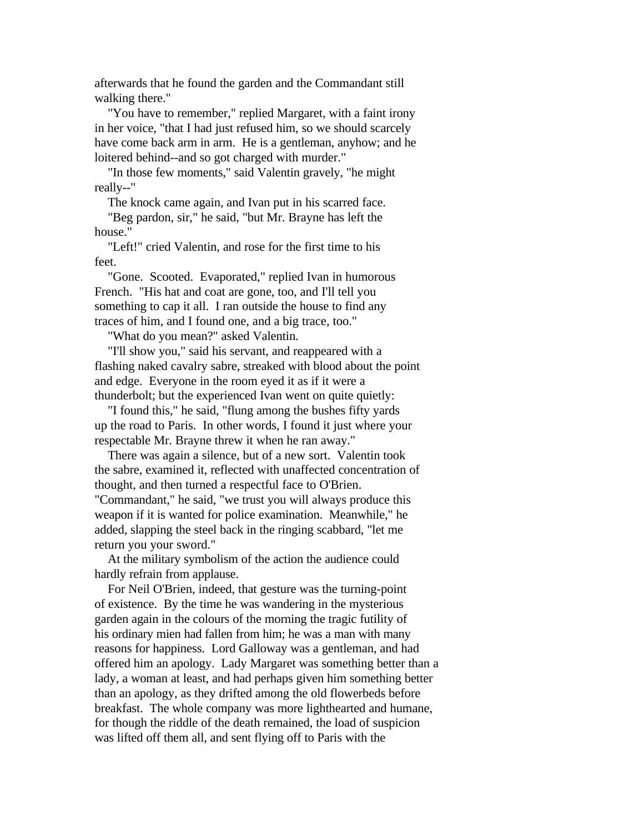afterwards that he found the garden and the Commandant still walking there."

 "You have to remember," replied Margaret, with a faint irony in her voice, "that I had just refused him, so we should scarcely have come back arm in arm. He is a gentleman, anyhow; and he loitered behind--and so got charged with murder."

 "In those few moments," said Valentin gravely, "he might really--"

The knock came again, and Ivan put in his scarred face.

 "Beg pardon, sir," he said, "but Mr. Brayne has left the house."

 "Left!" cried Valentin, and rose for the first time to his feet.

 "Gone. Scooted. Evaporated," replied Ivan in humorous French. "His hat and coat are gone, too, and I'll tell you something to cap it all. I ran outside the house to find any traces of him, and I found one, and a big trace, too."

"What do you mean?" asked Valentin.

 "I'll show you," said his servant, and reappeared with a flashing naked cavalry sabre, streaked with blood about the point and edge. Everyone in the room eyed it as if it were a thunderbolt; but the experienced Ivan went on quite quietly:

 "I found this," he said, "flung among the bushes fifty yards up the road to Paris. In other words, I found it just where your respectable Mr. Brayne threw it when he ran away."

 There was again a silence, but of a new sort. Valentin took the sabre, examined it, reflected with unaffected concentration of thought, and then turned a respectful face to O'Brien. "Commandant," he said, "we trust you will always produce this weapon if it is wanted for police examination. Meanwhile," he added, slapping the steel back in the ringing scabbard, "let me return you your sword."

 At the military symbolism of the action the audience could hardly refrain from applause.

 For Neil O'Brien, indeed, that gesture was the turning-point of existence. By the time he was wandering in the mysterious garden again in the colours of the morning the tragic futility of his ordinary mien had fallen from him; he was a man with many reasons for happiness. Lord Galloway was a gentleman, and had offered him an apology. Lady Margaret was something better than a lady, a woman at least, and had perhaps given him something better than an apology, as they drifted among the old flowerbeds before breakfast. The whole company was more lighthearted and humane, for though the riddle of the death remained, the load of suspicion was lifted off them all, and sent flying off to Paris with the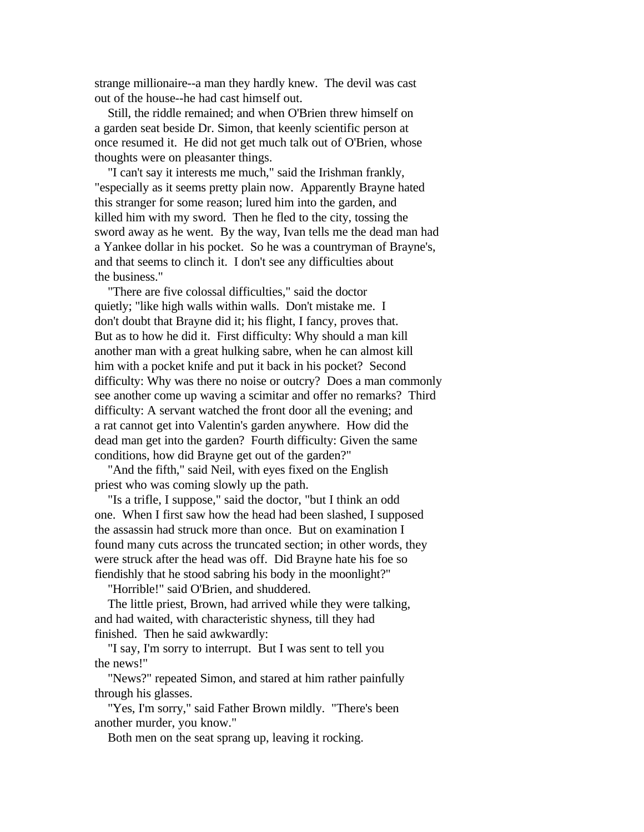strange millionaire--a man they hardly knew. The devil was cast out of the house--he had cast himself out.

 Still, the riddle remained; and when O'Brien threw himself on a garden seat beside Dr. Simon, that keenly scientific person at once resumed it. He did not get much talk out of O'Brien, whose thoughts were on pleasanter things.

 "I can't say it interests me much," said the Irishman frankly, "especially as it seems pretty plain now. Apparently Brayne hated this stranger for some reason; lured him into the garden, and killed him with my sword. Then he fled to the city, tossing the sword away as he went. By the way, Ivan tells me the dead man had a Yankee dollar in his pocket. So he was a countryman of Brayne's, and that seems to clinch it. I don't see any difficulties about the business."

 "There are five colossal difficulties," said the doctor quietly; "like high walls within walls. Don't mistake me. I don't doubt that Brayne did it; his flight, I fancy, proves that. But as to how he did it. First difficulty: Why should a man kill another man with a great hulking sabre, when he can almost kill him with a pocket knife and put it back in his pocket? Second difficulty: Why was there no noise or outcry? Does a man commonly see another come up waving a scimitar and offer no remarks? Third difficulty: A servant watched the front door all the evening; and a rat cannot get into Valentin's garden anywhere. How did the dead man get into the garden? Fourth difficulty: Given the same conditions, how did Brayne get out of the garden?"

 "And the fifth," said Neil, with eyes fixed on the English priest who was coming slowly up the path.

 "Is a trifle, I suppose," said the doctor, "but I think an odd one. When I first saw how the head had been slashed, I supposed the assassin had struck more than once. But on examination I found many cuts across the truncated section; in other words, they were struck after the head was off. Did Brayne hate his foe so fiendishly that he stood sabring his body in the moonlight?"

"Horrible!" said O'Brien, and shuddered.

 The little priest, Brown, had arrived while they were talking, and had waited, with characteristic shyness, till they had finished. Then he said awkwardly:

 "I say, I'm sorry to interrupt. But I was sent to tell you the news!"

 "News?" repeated Simon, and stared at him rather painfully through his glasses.

 "Yes, I'm sorry," said Father Brown mildly. "There's been another murder, you know."

Both men on the seat sprang up, leaving it rocking.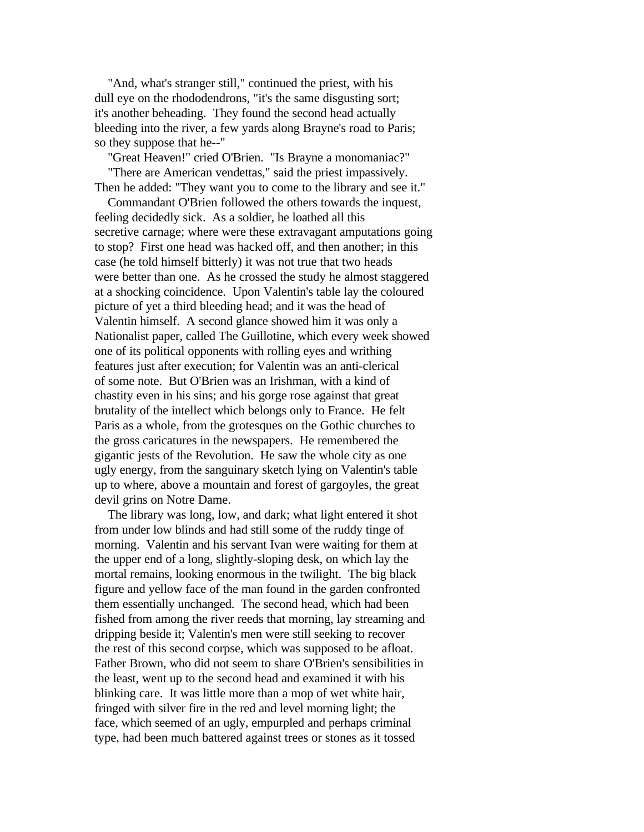"And, what's stranger still," continued the priest, with his dull eye on the rhododendrons, "it's the same disgusting sort; it's another beheading. They found the second head actually bleeding into the river, a few yards along Brayne's road to Paris; so they suppose that he--"

 "Great Heaven!" cried O'Brien. "Is Brayne a monomaniac?" "There are American vendettas," said the priest impassively. Then he added: "They want you to come to the library and see it."

 Commandant O'Brien followed the others towards the inquest, feeling decidedly sick. As a soldier, he loathed all this secretive carnage; where were these extravagant amputations going to stop? First one head was hacked off, and then another; in this case (he told himself bitterly) it was not true that two heads were better than one. As he crossed the study he almost staggered at a shocking coincidence. Upon Valentin's table lay the coloured picture of yet a third bleeding head; and it was the head of Valentin himself. A second glance showed him it was only a Nationalist paper, called The Guillotine, which every week showed one of its political opponents with rolling eyes and writhing features just after execution; for Valentin was an anti-clerical of some note. But O'Brien was an Irishman, with a kind of chastity even in his sins; and his gorge rose against that great brutality of the intellect which belongs only to France. He felt Paris as a whole, from the grotesques on the Gothic churches to the gross caricatures in the newspapers. He remembered the gigantic jests of the Revolution. He saw the whole city as one ugly energy, from the sanguinary sketch lying on Valentin's table up to where, above a mountain and forest of gargoyles, the great devil grins on Notre Dame.

 The library was long, low, and dark; what light entered it shot from under low blinds and had still some of the ruddy tinge of morning. Valentin and his servant Ivan were waiting for them at the upper end of a long, slightly-sloping desk, on which lay the mortal remains, looking enormous in the twilight. The big black figure and yellow face of the man found in the garden confronted them essentially unchanged. The second head, which had been fished from among the river reeds that morning, lay streaming and dripping beside it; Valentin's men were still seeking to recover the rest of this second corpse, which was supposed to be afloat. Father Brown, who did not seem to share O'Brien's sensibilities in the least, went up to the second head and examined it with his blinking care. It was little more than a mop of wet white hair, fringed with silver fire in the red and level morning light; the face, which seemed of an ugly, empurpled and perhaps criminal type, had been much battered against trees or stones as it tossed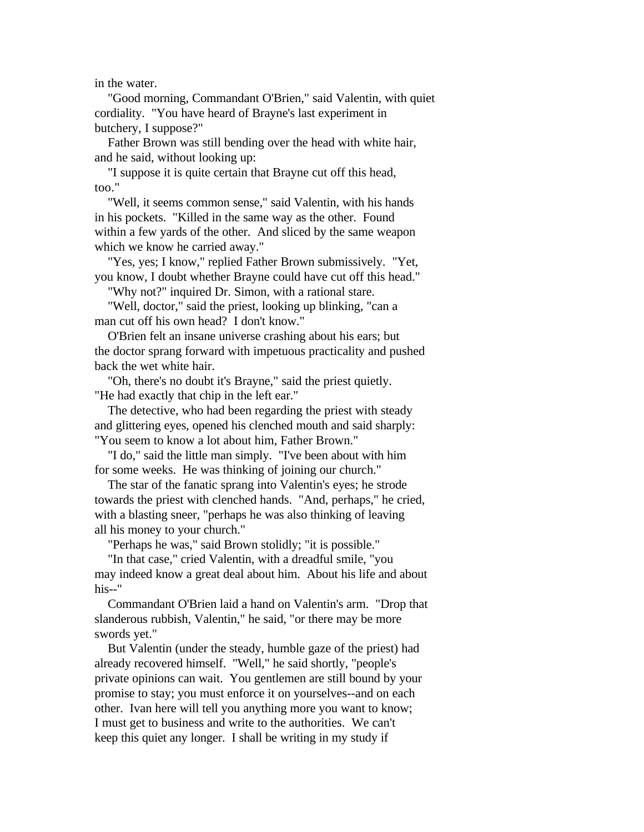in the water.

 "Good morning, Commandant O'Brien," said Valentin, with quiet cordiality. "You have heard of Brayne's last experiment in butchery, I suppose?"

 Father Brown was still bending over the head with white hair, and he said, without looking up:

 "I suppose it is quite certain that Brayne cut off this head, too."

 "Well, it seems common sense," said Valentin, with his hands in his pockets. "Killed in the same way as the other. Found within a few yards of the other. And sliced by the same weapon which we know he carried away."

 "Yes, yes; I know," replied Father Brown submissively. "Yet, you know, I doubt whether Brayne could have cut off this head."

"Why not?" inquired Dr. Simon, with a rational stare.

 "Well, doctor," said the priest, looking up blinking, "can a man cut off his own head? I don't know."

 O'Brien felt an insane universe crashing about his ears; but the doctor sprang forward with impetuous practicality and pushed back the wet white hair.

 "Oh, there's no doubt it's Brayne," said the priest quietly. "He had exactly that chip in the left ear."

 The detective, who had been regarding the priest with steady and glittering eyes, opened his clenched mouth and said sharply: "You seem to know a lot about him, Father Brown."

 "I do," said the little man simply. "I've been about with him for some weeks. He was thinking of joining our church."

 The star of the fanatic sprang into Valentin's eyes; he strode towards the priest with clenched hands. "And, perhaps," he cried, with a blasting sneer, "perhaps he was also thinking of leaving all his money to your church."

"Perhaps he was," said Brown stolidly; "it is possible."

 "In that case," cried Valentin, with a dreadful smile, "you may indeed know a great deal about him. About his life and about his--"

 Commandant O'Brien laid a hand on Valentin's arm. "Drop that slanderous rubbish, Valentin," he said, "or there may be more swords yet."

 But Valentin (under the steady, humble gaze of the priest) had already recovered himself. "Well," he said shortly, "people's private opinions can wait. You gentlemen are still bound by your promise to stay; you must enforce it on yourselves--and on each other. Ivan here will tell you anything more you want to know; I must get to business and write to the authorities. We can't keep this quiet any longer. I shall be writing in my study if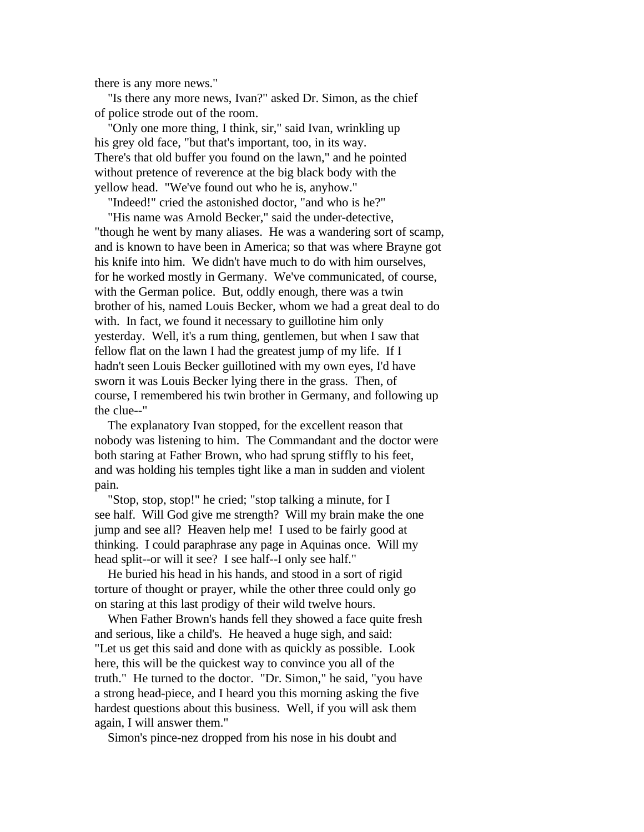there is any more news."

 "Is there any more news, Ivan?" asked Dr. Simon, as the chief of police strode out of the room.

 "Only one more thing, I think, sir," said Ivan, wrinkling up his grey old face, "but that's important, too, in its way. There's that old buffer you found on the lawn," and he pointed without pretence of reverence at the big black body with the yellow head. "We've found out who he is, anyhow."

 "Indeed!" cried the astonished doctor, "and who is he?" "His name was Arnold Becker," said the under-detective,

"though he went by many aliases. He was a wandering sort of scamp, and is known to have been in America; so that was where Brayne got his knife into him. We didn't have much to do with him ourselves, for he worked mostly in Germany. We've communicated, of course, with the German police. But, oddly enough, there was a twin brother of his, named Louis Becker, whom we had a great deal to do with. In fact, we found it necessary to guillotine him only yesterday. Well, it's a rum thing, gentlemen, but when I saw that fellow flat on the lawn I had the greatest jump of my life. If I hadn't seen Louis Becker guillotined with my own eyes, I'd have sworn it was Louis Becker lying there in the grass. Then, of course, I remembered his twin brother in Germany, and following up the clue--"

 The explanatory Ivan stopped, for the excellent reason that nobody was listening to him. The Commandant and the doctor were both staring at Father Brown, who had sprung stiffly to his feet, and was holding his temples tight like a man in sudden and violent pain.

 "Stop, stop, stop!" he cried; "stop talking a minute, for I see half. Will God give me strength? Will my brain make the one jump and see all? Heaven help me! I used to be fairly good at thinking. I could paraphrase any page in Aquinas once. Will my head split--or will it see? I see half--I only see half."

 He buried his head in his hands, and stood in a sort of rigid torture of thought or prayer, while the other three could only go on staring at this last prodigy of their wild twelve hours.

 When Father Brown's hands fell they showed a face quite fresh and serious, like a child's. He heaved a huge sigh, and said: "Let us get this said and done with as quickly as possible. Look here, this will be the quickest way to convince you all of the truth." He turned to the doctor. "Dr. Simon," he said, "you have a strong head-piece, and I heard you this morning asking the five hardest questions about this business. Well, if you will ask them again, I will answer them."

Simon's pince-nez dropped from his nose in his doubt and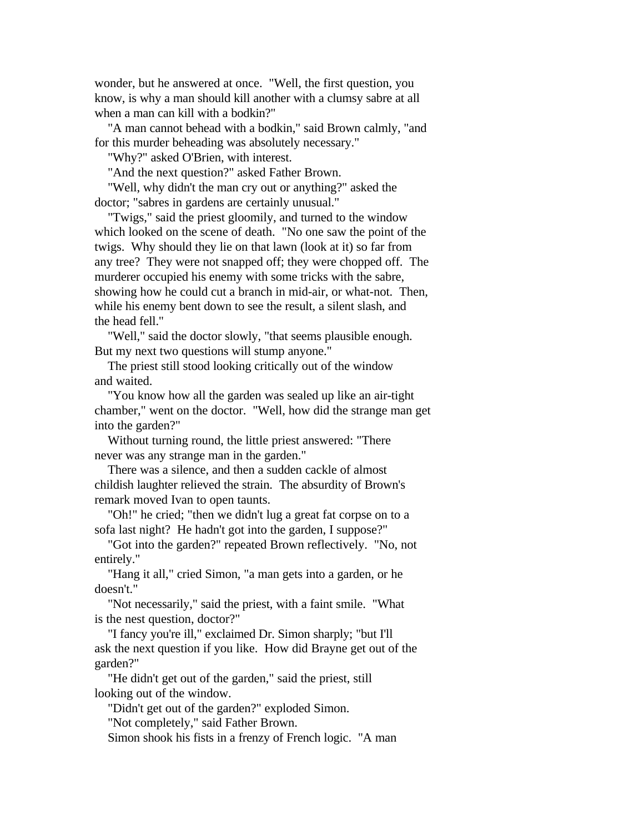wonder, but he answered at once. "Well, the first question, you know, is why a man should kill another with a clumsy sabre at all when a man can kill with a bodkin?"

 "A man cannot behead with a bodkin," said Brown calmly, "and for this murder beheading was absolutely necessary."

"Why?" asked O'Brien, with interest.

"And the next question?" asked Father Brown.

 "Well, why didn't the man cry out or anything?" asked the doctor; "sabres in gardens are certainly unusual."

 "Twigs," said the priest gloomily, and turned to the window which looked on the scene of death. "No one saw the point of the twigs. Why should they lie on that lawn (look at it) so far from any tree? They were not snapped off; they were chopped off. The murderer occupied his enemy with some tricks with the sabre, showing how he could cut a branch in mid-air, or what-not. Then, while his enemy bent down to see the result, a silent slash, and the head fell."

 "Well," said the doctor slowly, "that seems plausible enough. But my next two questions will stump anyone."

 The priest still stood looking critically out of the window and waited.

 "You know how all the garden was sealed up like an air-tight chamber," went on the doctor. "Well, how did the strange man get into the garden?"

 Without turning round, the little priest answered: "There never was any strange man in the garden."

 There was a silence, and then a sudden cackle of almost childish laughter relieved the strain. The absurdity of Brown's remark moved Ivan to open taunts.

 "Oh!" he cried; "then we didn't lug a great fat corpse on to a sofa last night? He hadn't got into the garden, I suppose?"

 "Got into the garden?" repeated Brown reflectively. "No, not entirely."

 "Hang it all," cried Simon, "a man gets into a garden, or he doesn't."

 "Not necessarily," said the priest, with a faint smile. "What is the nest question, doctor?"

 "I fancy you're ill," exclaimed Dr. Simon sharply; "but I'll ask the next question if you like. How did Brayne get out of the garden?"

 "He didn't get out of the garden," said the priest, still looking out of the window.

"Didn't get out of the garden?" exploded Simon.

"Not completely," said Father Brown.

Simon shook his fists in a frenzy of French logic. "A man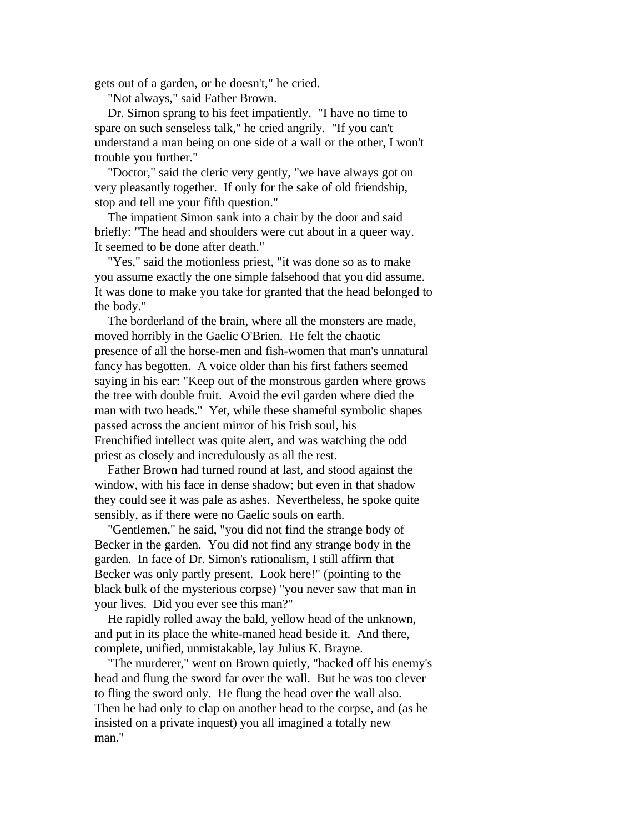gets out of a garden, or he doesn't," he cried.

"Not always," said Father Brown.

 Dr. Simon sprang to his feet impatiently. "I have no time to spare on such senseless talk," he cried angrily. "If you can't understand a man being on one side of a wall or the other, I won't trouble you further."

 "Doctor," said the cleric very gently, "we have always got on very pleasantly together. If only for the sake of old friendship, stop and tell me your fifth question."

 The impatient Simon sank into a chair by the door and said briefly: "The head and shoulders were cut about in a queer way. It seemed to be done after death."

 "Yes," said the motionless priest, "it was done so as to make you assume exactly the one simple falsehood that you did assume. It was done to make you take for granted that the head belonged to the body."

 The borderland of the brain, where all the monsters are made, moved horribly in the Gaelic O'Brien. He felt the chaotic presence of all the horse-men and fish-women that man's unnatural fancy has begotten. A voice older than his first fathers seemed saying in his ear: "Keep out of the monstrous garden where grows the tree with double fruit. Avoid the evil garden where died the man with two heads." Yet, while these shameful symbolic shapes passed across the ancient mirror of his Irish soul, his Frenchified intellect was quite alert, and was watching the odd priest as closely and incredulously as all the rest.

 Father Brown had turned round at last, and stood against the window, with his face in dense shadow; but even in that shadow they could see it was pale as ashes. Nevertheless, he spoke quite sensibly, as if there were no Gaelic souls on earth.

 "Gentlemen," he said, "you did not find the strange body of Becker in the garden. You did not find any strange body in the garden. In face of Dr. Simon's rationalism, I still affirm that Becker was only partly present. Look here!" (pointing to the black bulk of the mysterious corpse) "you never saw that man in your lives. Did you ever see this man?"

 He rapidly rolled away the bald, yellow head of the unknown, and put in its place the white-maned head beside it. And there, complete, unified, unmistakable, lay Julius K. Brayne.

 "The murderer," went on Brown quietly, "hacked off his enemy's head and flung the sword far over the wall. But he was too clever to fling the sword only. He flung the head over the wall also. Then he had only to clap on another head to the corpse, and (as he insisted on a private inquest) you all imagined a totally new man."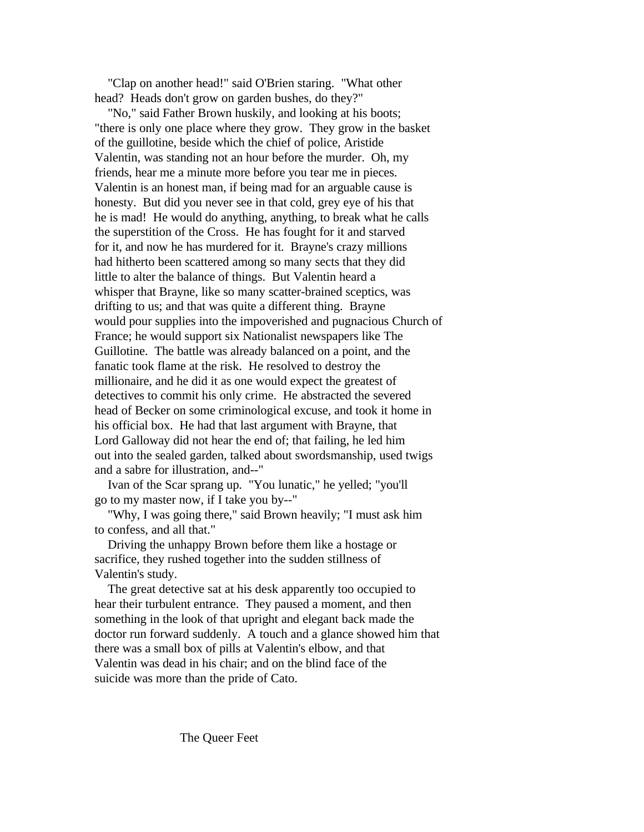"Clap on another head!" said O'Brien staring. "What other head? Heads don't grow on garden bushes, do they?"

 "No," said Father Brown huskily, and looking at his boots; "there is only one place where they grow. They grow in the basket of the guillotine, beside which the chief of police, Aristide Valentin, was standing not an hour before the murder. Oh, my friends, hear me a minute more before you tear me in pieces. Valentin is an honest man, if being mad for an arguable cause is honesty. But did you never see in that cold, grey eye of his that he is mad! He would do anything, anything, to break what he calls the superstition of the Cross. He has fought for it and starved for it, and now he has murdered for it. Brayne's crazy millions had hitherto been scattered among so many sects that they did little to alter the balance of things. But Valentin heard a whisper that Brayne, like so many scatter-brained sceptics, was drifting to us; and that was quite a different thing. Brayne would pour supplies into the impoverished and pugnacious Church of France; he would support six Nationalist newspapers like The Guillotine. The battle was already balanced on a point, and the fanatic took flame at the risk. He resolved to destroy the millionaire, and he did it as one would expect the greatest of detectives to commit his only crime. He abstracted the severed head of Becker on some criminological excuse, and took it home in his official box. He had that last argument with Brayne, that Lord Galloway did not hear the end of; that failing, he led him out into the sealed garden, talked about swordsmanship, used twigs and a sabre for illustration, and--"

 Ivan of the Scar sprang up. "You lunatic," he yelled; "you'll go to my master now, if I take you by--"

 "Why, I was going there," said Brown heavily; "I must ask him to confess, and all that."

 Driving the unhappy Brown before them like a hostage or sacrifice, they rushed together into the sudden stillness of Valentin's study.

 The great detective sat at his desk apparently too occupied to hear their turbulent entrance. They paused a moment, and then something in the look of that upright and elegant back made the doctor run forward suddenly. A touch and a glance showed him that there was a small box of pills at Valentin's elbow, and that Valentin was dead in his chair; and on the blind face of the suicide was more than the pride of Cato.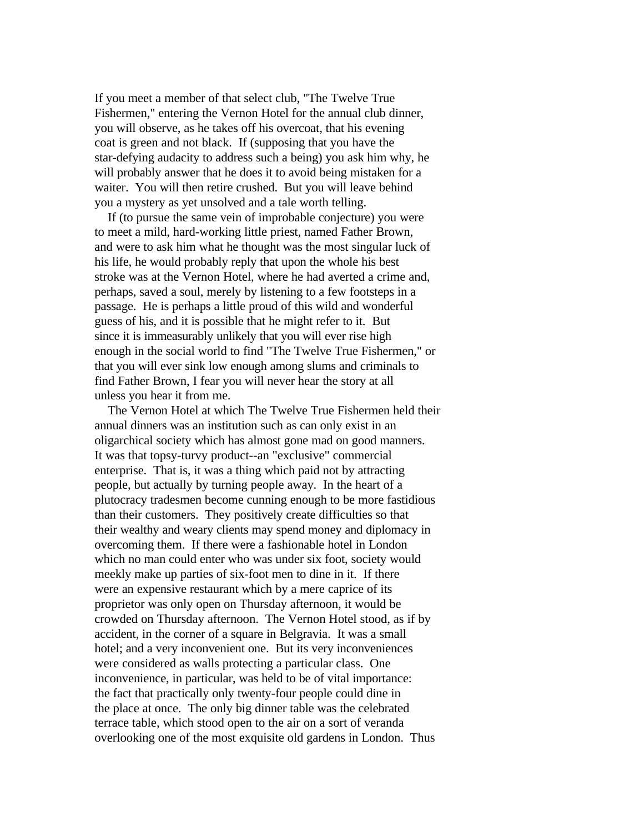If you meet a member of that select club, "The Twelve True Fishermen," entering the Vernon Hotel for the annual club dinner, you will observe, as he takes off his overcoat, that his evening coat is green and not black. If (supposing that you have the star-defying audacity to address such a being) you ask him why, he will probably answer that he does it to avoid being mistaken for a waiter. You will then retire crushed. But you will leave behind you a mystery as yet unsolved and a tale worth telling.

 If (to pursue the same vein of improbable conjecture) you were to meet a mild, hard-working little priest, named Father Brown, and were to ask him what he thought was the most singular luck of his life, he would probably reply that upon the whole his best stroke was at the Vernon Hotel, where he had averted a crime and, perhaps, saved a soul, merely by listening to a few footsteps in a passage. He is perhaps a little proud of this wild and wonderful guess of his, and it is possible that he might refer to it. But since it is immeasurably unlikely that you will ever rise high enough in the social world to find "The Twelve True Fishermen," or that you will ever sink low enough among slums and criminals to find Father Brown, I fear you will never hear the story at all unless you hear it from me.

 The Vernon Hotel at which The Twelve True Fishermen held their annual dinners was an institution such as can only exist in an oligarchical society which has almost gone mad on good manners. It was that topsy-turvy product--an "exclusive" commercial enterprise. That is, it was a thing which paid not by attracting people, but actually by turning people away. In the heart of a plutocracy tradesmen become cunning enough to be more fastidious than their customers. They positively create difficulties so that their wealthy and weary clients may spend money and diplomacy in overcoming them. If there were a fashionable hotel in London which no man could enter who was under six foot, society would meekly make up parties of six-foot men to dine in it. If there were an expensive restaurant which by a mere caprice of its proprietor was only open on Thursday afternoon, it would be crowded on Thursday afternoon. The Vernon Hotel stood, as if by accident, in the corner of a square in Belgravia. It was a small hotel; and a very inconvenient one. But its very inconveniences were considered as walls protecting a particular class. One inconvenience, in particular, was held to be of vital importance: the fact that practically only twenty-four people could dine in the place at once. The only big dinner table was the celebrated terrace table, which stood open to the air on a sort of veranda overlooking one of the most exquisite old gardens in London. Thus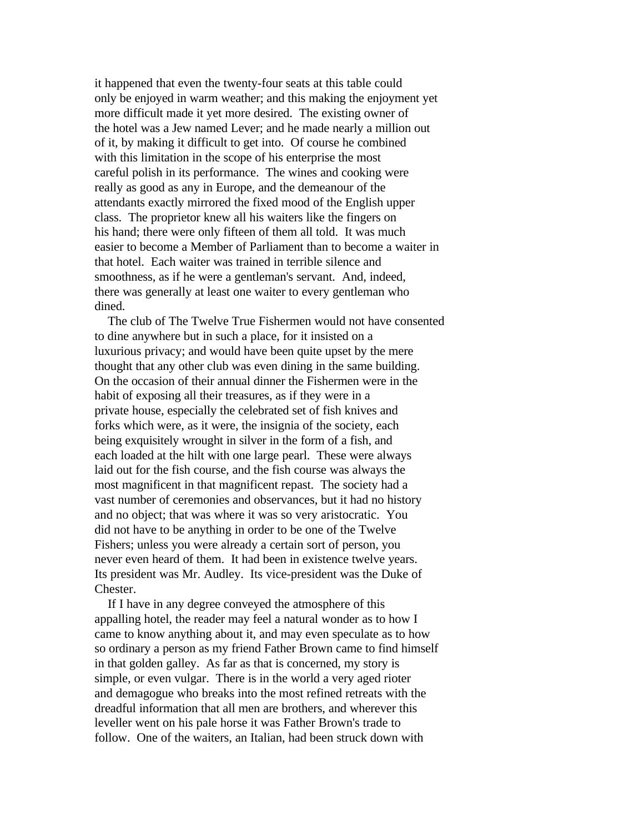it happened that even the twenty-four seats at this table could only be enjoyed in warm weather; and this making the enjoyment yet more difficult made it yet more desired. The existing owner of the hotel was a Jew named Lever; and he made nearly a million out of it, by making it difficult to get into. Of course he combined with this limitation in the scope of his enterprise the most careful polish in its performance. The wines and cooking were really as good as any in Europe, and the demeanour of the attendants exactly mirrored the fixed mood of the English upper class. The proprietor knew all his waiters like the fingers on his hand; there were only fifteen of them all told. It was much easier to become a Member of Parliament than to become a waiter in that hotel. Each waiter was trained in terrible silence and smoothness, as if he were a gentleman's servant. And, indeed, there was generally at least one waiter to every gentleman who dined.

 The club of The Twelve True Fishermen would not have consented to dine anywhere but in such a place, for it insisted on a luxurious privacy; and would have been quite upset by the mere thought that any other club was even dining in the same building. On the occasion of their annual dinner the Fishermen were in the habit of exposing all their treasures, as if they were in a private house, especially the celebrated set of fish knives and forks which were, as it were, the insignia of the society, each being exquisitely wrought in silver in the form of a fish, and each loaded at the hilt with one large pearl. These were always laid out for the fish course, and the fish course was always the most magnificent in that magnificent repast. The society had a vast number of ceremonies and observances, but it had no history and no object; that was where it was so very aristocratic. You did not have to be anything in order to be one of the Twelve Fishers; unless you were already a certain sort of person, you never even heard of them. It had been in existence twelve years. Its president was Mr. Audley. Its vice-president was the Duke of Chester.

 If I have in any degree conveyed the atmosphere of this appalling hotel, the reader may feel a natural wonder as to how I came to know anything about it, and may even speculate as to how so ordinary a person as my friend Father Brown came to find himself in that golden galley. As far as that is concerned, my story is simple, or even vulgar. There is in the world a very aged rioter and demagogue who breaks into the most refined retreats with the dreadful information that all men are brothers, and wherever this leveller went on his pale horse it was Father Brown's trade to follow. One of the waiters, an Italian, had been struck down with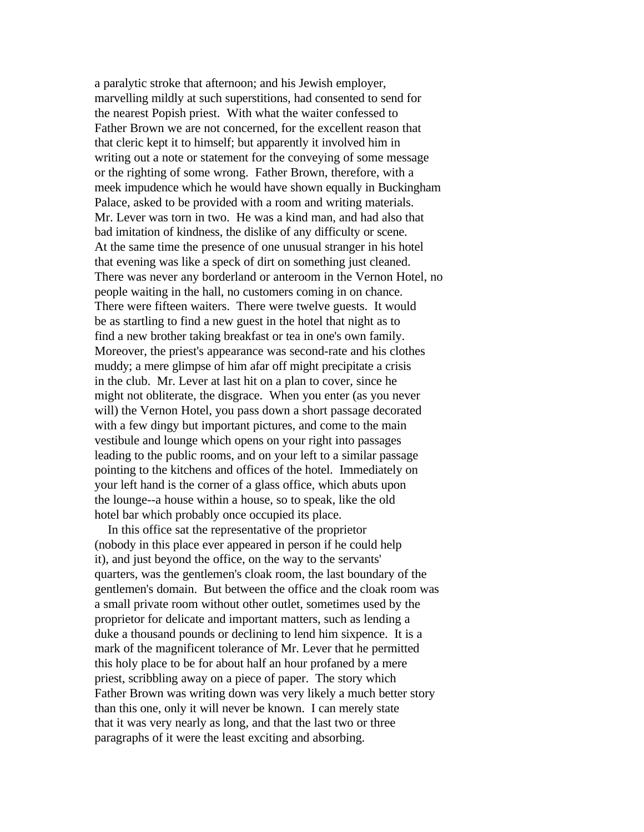a paralytic stroke that afternoon; and his Jewish employer, marvelling mildly at such superstitions, had consented to send for the nearest Popish priest. With what the waiter confessed to Father Brown we are not concerned, for the excellent reason that that cleric kept it to himself; but apparently it involved him in writing out a note or statement for the conveying of some message or the righting of some wrong. Father Brown, therefore, with a meek impudence which he would have shown equally in Buckingham Palace, asked to be provided with a room and writing materials. Mr. Lever was torn in two. He was a kind man, and had also that bad imitation of kindness, the dislike of any difficulty or scene. At the same time the presence of one unusual stranger in his hotel that evening was like a speck of dirt on something just cleaned. There was never any borderland or anteroom in the Vernon Hotel, no people waiting in the hall, no customers coming in on chance. There were fifteen waiters. There were twelve guests. It would be as startling to find a new guest in the hotel that night as to find a new brother taking breakfast or tea in one's own family. Moreover, the priest's appearance was second-rate and his clothes muddy; a mere glimpse of him afar off might precipitate a crisis in the club. Mr. Lever at last hit on a plan to cover, since he might not obliterate, the disgrace. When you enter (as you never will) the Vernon Hotel, you pass down a short passage decorated with a few dingy but important pictures, and come to the main vestibule and lounge which opens on your right into passages leading to the public rooms, and on your left to a similar passage pointing to the kitchens and offices of the hotel. Immediately on your left hand is the corner of a glass office, which abuts upon the lounge--a house within a house, so to speak, like the old hotel bar which probably once occupied its place.

 In this office sat the representative of the proprietor (nobody in this place ever appeared in person if he could help it), and just beyond the office, on the way to the servants' quarters, was the gentlemen's cloak room, the last boundary of the gentlemen's domain. But between the office and the cloak room was a small private room without other outlet, sometimes used by the proprietor for delicate and important matters, such as lending a duke a thousand pounds or declining to lend him sixpence. It is a mark of the magnificent tolerance of Mr. Lever that he permitted this holy place to be for about half an hour profaned by a mere priest, scribbling away on a piece of paper. The story which Father Brown was writing down was very likely a much better story than this one, only it will never be known. I can merely state that it was very nearly as long, and that the last two or three paragraphs of it were the least exciting and absorbing.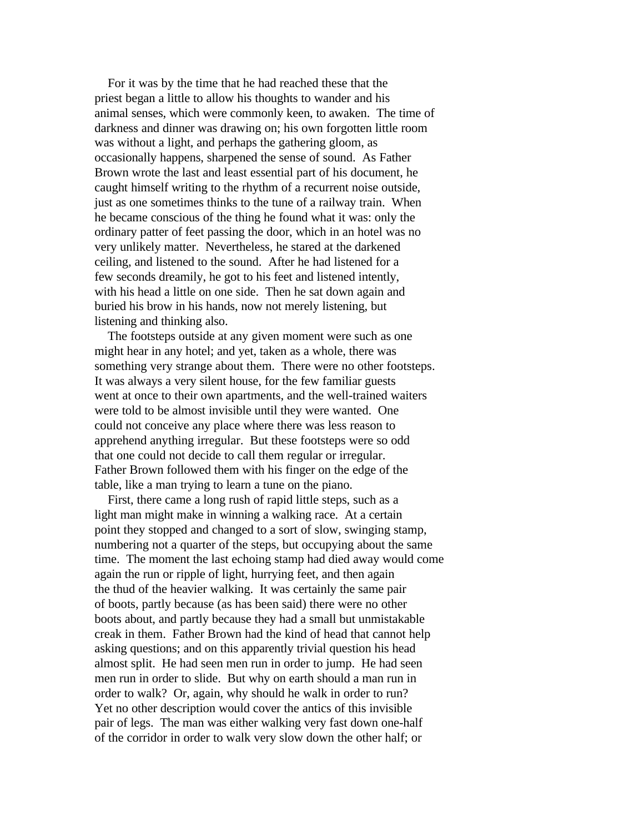For it was by the time that he had reached these that the priest began a little to allow his thoughts to wander and his animal senses, which were commonly keen, to awaken. The time of darkness and dinner was drawing on; his own forgotten little room was without a light, and perhaps the gathering gloom, as occasionally happens, sharpened the sense of sound. As Father Brown wrote the last and least essential part of his document, he caught himself writing to the rhythm of a recurrent noise outside, just as one sometimes thinks to the tune of a railway train. When he became conscious of the thing he found what it was: only the ordinary patter of feet passing the door, which in an hotel was no very unlikely matter. Nevertheless, he stared at the darkened ceiling, and listened to the sound. After he had listened for a few seconds dreamily, he got to his feet and listened intently, with his head a little on one side. Then he sat down again and buried his brow in his hands, now not merely listening, but listening and thinking also.

 The footsteps outside at any given moment were such as one might hear in any hotel; and yet, taken as a whole, there was something very strange about them. There were no other footsteps. It was always a very silent house, for the few familiar guests went at once to their own apartments, and the well-trained waiters were told to be almost invisible until they were wanted. One could not conceive any place where there was less reason to apprehend anything irregular. But these footsteps were so odd that one could not decide to call them regular or irregular. Father Brown followed them with his finger on the edge of the table, like a man trying to learn a tune on the piano.

 First, there came a long rush of rapid little steps, such as a light man might make in winning a walking race. At a certain point they stopped and changed to a sort of slow, swinging stamp, numbering not a quarter of the steps, but occupying about the same time. The moment the last echoing stamp had died away would come again the run or ripple of light, hurrying feet, and then again the thud of the heavier walking. It was certainly the same pair of boots, partly because (as has been said) there were no other boots about, and partly because they had a small but unmistakable creak in them. Father Brown had the kind of head that cannot help asking questions; and on this apparently trivial question his head almost split. He had seen men run in order to jump. He had seen men run in order to slide. But why on earth should a man run in order to walk? Or, again, why should he walk in order to run? Yet no other description would cover the antics of this invisible pair of legs. The man was either walking very fast down one-half of the corridor in order to walk very slow down the other half; or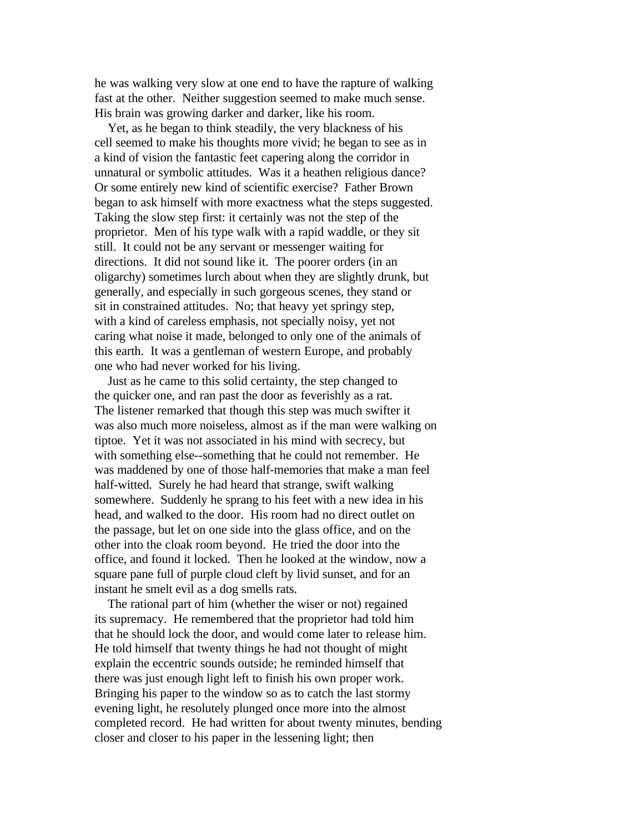he was walking very slow at one end to have the rapture of walking fast at the other. Neither suggestion seemed to make much sense. His brain was growing darker and darker, like his room.

 Yet, as he began to think steadily, the very blackness of his cell seemed to make his thoughts more vivid; he began to see as in a kind of vision the fantastic feet capering along the corridor in unnatural or symbolic attitudes. Was it a heathen religious dance? Or some entirely new kind of scientific exercise? Father Brown began to ask himself with more exactness what the steps suggested. Taking the slow step first: it certainly was not the step of the proprietor. Men of his type walk with a rapid waddle, or they sit still. It could not be any servant or messenger waiting for directions. It did not sound like it. The poorer orders (in an oligarchy) sometimes lurch about when they are slightly drunk, but generally, and especially in such gorgeous scenes, they stand or sit in constrained attitudes. No; that heavy yet springy step, with a kind of careless emphasis, not specially noisy, yet not caring what noise it made, belonged to only one of the animals of this earth. It was a gentleman of western Europe, and probably one who had never worked for his living.

 Just as he came to this solid certainty, the step changed to the quicker one, and ran past the door as feverishly as a rat. The listener remarked that though this step was much swifter it was also much more noiseless, almost as if the man were walking on tiptoe. Yet it was not associated in his mind with secrecy, but with something else--something that he could not remember. He was maddened by one of those half-memories that make a man feel half-witted. Surely he had heard that strange, swift walking somewhere. Suddenly he sprang to his feet with a new idea in his head, and walked to the door. His room had no direct outlet on the passage, but let on one side into the glass office, and on the other into the cloak room beyond. He tried the door into the office, and found it locked. Then he looked at the window, now a square pane full of purple cloud cleft by livid sunset, and for an instant he smelt evil as a dog smells rats.

 The rational part of him (whether the wiser or not) regained its supremacy. He remembered that the proprietor had told him that he should lock the door, and would come later to release him. He told himself that twenty things he had not thought of might explain the eccentric sounds outside; he reminded himself that there was just enough light left to finish his own proper work. Bringing his paper to the window so as to catch the last stormy evening light, he resolutely plunged once more into the almost completed record. He had written for about twenty minutes, bending closer and closer to his paper in the lessening light; then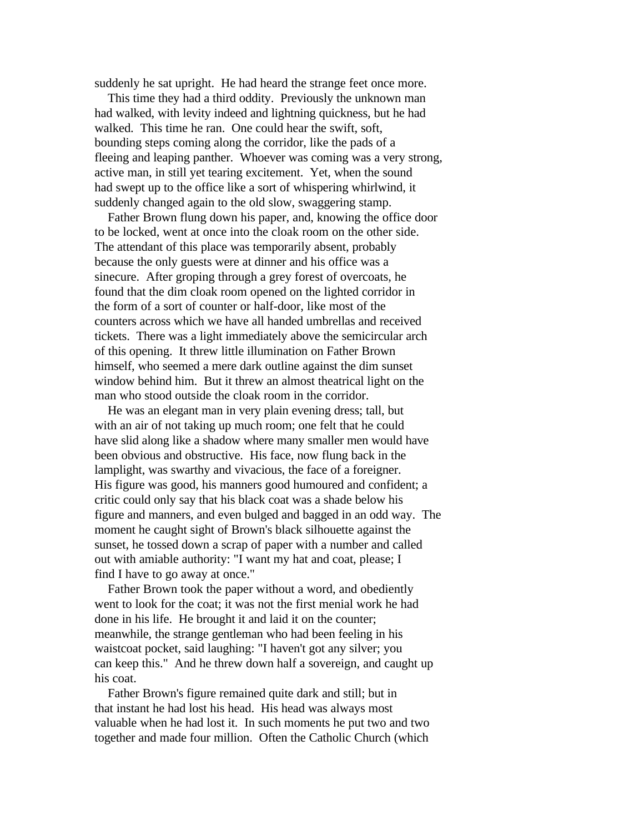suddenly he sat upright. He had heard the strange feet once more.

 This time they had a third oddity. Previously the unknown man had walked, with levity indeed and lightning quickness, but he had walked. This time he ran. One could hear the swift, soft, bounding steps coming along the corridor, like the pads of a fleeing and leaping panther. Whoever was coming was a very strong, active man, in still yet tearing excitement. Yet, when the sound had swept up to the office like a sort of whispering whirlwind, it suddenly changed again to the old slow, swaggering stamp.

 Father Brown flung down his paper, and, knowing the office door to be locked, went at once into the cloak room on the other side. The attendant of this place was temporarily absent, probably because the only guests were at dinner and his office was a sinecure. After groping through a grey forest of overcoats, he found that the dim cloak room opened on the lighted corridor in the form of a sort of counter or half-door, like most of the counters across which we have all handed umbrellas and received tickets. There was a light immediately above the semicircular arch of this opening. It threw little illumination on Father Brown himself, who seemed a mere dark outline against the dim sunset window behind him. But it threw an almost theatrical light on the man who stood outside the cloak room in the corridor.

 He was an elegant man in very plain evening dress; tall, but with an air of not taking up much room; one felt that he could have slid along like a shadow where many smaller men would have been obvious and obstructive. His face, now flung back in the lamplight, was swarthy and vivacious, the face of a foreigner. His figure was good, his manners good humoured and confident; a critic could only say that his black coat was a shade below his figure and manners, and even bulged and bagged in an odd way. The moment he caught sight of Brown's black silhouette against the sunset, he tossed down a scrap of paper with a number and called out with amiable authority: "I want my hat and coat, please; I find I have to go away at once."

 Father Brown took the paper without a word, and obediently went to look for the coat; it was not the first menial work he had done in his life. He brought it and laid it on the counter; meanwhile, the strange gentleman who had been feeling in his waistcoat pocket, said laughing: "I haven't got any silver; you can keep this." And he threw down half a sovereign, and caught up his coat.

 Father Brown's figure remained quite dark and still; but in that instant he had lost his head. His head was always most valuable when he had lost it. In such moments he put two and two together and made four million. Often the Catholic Church (which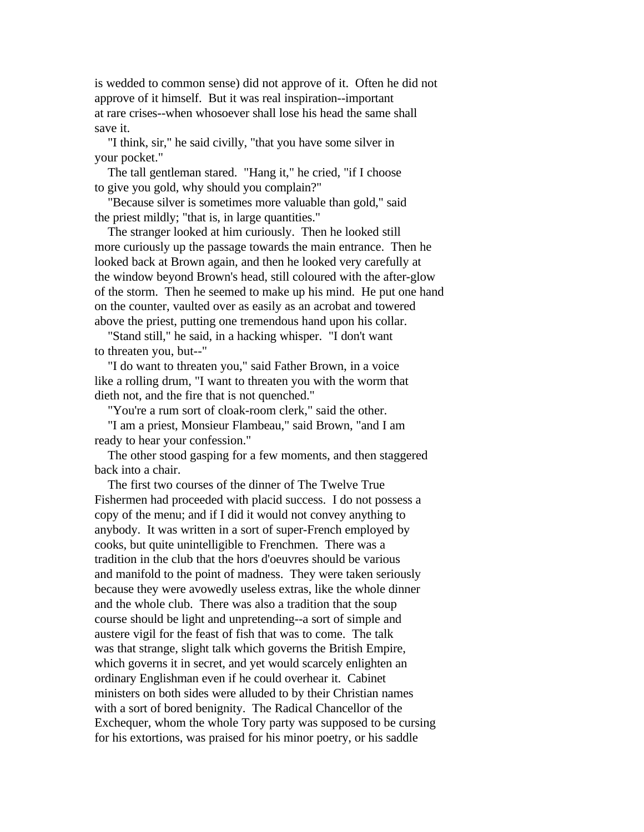is wedded to common sense) did not approve of it. Often he did not approve of it himself. But it was real inspiration--important at rare crises--when whosoever shall lose his head the same shall save it.

 "I think, sir," he said civilly, "that you have some silver in your pocket."

 The tall gentleman stared. "Hang it," he cried, "if I choose to give you gold, why should you complain?"

 "Because silver is sometimes more valuable than gold," said the priest mildly; "that is, in large quantities."

 The stranger looked at him curiously. Then he looked still more curiously up the passage towards the main entrance. Then he looked back at Brown again, and then he looked very carefully at the window beyond Brown's head, still coloured with the after-glow of the storm. Then he seemed to make up his mind. He put one hand on the counter, vaulted over as easily as an acrobat and towered above the priest, putting one tremendous hand upon his collar.

 "Stand still," he said, in a hacking whisper. "I don't want to threaten you, but--"

 "I do want to threaten you," said Father Brown, in a voice like a rolling drum, "I want to threaten you with the worm that dieth not, and the fire that is not quenched."

"You're a rum sort of cloak-room clerk," said the other.

 "I am a priest, Monsieur Flambeau," said Brown, "and I am ready to hear your confession."

 The other stood gasping for a few moments, and then staggered back into a chair.

 The first two courses of the dinner of The Twelve True Fishermen had proceeded with placid success. I do not possess a copy of the menu; and if I did it would not convey anything to anybody. It was written in a sort of super-French employed by cooks, but quite unintelligible to Frenchmen. There was a tradition in the club that the hors d'oeuvres should be various and manifold to the point of madness. They were taken seriously because they were avowedly useless extras, like the whole dinner and the whole club. There was also a tradition that the soup course should be light and unpretending--a sort of simple and austere vigil for the feast of fish that was to come. The talk was that strange, slight talk which governs the British Empire, which governs it in secret, and yet would scarcely enlighten an ordinary Englishman even if he could overhear it. Cabinet ministers on both sides were alluded to by their Christian names with a sort of bored benignity. The Radical Chancellor of the Exchequer, whom the whole Tory party was supposed to be cursing for his extortions, was praised for his minor poetry, or his saddle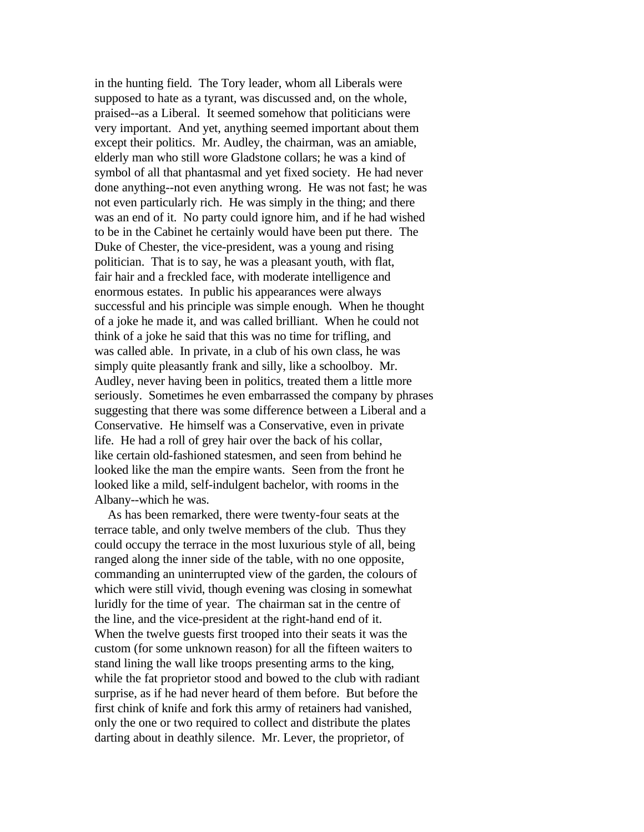in the hunting field. The Tory leader, whom all Liberals were supposed to hate as a tyrant, was discussed and, on the whole, praised--as a Liberal. It seemed somehow that politicians were very important. And yet, anything seemed important about them except their politics. Mr. Audley, the chairman, was an amiable, elderly man who still wore Gladstone collars; he was a kind of symbol of all that phantasmal and yet fixed society. He had never done anything--not even anything wrong. He was not fast; he was not even particularly rich. He was simply in the thing; and there was an end of it. No party could ignore him, and if he had wished to be in the Cabinet he certainly would have been put there. The Duke of Chester, the vice-president, was a young and rising politician. That is to say, he was a pleasant youth, with flat, fair hair and a freckled face, with moderate intelligence and enormous estates. In public his appearances were always successful and his principle was simple enough. When he thought of a joke he made it, and was called brilliant. When he could not think of a joke he said that this was no time for trifling, and was called able. In private, in a club of his own class, he was simply quite pleasantly frank and silly, like a schoolboy. Mr. Audley, never having been in politics, treated them a little more seriously. Sometimes he even embarrassed the company by phrases suggesting that there was some difference between a Liberal and a Conservative. He himself was a Conservative, even in private life. He had a roll of grey hair over the back of his collar, like certain old-fashioned statesmen, and seen from behind he looked like the man the empire wants. Seen from the front he looked like a mild, self-indulgent bachelor, with rooms in the Albany--which he was.

 As has been remarked, there were twenty-four seats at the terrace table, and only twelve members of the club. Thus they could occupy the terrace in the most luxurious style of all, being ranged along the inner side of the table, with no one opposite, commanding an uninterrupted view of the garden, the colours of which were still vivid, though evening was closing in somewhat luridly for the time of year. The chairman sat in the centre of the line, and the vice-president at the right-hand end of it. When the twelve guests first trooped into their seats it was the custom (for some unknown reason) for all the fifteen waiters to stand lining the wall like troops presenting arms to the king, while the fat proprietor stood and bowed to the club with radiant surprise, as if he had never heard of them before. But before the first chink of knife and fork this army of retainers had vanished, only the one or two required to collect and distribute the plates darting about in deathly silence. Mr. Lever, the proprietor, of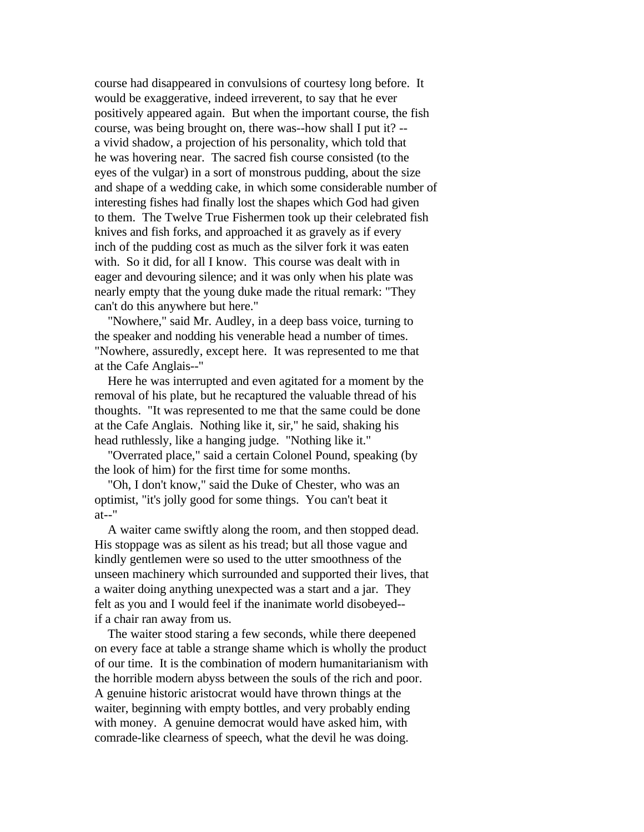course had disappeared in convulsions of courtesy long before. It would be exaggerative, indeed irreverent, to say that he ever positively appeared again. But when the important course, the fish course, was being brought on, there was--how shall I put it? - a vivid shadow, a projection of his personality, which told that he was hovering near. The sacred fish course consisted (to the eyes of the vulgar) in a sort of monstrous pudding, about the size and shape of a wedding cake, in which some considerable number of interesting fishes had finally lost the shapes which God had given to them. The Twelve True Fishermen took up their celebrated fish knives and fish forks, and approached it as gravely as if every inch of the pudding cost as much as the silver fork it was eaten with. So it did, for all I know. This course was dealt with in eager and devouring silence; and it was only when his plate was nearly empty that the young duke made the ritual remark: "They can't do this anywhere but here."

 "Nowhere," said Mr. Audley, in a deep bass voice, turning to the speaker and nodding his venerable head a number of times. "Nowhere, assuredly, except here. It was represented to me that at the Cafe Anglais--"

 Here he was interrupted and even agitated for a moment by the removal of his plate, but he recaptured the valuable thread of his thoughts. "It was represented to me that the same could be done at the Cafe Anglais. Nothing like it, sir," he said, shaking his head ruthlessly, like a hanging judge. "Nothing like it."

 "Overrated place," said a certain Colonel Pound, speaking (by the look of him) for the first time for some months.

 "Oh, I don't know," said the Duke of Chester, who was an optimist, "it's jolly good for some things. You can't beat it at--"

 A waiter came swiftly along the room, and then stopped dead. His stoppage was as silent as his tread; but all those vague and kindly gentlemen were so used to the utter smoothness of the unseen machinery which surrounded and supported their lives, that a waiter doing anything unexpected was a start and a jar. They felt as you and I would feel if the inanimate world disobeyed- if a chair ran away from us.

 The waiter stood staring a few seconds, while there deepened on every face at table a strange shame which is wholly the product of our time. It is the combination of modern humanitarianism with the horrible modern abyss between the souls of the rich and poor. A genuine historic aristocrat would have thrown things at the waiter, beginning with empty bottles, and very probably ending with money. A genuine democrat would have asked him, with comrade-like clearness of speech, what the devil he was doing.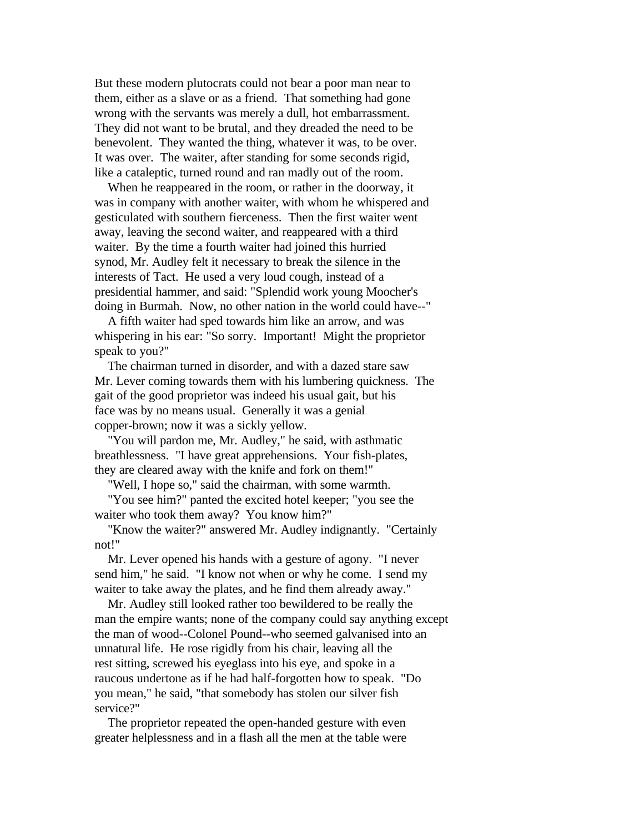But these modern plutocrats could not bear a poor man near to them, either as a slave or as a friend. That something had gone wrong with the servants was merely a dull, hot embarrassment. They did not want to be brutal, and they dreaded the need to be benevolent. They wanted the thing, whatever it was, to be over. It was over. The waiter, after standing for some seconds rigid, like a cataleptic, turned round and ran madly out of the room.

 When he reappeared in the room, or rather in the doorway, it was in company with another waiter, with whom he whispered and gesticulated with southern fierceness. Then the first waiter went away, leaving the second waiter, and reappeared with a third waiter. By the time a fourth waiter had joined this hurried synod, Mr. Audley felt it necessary to break the silence in the interests of Tact. He used a very loud cough, instead of a presidential hammer, and said: "Splendid work young Moocher's doing in Burmah. Now, no other nation in the world could have--"

 A fifth waiter had sped towards him like an arrow, and was whispering in his ear: "So sorry. Important! Might the proprietor speak to you?"

 The chairman turned in disorder, and with a dazed stare saw Mr. Lever coming towards them with his lumbering quickness. The gait of the good proprietor was indeed his usual gait, but his face was by no means usual. Generally it was a genial copper-brown; now it was a sickly yellow.

 "You will pardon me, Mr. Audley," he said, with asthmatic breathlessness. "I have great apprehensions. Your fish-plates, they are cleared away with the knife and fork on them!"

"Well, I hope so," said the chairman, with some warmth.

 "You see him?" panted the excited hotel keeper; "you see the waiter who took them away? You know him?"

 "Know the waiter?" answered Mr. Audley indignantly. "Certainly not!"

 Mr. Lever opened his hands with a gesture of agony. "I never send him," he said. "I know not when or why he come. I send my waiter to take away the plates, and he find them already away."

 Mr. Audley still looked rather too bewildered to be really the man the empire wants; none of the company could say anything except the man of wood--Colonel Pound--who seemed galvanised into an unnatural life. He rose rigidly from his chair, leaving all the rest sitting, screwed his eyeglass into his eye, and spoke in a raucous undertone as if he had half-forgotten how to speak. "Do you mean," he said, "that somebody has stolen our silver fish service?"

 The proprietor repeated the open-handed gesture with even greater helplessness and in a flash all the men at the table were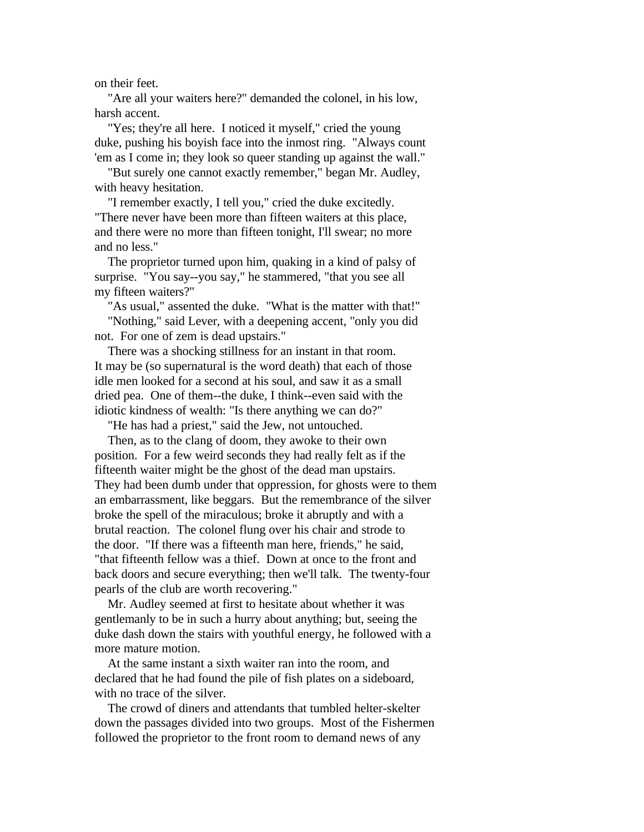on their feet.

 "Are all your waiters here?" demanded the colonel, in his low, harsh accent.

 "Yes; they're all here. I noticed it myself," cried the young duke, pushing his boyish face into the inmost ring. "Always count 'em as I come in; they look so queer standing up against the wall."

 "But surely one cannot exactly remember," began Mr. Audley, with heavy hesitation.

 "I remember exactly, I tell you," cried the duke excitedly. "There never have been more than fifteen waiters at this place, and there were no more than fifteen tonight, I'll swear; no more and no less."

 The proprietor turned upon him, quaking in a kind of palsy of surprise. "You say--you say," he stammered, "that you see all my fifteen waiters?"

 "As usual," assented the duke. "What is the matter with that!" "Nothing," said Lever, with a deepening accent, "only you did not. For one of zem is dead upstairs."

 There was a shocking stillness for an instant in that room. It may be (so supernatural is the word death) that each of those idle men looked for a second at his soul, and saw it as a small dried pea. One of them--the duke, I think--even said with the idiotic kindness of wealth: "Is there anything we can do?"

"He has had a priest," said the Jew, not untouched.

 Then, as to the clang of doom, they awoke to their own position. For a few weird seconds they had really felt as if the fifteenth waiter might be the ghost of the dead man upstairs. They had been dumb under that oppression, for ghosts were to them an embarrassment, like beggars. But the remembrance of the silver broke the spell of the miraculous; broke it abruptly and with a brutal reaction. The colonel flung over his chair and strode to the door. "If there was a fifteenth man here, friends," he said, "that fifteenth fellow was a thief. Down at once to the front and back doors and secure everything; then we'll talk. The twenty-four pearls of the club are worth recovering."

 Mr. Audley seemed at first to hesitate about whether it was gentlemanly to be in such a hurry about anything; but, seeing the duke dash down the stairs with youthful energy, he followed with a more mature motion.

 At the same instant a sixth waiter ran into the room, and declared that he had found the pile of fish plates on a sideboard, with no trace of the silver.

 The crowd of diners and attendants that tumbled helter-skelter down the passages divided into two groups. Most of the Fishermen followed the proprietor to the front room to demand news of any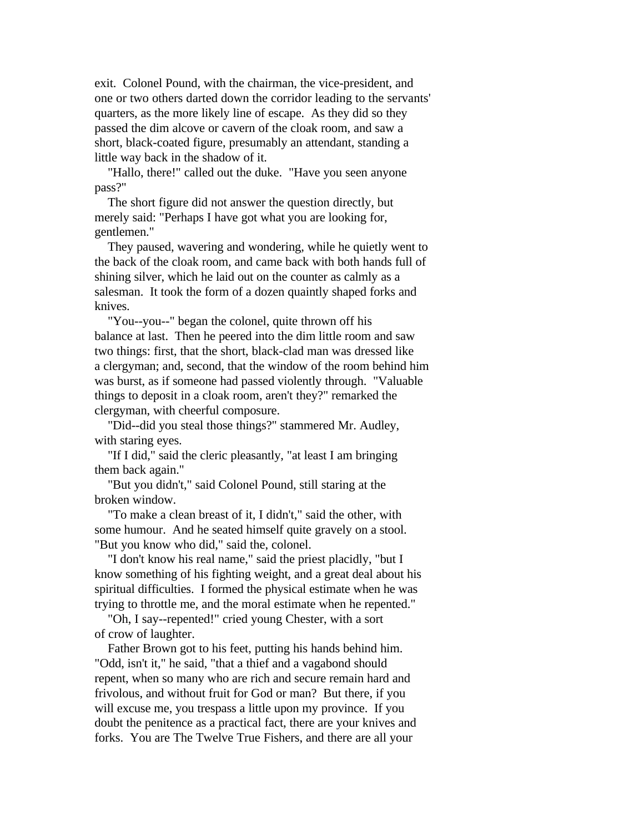exit. Colonel Pound, with the chairman, the vice-president, and one or two others darted down the corridor leading to the servants' quarters, as the more likely line of escape. As they did so they passed the dim alcove or cavern of the cloak room, and saw a short, black-coated figure, presumably an attendant, standing a little way back in the shadow of it.

 "Hallo, there!" called out the duke. "Have you seen anyone pass?"

 The short figure did not answer the question directly, but merely said: "Perhaps I have got what you are looking for, gentlemen."

 They paused, wavering and wondering, while he quietly went to the back of the cloak room, and came back with both hands full of shining silver, which he laid out on the counter as calmly as a salesman. It took the form of a dozen quaintly shaped forks and knives.

 "You--you--" began the colonel, quite thrown off his balance at last. Then he peered into the dim little room and saw two things: first, that the short, black-clad man was dressed like a clergyman; and, second, that the window of the room behind him was burst, as if someone had passed violently through. "Valuable things to deposit in a cloak room, aren't they?" remarked the clergyman, with cheerful composure.

 "Did--did you steal those things?" stammered Mr. Audley, with staring eyes.

 "If I did," said the cleric pleasantly, "at least I am bringing them back again."

 "But you didn't," said Colonel Pound, still staring at the broken window.

 "To make a clean breast of it, I didn't," said the other, with some humour. And he seated himself quite gravely on a stool. "But you know who did," said the, colonel.

 "I don't know his real name," said the priest placidly, "but I know something of his fighting weight, and a great deal about his spiritual difficulties. I formed the physical estimate when he was trying to throttle me, and the moral estimate when he repented."

 "Oh, I say--repented!" cried young Chester, with a sort of crow of laughter.

 Father Brown got to his feet, putting his hands behind him. "Odd, isn't it," he said, "that a thief and a vagabond should repent, when so many who are rich and secure remain hard and frivolous, and without fruit for God or man? But there, if you will excuse me, you trespass a little upon my province. If you doubt the penitence as a practical fact, there are your knives and forks. You are The Twelve True Fishers, and there are all your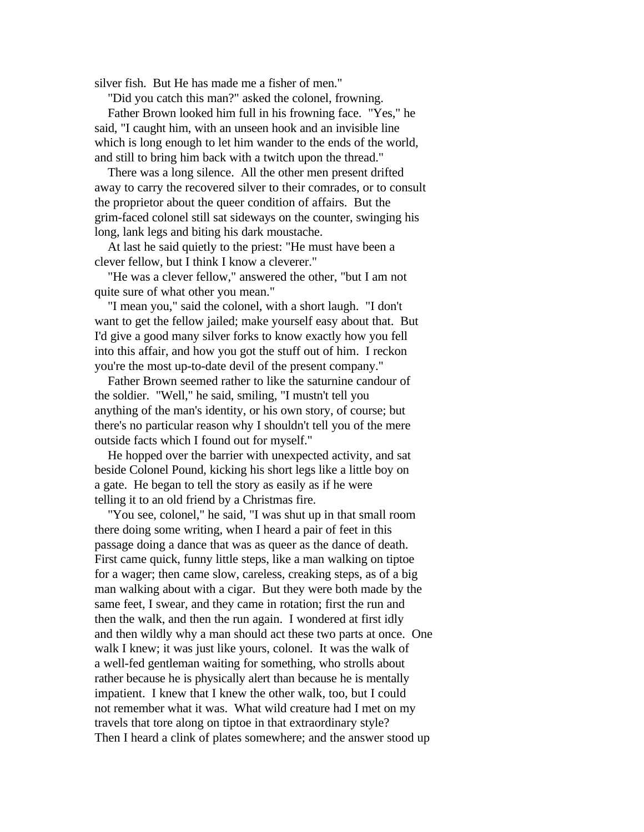silver fish. But He has made me a fisher of men."

"Did you catch this man?" asked the colonel, frowning.

 Father Brown looked him full in his frowning face. "Yes," he said, "I caught him, with an unseen hook and an invisible line which is long enough to let him wander to the ends of the world, and still to bring him back with a twitch upon the thread."

 There was a long silence. All the other men present drifted away to carry the recovered silver to their comrades, or to consult the proprietor about the queer condition of affairs. But the grim-faced colonel still sat sideways on the counter, swinging his long, lank legs and biting his dark moustache.

 At last he said quietly to the priest: "He must have been a clever fellow, but I think I know a cleverer."

 "He was a clever fellow," answered the other, "but I am not quite sure of what other you mean."

 "I mean you," said the colonel, with a short laugh. "I don't want to get the fellow jailed; make yourself easy about that. But I'd give a good many silver forks to know exactly how you fell into this affair, and how you got the stuff out of him. I reckon you're the most up-to-date devil of the present company."

 Father Brown seemed rather to like the saturnine candour of the soldier. "Well," he said, smiling, "I mustn't tell you anything of the man's identity, or his own story, of course; but there's no particular reason why I shouldn't tell you of the mere outside facts which I found out for myself."

 He hopped over the barrier with unexpected activity, and sat beside Colonel Pound, kicking his short legs like a little boy on a gate. He began to tell the story as easily as if he were telling it to an old friend by a Christmas fire.

 "You see, colonel," he said, "I was shut up in that small room there doing some writing, when I heard a pair of feet in this passage doing a dance that was as queer as the dance of death. First came quick, funny little steps, like a man walking on tiptoe for a wager; then came slow, careless, creaking steps, as of a big man walking about with a cigar. But they were both made by the same feet, I swear, and they came in rotation; first the run and then the walk, and then the run again. I wondered at first idly and then wildly why a man should act these two parts at once. One walk I knew; it was just like yours, colonel. It was the walk of a well-fed gentleman waiting for something, who strolls about rather because he is physically alert than because he is mentally impatient. I knew that I knew the other walk, too, but I could not remember what it was. What wild creature had I met on my travels that tore along on tiptoe in that extraordinary style? Then I heard a clink of plates somewhere; and the answer stood up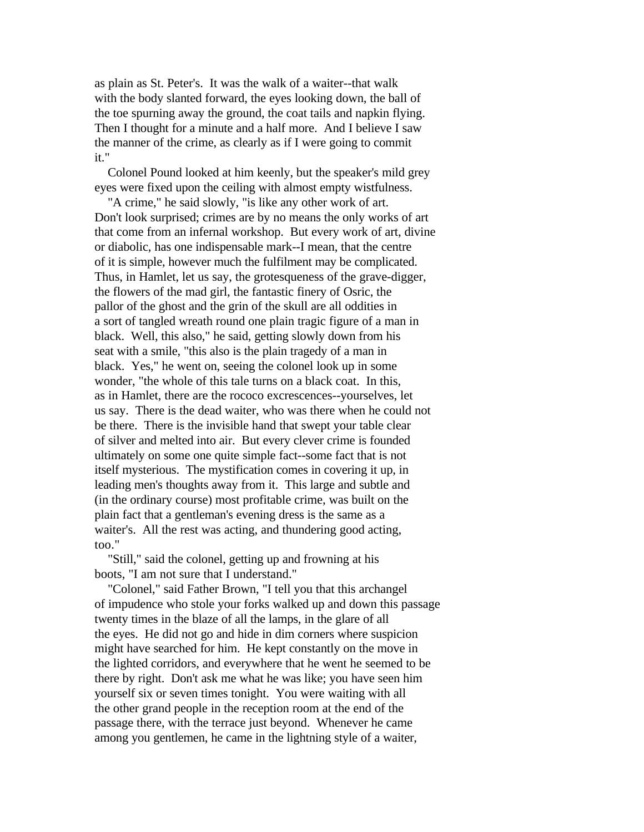as plain as St. Peter's. It was the walk of a waiter--that walk with the body slanted forward, the eyes looking down, the ball of the toe spurning away the ground, the coat tails and napkin flying. Then I thought for a minute and a half more. And I believe I saw the manner of the crime, as clearly as if I were going to commit it."

 Colonel Pound looked at him keenly, but the speaker's mild grey eyes were fixed upon the ceiling with almost empty wistfulness.

 "A crime," he said slowly, "is like any other work of art. Don't look surprised; crimes are by no means the only works of art that come from an infernal workshop. But every work of art, divine or diabolic, has one indispensable mark--I mean, that the centre of it is simple, however much the fulfilment may be complicated. Thus, in Hamlet, let us say, the grotesqueness of the grave-digger, the flowers of the mad girl, the fantastic finery of Osric, the pallor of the ghost and the grin of the skull are all oddities in a sort of tangled wreath round one plain tragic figure of a man in black. Well, this also," he said, getting slowly down from his seat with a smile, "this also is the plain tragedy of a man in black. Yes," he went on, seeing the colonel look up in some wonder, "the whole of this tale turns on a black coat. In this, as in Hamlet, there are the rococo excrescences--yourselves, let us say. There is the dead waiter, who was there when he could not be there. There is the invisible hand that swept your table clear of silver and melted into air. But every clever crime is founded ultimately on some one quite simple fact--some fact that is not itself mysterious. The mystification comes in covering it up, in leading men's thoughts away from it. This large and subtle and (in the ordinary course) most profitable crime, was built on the plain fact that a gentleman's evening dress is the same as a waiter's. All the rest was acting, and thundering good acting, too."

 "Still," said the colonel, getting up and frowning at his boots, "I am not sure that I understand."

 "Colonel," said Father Brown, "I tell you that this archangel of impudence who stole your forks walked up and down this passage twenty times in the blaze of all the lamps, in the glare of all the eyes. He did not go and hide in dim corners where suspicion might have searched for him. He kept constantly on the move in the lighted corridors, and everywhere that he went he seemed to be there by right. Don't ask me what he was like; you have seen him yourself six or seven times tonight. You were waiting with all the other grand people in the reception room at the end of the passage there, with the terrace just beyond. Whenever he came among you gentlemen, he came in the lightning style of a waiter,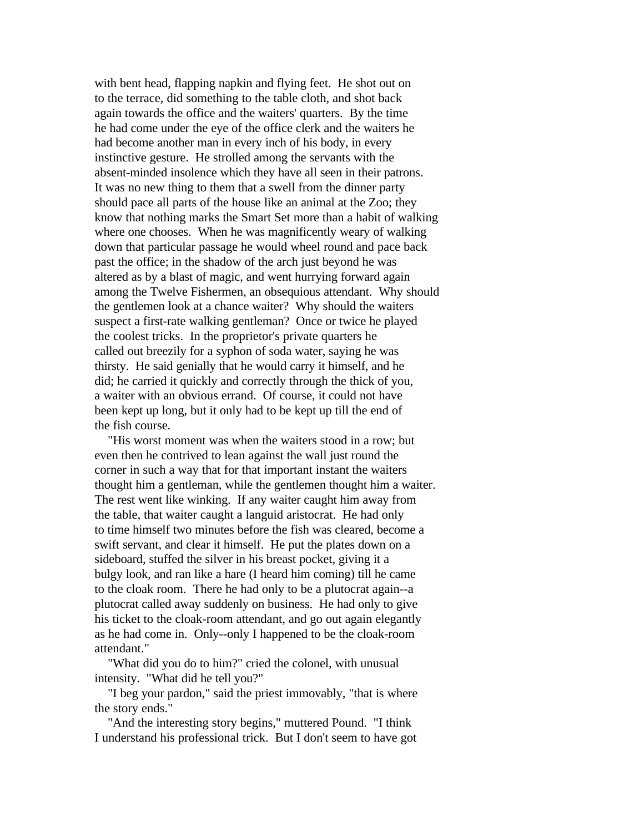with bent head, flapping napkin and flying feet. He shot out on to the terrace, did something to the table cloth, and shot back again towards the office and the waiters' quarters. By the time he had come under the eye of the office clerk and the waiters he had become another man in every inch of his body, in every instinctive gesture. He strolled among the servants with the absent-minded insolence which they have all seen in their patrons. It was no new thing to them that a swell from the dinner party should pace all parts of the house like an animal at the Zoo; they know that nothing marks the Smart Set more than a habit of walking where one chooses. When he was magnificently weary of walking down that particular passage he would wheel round and pace back past the office; in the shadow of the arch just beyond he was altered as by a blast of magic, and went hurrying forward again among the Twelve Fishermen, an obsequious attendant. Why should the gentlemen look at a chance waiter? Why should the waiters suspect a first-rate walking gentleman? Once or twice he played the coolest tricks. In the proprietor's private quarters he called out breezily for a syphon of soda water, saying he was thirsty. He said genially that he would carry it himself, and he did; he carried it quickly and correctly through the thick of you, a waiter with an obvious errand. Of course, it could not have been kept up long, but it only had to be kept up till the end of the fish course.

 "His worst moment was when the waiters stood in a row; but even then he contrived to lean against the wall just round the corner in such a way that for that important instant the waiters thought him a gentleman, while the gentlemen thought him a waiter. The rest went like winking. If any waiter caught him away from the table, that waiter caught a languid aristocrat. He had only to time himself two minutes before the fish was cleared, become a swift servant, and clear it himself. He put the plates down on a sideboard, stuffed the silver in his breast pocket, giving it a bulgy look, and ran like a hare (I heard him coming) till he came to the cloak room. There he had only to be a plutocrat again--a plutocrat called away suddenly on business. He had only to give his ticket to the cloak-room attendant, and go out again elegantly as he had come in. Only--only I happened to be the cloak-room attendant."

 "What did you do to him?" cried the colonel, with unusual intensity. "What did he tell you?"

 "I beg your pardon," said the priest immovably, "that is where the story ends."

 "And the interesting story begins," muttered Pound. "I think I understand his professional trick. But I don't seem to have got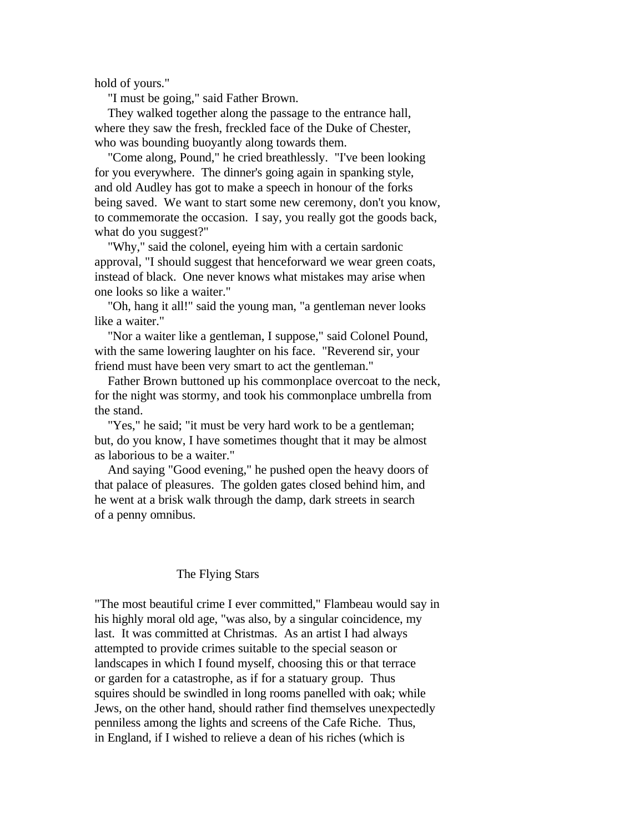hold of yours."

"I must be going," said Father Brown.

 They walked together along the passage to the entrance hall, where they saw the fresh, freckled face of the Duke of Chester, who was bounding buoyantly along towards them.

 "Come along, Pound," he cried breathlessly. "I've been looking for you everywhere. The dinner's going again in spanking style, and old Audley has got to make a speech in honour of the forks being saved. We want to start some new ceremony, don't you know, to commemorate the occasion. I say, you really got the goods back, what do you suggest?"

 "Why," said the colonel, eyeing him with a certain sardonic approval, "I should suggest that henceforward we wear green coats, instead of black. One never knows what mistakes may arise when one looks so like a waiter."

 "Oh, hang it all!" said the young man, "a gentleman never looks like a waiter."

 "Nor a waiter like a gentleman, I suppose," said Colonel Pound, with the same lowering laughter on his face. "Reverend sir, your friend must have been very smart to act the gentleman."

 Father Brown buttoned up his commonplace overcoat to the neck, for the night was stormy, and took his commonplace umbrella from the stand.

 "Yes," he said; "it must be very hard work to be a gentleman; but, do you know, I have sometimes thought that it may be almost as laborious to be a waiter."

 And saying "Good evening," he pushed open the heavy doors of that palace of pleasures. The golden gates closed behind him, and he went at a brisk walk through the damp, dark streets in search of a penny omnibus.

## The Flying Stars

"The most beautiful crime I ever committed," Flambeau would say in his highly moral old age, "was also, by a singular coincidence, my last. It was committed at Christmas. As an artist I had always attempted to provide crimes suitable to the special season or landscapes in which I found myself, choosing this or that terrace or garden for a catastrophe, as if for a statuary group. Thus squires should be swindled in long rooms panelled with oak; while Jews, on the other hand, should rather find themselves unexpectedly penniless among the lights and screens of the Cafe Riche. Thus, in England, if I wished to relieve a dean of his riches (which is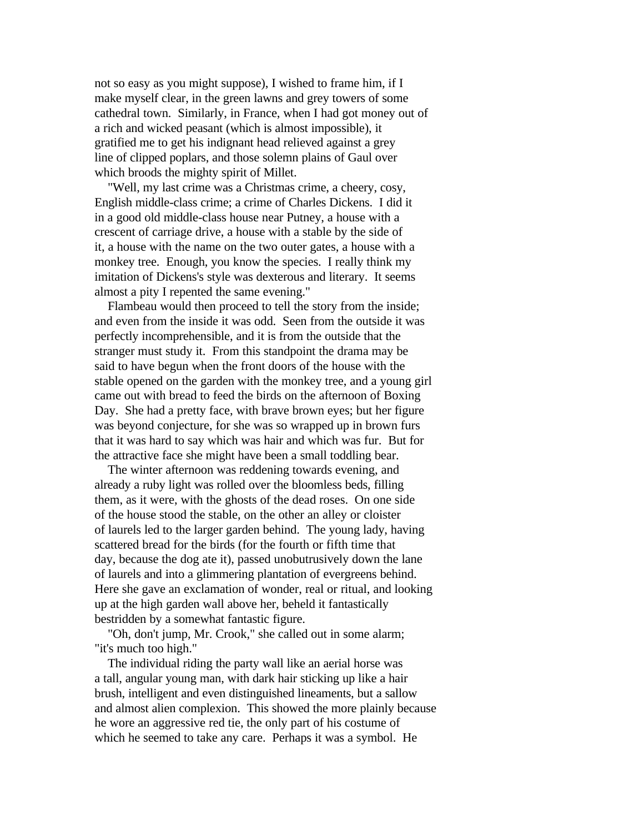not so easy as you might suppose), I wished to frame him, if I make myself clear, in the green lawns and grey towers of some cathedral town. Similarly, in France, when I had got money out of a rich and wicked peasant (which is almost impossible), it gratified me to get his indignant head relieved against a grey line of clipped poplars, and those solemn plains of Gaul over which broods the mighty spirit of Millet.

 "Well, my last crime was a Christmas crime, a cheery, cosy, English middle-class crime; a crime of Charles Dickens. I did it in a good old middle-class house near Putney, a house with a crescent of carriage drive, a house with a stable by the side of it, a house with the name on the two outer gates, a house with a monkey tree. Enough, you know the species. I really think my imitation of Dickens's style was dexterous and literary. It seems almost a pity I repented the same evening."

 Flambeau would then proceed to tell the story from the inside; and even from the inside it was odd. Seen from the outside it was perfectly incomprehensible, and it is from the outside that the stranger must study it. From this standpoint the drama may be said to have begun when the front doors of the house with the stable opened on the garden with the monkey tree, and a young girl came out with bread to feed the birds on the afternoon of Boxing Day. She had a pretty face, with brave brown eyes; but her figure was beyond conjecture, for she was so wrapped up in brown furs that it was hard to say which was hair and which was fur. But for the attractive face she might have been a small toddling bear.

 The winter afternoon was reddening towards evening, and already a ruby light was rolled over the bloomless beds, filling them, as it were, with the ghosts of the dead roses. On one side of the house stood the stable, on the other an alley or cloister of laurels led to the larger garden behind. The young lady, having scattered bread for the birds (for the fourth or fifth time that day, because the dog ate it), passed unobutrusively down the lane of laurels and into a glimmering plantation of evergreens behind. Here she gave an exclamation of wonder, real or ritual, and looking up at the high garden wall above her, beheld it fantastically bestridden by a somewhat fantastic figure.

 "Oh, don't jump, Mr. Crook," she called out in some alarm; "it's much too high."

 The individual riding the party wall like an aerial horse was a tall, angular young man, with dark hair sticking up like a hair brush, intelligent and even distinguished lineaments, but a sallow and almost alien complexion. This showed the more plainly because he wore an aggressive red tie, the only part of his costume of which he seemed to take any care. Perhaps it was a symbol. He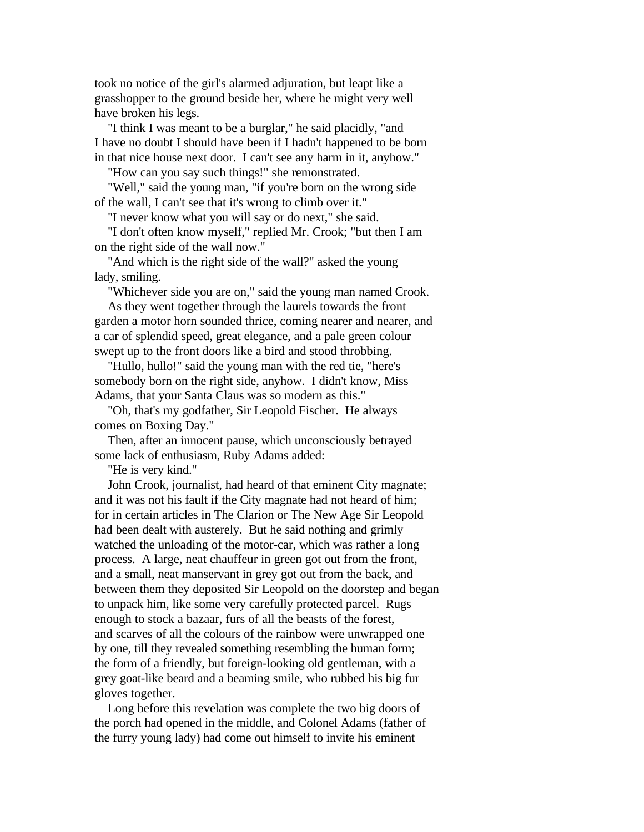took no notice of the girl's alarmed adjuration, but leapt like a grasshopper to the ground beside her, where he might very well have broken his legs.

 "I think I was meant to be a burglar," he said placidly, "and I have no doubt I should have been if I hadn't happened to be born in that nice house next door. I can't see any harm in it, anyhow."

"How can you say such things!" she remonstrated.

 "Well," said the young man, "if you're born on the wrong side of the wall, I can't see that it's wrong to climb over it."

"I never know what you will say or do next," she said.

 "I don't often know myself," replied Mr. Crook; "but then I am on the right side of the wall now."

 "And which is the right side of the wall?" asked the young lady, smiling.

 "Whichever side you are on," said the young man named Crook. As they went together through the laurels towards the front garden a motor horn sounded thrice, coming nearer and nearer, and a car of splendid speed, great elegance, and a pale green colour swept up to the front doors like a bird and stood throbbing.

 "Hullo, hullo!" said the young man with the red tie, "here's somebody born on the right side, anyhow. I didn't know, Miss Adams, that your Santa Claus was so modern as this."

 "Oh, that's my godfather, Sir Leopold Fischer. He always comes on Boxing Day."

 Then, after an innocent pause, which unconsciously betrayed some lack of enthusiasm, Ruby Adams added:

"He is very kind."

 John Crook, journalist, had heard of that eminent City magnate; and it was not his fault if the City magnate had not heard of him; for in certain articles in The Clarion or The New Age Sir Leopold had been dealt with austerely. But he said nothing and grimly watched the unloading of the motor-car, which was rather a long process. A large, neat chauffeur in green got out from the front, and a small, neat manservant in grey got out from the back, and between them they deposited Sir Leopold on the doorstep and began to unpack him, like some very carefully protected parcel. Rugs enough to stock a bazaar, furs of all the beasts of the forest, and scarves of all the colours of the rainbow were unwrapped one by one, till they revealed something resembling the human form; the form of a friendly, but foreign-looking old gentleman, with a grey goat-like beard and a beaming smile, who rubbed his big fur gloves together.

 Long before this revelation was complete the two big doors of the porch had opened in the middle, and Colonel Adams (father of the furry young lady) had come out himself to invite his eminent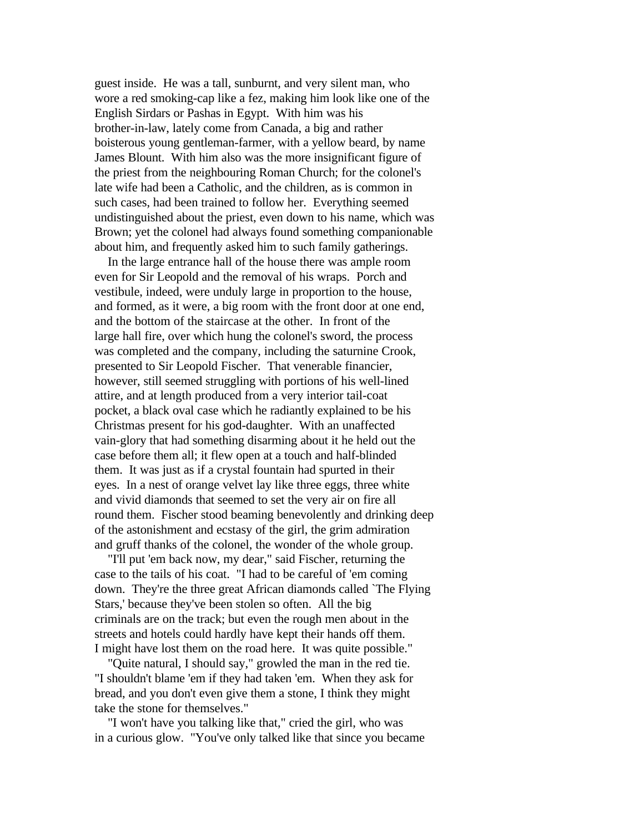guest inside. He was a tall, sunburnt, and very silent man, who wore a red smoking-cap like a fez, making him look like one of the English Sirdars or Pashas in Egypt. With him was his brother-in-law, lately come from Canada, a big and rather boisterous young gentleman-farmer, with a yellow beard, by name James Blount. With him also was the more insignificant figure of the priest from the neighbouring Roman Church; for the colonel's late wife had been a Catholic, and the children, as is common in such cases, had been trained to follow her. Everything seemed undistinguished about the priest, even down to his name, which was Brown; yet the colonel had always found something companionable about him, and frequently asked him to such family gatherings.

 In the large entrance hall of the house there was ample room even for Sir Leopold and the removal of his wraps. Porch and vestibule, indeed, were unduly large in proportion to the house, and formed, as it were, a big room with the front door at one end, and the bottom of the staircase at the other. In front of the large hall fire, over which hung the colonel's sword, the process was completed and the company, including the saturnine Crook, presented to Sir Leopold Fischer. That venerable financier, however, still seemed struggling with portions of his well-lined attire, and at length produced from a very interior tail-coat pocket, a black oval case which he radiantly explained to be his Christmas present for his god-daughter. With an unaffected vain-glory that had something disarming about it he held out the case before them all; it flew open at a touch and half-blinded them. It was just as if a crystal fountain had spurted in their eyes. In a nest of orange velvet lay like three eggs, three white and vivid diamonds that seemed to set the very air on fire all round them. Fischer stood beaming benevolently and drinking deep of the astonishment and ecstasy of the girl, the grim admiration and gruff thanks of the colonel, the wonder of the whole group.

 "I'll put 'em back now, my dear," said Fischer, returning the case to the tails of his coat. "I had to be careful of 'em coming down. They're the three great African diamonds called `The Flying Stars,' because they've been stolen so often. All the big criminals are on the track; but even the rough men about in the streets and hotels could hardly have kept their hands off them. I might have lost them on the road here. It was quite possible."

 "Quite natural, I should say," growled the man in the red tie. "I shouldn't blame 'em if they had taken 'em. When they ask for bread, and you don't even give them a stone, I think they might take the stone for themselves."

 "I won't have you talking like that," cried the girl, who was in a curious glow. "You've only talked like that since you became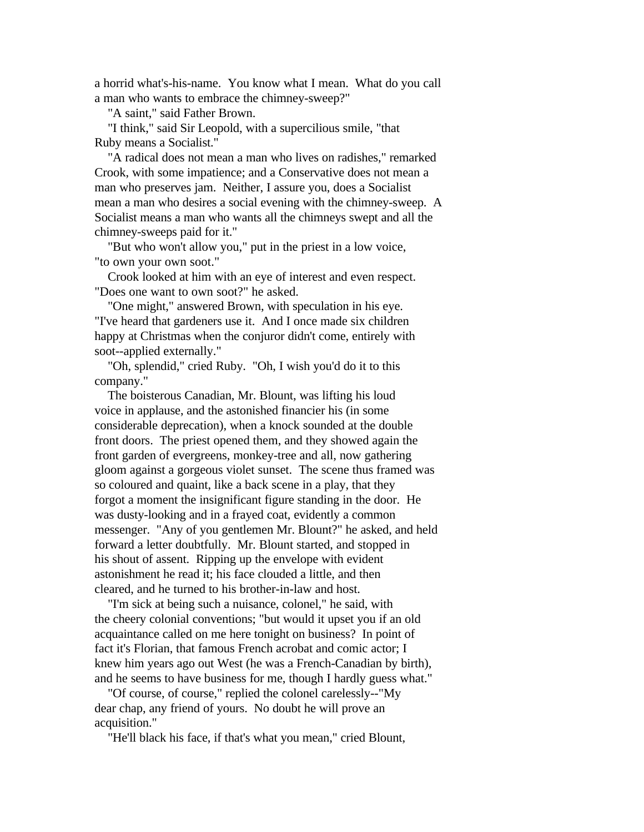a horrid what's-his-name. You know what I mean. What do you call a man who wants to embrace the chimney-sweep?"

"A saint," said Father Brown.

 "I think," said Sir Leopold, with a supercilious smile, "that Ruby means a Socialist."

 "A radical does not mean a man who lives on radishes," remarked Crook, with some impatience; and a Conservative does not mean a man who preserves jam. Neither, I assure you, does a Socialist mean a man who desires a social evening with the chimney-sweep. A Socialist means a man who wants all the chimneys swept and all the chimney-sweeps paid for it."

 "But who won't allow you," put in the priest in a low voice, "to own your own soot."

 Crook looked at him with an eye of interest and even respect. "Does one want to own soot?" he asked.

 "One might," answered Brown, with speculation in his eye. "I've heard that gardeners use it. And I once made six children happy at Christmas when the conjuror didn't come, entirely with soot--applied externally."

 "Oh, splendid," cried Ruby. "Oh, I wish you'd do it to this company."

 The boisterous Canadian, Mr. Blount, was lifting his loud voice in applause, and the astonished financier his (in some considerable deprecation), when a knock sounded at the double front doors. The priest opened them, and they showed again the front garden of evergreens, monkey-tree and all, now gathering gloom against a gorgeous violet sunset. The scene thus framed was so coloured and quaint, like a back scene in a play, that they forgot a moment the insignificant figure standing in the door. He was dusty-looking and in a frayed coat, evidently a common messenger. "Any of you gentlemen Mr. Blount?" he asked, and held forward a letter doubtfully. Mr. Blount started, and stopped in his shout of assent. Ripping up the envelope with evident astonishment he read it; his face clouded a little, and then cleared, and he turned to his brother-in-law and host.

 "I'm sick at being such a nuisance, colonel," he said, with the cheery colonial conventions; "but would it upset you if an old acquaintance called on me here tonight on business? In point of fact it's Florian, that famous French acrobat and comic actor; I knew him years ago out West (he was a French-Canadian by birth), and he seems to have business for me, though I hardly guess what."

 "Of course, of course," replied the colonel carelessly--"My dear chap, any friend of yours. No doubt he will prove an acquisition."

"He'll black his face, if that's what you mean," cried Blount,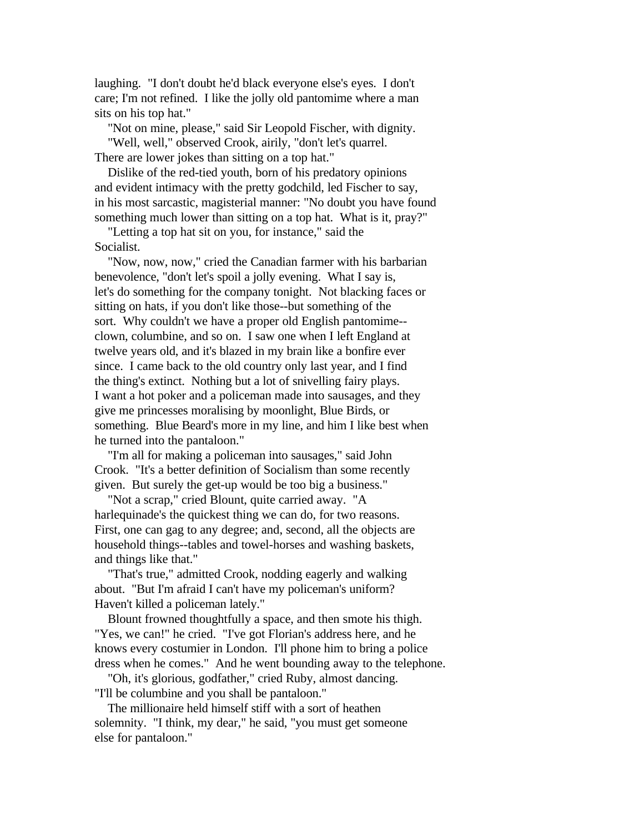laughing. "I don't doubt he'd black everyone else's eyes. I don't care; I'm not refined. I like the jolly old pantomime where a man sits on his top hat."

 "Not on mine, please," said Sir Leopold Fischer, with dignity. "Well, well," observed Crook, airily, "don't let's quarrel.

There are lower jokes than sitting on a top hat."

 Dislike of the red-tied youth, born of his predatory opinions and evident intimacy with the pretty godchild, led Fischer to say, in his most sarcastic, magisterial manner: "No doubt you have found something much lower than sitting on a top hat. What is it, pray?"

 "Letting a top hat sit on you, for instance," said the Socialist.

 "Now, now, now," cried the Canadian farmer with his barbarian benevolence, "don't let's spoil a jolly evening. What I say is, let's do something for the company tonight. Not blacking faces or sitting on hats, if you don't like those--but something of the sort. Why couldn't we have a proper old English pantomime- clown, columbine, and so on. I saw one when I left England at twelve years old, and it's blazed in my brain like a bonfire ever since. I came back to the old country only last year, and I find the thing's extinct. Nothing but a lot of snivelling fairy plays. I want a hot poker and a policeman made into sausages, and they give me princesses moralising by moonlight, Blue Birds, or something. Blue Beard's more in my line, and him I like best when he turned into the pantaloon."

 "I'm all for making a policeman into sausages," said John Crook. "It's a better definition of Socialism than some recently given. But surely the get-up would be too big a business."

 "Not a scrap," cried Blount, quite carried away. "A harlequinade's the quickest thing we can do, for two reasons. First, one can gag to any degree; and, second, all the objects are household things--tables and towel-horses and washing baskets, and things like that."

 "That's true," admitted Crook, nodding eagerly and walking about. "But I'm afraid I can't have my policeman's uniform? Haven't killed a policeman lately."

 Blount frowned thoughtfully a space, and then smote his thigh. "Yes, we can!" he cried. "I've got Florian's address here, and he knows every costumier in London. I'll phone him to bring a police dress when he comes." And he went bounding away to the telephone.

 "Oh, it's glorious, godfather," cried Ruby, almost dancing. "I'll be columbine and you shall be pantaloon."

 The millionaire held himself stiff with a sort of heathen solemnity. "I think, my dear," he said, "you must get someone else for pantaloon."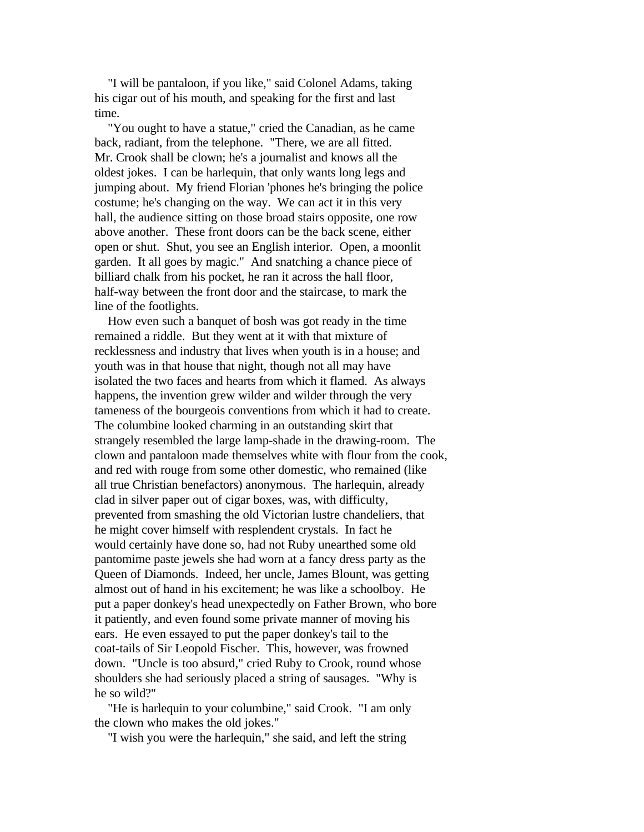"I will be pantaloon, if you like," said Colonel Adams, taking his cigar out of his mouth, and speaking for the first and last time.

 "You ought to have a statue," cried the Canadian, as he came back, radiant, from the telephone. "There, we are all fitted. Mr. Crook shall be clown; he's a journalist and knows all the oldest jokes. I can be harlequin, that only wants long legs and jumping about. My friend Florian 'phones he's bringing the police costume; he's changing on the way. We can act it in this very hall, the audience sitting on those broad stairs opposite, one row above another. These front doors can be the back scene, either open or shut. Shut, you see an English interior. Open, a moonlit garden. It all goes by magic." And snatching a chance piece of billiard chalk from his pocket, he ran it across the hall floor, half-way between the front door and the staircase, to mark the line of the footlights.

 How even such a banquet of bosh was got ready in the time remained a riddle. But they went at it with that mixture of recklessness and industry that lives when youth is in a house; and youth was in that house that night, though not all may have isolated the two faces and hearts from which it flamed. As always happens, the invention grew wilder and wilder through the very tameness of the bourgeois conventions from which it had to create. The columbine looked charming in an outstanding skirt that strangely resembled the large lamp-shade in the drawing-room. The clown and pantaloon made themselves white with flour from the cook, and red with rouge from some other domestic, who remained (like all true Christian benefactors) anonymous. The harlequin, already clad in silver paper out of cigar boxes, was, with difficulty, prevented from smashing the old Victorian lustre chandeliers, that he might cover himself with resplendent crystals. In fact he would certainly have done so, had not Ruby unearthed some old pantomime paste jewels she had worn at a fancy dress party as the Queen of Diamonds. Indeed, her uncle, James Blount, was getting almost out of hand in his excitement; he was like a schoolboy. He put a paper donkey's head unexpectedly on Father Brown, who bore it patiently, and even found some private manner of moving his ears. He even essayed to put the paper donkey's tail to the coat-tails of Sir Leopold Fischer. This, however, was frowned down. "Uncle is too absurd," cried Ruby to Crook, round whose shoulders she had seriously placed a string of sausages. "Why is he so wild?"

 "He is harlequin to your columbine," said Crook. "I am only the clown who makes the old jokes."

"I wish you were the harlequin," she said, and left the string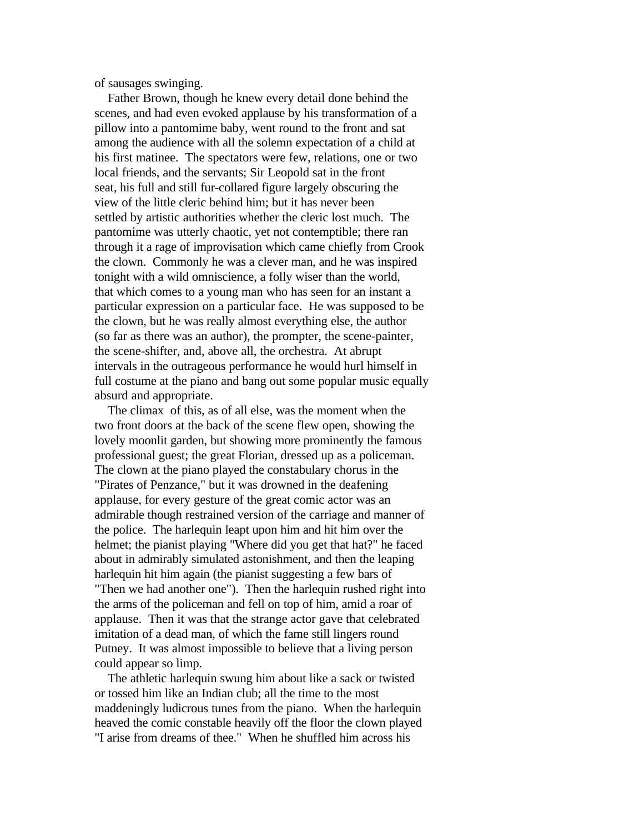of sausages swinging.

 Father Brown, though he knew every detail done behind the scenes, and had even evoked applause by his transformation of a pillow into a pantomime baby, went round to the front and sat among the audience with all the solemn expectation of a child at his first matinee. The spectators were few, relations, one or two local friends, and the servants; Sir Leopold sat in the front seat, his full and still fur-collared figure largely obscuring the view of the little cleric behind him; but it has never been settled by artistic authorities whether the cleric lost much. The pantomime was utterly chaotic, yet not contemptible; there ran through it a rage of improvisation which came chiefly from Crook the clown. Commonly he was a clever man, and he was inspired tonight with a wild omniscience, a folly wiser than the world, that which comes to a young man who has seen for an instant a particular expression on a particular face. He was supposed to be the clown, but he was really almost everything else, the author (so far as there was an author), the prompter, the scene-painter, the scene-shifter, and, above all, the orchestra. At abrupt intervals in the outrageous performance he would hurl himself in full costume at the piano and bang out some popular music equally absurd and appropriate.

 The climax of this, as of all else, was the moment when the two front doors at the back of the scene flew open, showing the lovely moonlit garden, but showing more prominently the famous professional guest; the great Florian, dressed up as a policeman. The clown at the piano played the constabulary chorus in the "Pirates of Penzance," but it was drowned in the deafening applause, for every gesture of the great comic actor was an admirable though restrained version of the carriage and manner of the police. The harlequin leapt upon him and hit him over the helmet; the pianist playing "Where did you get that hat?" he faced about in admirably simulated astonishment, and then the leaping harlequin hit him again (the pianist suggesting a few bars of "Then we had another one"). Then the harlequin rushed right into the arms of the policeman and fell on top of him, amid a roar of applause. Then it was that the strange actor gave that celebrated imitation of a dead man, of which the fame still lingers round Putney. It was almost impossible to believe that a living person could appear so limp.

 The athletic harlequin swung him about like a sack or twisted or tossed him like an Indian club; all the time to the most maddeningly ludicrous tunes from the piano. When the harlequin heaved the comic constable heavily off the floor the clown played "I arise from dreams of thee." When he shuffled him across his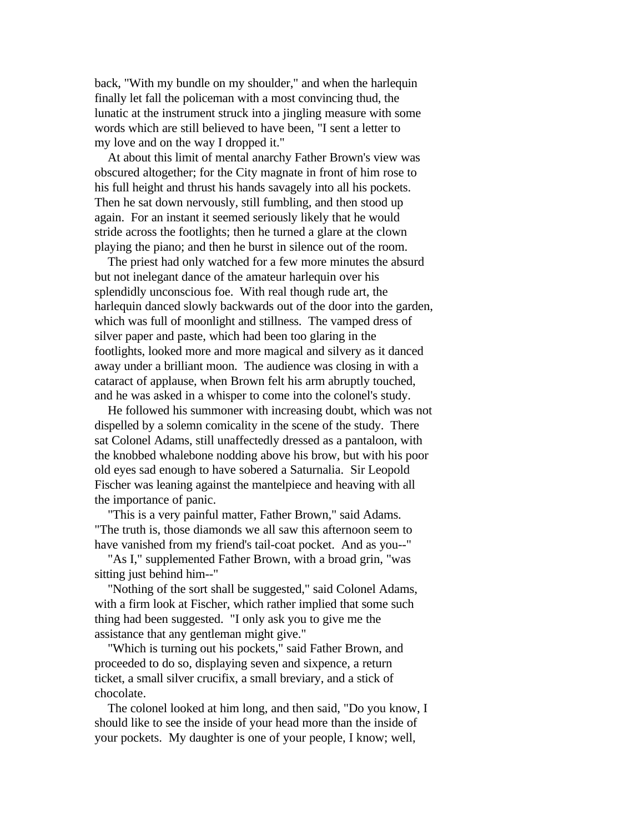back, "With my bundle on my shoulder," and when the harlequin finally let fall the policeman with a most convincing thud, the lunatic at the instrument struck into a jingling measure with some words which are still believed to have been, "I sent a letter to my love and on the way I dropped it."

 At about this limit of mental anarchy Father Brown's view was obscured altogether; for the City magnate in front of him rose to his full height and thrust his hands savagely into all his pockets. Then he sat down nervously, still fumbling, and then stood up again. For an instant it seemed seriously likely that he would stride across the footlights; then he turned a glare at the clown playing the piano; and then he burst in silence out of the room.

 The priest had only watched for a few more minutes the absurd but not inelegant dance of the amateur harlequin over his splendidly unconscious foe. With real though rude art, the harlequin danced slowly backwards out of the door into the garden, which was full of moonlight and stillness. The vamped dress of silver paper and paste, which had been too glaring in the footlights, looked more and more magical and silvery as it danced away under a brilliant moon. The audience was closing in with a cataract of applause, when Brown felt his arm abruptly touched, and he was asked in a whisper to come into the colonel's study.

 He followed his summoner with increasing doubt, which was not dispelled by a solemn comicality in the scene of the study. There sat Colonel Adams, still unaffectedly dressed as a pantaloon, with the knobbed whalebone nodding above his brow, but with his poor old eyes sad enough to have sobered a Saturnalia. Sir Leopold Fischer was leaning against the mantelpiece and heaving with all the importance of panic.

 "This is a very painful matter, Father Brown," said Adams. "The truth is, those diamonds we all saw this afternoon seem to have vanished from my friend's tail-coat pocket. And as you--"

 "As I," supplemented Father Brown, with a broad grin, "was sitting just behind him--"

 "Nothing of the sort shall be suggested," said Colonel Adams, with a firm look at Fischer, which rather implied that some such thing had been suggested. "I only ask you to give me the assistance that any gentleman might give."

 "Which is turning out his pockets," said Father Brown, and proceeded to do so, displaying seven and sixpence, a return ticket, a small silver crucifix, a small breviary, and a stick of chocolate.

 The colonel looked at him long, and then said, "Do you know, I should like to see the inside of your head more than the inside of your pockets. My daughter is one of your people, I know; well,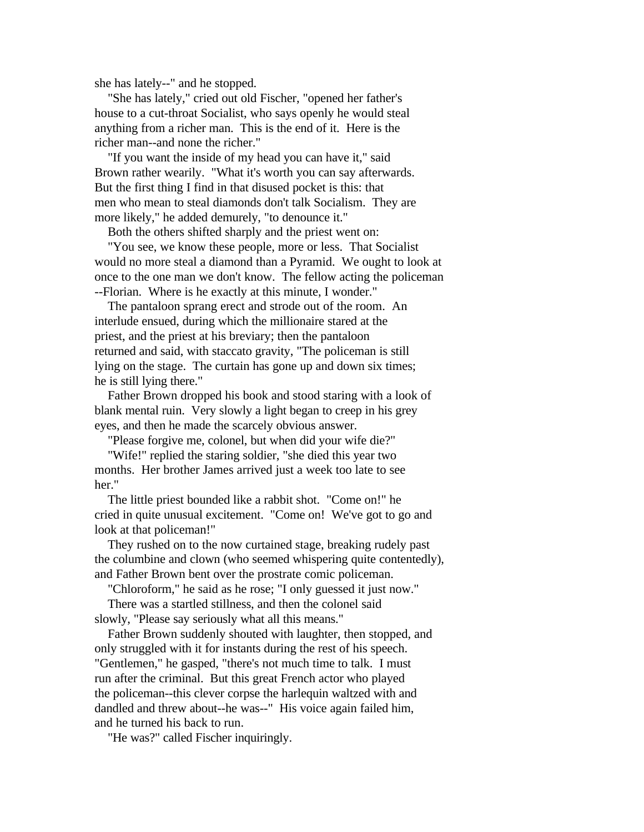she has lately--" and he stopped.

 "She has lately," cried out old Fischer, "opened her father's house to a cut-throat Socialist, who says openly he would steal anything from a richer man. This is the end of it. Here is the richer man--and none the richer."

 "If you want the inside of my head you can have it," said Brown rather wearily. "What it's worth you can say afterwards. But the first thing I find in that disused pocket is this: that men who mean to steal diamonds don't talk Socialism. They are more likely," he added demurely, "to denounce it."

Both the others shifted sharply and the priest went on:

 "You see, we know these people, more or less. That Socialist would no more steal a diamond than a Pyramid. We ought to look at once to the one man we don't know. The fellow acting the policeman --Florian. Where is he exactly at this minute, I wonder."

 The pantaloon sprang erect and strode out of the room. An interlude ensued, during which the millionaire stared at the priest, and the priest at his breviary; then the pantaloon returned and said, with staccato gravity, "The policeman is still lying on the stage. The curtain has gone up and down six times; he is still lying there."

 Father Brown dropped his book and stood staring with a look of blank mental ruin. Very slowly a light began to creep in his grey eyes, and then he made the scarcely obvious answer.

"Please forgive me, colonel, but when did your wife die?"

 "Wife!" replied the staring soldier, "she died this year two months. Her brother James arrived just a week too late to see her."

 The little priest bounded like a rabbit shot. "Come on!" he cried in quite unusual excitement. "Come on! We've got to go and look at that policeman!"

 They rushed on to the now curtained stage, breaking rudely past the columbine and clown (who seemed whispering quite contentedly), and Father Brown bent over the prostrate comic policeman.

"Chloroform," he said as he rose; "I only guessed it just now."

 There was a startled stillness, and then the colonel said slowly, "Please say seriously what all this means."

 Father Brown suddenly shouted with laughter, then stopped, and only struggled with it for instants during the rest of his speech. "Gentlemen," he gasped, "there's not much time to talk. I must run after the criminal. But this great French actor who played the policeman--this clever corpse the harlequin waltzed with and dandled and threw about--he was--" His voice again failed him, and he turned his back to run.

"He was?" called Fischer inquiringly.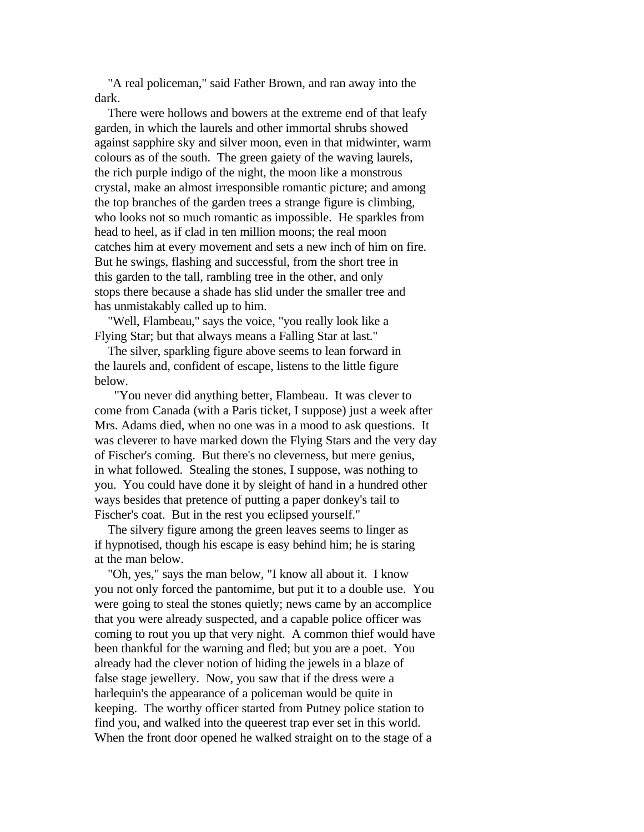"A real policeman," said Father Brown, and ran away into the dark.

 There were hollows and bowers at the extreme end of that leafy garden, in which the laurels and other immortal shrubs showed against sapphire sky and silver moon, even in that midwinter, warm colours as of the south. The green gaiety of the waving laurels, the rich purple indigo of the night, the moon like a monstrous crystal, make an almost irresponsible romantic picture; and among the top branches of the garden trees a strange figure is climbing, who looks not so much romantic as impossible. He sparkles from head to heel, as if clad in ten million moons; the real moon catches him at every movement and sets a new inch of him on fire. But he swings, flashing and successful, from the short tree in this garden to the tall, rambling tree in the other, and only stops there because a shade has slid under the smaller tree and has unmistakably called up to him.

 "Well, Flambeau," says the voice, "you really look like a Flying Star; but that always means a Falling Star at last."

 The silver, sparkling figure above seems to lean forward in the laurels and, confident of escape, listens to the little figure below.

 "You never did anything better, Flambeau. It was clever to come from Canada (with a Paris ticket, I suppose) just a week after Mrs. Adams died, when no one was in a mood to ask questions. It was cleverer to have marked down the Flying Stars and the very day of Fischer's coming. But there's no cleverness, but mere genius, in what followed. Stealing the stones, I suppose, was nothing to you. You could have done it by sleight of hand in a hundred other ways besides that pretence of putting a paper donkey's tail to Fischer's coat. But in the rest you eclipsed yourself."

 The silvery figure among the green leaves seems to linger as if hypnotised, though his escape is easy behind him; he is staring at the man below.

 "Oh, yes," says the man below, "I know all about it. I know you not only forced the pantomime, but put it to a double use. You were going to steal the stones quietly; news came by an accomplice that you were already suspected, and a capable police officer was coming to rout you up that very night. A common thief would have been thankful for the warning and fled; but you are a poet. You already had the clever notion of hiding the jewels in a blaze of false stage jewellery. Now, you saw that if the dress were a harlequin's the appearance of a policeman would be quite in keeping. The worthy officer started from Putney police station to find you, and walked into the queerest trap ever set in this world. When the front door opened he walked straight on to the stage of a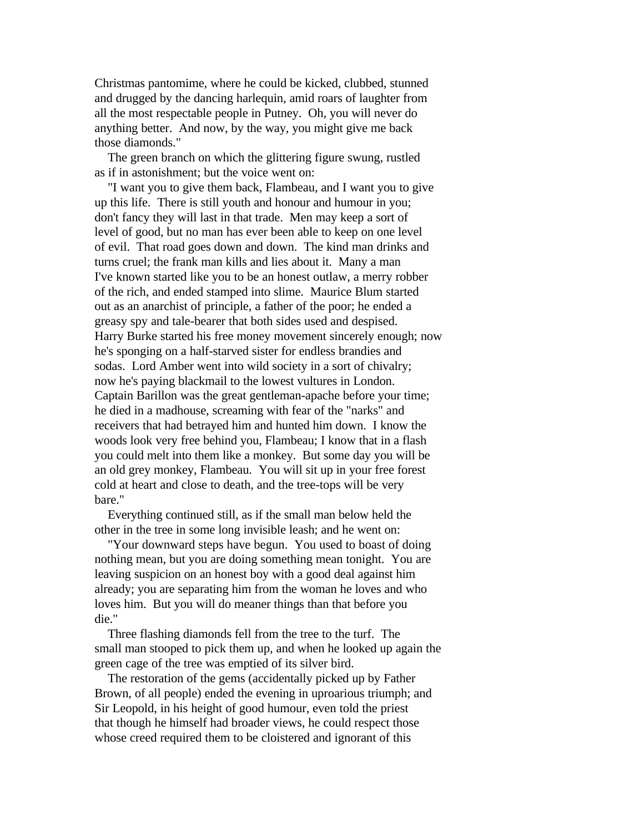Christmas pantomime, where he could be kicked, clubbed, stunned and drugged by the dancing harlequin, amid roars of laughter from all the most respectable people in Putney. Oh, you will never do anything better. And now, by the way, you might give me back those diamonds."

 The green branch on which the glittering figure swung, rustled as if in astonishment; but the voice went on:

 "I want you to give them back, Flambeau, and I want you to give up this life. There is still youth and honour and humour in you; don't fancy they will last in that trade. Men may keep a sort of level of good, but no man has ever been able to keep on one level of evil. That road goes down and down. The kind man drinks and turns cruel; the frank man kills and lies about it. Many a man I've known started like you to be an honest outlaw, a merry robber of the rich, and ended stamped into slime. Maurice Blum started out as an anarchist of principle, a father of the poor; he ended a greasy spy and tale-bearer that both sides used and despised. Harry Burke started his free money movement sincerely enough; now he's sponging on a half-starved sister for endless brandies and sodas. Lord Amber went into wild society in a sort of chivalry; now he's paying blackmail to the lowest vultures in London. Captain Barillon was the great gentleman-apache before your time; he died in a madhouse, screaming with fear of the "narks" and receivers that had betrayed him and hunted him down. I know the woods look very free behind you, Flambeau; I know that in a flash you could melt into them like a monkey. But some day you will be an old grey monkey, Flambeau. You will sit up in your free forest cold at heart and close to death, and the tree-tops will be very bare."

 Everything continued still, as if the small man below held the other in the tree in some long invisible leash; and he went on:

 "Your downward steps have begun. You used to boast of doing nothing mean, but you are doing something mean tonight. You are leaving suspicion on an honest boy with a good deal against him already; you are separating him from the woman he loves and who loves him. But you will do meaner things than that before you die."

 Three flashing diamonds fell from the tree to the turf. The small man stooped to pick them up, and when he looked up again the green cage of the tree was emptied of its silver bird.

 The restoration of the gems (accidentally picked up by Father Brown, of all people) ended the evening in uproarious triumph; and Sir Leopold, in his height of good humour, even told the priest that though he himself had broader views, he could respect those whose creed required them to be cloistered and ignorant of this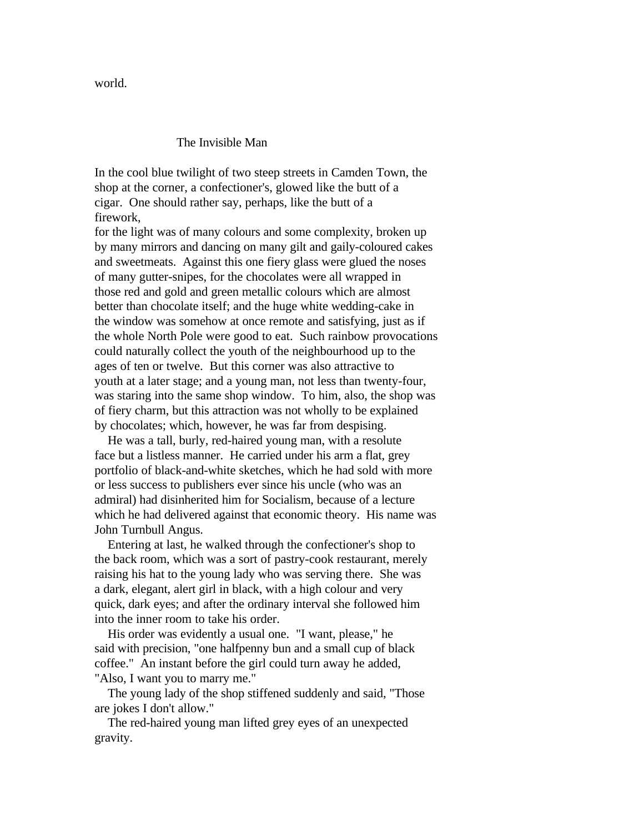world.

## The Invisible Man

In the cool blue twilight of two steep streets in Camden Town, the shop at the corner, a confectioner's, glowed like the butt of a cigar. One should rather say, perhaps, like the butt of a firework,

for the light was of many colours and some complexity, broken up by many mirrors and dancing on many gilt and gaily-coloured cakes and sweetmeats. Against this one fiery glass were glued the noses of many gutter-snipes, for the chocolates were all wrapped in those red and gold and green metallic colours which are almost better than chocolate itself; and the huge white wedding-cake in the window was somehow at once remote and satisfying, just as if the whole North Pole were good to eat. Such rainbow provocations could naturally collect the youth of the neighbourhood up to the ages of ten or twelve. But this corner was also attractive to youth at a later stage; and a young man, not less than twenty-four, was staring into the same shop window. To him, also, the shop was of fiery charm, but this attraction was not wholly to be explained by chocolates; which, however, he was far from despising.

 He was a tall, burly, red-haired young man, with a resolute face but a listless manner. He carried under his arm a flat, grey portfolio of black-and-white sketches, which he had sold with more or less success to publishers ever since his uncle (who was an admiral) had disinherited him for Socialism, because of a lecture which he had delivered against that economic theory. His name was John Turnbull Angus.

 Entering at last, he walked through the confectioner's shop to the back room, which was a sort of pastry-cook restaurant, merely raising his hat to the young lady who was serving there. She was a dark, elegant, alert girl in black, with a high colour and very quick, dark eyes; and after the ordinary interval she followed him into the inner room to take his order.

 His order was evidently a usual one. "I want, please," he said with precision, "one halfpenny bun and a small cup of black coffee." An instant before the girl could turn away he added, "Also, I want you to marry me."

 The young lady of the shop stiffened suddenly and said, "Those are jokes I don't allow."

 The red-haired young man lifted grey eyes of an unexpected gravity.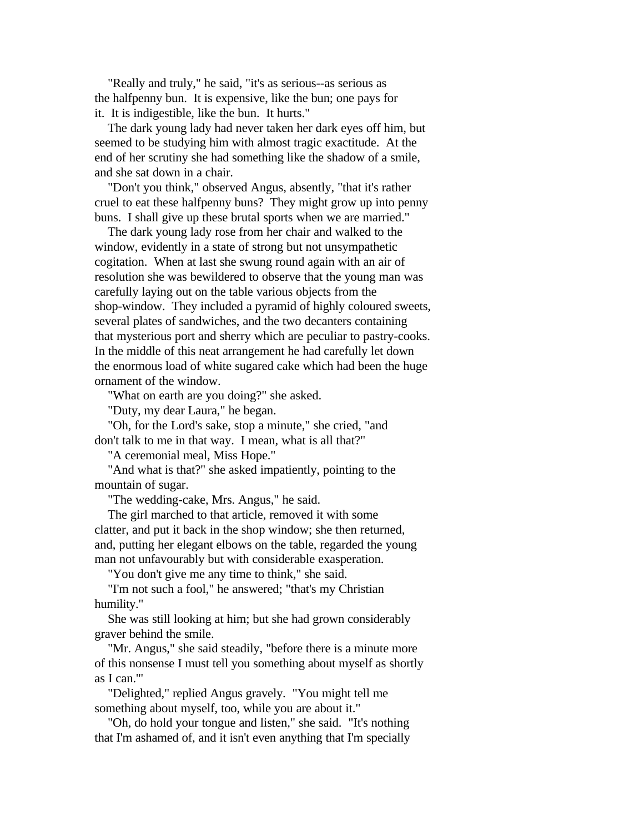"Really and truly," he said, "it's as serious--as serious as the halfpenny bun. It is expensive, like the bun; one pays for it. It is indigestible, like the bun. It hurts."

 The dark young lady had never taken her dark eyes off him, but seemed to be studying him with almost tragic exactitude. At the end of her scrutiny she had something like the shadow of a smile, and she sat down in a chair.

 "Don't you think," observed Angus, absently, "that it's rather cruel to eat these halfpenny buns? They might grow up into penny buns. I shall give up these brutal sports when we are married."

 The dark young lady rose from her chair and walked to the window, evidently in a state of strong but not unsympathetic cogitation. When at last she swung round again with an air of resolution she was bewildered to observe that the young man was carefully laying out on the table various objects from the shop-window. They included a pyramid of highly coloured sweets, several plates of sandwiches, and the two decanters containing that mysterious port and sherry which are peculiar to pastry-cooks. In the middle of this neat arrangement he had carefully let down the enormous load of white sugared cake which had been the huge ornament of the window.

"What on earth are you doing?" she asked.

"Duty, my dear Laura," he began.

 "Oh, for the Lord's sake, stop a minute," she cried, "and don't talk to me in that way. I mean, what is all that?"

"A ceremonial meal, Miss Hope."

 "And what is that?" she asked impatiently, pointing to the mountain of sugar.

"The wedding-cake, Mrs. Angus," he said.

 The girl marched to that article, removed it with some clatter, and put it back in the shop window; she then returned, and, putting her elegant elbows on the table, regarded the young man not unfavourably but with considerable exasperation.

"You don't give me any time to think," she said.

 "I'm not such a fool," he answered; "that's my Christian humility."

 She was still looking at him; but she had grown considerably graver behind the smile.

 "Mr. Angus," she said steadily, "before there is a minute more of this nonsense I must tell you something about myself as shortly as I can.'"

 "Delighted," replied Angus gravely. "You might tell me something about myself, too, while you are about it."

 "Oh, do hold your tongue and listen," she said. "It's nothing that I'm ashamed of, and it isn't even anything that I'm specially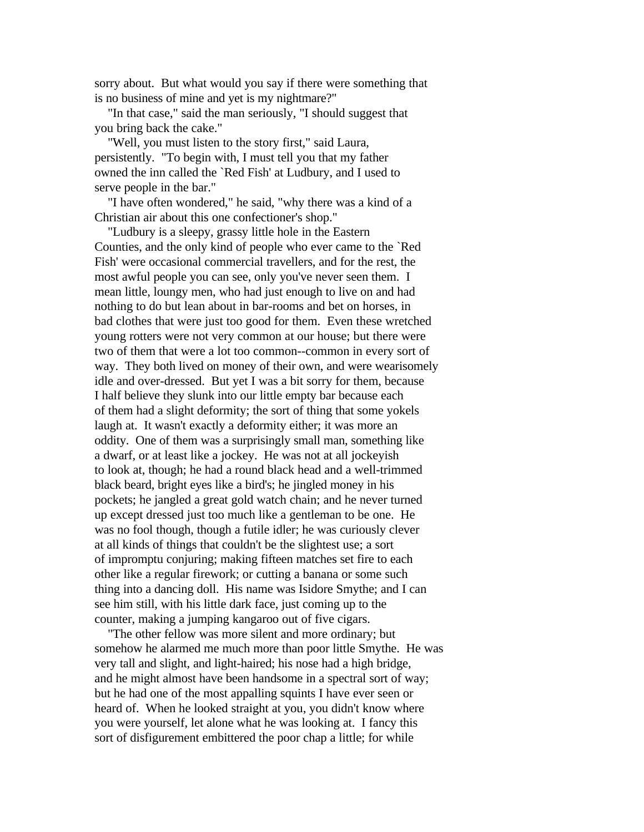sorry about. But what would you say if there were something that is no business of mine and yet is my nightmare?"

 "In that case," said the man seriously, "I should suggest that you bring back the cake."

 "Well, you must listen to the story first," said Laura, persistently. "To begin with, I must tell you that my father owned the inn called the `Red Fish' at Ludbury, and I used to serve people in the bar."

 "I have often wondered," he said, "why there was a kind of a Christian air about this one confectioner's shop."

 "Ludbury is a sleepy, grassy little hole in the Eastern Counties, and the only kind of people who ever came to the `Red Fish' were occasional commercial travellers, and for the rest, the most awful people you can see, only you've never seen them. I mean little, loungy men, who had just enough to live on and had nothing to do but lean about in bar-rooms and bet on horses, in bad clothes that were just too good for them. Even these wretched young rotters were not very common at our house; but there were two of them that were a lot too common--common in every sort of way. They both lived on money of their own, and were wearisomely idle and over-dressed. But yet I was a bit sorry for them, because I half believe they slunk into our little empty bar because each of them had a slight deformity; the sort of thing that some yokels laugh at. It wasn't exactly a deformity either; it was more an oddity. One of them was a surprisingly small man, something like a dwarf, or at least like a jockey. He was not at all jockeyish to look at, though; he had a round black head and a well-trimmed black beard, bright eyes like a bird's; he jingled money in his pockets; he jangled a great gold watch chain; and he never turned up except dressed just too much like a gentleman to be one. He was no fool though, though a futile idler; he was curiously clever at all kinds of things that couldn't be the slightest use; a sort of impromptu conjuring; making fifteen matches set fire to each other like a regular firework; or cutting a banana or some such thing into a dancing doll. His name was Isidore Smythe; and I can see him still, with his little dark face, just coming up to the counter, making a jumping kangaroo out of five cigars.

 "The other fellow was more silent and more ordinary; but somehow he alarmed me much more than poor little Smythe. He was very tall and slight, and light-haired; his nose had a high bridge, and he might almost have been handsome in a spectral sort of way; but he had one of the most appalling squints I have ever seen or heard of. When he looked straight at you, you didn't know where you were yourself, let alone what he was looking at. I fancy this sort of disfigurement embittered the poor chap a little; for while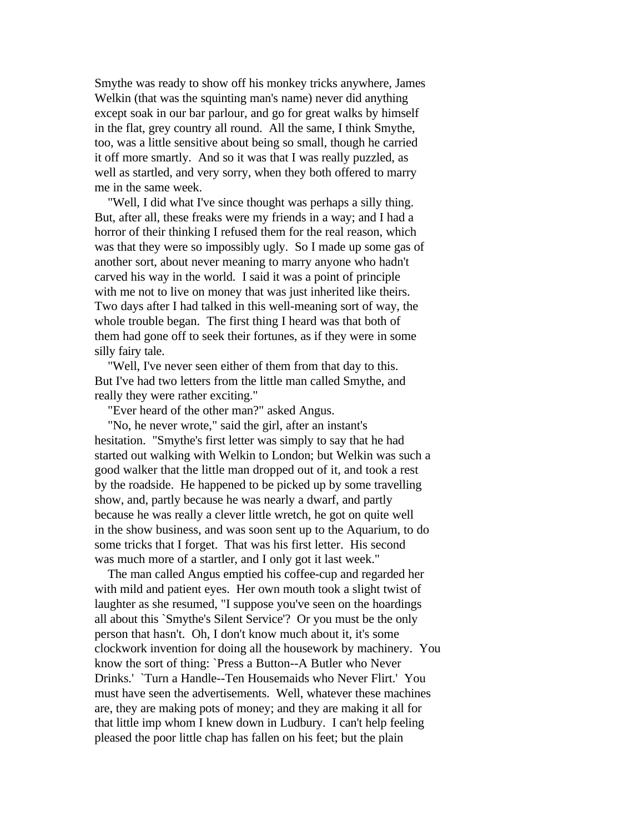Smythe was ready to show off his monkey tricks anywhere, James Welkin (that was the squinting man's name) never did anything except soak in our bar parlour, and go for great walks by himself in the flat, grey country all round. All the same, I think Smythe, too, was a little sensitive about being so small, though he carried it off more smartly. And so it was that I was really puzzled, as well as startled, and very sorry, when they both offered to marry me in the same week.

 "Well, I did what I've since thought was perhaps a silly thing. But, after all, these freaks were my friends in a way; and I had a horror of their thinking I refused them for the real reason, which was that they were so impossibly ugly. So I made up some gas of another sort, about never meaning to marry anyone who hadn't carved his way in the world. I said it was a point of principle with me not to live on money that was just inherited like theirs. Two days after I had talked in this well-meaning sort of way, the whole trouble began. The first thing I heard was that both of them had gone off to seek their fortunes, as if they were in some silly fairy tale.

 "Well, I've never seen either of them from that day to this. But I've had two letters from the little man called Smythe, and really they were rather exciting."

"Ever heard of the other man?" asked Angus.

 "No, he never wrote," said the girl, after an instant's hesitation. "Smythe's first letter was simply to say that he had started out walking with Welkin to London; but Welkin was such a good walker that the little man dropped out of it, and took a rest by the roadside. He happened to be picked up by some travelling show, and, partly because he was nearly a dwarf, and partly because he was really a clever little wretch, he got on quite well in the show business, and was soon sent up to the Aquarium, to do some tricks that I forget. That was his first letter. His second was much more of a startler, and I only got it last week."

 The man called Angus emptied his coffee-cup and regarded her with mild and patient eyes. Her own mouth took a slight twist of laughter as she resumed, "I suppose you've seen on the hoardings all about this `Smythe's Silent Service'? Or you must be the only person that hasn't. Oh, I don't know much about it, it's some clockwork invention for doing all the housework by machinery. You know the sort of thing: `Press a Button--A Butler who Never Drinks.' `Turn a Handle--Ten Housemaids who Never Flirt.' You must have seen the advertisements. Well, whatever these machines are, they are making pots of money; and they are making it all for that little imp whom I knew down in Ludbury. I can't help feeling pleased the poor little chap has fallen on his feet; but the plain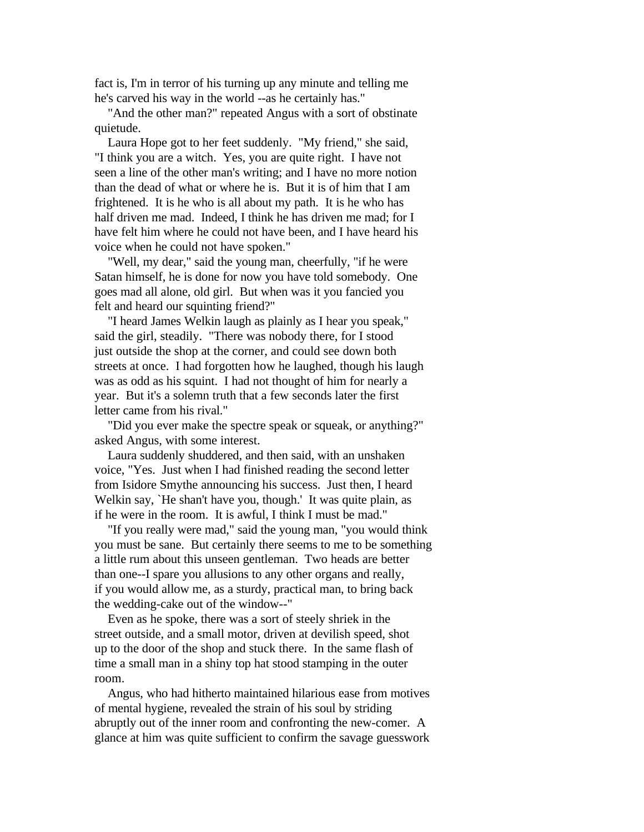fact is, I'm in terror of his turning up any minute and telling me he's carved his way in the world --as he certainly has."

 "And the other man?" repeated Angus with a sort of obstinate quietude.

 Laura Hope got to her feet suddenly. "My friend," she said, "I think you are a witch. Yes, you are quite right. I have not seen a line of the other man's writing; and I have no more notion than the dead of what or where he is. But it is of him that I am frightened. It is he who is all about my path. It is he who has half driven me mad. Indeed, I think he has driven me mad: for I have felt him where he could not have been, and I have heard his voice when he could not have spoken."

 "Well, my dear," said the young man, cheerfully, "if he were Satan himself, he is done for now you have told somebody. One goes mad all alone, old girl. But when was it you fancied you felt and heard our squinting friend?"

 "I heard James Welkin laugh as plainly as I hear you speak," said the girl, steadily. "There was nobody there, for I stood just outside the shop at the corner, and could see down both streets at once. I had forgotten how he laughed, though his laugh was as odd as his squint. I had not thought of him for nearly a year. But it's a solemn truth that a few seconds later the first letter came from his rival."

 "Did you ever make the spectre speak or squeak, or anything?" asked Angus, with some interest.

 Laura suddenly shuddered, and then said, with an unshaken voice, "Yes. Just when I had finished reading the second letter from Isidore Smythe announcing his success. Just then, I heard Welkin say, `He shan't have you, though.' It was quite plain, as if he were in the room. It is awful, I think I must be mad."

 "If you really were mad," said the young man, "you would think you must be sane. But certainly there seems to me to be something a little rum about this unseen gentleman. Two heads are better than one--I spare you allusions to any other organs and really, if you would allow me, as a sturdy, practical man, to bring back the wedding-cake out of the window--"

 Even as he spoke, there was a sort of steely shriek in the street outside, and a small motor, driven at devilish speed, shot up to the door of the shop and stuck there. In the same flash of time a small man in a shiny top hat stood stamping in the outer room.

 Angus, who had hitherto maintained hilarious ease from motives of mental hygiene, revealed the strain of his soul by striding abruptly out of the inner room and confronting the new-comer. A glance at him was quite sufficient to confirm the savage guesswork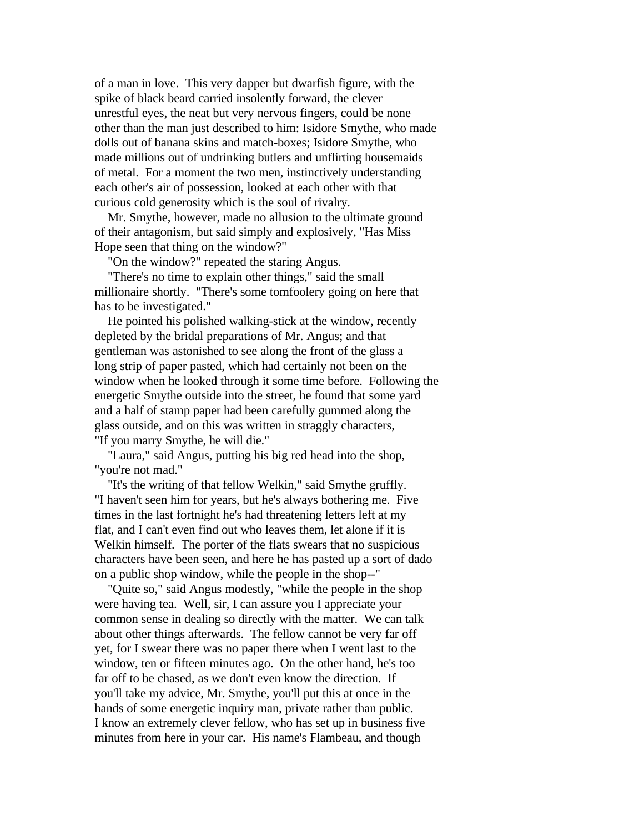of a man in love. This very dapper but dwarfish figure, with the spike of black beard carried insolently forward, the clever unrestful eyes, the neat but very nervous fingers, could be none other than the man just described to him: Isidore Smythe, who made dolls out of banana skins and match-boxes; Isidore Smythe, who made millions out of undrinking butlers and unflirting housemaids of metal. For a moment the two men, instinctively understanding each other's air of possession, looked at each other with that curious cold generosity which is the soul of rivalry.

 Mr. Smythe, however, made no allusion to the ultimate ground of their antagonism, but said simply and explosively, "Has Miss Hope seen that thing on the window?"

"On the window?" repeated the staring Angus.

 "There's no time to explain other things," said the small millionaire shortly. "There's some tomfoolery going on here that has to be investigated."

 He pointed his polished walking-stick at the window, recently depleted by the bridal preparations of Mr. Angus; and that gentleman was astonished to see along the front of the glass a long strip of paper pasted, which had certainly not been on the window when he looked through it some time before. Following the energetic Smythe outside into the street, he found that some yard and a half of stamp paper had been carefully gummed along the glass outside, and on this was written in straggly characters, "If you marry Smythe, he will die."

 "Laura," said Angus, putting his big red head into the shop, "you're not mad."

 "It's the writing of that fellow Welkin," said Smythe gruffly. "I haven't seen him for years, but he's always bothering me. Five times in the last fortnight he's had threatening letters left at my flat, and I can't even find out who leaves them, let alone if it is Welkin himself. The porter of the flats swears that no suspicious characters have been seen, and here he has pasted up a sort of dado on a public shop window, while the people in the shop--"

 "Quite so," said Angus modestly, "while the people in the shop were having tea. Well, sir, I can assure you I appreciate your common sense in dealing so directly with the matter. We can talk about other things afterwards. The fellow cannot be very far off yet, for I swear there was no paper there when I went last to the window, ten or fifteen minutes ago. On the other hand, he's too far off to be chased, as we don't even know the direction. If you'll take my advice, Mr. Smythe, you'll put this at once in the hands of some energetic inquiry man, private rather than public. I know an extremely clever fellow, who has set up in business five minutes from here in your car. His name's Flambeau, and though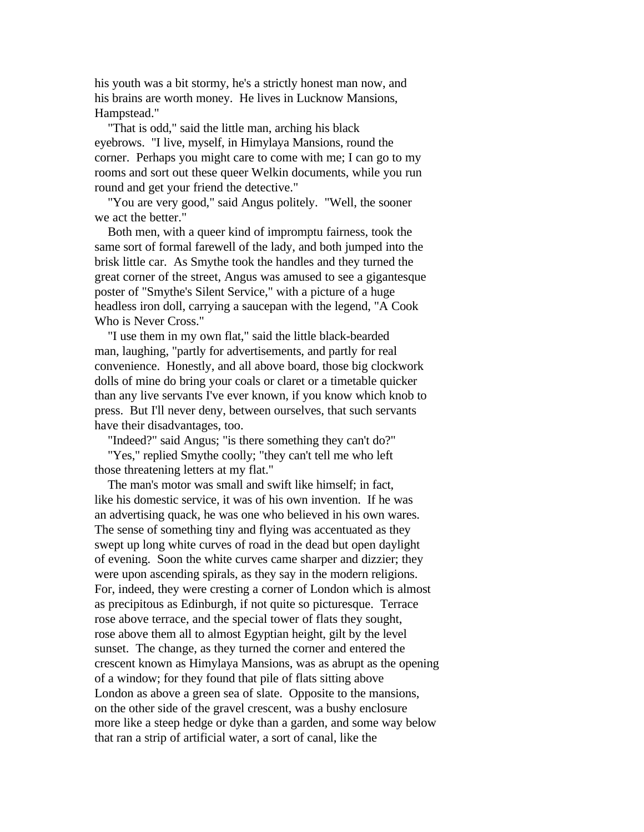his youth was a bit stormy, he's a strictly honest man now, and his brains are worth money. He lives in Lucknow Mansions, Hampstead."

 "That is odd," said the little man, arching his black eyebrows. "I live, myself, in Himylaya Mansions, round the corner. Perhaps you might care to come with me; I can go to my rooms and sort out these queer Welkin documents, while you run round and get your friend the detective."

 "You are very good," said Angus politely. "Well, the sooner we act the better."

 Both men, with a queer kind of impromptu fairness, took the same sort of formal farewell of the lady, and both jumped into the brisk little car. As Smythe took the handles and they turned the great corner of the street, Angus was amused to see a gigantesque poster of "Smythe's Silent Service," with a picture of a huge headless iron doll, carrying a saucepan with the legend, "A Cook Who is Never Cross."

 "I use them in my own flat," said the little black-bearded man, laughing, "partly for advertisements, and partly for real convenience. Honestly, and all above board, those big clockwork dolls of mine do bring your coals or claret or a timetable quicker than any live servants I've ever known, if you know which knob to press. But I'll never deny, between ourselves, that such servants have their disadvantages, too.

"Indeed?" said Angus; "is there something they can't do?"

 "Yes," replied Smythe coolly; "they can't tell me who left those threatening letters at my flat."

 The man's motor was small and swift like himself; in fact, like his domestic service, it was of his own invention. If he was an advertising quack, he was one who believed in his own wares. The sense of something tiny and flying was accentuated as they swept up long white curves of road in the dead but open daylight of evening. Soon the white curves came sharper and dizzier; they were upon ascending spirals, as they say in the modern religions. For, indeed, they were cresting a corner of London which is almost as precipitous as Edinburgh, if not quite so picturesque. Terrace rose above terrace, and the special tower of flats they sought, rose above them all to almost Egyptian height, gilt by the level sunset. The change, as they turned the corner and entered the crescent known as Himylaya Mansions, was as abrupt as the opening of a window; for they found that pile of flats sitting above London as above a green sea of slate. Opposite to the mansions, on the other side of the gravel crescent, was a bushy enclosure more like a steep hedge or dyke than a garden, and some way below that ran a strip of artificial water, a sort of canal, like the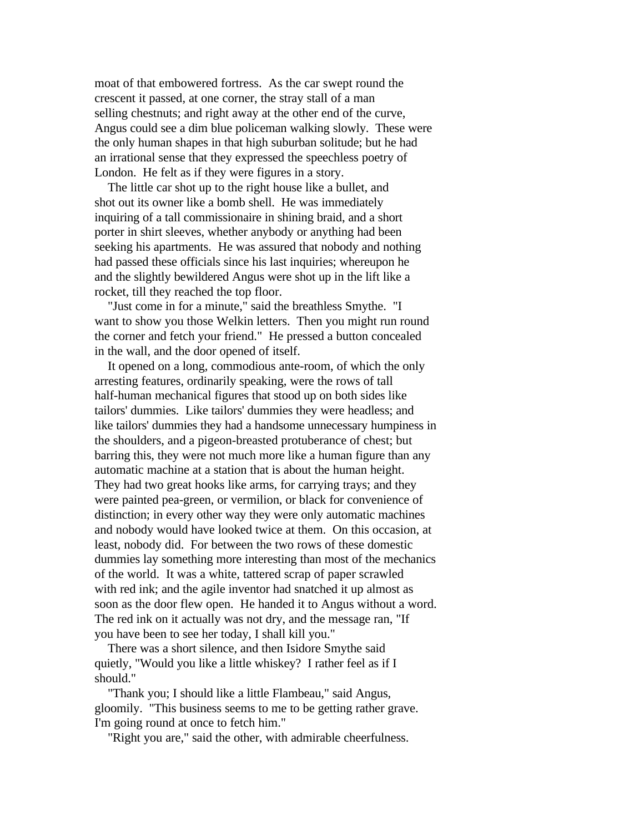moat of that embowered fortress. As the car swept round the crescent it passed, at one corner, the stray stall of a man selling chestnuts; and right away at the other end of the curve, Angus could see a dim blue policeman walking slowly. These were the only human shapes in that high suburban solitude; but he had an irrational sense that they expressed the speechless poetry of London. He felt as if they were figures in a story.

 The little car shot up to the right house like a bullet, and shot out its owner like a bomb shell. He was immediately inquiring of a tall commissionaire in shining braid, and a short porter in shirt sleeves, whether anybody or anything had been seeking his apartments. He was assured that nobody and nothing had passed these officials since his last inquiries; whereupon he and the slightly bewildered Angus were shot up in the lift like a rocket, till they reached the top floor.

 "Just come in for a minute," said the breathless Smythe. "I want to show you those Welkin letters. Then you might run round the corner and fetch your friend." He pressed a button concealed in the wall, and the door opened of itself.

 It opened on a long, commodious ante-room, of which the only arresting features, ordinarily speaking, were the rows of tall half-human mechanical figures that stood up on both sides like tailors' dummies. Like tailors' dummies they were headless; and like tailors' dummies they had a handsome unnecessary humpiness in the shoulders, and a pigeon-breasted protuberance of chest; but barring this, they were not much more like a human figure than any automatic machine at a station that is about the human height. They had two great hooks like arms, for carrying trays; and they were painted pea-green, or vermilion, or black for convenience of distinction; in every other way they were only automatic machines and nobody would have looked twice at them. On this occasion, at least, nobody did. For between the two rows of these domestic dummies lay something more interesting than most of the mechanics of the world. It was a white, tattered scrap of paper scrawled with red ink; and the agile inventor had snatched it up almost as soon as the door flew open. He handed it to Angus without a word. The red ink on it actually was not dry, and the message ran, "If you have been to see her today, I shall kill you."

 There was a short silence, and then Isidore Smythe said quietly, "Would you like a little whiskey? I rather feel as if I should."

 "Thank you; I should like a little Flambeau," said Angus, gloomily. "This business seems to me to be getting rather grave. I'm going round at once to fetch him."

"Right you are," said the other, with admirable cheerfulness.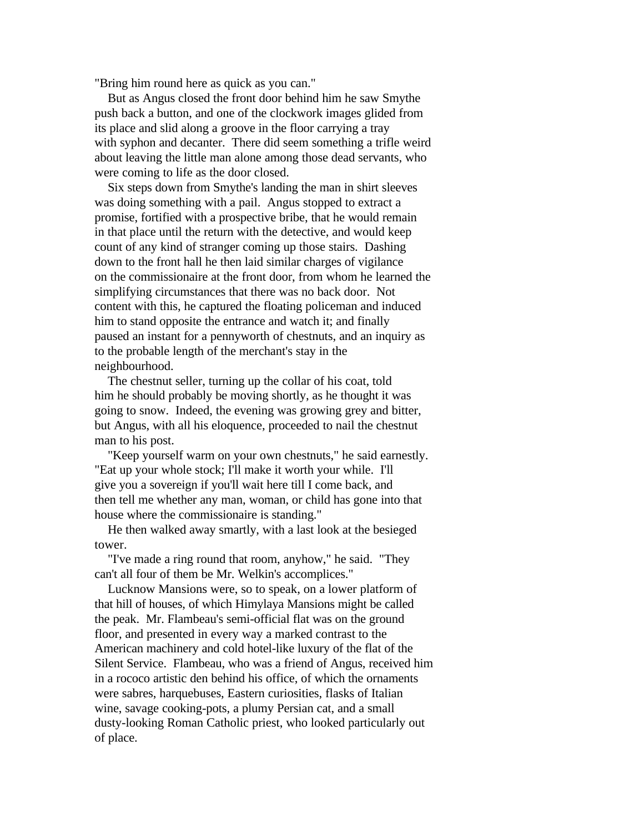"Bring him round here as quick as you can."

 But as Angus closed the front door behind him he saw Smythe push back a button, and one of the clockwork images glided from its place and slid along a groove in the floor carrying a tray with syphon and decanter. There did seem something a trifle weird about leaving the little man alone among those dead servants, who were coming to life as the door closed.

 Six steps down from Smythe's landing the man in shirt sleeves was doing something with a pail. Angus stopped to extract a promise, fortified with a prospective bribe, that he would remain in that place until the return with the detective, and would keep count of any kind of stranger coming up those stairs. Dashing down to the front hall he then laid similar charges of vigilance on the commissionaire at the front door, from whom he learned the simplifying circumstances that there was no back door. Not content with this, he captured the floating policeman and induced him to stand opposite the entrance and watch it; and finally paused an instant for a pennyworth of chestnuts, and an inquiry as to the probable length of the merchant's stay in the neighbourhood.

 The chestnut seller, turning up the collar of his coat, told him he should probably be moving shortly, as he thought it was going to snow. Indeed, the evening was growing grey and bitter, but Angus, with all his eloquence, proceeded to nail the chestnut man to his post.

 "Keep yourself warm on your own chestnuts," he said earnestly. "Eat up your whole stock; I'll make it worth your while. I'll give you a sovereign if you'll wait here till I come back, and then tell me whether any man, woman, or child has gone into that house where the commissionaire is standing."

 He then walked away smartly, with a last look at the besieged tower.

 "I've made a ring round that room, anyhow," he said. "They can't all four of them be Mr. Welkin's accomplices."

 Lucknow Mansions were, so to speak, on a lower platform of that hill of houses, of which Himylaya Mansions might be called the peak. Mr. Flambeau's semi-official flat was on the ground floor, and presented in every way a marked contrast to the American machinery and cold hotel-like luxury of the flat of the Silent Service. Flambeau, who was a friend of Angus, received him in a rococo artistic den behind his office, of which the ornaments were sabres, harquebuses, Eastern curiosities, flasks of Italian wine, savage cooking-pots, a plumy Persian cat, and a small dusty-looking Roman Catholic priest, who looked particularly out of place.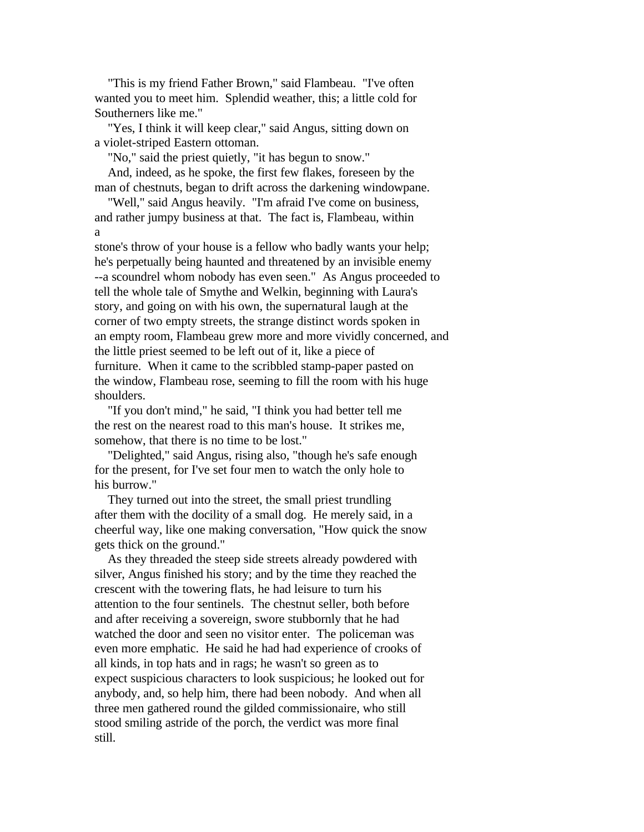"This is my friend Father Brown," said Flambeau. "I've often wanted you to meet him. Splendid weather, this; a little cold for Southerners like me."

 "Yes, I think it will keep clear," said Angus, sitting down on a violet-striped Eastern ottoman.

"No," said the priest quietly, "it has begun to snow."

 And, indeed, as he spoke, the first few flakes, foreseen by the man of chestnuts, began to drift across the darkening windowpane.

 "Well," said Angus heavily. "I'm afraid I've come on business, and rather jumpy business at that. The fact is, Flambeau, within a

stone's throw of your house is a fellow who badly wants your help; he's perpetually being haunted and threatened by an invisible enemy --a scoundrel whom nobody has even seen." As Angus proceeded to tell the whole tale of Smythe and Welkin, beginning with Laura's story, and going on with his own, the supernatural laugh at the corner of two empty streets, the strange distinct words spoken in an empty room, Flambeau grew more and more vividly concerned, and the little priest seemed to be left out of it, like a piece of furniture. When it came to the scribbled stamp-paper pasted on the window, Flambeau rose, seeming to fill the room with his huge shoulders.

 "If you don't mind," he said, "I think you had better tell me the rest on the nearest road to this man's house. It strikes me, somehow, that there is no time to be lost."

 "Delighted," said Angus, rising also, "though he's safe enough for the present, for I've set four men to watch the only hole to his burrow."

 They turned out into the street, the small priest trundling after them with the docility of a small dog. He merely said, in a cheerful way, like one making conversation, "How quick the snow gets thick on the ground."

 As they threaded the steep side streets already powdered with silver, Angus finished his story; and by the time they reached the crescent with the towering flats, he had leisure to turn his attention to the four sentinels. The chestnut seller, both before and after receiving a sovereign, swore stubbornly that he had watched the door and seen no visitor enter. The policeman was even more emphatic. He said he had had experience of crooks of all kinds, in top hats and in rags; he wasn't so green as to expect suspicious characters to look suspicious; he looked out for anybody, and, so help him, there had been nobody. And when all three men gathered round the gilded commissionaire, who still stood smiling astride of the porch, the verdict was more final still.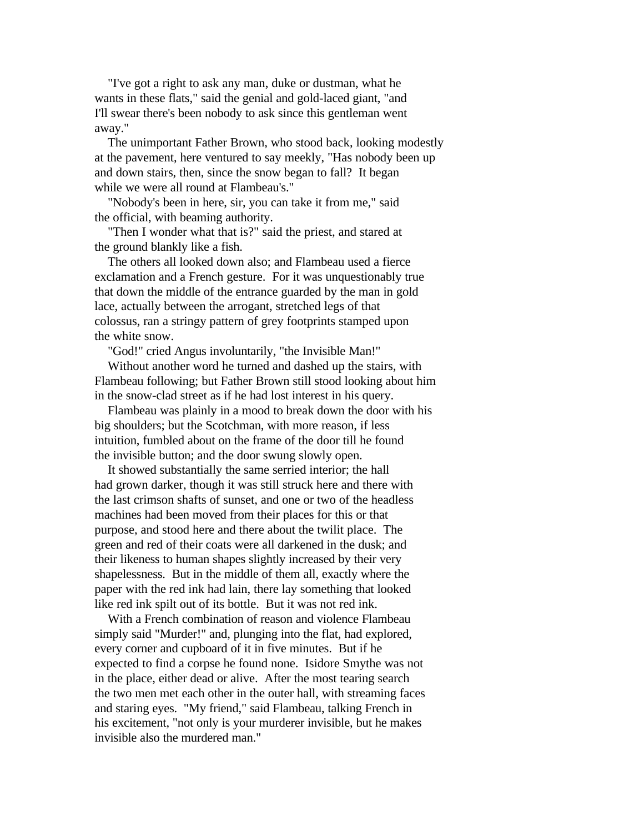"I've got a right to ask any man, duke or dustman, what he wants in these flats," said the genial and gold-laced giant, "and I'll swear there's been nobody to ask since this gentleman went away."

 The unimportant Father Brown, who stood back, looking modestly at the pavement, here ventured to say meekly, "Has nobody been up and down stairs, then, since the snow began to fall? It began while we were all round at Flambeau's."

 "Nobody's been in here, sir, you can take it from me," said the official, with beaming authority.

 "Then I wonder what that is?" said the priest, and stared at the ground blankly like a fish.

 The others all looked down also; and Flambeau used a fierce exclamation and a French gesture. For it was unquestionably true that down the middle of the entrance guarded by the man in gold lace, actually between the arrogant, stretched legs of that colossus, ran a stringy pattern of grey footprints stamped upon the white snow.

"God!" cried Angus involuntarily, "the Invisible Man!"

 Without another word he turned and dashed up the stairs, with Flambeau following; but Father Brown still stood looking about him in the snow-clad street as if he had lost interest in his query.

 Flambeau was plainly in a mood to break down the door with his big shoulders; but the Scotchman, with more reason, if less intuition, fumbled about on the frame of the door till he found the invisible button; and the door swung slowly open.

 It showed substantially the same serried interior; the hall had grown darker, though it was still struck here and there with the last crimson shafts of sunset, and one or two of the headless machines had been moved from their places for this or that purpose, and stood here and there about the twilit place. The green and red of their coats were all darkened in the dusk; and their likeness to human shapes slightly increased by their very shapelessness. But in the middle of them all, exactly where the paper with the red ink had lain, there lay something that looked like red ink spilt out of its bottle. But it was not red ink.

 With a French combination of reason and violence Flambeau simply said "Murder!" and, plunging into the flat, had explored, every corner and cupboard of it in five minutes. But if he expected to find a corpse he found none. Isidore Smythe was not in the place, either dead or alive. After the most tearing search the two men met each other in the outer hall, with streaming faces and staring eyes. "My friend," said Flambeau, talking French in his excitement, "not only is your murderer invisible, but he makes invisible also the murdered man."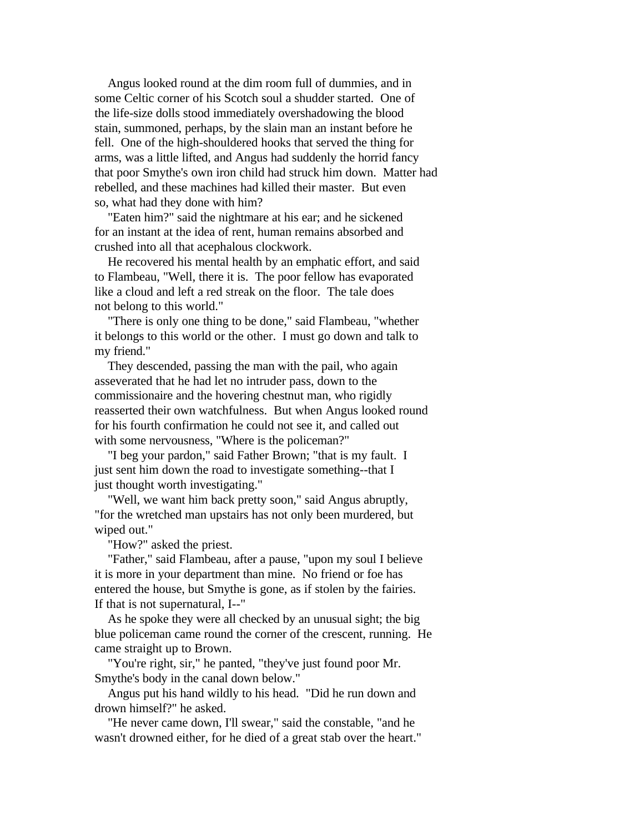Angus looked round at the dim room full of dummies, and in some Celtic corner of his Scotch soul a shudder started. One of the life-size dolls stood immediately overshadowing the blood stain, summoned, perhaps, by the slain man an instant before he fell. One of the high-shouldered hooks that served the thing for arms, was a little lifted, and Angus had suddenly the horrid fancy that poor Smythe's own iron child had struck him down. Matter had rebelled, and these machines had killed their master. But even so, what had they done with him?

 "Eaten him?" said the nightmare at his ear; and he sickened for an instant at the idea of rent, human remains absorbed and crushed into all that acephalous clockwork.

 He recovered his mental health by an emphatic effort, and said to Flambeau, "Well, there it is. The poor fellow has evaporated like a cloud and left a red streak on the floor. The tale does not belong to this world."

 "There is only one thing to be done," said Flambeau, "whether it belongs to this world or the other. I must go down and talk to my friend."

 They descended, passing the man with the pail, who again asseverated that he had let no intruder pass, down to the commissionaire and the hovering chestnut man, who rigidly reasserted their own watchfulness. But when Angus looked round for his fourth confirmation he could not see it, and called out with some nervousness, "Where is the policeman?"

 "I beg your pardon," said Father Brown; "that is my fault. I just sent him down the road to investigate something--that I just thought worth investigating."

 "Well, we want him back pretty soon," said Angus abruptly, "for the wretched man upstairs has not only been murdered, but wiped out."

"How?" asked the priest.

 "Father," said Flambeau, after a pause, "upon my soul I believe it is more in your department than mine. No friend or foe has entered the house, but Smythe is gone, as if stolen by the fairies. If that is not supernatural, I--"

 As he spoke they were all checked by an unusual sight; the big blue policeman came round the corner of the crescent, running. He came straight up to Brown.

 "You're right, sir," he panted, "they've just found poor Mr. Smythe's body in the canal down below."

 Angus put his hand wildly to his head. "Did he run down and drown himself?" he asked.

 "He never came down, I'll swear," said the constable, "and he wasn't drowned either, for he died of a great stab over the heart."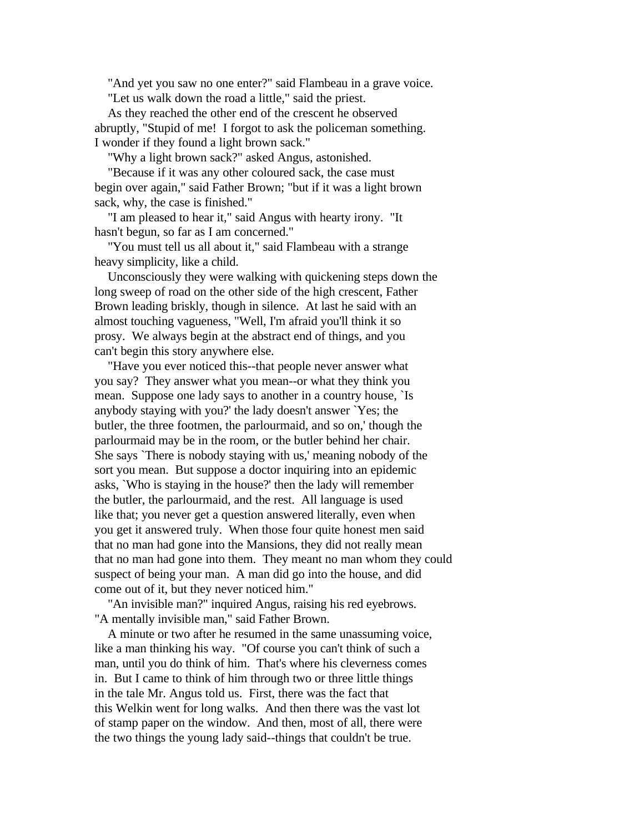"And yet you saw no one enter?" said Flambeau in a grave voice. "Let us walk down the road a little," said the priest.

 As they reached the other end of the crescent he observed abruptly, "Stupid of me! I forgot to ask the policeman something. I wonder if they found a light brown sack."

"Why a light brown sack?" asked Angus, astonished.

 "Because if it was any other coloured sack, the case must begin over again," said Father Brown; "but if it was a light brown sack, why, the case is finished."

 "I am pleased to hear it," said Angus with hearty irony. "It hasn't begun, so far as I am concerned."

 "You must tell us all about it," said Flambeau with a strange heavy simplicity, like a child.

 Unconsciously they were walking with quickening steps down the long sweep of road on the other side of the high crescent, Father Brown leading briskly, though in silence. At last he said with an almost touching vagueness, "Well, I'm afraid you'll think it so prosy. We always begin at the abstract end of things, and you can't begin this story anywhere else.

 "Have you ever noticed this--that people never answer what you say? They answer what you mean--or what they think you mean. Suppose one lady says to another in a country house, `Is anybody staying with you?' the lady doesn't answer `Yes; the butler, the three footmen, the parlourmaid, and so on,' though the parlourmaid may be in the room, or the butler behind her chair. She says `There is nobody staying with us,' meaning nobody of the sort you mean. But suppose a doctor inquiring into an epidemic asks, `Who is staying in the house?' then the lady will remember the butler, the parlourmaid, and the rest. All language is used like that; you never get a question answered literally, even when you get it answered truly. When those four quite honest men said that no man had gone into the Mansions, they did not really mean that no man had gone into them. They meant no man whom they could suspect of being your man. A man did go into the house, and did come out of it, but they never noticed him."

 "An invisible man?" inquired Angus, raising his red eyebrows. "A mentally invisible man," said Father Brown.

 A minute or two after he resumed in the same unassuming voice, like a man thinking his way. "Of course you can't think of such a man, until you do think of him. That's where his cleverness comes in. But I came to think of him through two or three little things in the tale Mr. Angus told us. First, there was the fact that this Welkin went for long walks. And then there was the vast lot of stamp paper on the window. And then, most of all, there were the two things the young lady said--things that couldn't be true.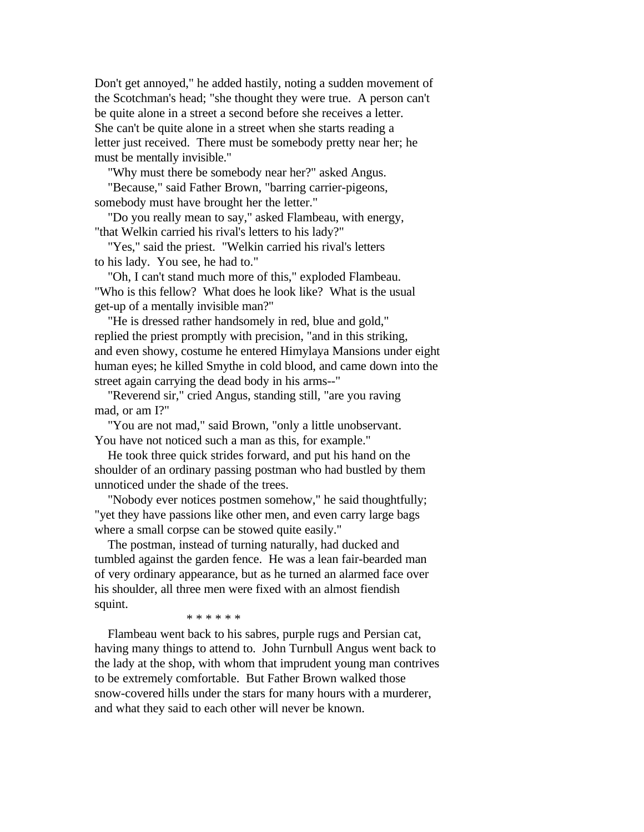Don't get annoyed," he added hastily, noting a sudden movement of the Scotchman's head; "she thought they were true. A person can't be quite alone in a street a second before she receives a letter. She can't be quite alone in a street when she starts reading a letter just received. There must be somebody pretty near her; he must be mentally invisible."

"Why must there be somebody near her?" asked Angus.

 "Because," said Father Brown, "barring carrier-pigeons, somebody must have brought her the letter."

 "Do you really mean to say," asked Flambeau, with energy, "that Welkin carried his rival's letters to his lady?"

 "Yes," said the priest. "Welkin carried his rival's letters to his lady. You see, he had to."

 "Oh, I can't stand much more of this," exploded Flambeau. "Who is this fellow? What does he look like? What is the usual get-up of a mentally invisible man?"

 "He is dressed rather handsomely in red, blue and gold," replied the priest promptly with precision, "and in this striking, and even showy, costume he entered Himylaya Mansions under eight human eyes; he killed Smythe in cold blood, and came down into the street again carrying the dead body in his arms--"

 "Reverend sir," cried Angus, standing still, "are you raving mad, or am I?"

 "You are not mad," said Brown, "only a little unobservant. You have not noticed such a man as this, for example."

 He took three quick strides forward, and put his hand on the shoulder of an ordinary passing postman who had bustled by them unnoticed under the shade of the trees.

 "Nobody ever notices postmen somehow," he said thoughtfully; "yet they have passions like other men, and even carry large bags where a small corpse can be stowed quite easily."

 The postman, instead of turning naturally, had ducked and tumbled against the garden fence. He was a lean fair-bearded man of very ordinary appearance, but as he turned an alarmed face over his shoulder, all three men were fixed with an almost fiendish squint.

\* \* \* \* \* \*

 Flambeau went back to his sabres, purple rugs and Persian cat, having many things to attend to. John Turnbull Angus went back to the lady at the shop, with whom that imprudent young man contrives to be extremely comfortable. But Father Brown walked those snow-covered hills under the stars for many hours with a murderer, and what they said to each other will never be known.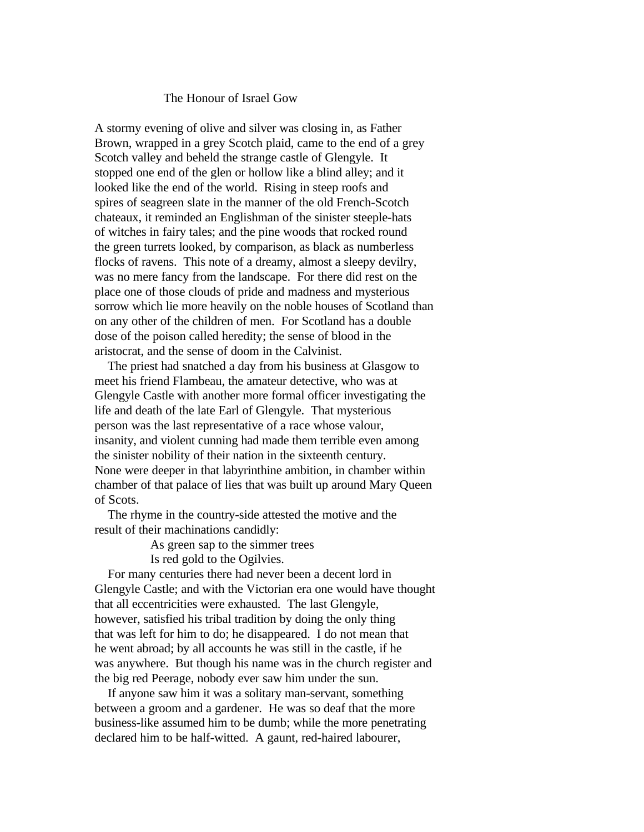#### The Honour of Israel Gow

A stormy evening of olive and silver was closing in, as Father Brown, wrapped in a grey Scotch plaid, came to the end of a grey Scotch valley and beheld the strange castle of Glengyle. It stopped one end of the glen or hollow like a blind alley; and it looked like the end of the world. Rising in steep roofs and spires of seagreen slate in the manner of the old French-Scotch chateaux, it reminded an Englishman of the sinister steeple-hats of witches in fairy tales; and the pine woods that rocked round the green turrets looked, by comparison, as black as numberless flocks of ravens. This note of a dreamy, almost a sleepy devilry, was no mere fancy from the landscape. For there did rest on the place one of those clouds of pride and madness and mysterious sorrow which lie more heavily on the noble houses of Scotland than on any other of the children of men. For Scotland has a double dose of the poison called heredity; the sense of blood in the aristocrat, and the sense of doom in the Calvinist.

 The priest had snatched a day from his business at Glasgow to meet his friend Flambeau, the amateur detective, who was at Glengyle Castle with another more formal officer investigating the life and death of the late Earl of Glengyle. That mysterious person was the last representative of a race whose valour, insanity, and violent cunning had made them terrible even among the sinister nobility of their nation in the sixteenth century. None were deeper in that labyrinthine ambition, in chamber within chamber of that palace of lies that was built up around Mary Queen of Scots.

 The rhyme in the country-side attested the motive and the result of their machinations candidly:

As green sap to the simmer trees

Is red gold to the Ogilvies.

 For many centuries there had never been a decent lord in Glengyle Castle; and with the Victorian era one would have thought that all eccentricities were exhausted. The last Glengyle, however, satisfied his tribal tradition by doing the only thing that was left for him to do; he disappeared. I do not mean that he went abroad; by all accounts he was still in the castle, if he was anywhere. But though his name was in the church register and the big red Peerage, nobody ever saw him under the sun.

 If anyone saw him it was a solitary man-servant, something between a groom and a gardener. He was so deaf that the more business-like assumed him to be dumb; while the more penetrating declared him to be half-witted. A gaunt, red-haired labourer,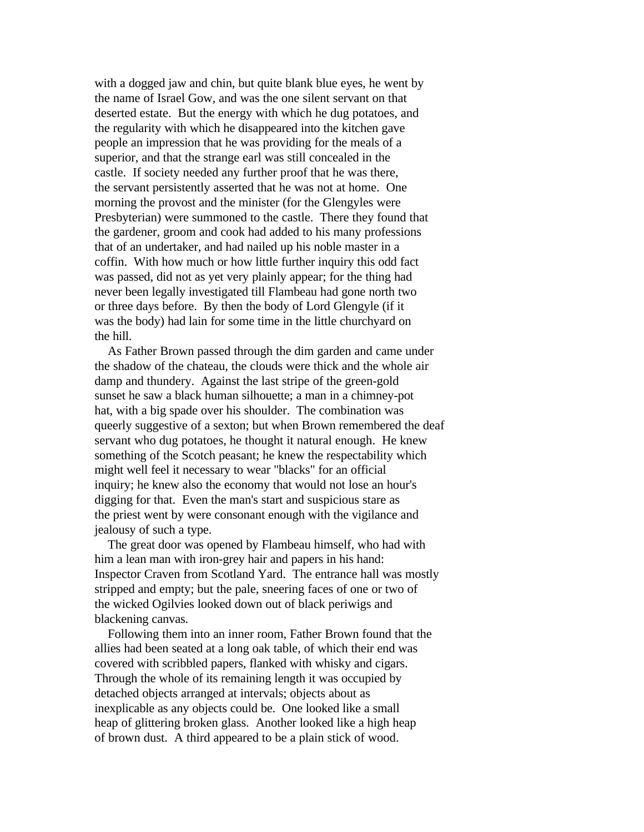with a dogged jaw and chin, but quite blank blue eyes, he went by the name of Israel Gow, and was the one silent servant on that deserted estate. But the energy with which he dug potatoes, and the regularity with which he disappeared into the kitchen gave people an impression that he was providing for the meals of a superior, and that the strange earl was still concealed in the castle. If society needed any further proof that he was there, the servant persistently asserted that he was not at home. One morning the provost and the minister (for the Glengyles were Presbyterian) were summoned to the castle. There they found that the gardener, groom and cook had added to his many professions that of an undertaker, and had nailed up his noble master in a coffin. With how much or how little further inquiry this odd fact was passed, did not as yet very plainly appear; for the thing had never been legally investigated till Flambeau had gone north two or three days before. By then the body of Lord Glengyle (if it was the body) had lain for some time in the little churchyard on the hill.

 As Father Brown passed through the dim garden and came under the shadow of the chateau, the clouds were thick and the whole air damp and thundery. Against the last stripe of the green-gold sunset he saw a black human silhouette; a man in a chimney-pot hat, with a big spade over his shoulder. The combination was queerly suggestive of a sexton; but when Brown remembered the deaf servant who dug potatoes, he thought it natural enough. He knew something of the Scotch peasant; he knew the respectability which might well feel it necessary to wear "blacks" for an official inquiry; he knew also the economy that would not lose an hour's digging for that. Even the man's start and suspicious stare as the priest went by were consonant enough with the vigilance and jealousy of such a type.

 The great door was opened by Flambeau himself, who had with him a lean man with iron-grey hair and papers in his hand: Inspector Craven from Scotland Yard. The entrance hall was mostly stripped and empty; but the pale, sneering faces of one or two of the wicked Ogilvies looked down out of black periwigs and blackening canvas.

 Following them into an inner room, Father Brown found that the allies had been seated at a long oak table, of which their end was covered with scribbled papers, flanked with whisky and cigars. Through the whole of its remaining length it was occupied by detached objects arranged at intervals; objects about as inexplicable as any objects could be. One looked like a small heap of glittering broken glass. Another looked like a high heap of brown dust. A third appeared to be a plain stick of wood.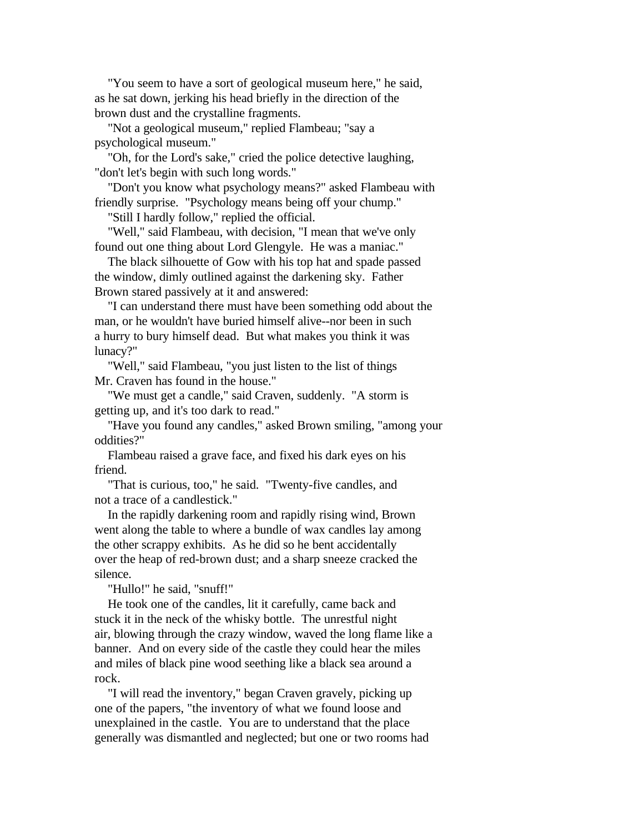"You seem to have a sort of geological museum here," he said, as he sat down, jerking his head briefly in the direction of the brown dust and the crystalline fragments.

 "Not a geological museum," replied Flambeau; "say a psychological museum."

 "Oh, for the Lord's sake," cried the police detective laughing, "don't let's begin with such long words."

 "Don't you know what psychology means?" asked Flambeau with friendly surprise. "Psychology means being off your chump."

"Still I hardly follow," replied the official.

 "Well," said Flambeau, with decision, "I mean that we've only found out one thing about Lord Glengyle. He was a maniac."

 The black silhouette of Gow with his top hat and spade passed the window, dimly outlined against the darkening sky. Father Brown stared passively at it and answered:

 "I can understand there must have been something odd about the man, or he wouldn't have buried himself alive--nor been in such a hurry to bury himself dead. But what makes you think it was lunacy?"

 "Well," said Flambeau, "you just listen to the list of things Mr. Craven has found in the house."

 "We must get a candle," said Craven, suddenly. "A storm is getting up, and it's too dark to read."

 "Have you found any candles," asked Brown smiling, "among your oddities?"

 Flambeau raised a grave face, and fixed his dark eyes on his friend.

 "That is curious, too," he said. "Twenty-five candles, and not a trace of a candlestick."

 In the rapidly darkening room and rapidly rising wind, Brown went along the table to where a bundle of wax candles lay among the other scrappy exhibits. As he did so he bent accidentally over the heap of red-brown dust; and a sharp sneeze cracked the silence.

"Hullo!" he said, "snuff!"

 He took one of the candles, lit it carefully, came back and stuck it in the neck of the whisky bottle. The unrestful night air, blowing through the crazy window, waved the long flame like a banner. And on every side of the castle they could hear the miles and miles of black pine wood seething like a black sea around a rock.

 "I will read the inventory," began Craven gravely, picking up one of the papers, "the inventory of what we found loose and unexplained in the castle. You are to understand that the place generally was dismantled and neglected; but one or two rooms had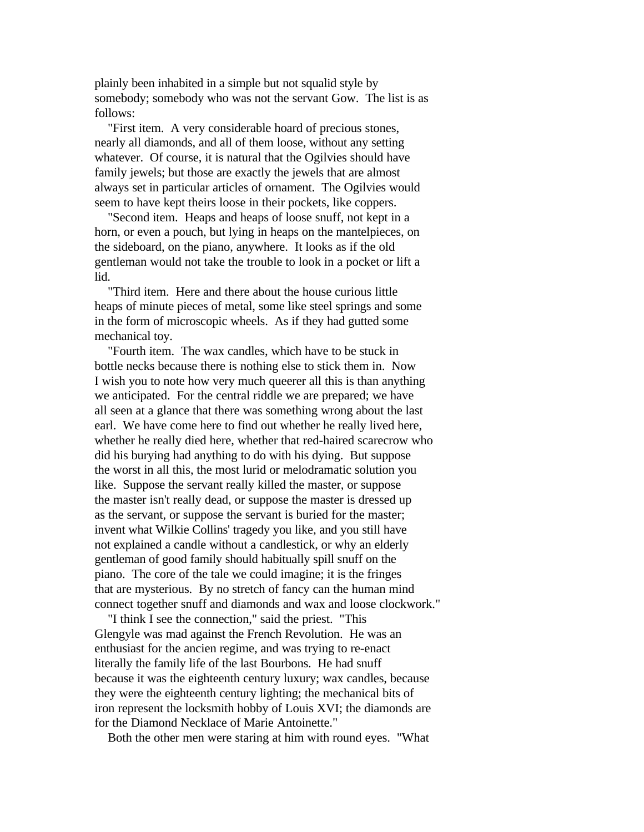plainly been inhabited in a simple but not squalid style by somebody; somebody who was not the servant Gow. The list is as follows:

 "First item. A very considerable hoard of precious stones, nearly all diamonds, and all of them loose, without any setting whatever. Of course, it is natural that the Ogilvies should have family jewels; but those are exactly the jewels that are almost always set in particular articles of ornament. The Ogilvies would seem to have kept theirs loose in their pockets, like coppers.

 "Second item. Heaps and heaps of loose snuff, not kept in a horn, or even a pouch, but lying in heaps on the mantelpieces, on the sideboard, on the piano, anywhere. It looks as if the old gentleman would not take the trouble to look in a pocket or lift a lid.

 "Third item. Here and there about the house curious little heaps of minute pieces of metal, some like steel springs and some in the form of microscopic wheels. As if they had gutted some mechanical toy.

 "Fourth item. The wax candles, which have to be stuck in bottle necks because there is nothing else to stick them in. Now I wish you to note how very much queerer all this is than anything we anticipated. For the central riddle we are prepared; we have all seen at a glance that there was something wrong about the last earl. We have come here to find out whether he really lived here, whether he really died here, whether that red-haired scarecrow who did his burying had anything to do with his dying. But suppose the worst in all this, the most lurid or melodramatic solution you like. Suppose the servant really killed the master, or suppose the master isn't really dead, or suppose the master is dressed up as the servant, or suppose the servant is buried for the master; invent what Wilkie Collins' tragedy you like, and you still have not explained a candle without a candlestick, or why an elderly gentleman of good family should habitually spill snuff on the piano. The core of the tale we could imagine; it is the fringes that are mysterious. By no stretch of fancy can the human mind connect together snuff and diamonds and wax and loose clockwork."

 "I think I see the connection," said the priest. "This Glengyle was mad against the French Revolution. He was an enthusiast for the ancien regime, and was trying to re-enact literally the family life of the last Bourbons. He had snuff because it was the eighteenth century luxury; wax candles, because they were the eighteenth century lighting; the mechanical bits of iron represent the locksmith hobby of Louis XVI; the diamonds are for the Diamond Necklace of Marie Antoinette."

Both the other men were staring at him with round eyes. "What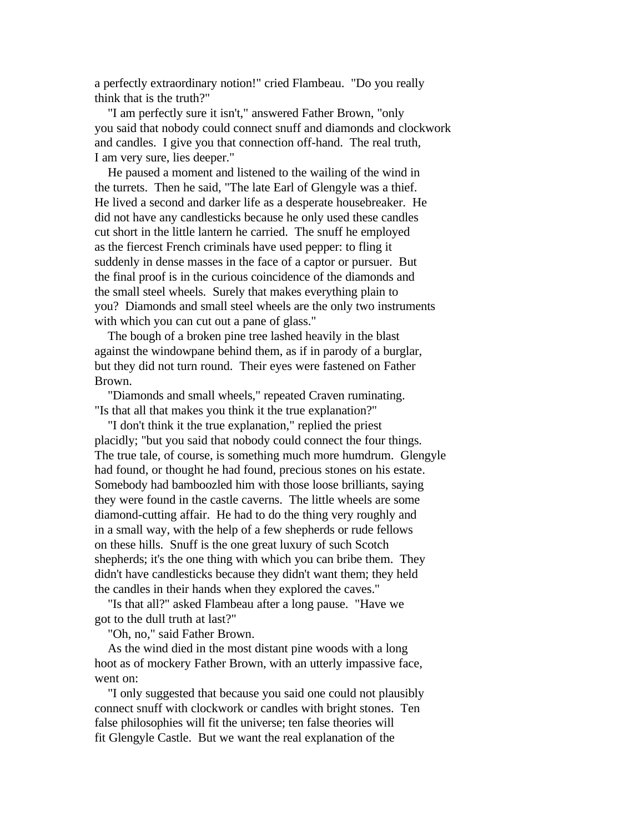a perfectly extraordinary notion!" cried Flambeau. "Do you really think that is the truth?"

 "I am perfectly sure it isn't," answered Father Brown, "only you said that nobody could connect snuff and diamonds and clockwork and candles. I give you that connection off-hand. The real truth, I am very sure, lies deeper."

 He paused a moment and listened to the wailing of the wind in the turrets. Then he said, "The late Earl of Glengyle was a thief. He lived a second and darker life as a desperate housebreaker. He did not have any candlesticks because he only used these candles cut short in the little lantern he carried. The snuff he employed as the fiercest French criminals have used pepper: to fling it suddenly in dense masses in the face of a captor or pursuer. But the final proof is in the curious coincidence of the diamonds and the small steel wheels. Surely that makes everything plain to you? Diamonds and small steel wheels are the only two instruments with which you can cut out a pane of glass."

 The bough of a broken pine tree lashed heavily in the blast against the windowpane behind them, as if in parody of a burglar, but they did not turn round. Their eyes were fastened on Father Brown.

 "Diamonds and small wheels," repeated Craven ruminating. "Is that all that makes you think it the true explanation?"

 "I don't think it the true explanation," replied the priest placidly; "but you said that nobody could connect the four things. The true tale, of course, is something much more humdrum. Glengyle had found, or thought he had found, precious stones on his estate. Somebody had bamboozled him with those loose brilliants, saying they were found in the castle caverns. The little wheels are some diamond-cutting affair. He had to do the thing very roughly and in a small way, with the help of a few shepherds or rude fellows on these hills. Snuff is the one great luxury of such Scotch shepherds; it's the one thing with which you can bribe them. They didn't have candlesticks because they didn't want them; they held the candles in their hands when they explored the caves."

 "Is that all?" asked Flambeau after a long pause. "Have we got to the dull truth at last?"

"Oh, no," said Father Brown.

 As the wind died in the most distant pine woods with a long hoot as of mockery Father Brown, with an utterly impassive face, went on:

 "I only suggested that because you said one could not plausibly connect snuff with clockwork or candles with bright stones. Ten false philosophies will fit the universe; ten false theories will fit Glengyle Castle. But we want the real explanation of the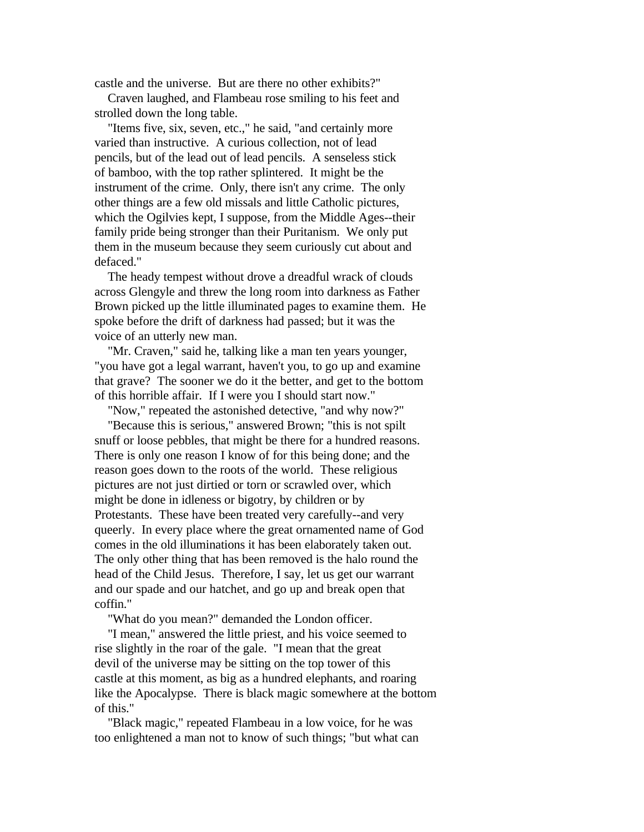castle and the universe. But are there no other exhibits?"

 Craven laughed, and Flambeau rose smiling to his feet and strolled down the long table.

 "Items five, six, seven, etc.," he said, "and certainly more varied than instructive. A curious collection, not of lead pencils, but of the lead out of lead pencils. A senseless stick of bamboo, with the top rather splintered. It might be the instrument of the crime. Only, there isn't any crime. The only other things are a few old missals and little Catholic pictures, which the Ogilvies kept, I suppose, from the Middle Ages--their family pride being stronger than their Puritanism. We only put them in the museum because they seem curiously cut about and defaced."

 The heady tempest without drove a dreadful wrack of clouds across Glengyle and threw the long room into darkness as Father Brown picked up the little illuminated pages to examine them. He spoke before the drift of darkness had passed; but it was the voice of an utterly new man.

 "Mr. Craven," said he, talking like a man ten years younger, "you have got a legal warrant, haven't you, to go up and examine that grave? The sooner we do it the better, and get to the bottom of this horrible affair. If I were you I should start now."

 "Now," repeated the astonished detective, "and why now?" "Because this is serious," answered Brown; "this is not spilt snuff or loose pebbles, that might be there for a hundred reasons. There is only one reason I know of for this being done; and the reason goes down to the roots of the world. These religious pictures are not just dirtied or torn or scrawled over, which might be done in idleness or bigotry, by children or by Protestants. These have been treated very carefully--and very queerly. In every place where the great ornamented name of God comes in the old illuminations it has been elaborately taken out. The only other thing that has been removed is the halo round the head of the Child Jesus. Therefore, I say, let us get our warrant and our spade and our hatchet, and go up and break open that coffin."

"What do you mean?" demanded the London officer.

 "I mean," answered the little priest, and his voice seemed to rise slightly in the roar of the gale. "I mean that the great devil of the universe may be sitting on the top tower of this castle at this moment, as big as a hundred elephants, and roaring like the Apocalypse. There is black magic somewhere at the bottom of this."

 "Black magic," repeated Flambeau in a low voice, for he was too enlightened a man not to know of such things; "but what can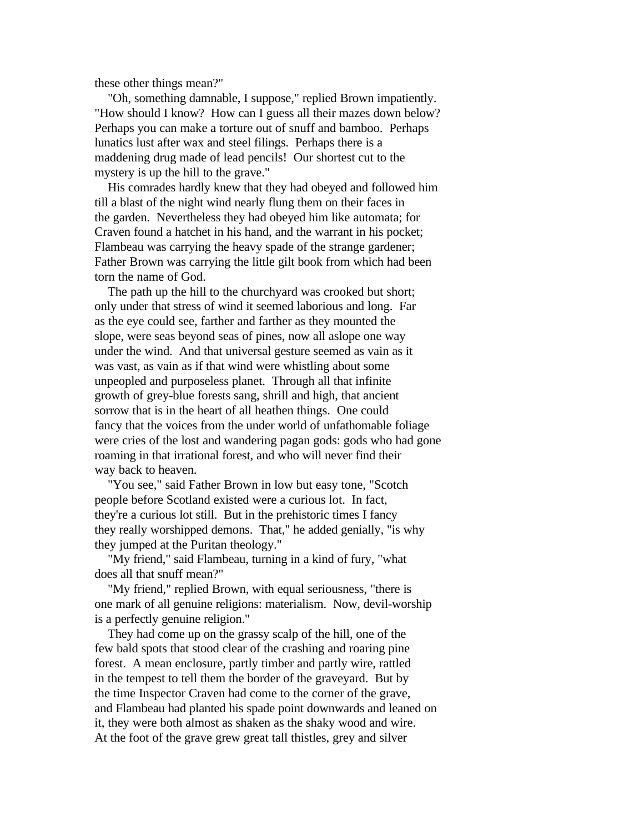these other things mean?"

 "Oh, something damnable, I suppose," replied Brown impatiently. "How should I know? How can I guess all their mazes down below? Perhaps you can make a torture out of snuff and bamboo. Perhaps lunatics lust after wax and steel filings. Perhaps there is a maddening drug made of lead pencils! Our shortest cut to the mystery is up the hill to the grave."

 His comrades hardly knew that they had obeyed and followed him till a blast of the night wind nearly flung them on their faces in the garden. Nevertheless they had obeyed him like automata; for Craven found a hatchet in his hand, and the warrant in his pocket; Flambeau was carrying the heavy spade of the strange gardener; Father Brown was carrying the little gilt book from which had been torn the name of God.

 The path up the hill to the churchyard was crooked but short; only under that stress of wind it seemed laborious and long. Far as the eye could see, farther and farther as they mounted the slope, were seas beyond seas of pines, now all aslope one way under the wind. And that universal gesture seemed as vain as it was vast, as vain as if that wind were whistling about some unpeopled and purposeless planet. Through all that infinite growth of grey-blue forests sang, shrill and high, that ancient sorrow that is in the heart of all heathen things. One could fancy that the voices from the under world of unfathomable foliage were cries of the lost and wandering pagan gods: gods who had gone roaming in that irrational forest, and who will never find their way back to heaven.

 "You see," said Father Brown in low but easy tone, "Scotch people before Scotland existed were a curious lot. In fact, they're a curious lot still. But in the prehistoric times I fancy they really worshipped demons. That," he added genially, "is why they jumped at the Puritan theology."

 "My friend," said Flambeau, turning in a kind of fury, "what does all that snuff mean?"

 "My friend," replied Brown, with equal seriousness, "there is one mark of all genuine religions: materialism. Now, devil-worship is a perfectly genuine religion."

 They had come up on the grassy scalp of the hill, one of the few bald spots that stood clear of the crashing and roaring pine forest. A mean enclosure, partly timber and partly wire, rattled in the tempest to tell them the border of the graveyard. But by the time Inspector Craven had come to the corner of the grave, and Flambeau had planted his spade point downwards and leaned on it, they were both almost as shaken as the shaky wood and wire. At the foot of the grave grew great tall thistles, grey and silver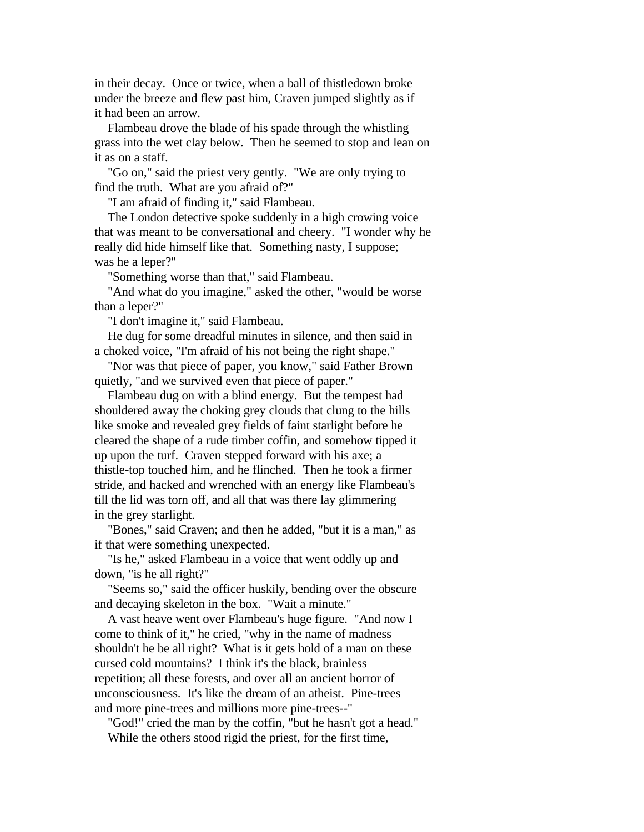in their decay. Once or twice, when a ball of thistledown broke under the breeze and flew past him, Craven jumped slightly as if it had been an arrow.

 Flambeau drove the blade of his spade through the whistling grass into the wet clay below. Then he seemed to stop and lean on it as on a staff.

 "Go on," said the priest very gently. "We are only trying to find the truth. What are you afraid of?"

"I am afraid of finding it," said Flambeau.

 The London detective spoke suddenly in a high crowing voice that was meant to be conversational and cheery. "I wonder why he really did hide himself like that. Something nasty, I suppose; was he a leper?"

"Something worse than that," said Flambeau.

 "And what do you imagine," asked the other, "would be worse than a leper?"

"I don't imagine it," said Flambeau.

 He dug for some dreadful minutes in silence, and then said in a choked voice, "I'm afraid of his not being the right shape."

 "Nor was that piece of paper, you know," said Father Brown quietly, "and we survived even that piece of paper."

 Flambeau dug on with a blind energy. But the tempest had shouldered away the choking grey clouds that clung to the hills like smoke and revealed grey fields of faint starlight before he cleared the shape of a rude timber coffin, and somehow tipped it up upon the turf. Craven stepped forward with his axe; a thistle-top touched him, and he flinched. Then he took a firmer stride, and hacked and wrenched with an energy like Flambeau's till the lid was torn off, and all that was there lay glimmering in the grey starlight.

 "Bones," said Craven; and then he added, "but it is a man," as if that were something unexpected.

 "Is he," asked Flambeau in a voice that went oddly up and down, "is he all right?"

 "Seems so," said the officer huskily, bending over the obscure and decaying skeleton in the box. "Wait a minute."

 A vast heave went over Flambeau's huge figure. "And now I come to think of it," he cried, "why in the name of madness shouldn't he be all right? What is it gets hold of a man on these cursed cold mountains? I think it's the black, brainless repetition; all these forests, and over all an ancient horror of unconsciousness. It's like the dream of an atheist. Pine-trees and more pine-trees and millions more pine-trees--"

 "God!" cried the man by the coffin, "but he hasn't got a head." While the others stood rigid the priest, for the first time,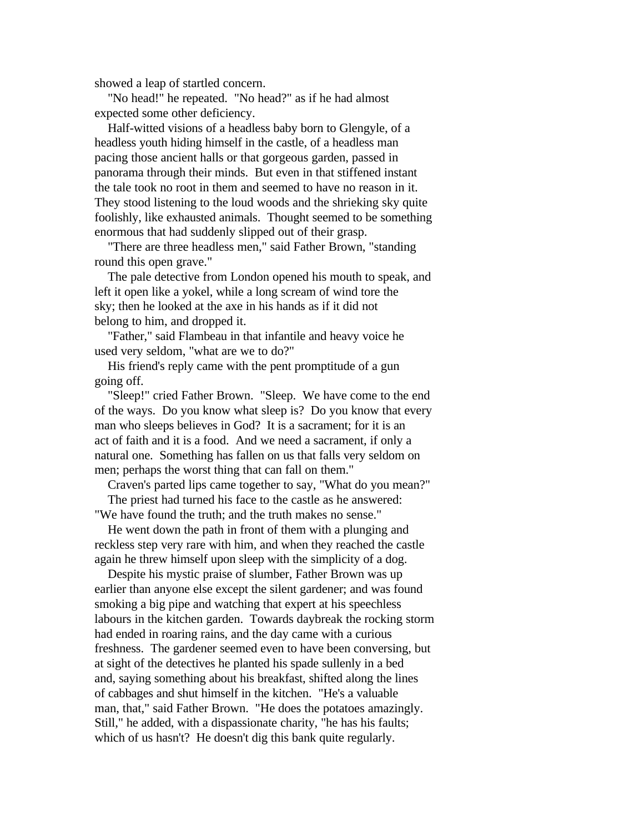showed a leap of startled concern.

 "No head!" he repeated. "No head?" as if he had almost expected some other deficiency.

 Half-witted visions of a headless baby born to Glengyle, of a headless youth hiding himself in the castle, of a headless man pacing those ancient halls or that gorgeous garden, passed in panorama through their minds. But even in that stiffened instant the tale took no root in them and seemed to have no reason in it. They stood listening to the loud woods and the shrieking sky quite foolishly, like exhausted animals. Thought seemed to be something enormous that had suddenly slipped out of their grasp.

 "There are three headless men," said Father Brown, "standing round this open grave."

 The pale detective from London opened his mouth to speak, and left it open like a yokel, while a long scream of wind tore the sky; then he looked at the axe in his hands as if it did not belong to him, and dropped it.

 "Father," said Flambeau in that infantile and heavy voice he used very seldom, "what are we to do?"

 His friend's reply came with the pent promptitude of a gun going off.

 "Sleep!" cried Father Brown. "Sleep. We have come to the end of the ways. Do you know what sleep is? Do you know that every man who sleeps believes in God? It is a sacrament; for it is an act of faith and it is a food. And we need a sacrament, if only a natural one. Something has fallen on us that falls very seldom on men; perhaps the worst thing that can fall on them."

 Craven's parted lips came together to say, "What do you mean?" The priest had turned his face to the castle as he answered: "We have found the truth; and the truth makes no sense."

 He went down the path in front of them with a plunging and reckless step very rare with him, and when they reached the castle again he threw himself upon sleep with the simplicity of a dog.

 Despite his mystic praise of slumber, Father Brown was up earlier than anyone else except the silent gardener; and was found smoking a big pipe and watching that expert at his speechless labours in the kitchen garden. Towards daybreak the rocking storm had ended in roaring rains, and the day came with a curious freshness. The gardener seemed even to have been conversing, but at sight of the detectives he planted his spade sullenly in a bed and, saying something about his breakfast, shifted along the lines of cabbages and shut himself in the kitchen. "He's a valuable man, that," said Father Brown. "He does the potatoes amazingly. Still," he added, with a dispassionate charity, "he has his faults; which of us hasn't? He doesn't dig this bank quite regularly.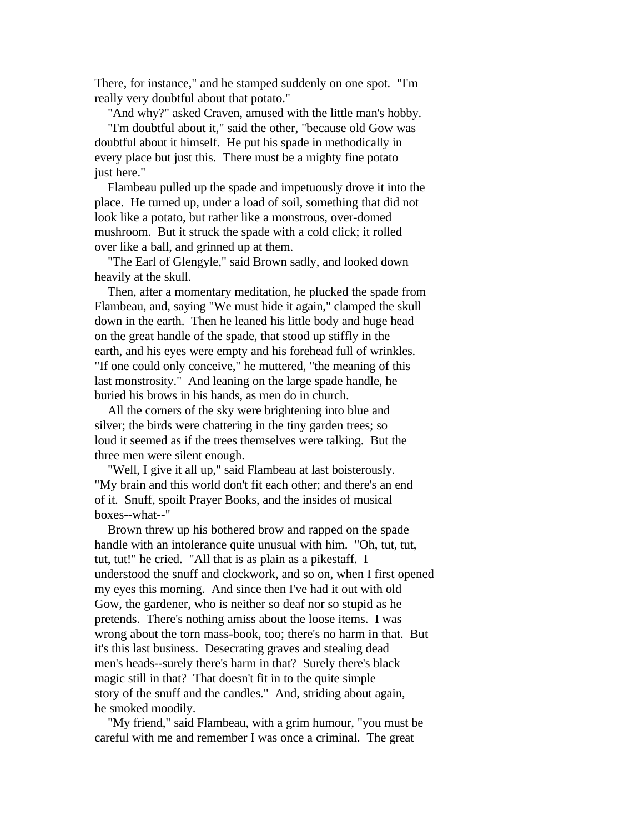There, for instance," and he stamped suddenly on one spot. "I'm really very doubtful about that potato."

"And why?" asked Craven, amused with the little man's hobby.

 "I'm doubtful about it," said the other, "because old Gow was doubtful about it himself. He put his spade in methodically in every place but just this. There must be a mighty fine potato just here."

 Flambeau pulled up the spade and impetuously drove it into the place. He turned up, under a load of soil, something that did not look like a potato, but rather like a monstrous, over-domed mushroom. But it struck the spade with a cold click; it rolled over like a ball, and grinned up at them.

 "The Earl of Glengyle," said Brown sadly, and looked down heavily at the skull.

 Then, after a momentary meditation, he plucked the spade from Flambeau, and, saying "We must hide it again," clamped the skull down in the earth. Then he leaned his little body and huge head on the great handle of the spade, that stood up stiffly in the earth, and his eyes were empty and his forehead full of wrinkles. "If one could only conceive," he muttered, "the meaning of this last monstrosity." And leaning on the large spade handle, he buried his brows in his hands, as men do in church.

 All the corners of the sky were brightening into blue and silver; the birds were chattering in the tiny garden trees; so loud it seemed as if the trees themselves were talking. But the three men were silent enough.

 "Well, I give it all up," said Flambeau at last boisterously. "My brain and this world don't fit each other; and there's an end of it. Snuff, spoilt Prayer Books, and the insides of musical boxes--what--"

 Brown threw up his bothered brow and rapped on the spade handle with an intolerance quite unusual with him. "Oh, tut, tut, tut, tut!" he cried. "All that is as plain as a pikestaff. I understood the snuff and clockwork, and so on, when I first opened my eyes this morning. And since then I've had it out with old Gow, the gardener, who is neither so deaf nor so stupid as he pretends. There's nothing amiss about the loose items. I was wrong about the torn mass-book, too; there's no harm in that. But it's this last business. Desecrating graves and stealing dead men's heads--surely there's harm in that? Surely there's black magic still in that? That doesn't fit in to the quite simple story of the snuff and the candles." And, striding about again, he smoked moodily.

 "My friend," said Flambeau, with a grim humour, "you must be careful with me and remember I was once a criminal. The great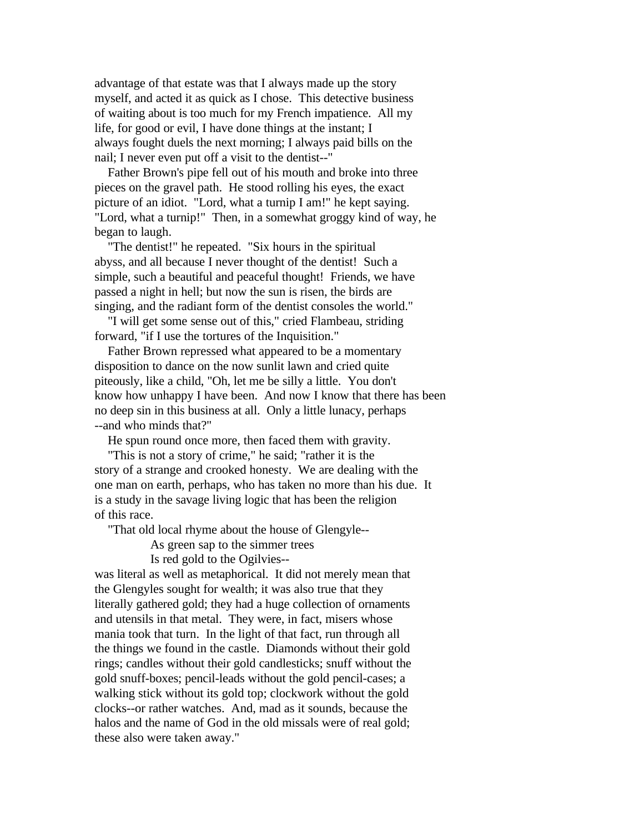advantage of that estate was that I always made up the story myself, and acted it as quick as I chose. This detective business of waiting about is too much for my French impatience. All my life, for good or evil, I have done things at the instant; I always fought duels the next morning; I always paid bills on the nail; I never even put off a visit to the dentist--"

 Father Brown's pipe fell out of his mouth and broke into three pieces on the gravel path. He stood rolling his eyes, the exact picture of an idiot. "Lord, what a turnip I am!" he kept saying. "Lord, what a turnip!" Then, in a somewhat groggy kind of way, he began to laugh.

 "The dentist!" he repeated. "Six hours in the spiritual abyss, and all because I never thought of the dentist! Such a simple, such a beautiful and peaceful thought! Friends, we have passed a night in hell; but now the sun is risen, the birds are singing, and the radiant form of the dentist consoles the world."

 "I will get some sense out of this," cried Flambeau, striding forward, "if I use the tortures of the Inquisition."

 Father Brown repressed what appeared to be a momentary disposition to dance on the now sunlit lawn and cried quite piteously, like a child, "Oh, let me be silly a little. You don't know how unhappy I have been. And now I know that there has been no deep sin in this business at all. Only a little lunacy, perhaps --and who minds that?"

He spun round once more, then faced them with gravity.

 "This is not a story of crime," he said; "rather it is the story of a strange and crooked honesty. We are dealing with the one man on earth, perhaps, who has taken no more than his due. It is a study in the savage living logic that has been the religion of this race.

"That old local rhyme about the house of Glengyle--

As green sap to the simmer trees

Is red gold to the Ogilvies--

was literal as well as metaphorical. It did not merely mean that the Glengyles sought for wealth; it was also true that they literally gathered gold; they had a huge collection of ornaments and utensils in that metal. They were, in fact, misers whose mania took that turn. In the light of that fact, run through all the things we found in the castle. Diamonds without their gold rings; candles without their gold candlesticks; snuff without the gold snuff-boxes; pencil-leads without the gold pencil-cases; a walking stick without its gold top; clockwork without the gold clocks--or rather watches. And, mad as it sounds, because the halos and the name of God in the old missals were of real gold; these also were taken away."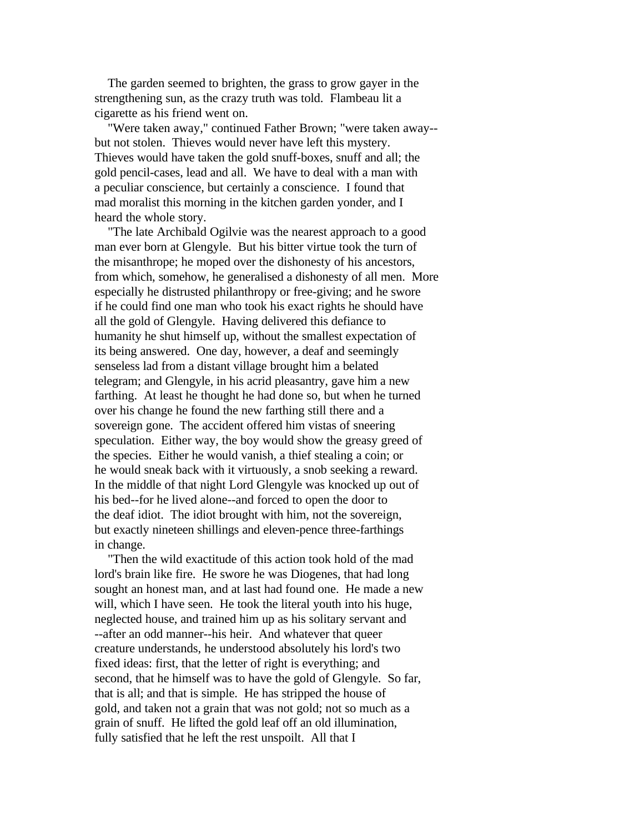The garden seemed to brighten, the grass to grow gayer in the strengthening sun, as the crazy truth was told. Flambeau lit a cigarette as his friend went on.

 "Were taken away," continued Father Brown; "were taken away- but not stolen. Thieves would never have left this mystery. Thieves would have taken the gold snuff-boxes, snuff and all; the gold pencil-cases, lead and all. We have to deal with a man with a peculiar conscience, but certainly a conscience. I found that mad moralist this morning in the kitchen garden yonder, and I heard the whole story.

 "The late Archibald Ogilvie was the nearest approach to a good man ever born at Glengyle. But his bitter virtue took the turn of the misanthrope; he moped over the dishonesty of his ancestors, from which, somehow, he generalised a dishonesty of all men. More especially he distrusted philanthropy or free-giving; and he swore if he could find one man who took his exact rights he should have all the gold of Glengyle. Having delivered this defiance to humanity he shut himself up, without the smallest expectation of its being answered. One day, however, a deaf and seemingly senseless lad from a distant village brought him a belated telegram; and Glengyle, in his acrid pleasantry, gave him a new farthing. At least he thought he had done so, but when he turned over his change he found the new farthing still there and a sovereign gone. The accident offered him vistas of sneering speculation. Either way, the boy would show the greasy greed of the species. Either he would vanish, a thief stealing a coin; or he would sneak back with it virtuously, a snob seeking a reward. In the middle of that night Lord Glengyle was knocked up out of his bed--for he lived alone--and forced to open the door to the deaf idiot. The idiot brought with him, not the sovereign, but exactly nineteen shillings and eleven-pence three-farthings in change.

 "Then the wild exactitude of this action took hold of the mad lord's brain like fire. He swore he was Diogenes, that had long sought an honest man, and at last had found one. He made a new will, which I have seen. He took the literal youth into his huge, neglected house, and trained him up as his solitary servant and --after an odd manner--his heir. And whatever that queer creature understands, he understood absolutely his lord's two fixed ideas: first, that the letter of right is everything; and second, that he himself was to have the gold of Glengyle. So far, that is all; and that is simple. He has stripped the house of gold, and taken not a grain that was not gold; not so much as a grain of snuff. He lifted the gold leaf off an old illumination, fully satisfied that he left the rest unspoilt. All that I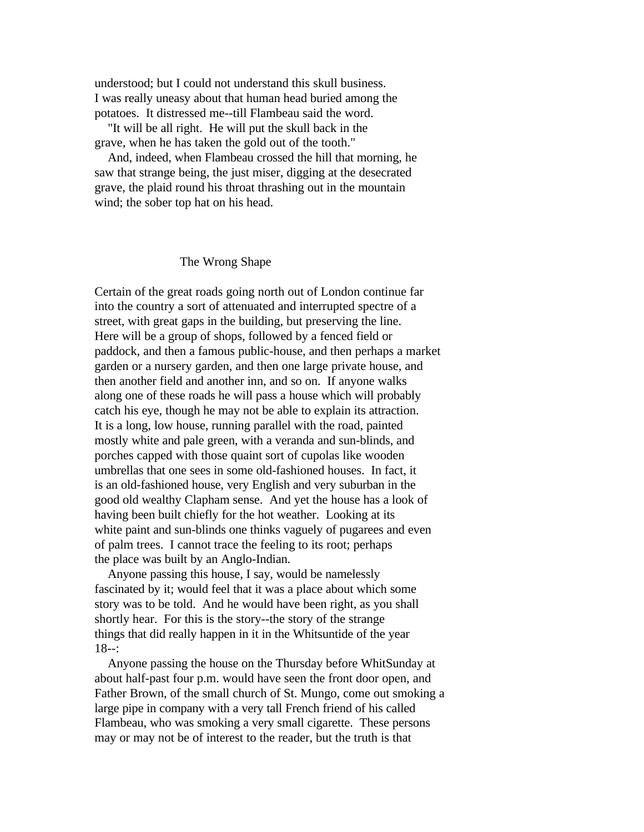understood; but I could not understand this skull business. I was really uneasy about that human head buried among the potatoes. It distressed me--till Flambeau said the word.

 "It will be all right. He will put the skull back in the grave, when he has taken the gold out of the tooth."

 And, indeed, when Flambeau crossed the hill that morning, he saw that strange being, the just miser, digging at the desecrated grave, the plaid round his throat thrashing out in the mountain wind; the sober top hat on his head.

## The Wrong Shape

Certain of the great roads going north out of London continue far into the country a sort of attenuated and interrupted spectre of a street, with great gaps in the building, but preserving the line. Here will be a group of shops, followed by a fenced field or paddock, and then a famous public-house, and then perhaps a market garden or a nursery garden, and then one large private house, and then another field and another inn, and so on. If anyone walks along one of these roads he will pass a house which will probably catch his eye, though he may not be able to explain its attraction. It is a long, low house, running parallel with the road, painted mostly white and pale green, with a veranda and sun-blinds, and porches capped with those quaint sort of cupolas like wooden umbrellas that one sees in some old-fashioned houses. In fact, it is an old-fashioned house, very English and very suburban in the good old wealthy Clapham sense. And yet the house has a look of having been built chiefly for the hot weather. Looking at its white paint and sun-blinds one thinks vaguely of pugarees and even of palm trees. I cannot trace the feeling to its root; perhaps the place was built by an Anglo-Indian.

 Anyone passing this house, I say, would be namelessly fascinated by it; would feel that it was a place about which some story was to be told. And he would have been right, as you shall shortly hear. For this is the story--the story of the strange things that did really happen in it in the Whitsuntide of the year 18--:

 Anyone passing the house on the Thursday before WhitSunday at about half-past four p.m. would have seen the front door open, and Father Brown, of the small church of St. Mungo, come out smoking a large pipe in company with a very tall French friend of his called Flambeau, who was smoking a very small cigarette. These persons may or may not be of interest to the reader, but the truth is that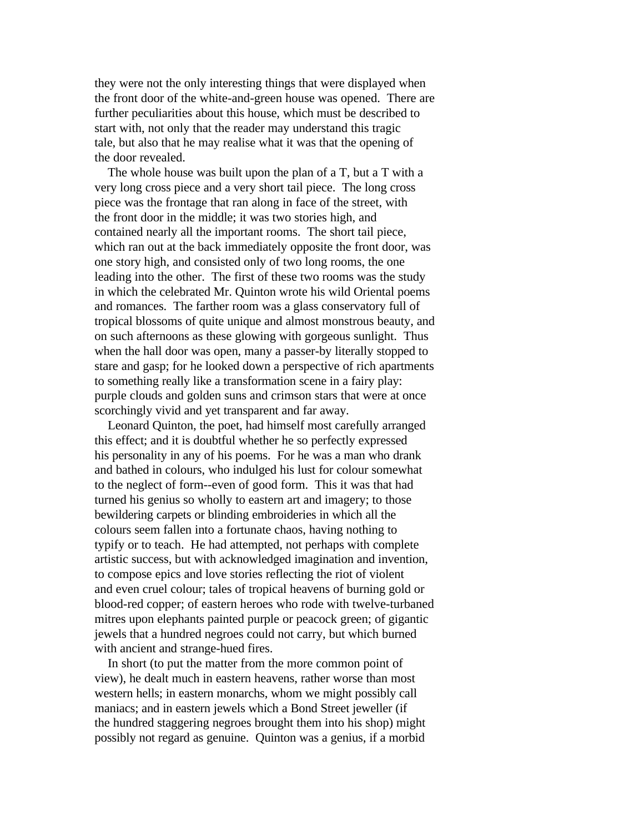they were not the only interesting things that were displayed when the front door of the white-and-green house was opened. There are further peculiarities about this house, which must be described to start with, not only that the reader may understand this tragic tale, but also that he may realise what it was that the opening of the door revealed.

 The whole house was built upon the plan of a T, but a T with a very long cross piece and a very short tail piece. The long cross piece was the frontage that ran along in face of the street, with the front door in the middle; it was two stories high, and contained nearly all the important rooms. The short tail piece, which ran out at the back immediately opposite the front door, was one story high, and consisted only of two long rooms, the one leading into the other. The first of these two rooms was the study in which the celebrated Mr. Quinton wrote his wild Oriental poems and romances. The farther room was a glass conservatory full of tropical blossoms of quite unique and almost monstrous beauty, and on such afternoons as these glowing with gorgeous sunlight. Thus when the hall door was open, many a passer-by literally stopped to stare and gasp; for he looked down a perspective of rich apartments to something really like a transformation scene in a fairy play: purple clouds and golden suns and crimson stars that were at once scorchingly vivid and yet transparent and far away.

 Leonard Quinton, the poet, had himself most carefully arranged this effect; and it is doubtful whether he so perfectly expressed his personality in any of his poems. For he was a man who drank and bathed in colours, who indulged his lust for colour somewhat to the neglect of form--even of good form. This it was that had turned his genius so wholly to eastern art and imagery; to those bewildering carpets or blinding embroideries in which all the colours seem fallen into a fortunate chaos, having nothing to typify or to teach. He had attempted, not perhaps with complete artistic success, but with acknowledged imagination and invention, to compose epics and love stories reflecting the riot of violent and even cruel colour; tales of tropical heavens of burning gold or blood-red copper; of eastern heroes who rode with twelve-turbaned mitres upon elephants painted purple or peacock green; of gigantic jewels that a hundred negroes could not carry, but which burned with ancient and strange-hued fires.

 In short (to put the matter from the more common point of view), he dealt much in eastern heavens, rather worse than most western hells; in eastern monarchs, whom we might possibly call maniacs; and in eastern jewels which a Bond Street jeweller (if the hundred staggering negroes brought them into his shop) might possibly not regard as genuine. Quinton was a genius, if a morbid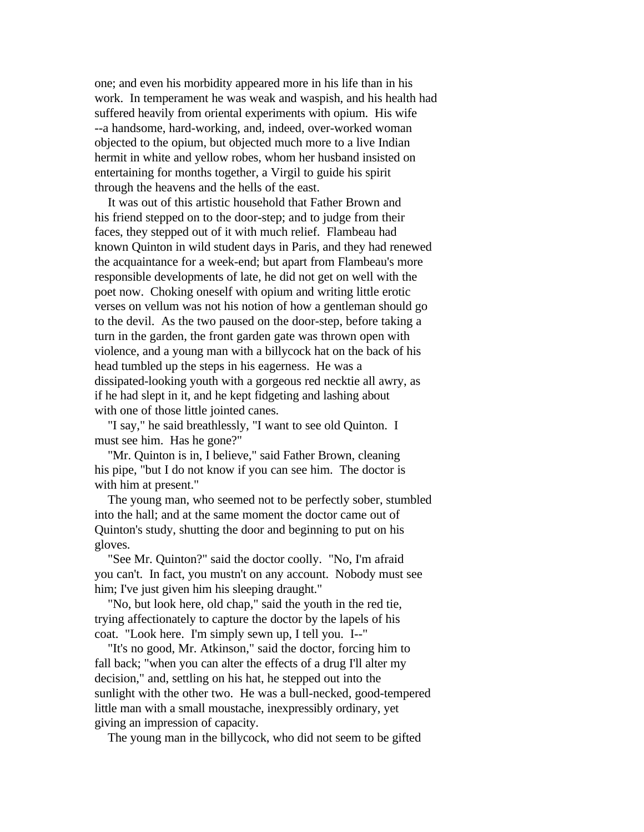one; and even his morbidity appeared more in his life than in his work. In temperament he was weak and waspish, and his health had suffered heavily from oriental experiments with opium. His wife --a handsome, hard-working, and, indeed, over-worked woman objected to the opium, but objected much more to a live Indian hermit in white and yellow robes, whom her husband insisted on entertaining for months together, a Virgil to guide his spirit through the heavens and the hells of the east.

 It was out of this artistic household that Father Brown and his friend stepped on to the door-step; and to judge from their faces, they stepped out of it with much relief. Flambeau had known Quinton in wild student days in Paris, and they had renewed the acquaintance for a week-end; but apart from Flambeau's more responsible developments of late, he did not get on well with the poet now. Choking oneself with opium and writing little erotic verses on vellum was not his notion of how a gentleman should go to the devil. As the two paused on the door-step, before taking a turn in the garden, the front garden gate was thrown open with violence, and a young man with a billycock hat on the back of his head tumbled up the steps in his eagerness. He was a dissipated-looking youth with a gorgeous red necktie all awry, as if he had slept in it, and he kept fidgeting and lashing about with one of those little jointed canes.

 "I say," he said breathlessly, "I want to see old Quinton. I must see him. Has he gone?"

 "Mr. Quinton is in, I believe," said Father Brown, cleaning his pipe, "but I do not know if you can see him. The doctor is with him at present."

 The young man, who seemed not to be perfectly sober, stumbled into the hall; and at the same moment the doctor came out of Quinton's study, shutting the door and beginning to put on his gloves.

 "See Mr. Quinton?" said the doctor coolly. "No, I'm afraid you can't. In fact, you mustn't on any account. Nobody must see him; I've just given him his sleeping draught."

 "No, but look here, old chap," said the youth in the red tie, trying affectionately to capture the doctor by the lapels of his coat. "Look here. I'm simply sewn up, I tell you. I--"

 "It's no good, Mr. Atkinson," said the doctor, forcing him to fall back; "when you can alter the effects of a drug I'll alter my decision," and, settling on his hat, he stepped out into the sunlight with the other two. He was a bull-necked, good-tempered little man with a small moustache, inexpressibly ordinary, yet giving an impression of capacity.

The young man in the billycock, who did not seem to be gifted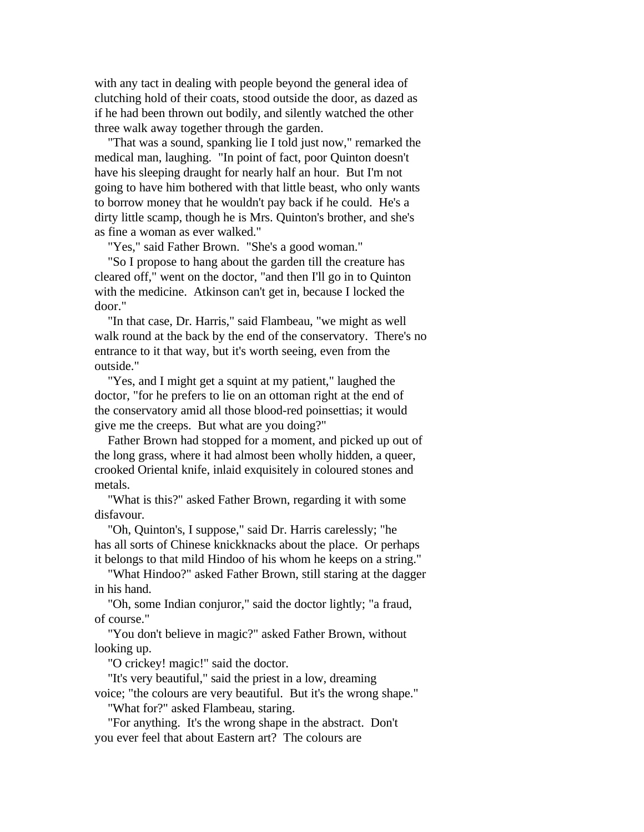with any tact in dealing with people beyond the general idea of clutching hold of their coats, stood outside the door, as dazed as if he had been thrown out bodily, and silently watched the other three walk away together through the garden.

 "That was a sound, spanking lie I told just now," remarked the medical man, laughing. "In point of fact, poor Quinton doesn't have his sleeping draught for nearly half an hour. But I'm not going to have him bothered with that little beast, who only wants to borrow money that he wouldn't pay back if he could. He's a dirty little scamp, though he is Mrs. Quinton's brother, and she's as fine a woman as ever walked."

"Yes," said Father Brown. "She's a good woman."

 "So I propose to hang about the garden till the creature has cleared off," went on the doctor, "and then I'll go in to Quinton with the medicine. Atkinson can't get in, because I locked the door."

 "In that case, Dr. Harris," said Flambeau, "we might as well walk round at the back by the end of the conservatory. There's no entrance to it that way, but it's worth seeing, even from the outside."

 "Yes, and I might get a squint at my patient," laughed the doctor, "for he prefers to lie on an ottoman right at the end of the conservatory amid all those blood-red poinsettias; it would give me the creeps. But what are you doing?"

 Father Brown had stopped for a moment, and picked up out of the long grass, where it had almost been wholly hidden, a queer, crooked Oriental knife, inlaid exquisitely in coloured stones and metals.

 "What is this?" asked Father Brown, regarding it with some disfavour.

 "Oh, Quinton's, I suppose," said Dr. Harris carelessly; "he has all sorts of Chinese knickknacks about the place. Or perhaps it belongs to that mild Hindoo of his whom he keeps on a string."

 "What Hindoo?" asked Father Brown, still staring at the dagger in his hand.

 "Oh, some Indian conjuror," said the doctor lightly; "a fraud, of course."

 "You don't believe in magic?" asked Father Brown, without looking up.

"O crickey! magic!" said the doctor.

"It's very beautiful," said the priest in a low, dreaming

voice; "the colours are very beautiful. But it's the wrong shape."

"What for?" asked Flambeau, staring.

 "For anything. It's the wrong shape in the abstract. Don't you ever feel that about Eastern art? The colours are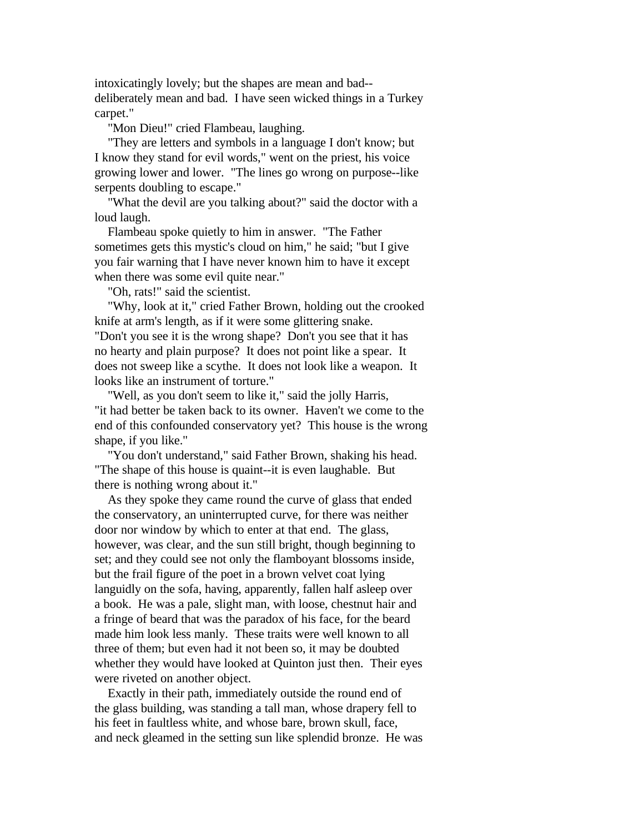intoxicatingly lovely; but the shapes are mean and bad- deliberately mean and bad. I have seen wicked things in a Turkey carpet."

"Mon Dieu!" cried Flambeau, laughing.

 "They are letters and symbols in a language I don't know; but I know they stand for evil words," went on the priest, his voice growing lower and lower. "The lines go wrong on purpose--like serpents doubling to escape."

 "What the devil are you talking about?" said the doctor with a loud laugh.

 Flambeau spoke quietly to him in answer. "The Father sometimes gets this mystic's cloud on him," he said; "but I give you fair warning that I have never known him to have it except when there was some evil quite near."

"Oh, rats!" said the scientist.

 "Why, look at it," cried Father Brown, holding out the crooked knife at arm's length, as if it were some glittering snake. "Don't you see it is the wrong shape? Don't you see that it has no hearty and plain purpose? It does not point like a spear. It does not sweep like a scythe. It does not look like a weapon. It looks like an instrument of torture."

 "Well, as you don't seem to like it," said the jolly Harris, "it had better be taken back to its owner. Haven't we come to the end of this confounded conservatory yet? This house is the wrong shape, if you like."

 "You don't understand," said Father Brown, shaking his head. "The shape of this house is quaint--it is even laughable. But there is nothing wrong about it."

 As they spoke they came round the curve of glass that ended the conservatory, an uninterrupted curve, for there was neither door nor window by which to enter at that end. The glass, however, was clear, and the sun still bright, though beginning to set; and they could see not only the flamboyant blossoms inside, but the frail figure of the poet in a brown velvet coat lying languidly on the sofa, having, apparently, fallen half asleep over a book. He was a pale, slight man, with loose, chestnut hair and a fringe of beard that was the paradox of his face, for the beard made him look less manly. These traits were well known to all three of them; but even had it not been so, it may be doubted whether they would have looked at Quinton just then. Their eyes were riveted on another object.

 Exactly in their path, immediately outside the round end of the glass building, was standing a tall man, whose drapery fell to his feet in faultless white, and whose bare, brown skull, face, and neck gleamed in the setting sun like splendid bronze. He was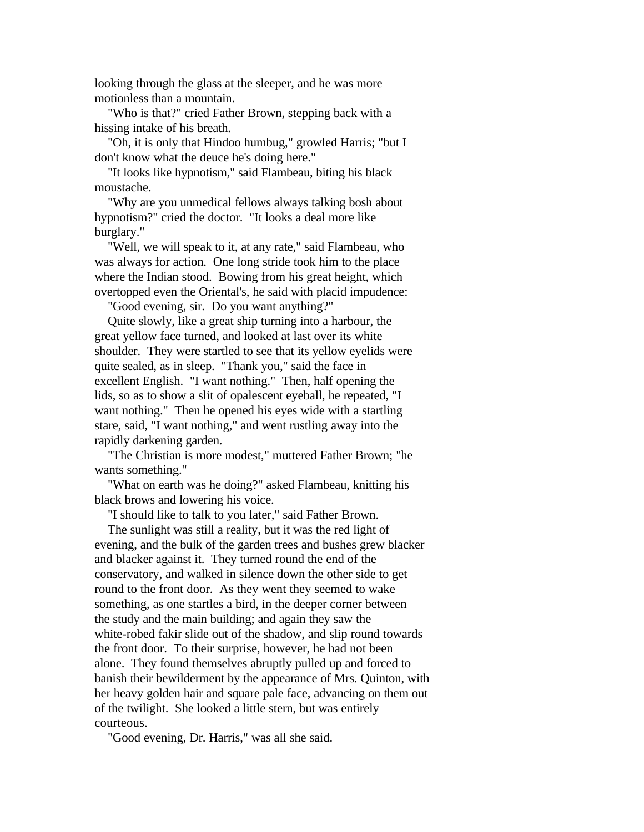looking through the glass at the sleeper, and he was more motionless than a mountain.

 "Who is that?" cried Father Brown, stepping back with a hissing intake of his breath.

 "Oh, it is only that Hindoo humbug," growled Harris; "but I don't know what the deuce he's doing here."

 "It looks like hypnotism," said Flambeau, biting his black moustache.

 "Why are you unmedical fellows always talking bosh about hypnotism?" cried the doctor. "It looks a deal more like burglary."

 "Well, we will speak to it, at any rate," said Flambeau, who was always for action. One long stride took him to the place where the Indian stood. Bowing from his great height, which overtopped even the Oriental's, he said with placid impudence:

"Good evening, sir. Do you want anything?"

 Quite slowly, like a great ship turning into a harbour, the great yellow face turned, and looked at last over its white shoulder. They were startled to see that its yellow eyelids were quite sealed, as in sleep. "Thank you," said the face in excellent English. "I want nothing." Then, half opening the lids, so as to show a slit of opalescent eyeball, he repeated, "I want nothing." Then he opened his eyes wide with a startling stare, said, "I want nothing," and went rustling away into the rapidly darkening garden.

 "The Christian is more modest," muttered Father Brown; "he wants something."

 "What on earth was he doing?" asked Flambeau, knitting his black brows and lowering his voice.

"I should like to talk to you later," said Father Brown.

 The sunlight was still a reality, but it was the red light of evening, and the bulk of the garden trees and bushes grew blacker and blacker against it. They turned round the end of the conservatory, and walked in silence down the other side to get round to the front door. As they went they seemed to wake something, as one startles a bird, in the deeper corner between the study and the main building; and again they saw the white-robed fakir slide out of the shadow, and slip round towards the front door. To their surprise, however, he had not been alone. They found themselves abruptly pulled up and forced to banish their bewilderment by the appearance of Mrs. Quinton, with her heavy golden hair and square pale face, advancing on them out of the twilight. She looked a little stern, but was entirely courteous.

"Good evening, Dr. Harris," was all she said.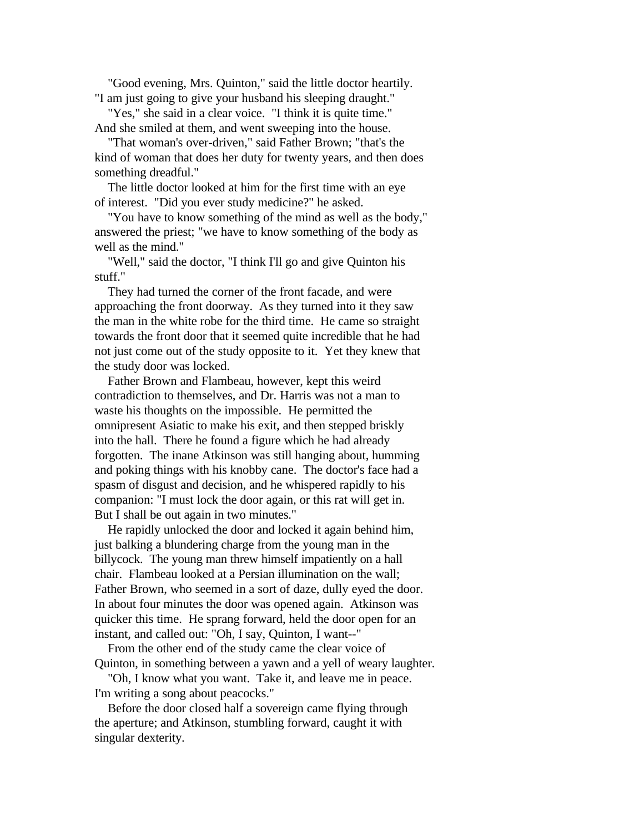"Good evening, Mrs. Quinton," said the little doctor heartily. "I am just going to give your husband his sleeping draught."

 "Yes," she said in a clear voice. "I think it is quite time." And she smiled at them, and went sweeping into the house.

 "That woman's over-driven," said Father Brown; "that's the kind of woman that does her duty for twenty years, and then does something dreadful."

 The little doctor looked at him for the first time with an eye of interest. "Did you ever study medicine?" he asked.

 "You have to know something of the mind as well as the body," answered the priest; "we have to know something of the body as well as the mind."

 "Well," said the doctor, "I think I'll go and give Quinton his stuff."

 They had turned the corner of the front facade, and were approaching the front doorway. As they turned into it they saw the man in the white robe for the third time. He came so straight towards the front door that it seemed quite incredible that he had not just come out of the study opposite to it. Yet they knew that the study door was locked.

 Father Brown and Flambeau, however, kept this weird contradiction to themselves, and Dr. Harris was not a man to waste his thoughts on the impossible. He permitted the omnipresent Asiatic to make his exit, and then stepped briskly into the hall. There he found a figure which he had already forgotten. The inane Atkinson was still hanging about, humming and poking things with his knobby cane. The doctor's face had a spasm of disgust and decision, and he whispered rapidly to his companion: "I must lock the door again, or this rat will get in. But I shall be out again in two minutes."

 He rapidly unlocked the door and locked it again behind him, just balking a blundering charge from the young man in the billycock. The young man threw himself impatiently on a hall chair. Flambeau looked at a Persian illumination on the wall; Father Brown, who seemed in a sort of daze, dully eyed the door. In about four minutes the door was opened again. Atkinson was quicker this time. He sprang forward, held the door open for an instant, and called out: "Oh, I say, Quinton, I want--"

 From the other end of the study came the clear voice of Quinton, in something between a yawn and a yell of weary laughter.

 "Oh, I know what you want. Take it, and leave me in peace. I'm writing a song about peacocks."

 Before the door closed half a sovereign came flying through the aperture; and Atkinson, stumbling forward, caught it with singular dexterity.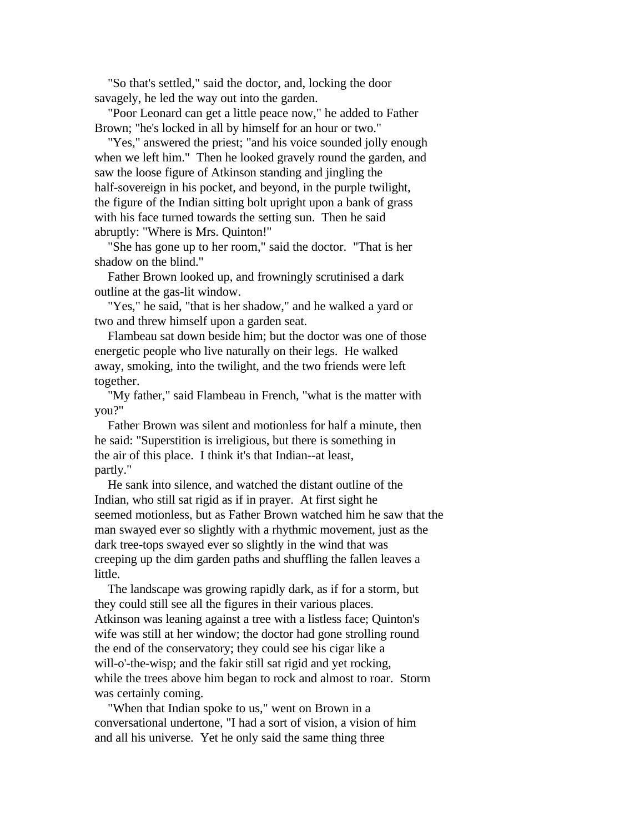"So that's settled," said the doctor, and, locking the door savagely, he led the way out into the garden.

 "Poor Leonard can get a little peace now," he added to Father Brown; "he's locked in all by himself for an hour or two."

 "Yes," answered the priest; "and his voice sounded jolly enough when we left him." Then he looked gravely round the garden, and saw the loose figure of Atkinson standing and jingling the half-sovereign in his pocket, and beyond, in the purple twilight, the figure of the Indian sitting bolt upright upon a bank of grass with his face turned towards the setting sun. Then he said abruptly: "Where is Mrs. Quinton!"

 "She has gone up to her room," said the doctor. "That is her shadow on the blind."

 Father Brown looked up, and frowningly scrutinised a dark outline at the gas-lit window.

"Yes," he said, "that is her shadow," and he walked a yard or two and threw himself upon a garden seat.

 Flambeau sat down beside him; but the doctor was one of those energetic people who live naturally on their legs. He walked away, smoking, into the twilight, and the two friends were left together.

 "My father," said Flambeau in French, "what is the matter with you?"

 Father Brown was silent and motionless for half a minute, then he said: "Superstition is irreligious, but there is something in the air of this place. I think it's that Indian--at least, partly."

 He sank into silence, and watched the distant outline of the Indian, who still sat rigid as if in prayer. At first sight he seemed motionless, but as Father Brown watched him he saw that the man swayed ever so slightly with a rhythmic movement, just as the dark tree-tops swayed ever so slightly in the wind that was creeping up the dim garden paths and shuffling the fallen leaves a little.

 The landscape was growing rapidly dark, as if for a storm, but they could still see all the figures in their various places. Atkinson was leaning against a tree with a listless face; Quinton's wife was still at her window; the doctor had gone strolling round the end of the conservatory; they could see his cigar like a will-o'-the-wisp; and the fakir still sat rigid and yet rocking, while the trees above him began to rock and almost to roar. Storm was certainly coming.

 "When that Indian spoke to us," went on Brown in a conversational undertone, "I had a sort of vision, a vision of him and all his universe. Yet he only said the same thing three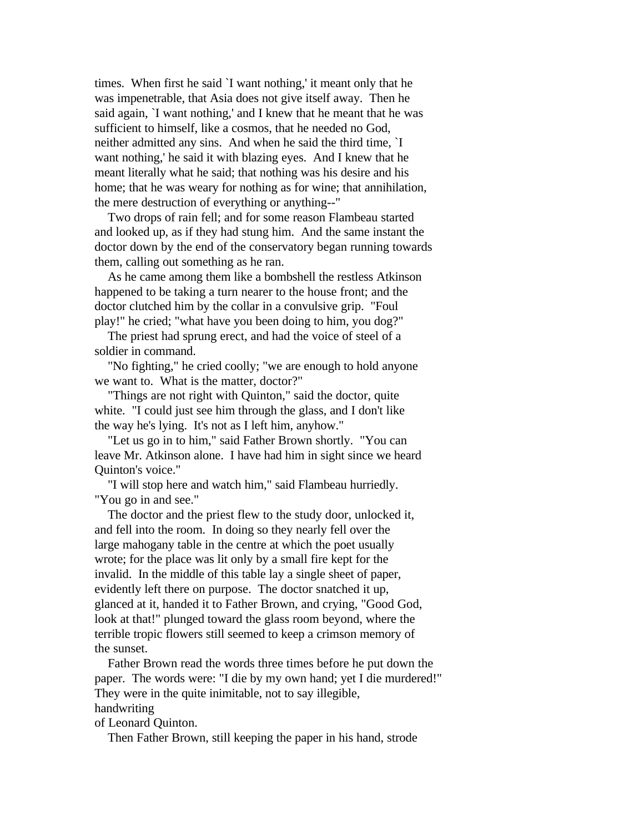times. When first he said `I want nothing,' it meant only that he was impenetrable, that Asia does not give itself away. Then he said again, `I want nothing,' and I knew that he meant that he was sufficient to himself, like a cosmos, that he needed no God, neither admitted any sins. And when he said the third time, `I want nothing,' he said it with blazing eyes. And I knew that he meant literally what he said; that nothing was his desire and his home; that he was weary for nothing as for wine; that annihilation, the mere destruction of everything or anything--"

 Two drops of rain fell; and for some reason Flambeau started and looked up, as if they had stung him. And the same instant the doctor down by the end of the conservatory began running towards them, calling out something as he ran.

 As he came among them like a bombshell the restless Atkinson happened to be taking a turn nearer to the house front; and the doctor clutched him by the collar in a convulsive grip. "Foul play!" he cried; "what have you been doing to him, you dog?"

 The priest had sprung erect, and had the voice of steel of a soldier in command.

 "No fighting," he cried coolly; "we are enough to hold anyone we want to. What is the matter, doctor?"

 "Things are not right with Quinton," said the doctor, quite white. "I could just see him through the glass, and I don't like the way he's lying. It's not as I left him, anyhow."

 "Let us go in to him," said Father Brown shortly. "You can leave Mr. Atkinson alone. I have had him in sight since we heard Quinton's voice."

 "I will stop here and watch him," said Flambeau hurriedly. "You go in and see."

 The doctor and the priest flew to the study door, unlocked it, and fell into the room. In doing so they nearly fell over the large mahogany table in the centre at which the poet usually wrote; for the place was lit only by a small fire kept for the invalid. In the middle of this table lay a single sheet of paper, evidently left there on purpose. The doctor snatched it up, glanced at it, handed it to Father Brown, and crying, "Good God, look at that!" plunged toward the glass room beyond, where the terrible tropic flowers still seemed to keep a crimson memory of the sunset.

 Father Brown read the words three times before he put down the paper. The words were: "I die by my own hand; yet I die murdered!" They were in the quite inimitable, not to say illegible, handwriting

of Leonard Quinton.

Then Father Brown, still keeping the paper in his hand, strode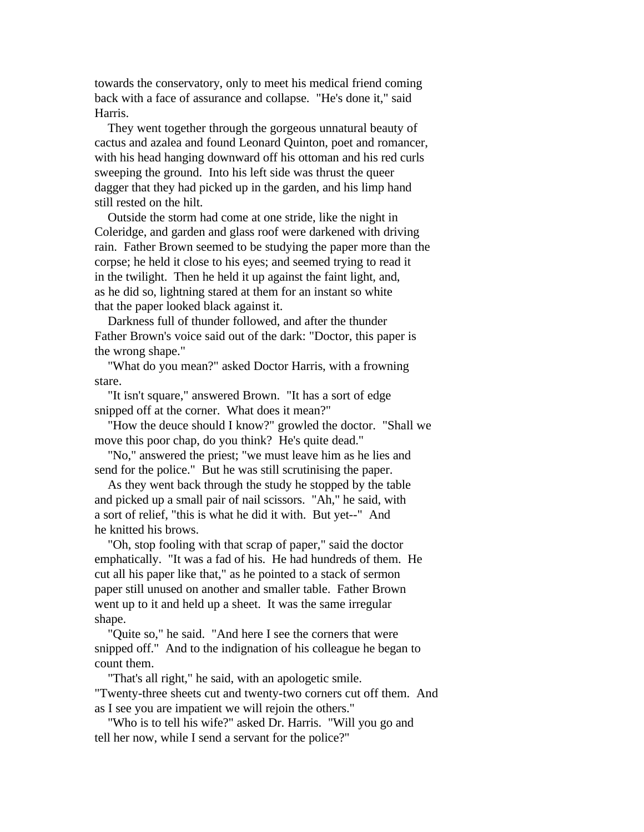towards the conservatory, only to meet his medical friend coming back with a face of assurance and collapse. "He's done it," said Harris.

 They went together through the gorgeous unnatural beauty of cactus and azalea and found Leonard Quinton, poet and romancer, with his head hanging downward off his ottoman and his red curls sweeping the ground. Into his left side was thrust the queer dagger that they had picked up in the garden, and his limp hand still rested on the hilt.

 Outside the storm had come at one stride, like the night in Coleridge, and garden and glass roof were darkened with driving rain. Father Brown seemed to be studying the paper more than the corpse; he held it close to his eyes; and seemed trying to read it in the twilight. Then he held it up against the faint light, and, as he did so, lightning stared at them for an instant so white that the paper looked black against it.

 Darkness full of thunder followed, and after the thunder Father Brown's voice said out of the dark: "Doctor, this paper is the wrong shape."

 "What do you mean?" asked Doctor Harris, with a frowning stare.

 "It isn't square," answered Brown. "It has a sort of edge snipped off at the corner. What does it mean?"

 "How the deuce should I know?" growled the doctor. "Shall we move this poor chap, do you think? He's quite dead."

 "No," answered the priest; "we must leave him as he lies and send for the police." But he was still scrutinising the paper.

 As they went back through the study he stopped by the table and picked up a small pair of nail scissors. "Ah," he said, with a sort of relief, "this is what he did it with. But yet--" And he knitted his brows.

 "Oh, stop fooling with that scrap of paper," said the doctor emphatically. "It was a fad of his. He had hundreds of them. He cut all his paper like that," as he pointed to a stack of sermon paper still unused on another and smaller table. Father Brown went up to it and held up a sheet. It was the same irregular shape.

 "Quite so," he said. "And here I see the corners that were snipped off." And to the indignation of his colleague he began to count them.

 "That's all right," he said, with an apologetic smile. "Twenty-three sheets cut and twenty-two corners cut off them. And as I see you are impatient we will rejoin the others."

 "Who is to tell his wife?" asked Dr. Harris. "Will you go and tell her now, while I send a servant for the police?"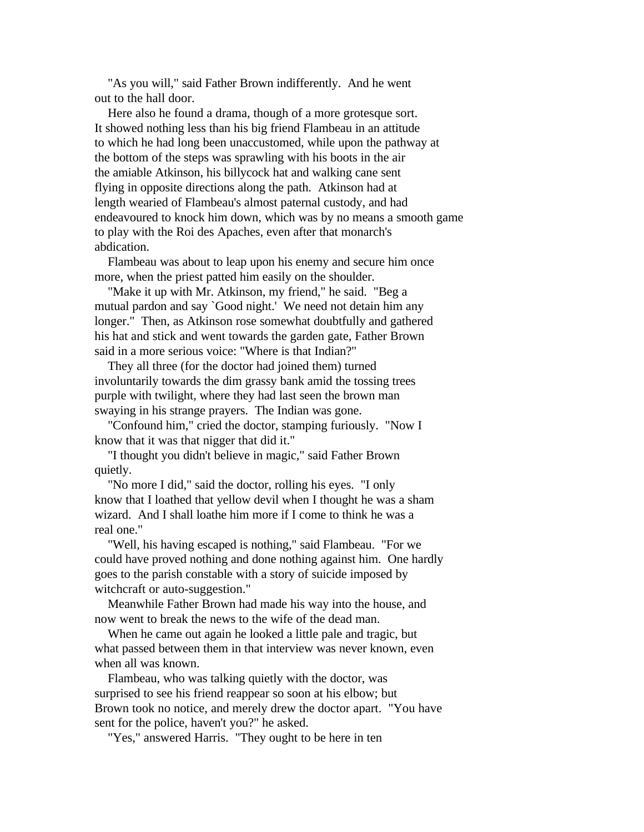"As you will," said Father Brown indifferently. And he went out to the hall door.

 Here also he found a drama, though of a more grotesque sort. It showed nothing less than his big friend Flambeau in an attitude to which he had long been unaccustomed, while upon the pathway at the bottom of the steps was sprawling with his boots in the air the amiable Atkinson, his billycock hat and walking cane sent flying in opposite directions along the path. Atkinson had at length wearied of Flambeau's almost paternal custody, and had endeavoured to knock him down, which was by no means a smooth game to play with the Roi des Apaches, even after that monarch's abdication.

 Flambeau was about to leap upon his enemy and secure him once more, when the priest patted him easily on the shoulder.

 "Make it up with Mr. Atkinson, my friend," he said. "Beg a mutual pardon and say `Good night.' We need not detain him any longer." Then, as Atkinson rose somewhat doubtfully and gathered his hat and stick and went towards the garden gate, Father Brown said in a more serious voice: "Where is that Indian?"

 They all three (for the doctor had joined them) turned involuntarily towards the dim grassy bank amid the tossing trees purple with twilight, where they had last seen the brown man swaying in his strange prayers. The Indian was gone.

 "Confound him," cried the doctor, stamping furiously. "Now I know that it was that nigger that did it."

 "I thought you didn't believe in magic," said Father Brown quietly.

 "No more I did," said the doctor, rolling his eyes. "I only know that I loathed that yellow devil when I thought he was a sham wizard. And I shall loathe him more if I come to think he was a real one."

 "Well, his having escaped is nothing," said Flambeau. "For we could have proved nothing and done nothing against him. One hardly goes to the parish constable with a story of suicide imposed by witchcraft or auto-suggestion."

 Meanwhile Father Brown had made his way into the house, and now went to break the news to the wife of the dead man.

 When he came out again he looked a little pale and tragic, but what passed between them in that interview was never known, even when all was known.

 Flambeau, who was talking quietly with the doctor, was surprised to see his friend reappear so soon at his elbow; but Brown took no notice, and merely drew the doctor apart. "You have sent for the police, haven't you?" he asked.

"Yes," answered Harris. "They ought to be here in ten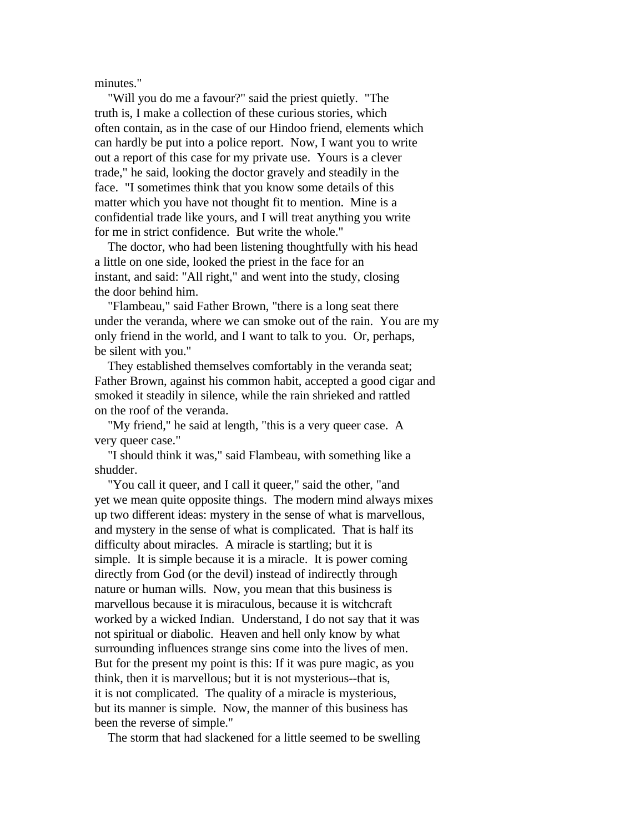minutes."

 "Will you do me a favour?" said the priest quietly. "The truth is, I make a collection of these curious stories, which often contain, as in the case of our Hindoo friend, elements which can hardly be put into a police report. Now, I want you to write out a report of this case for my private use. Yours is a clever trade," he said, looking the doctor gravely and steadily in the face. "I sometimes think that you know some details of this matter which you have not thought fit to mention. Mine is a confidential trade like yours, and I will treat anything you write for me in strict confidence. But write the whole."

 The doctor, who had been listening thoughtfully with his head a little on one side, looked the priest in the face for an instant, and said: "All right," and went into the study, closing the door behind him.

 "Flambeau," said Father Brown, "there is a long seat there under the veranda, where we can smoke out of the rain. You are my only friend in the world, and I want to talk to you. Or, perhaps, be silent with you."

 They established themselves comfortably in the veranda seat; Father Brown, against his common habit, accepted a good cigar and smoked it steadily in silence, while the rain shrieked and rattled on the roof of the veranda.

 "My friend," he said at length, "this is a very queer case. A very queer case."

 "I should think it was," said Flambeau, with something like a shudder.

 "You call it queer, and I call it queer," said the other, "and yet we mean quite opposite things. The modern mind always mixes up two different ideas: mystery in the sense of what is marvellous, and mystery in the sense of what is complicated. That is half its difficulty about miracles. A miracle is startling; but it is simple. It is simple because it is a miracle. It is power coming directly from God (or the devil) instead of indirectly through nature or human wills. Now, you mean that this business is marvellous because it is miraculous, because it is witchcraft worked by a wicked Indian. Understand, I do not say that it was not spiritual or diabolic. Heaven and hell only know by what surrounding influences strange sins come into the lives of men. But for the present my point is this: If it was pure magic, as you think, then it is marvellous; but it is not mysterious--that is, it is not complicated. The quality of a miracle is mysterious, but its manner is simple. Now, the manner of this business has been the reverse of simple."

The storm that had slackened for a little seemed to be swelling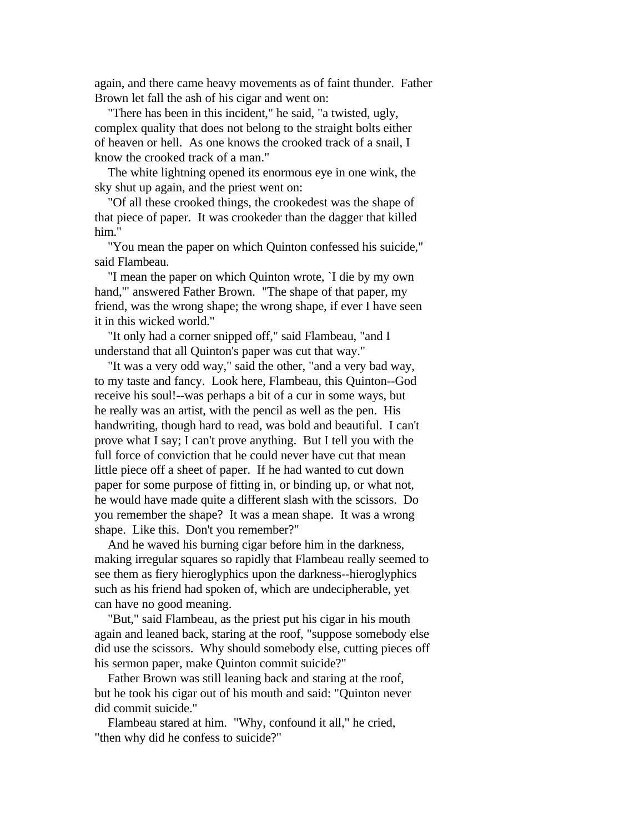again, and there came heavy movements as of faint thunder. Father Brown let fall the ash of his cigar and went on:

 "There has been in this incident," he said, "a twisted, ugly, complex quality that does not belong to the straight bolts either of heaven or hell. As one knows the crooked track of a snail, I know the crooked track of a man."

 The white lightning opened its enormous eye in one wink, the sky shut up again, and the priest went on:

 "Of all these crooked things, the crookedest was the shape of that piece of paper. It was crookeder than the dagger that killed him."

 "You mean the paper on which Quinton confessed his suicide," said Flambeau.

 "I mean the paper on which Quinton wrote, `I die by my own hand,'" answered Father Brown. "The shape of that paper, my friend, was the wrong shape; the wrong shape, if ever I have seen it in this wicked world."

 "It only had a corner snipped off," said Flambeau, "and I understand that all Quinton's paper was cut that way."

 "It was a very odd way," said the other, "and a very bad way, to my taste and fancy. Look here, Flambeau, this Quinton--God receive his soul!--was perhaps a bit of a cur in some ways, but he really was an artist, with the pencil as well as the pen. His handwriting, though hard to read, was bold and beautiful. I can't prove what I say; I can't prove anything. But I tell you with the full force of conviction that he could never have cut that mean little piece off a sheet of paper. If he had wanted to cut down paper for some purpose of fitting in, or binding up, or what not, he would have made quite a different slash with the scissors. Do you remember the shape? It was a mean shape. It was a wrong shape. Like this. Don't you remember?"

 And he waved his burning cigar before him in the darkness, making irregular squares so rapidly that Flambeau really seemed to see them as fiery hieroglyphics upon the darkness--hieroglyphics such as his friend had spoken of, which are undecipherable, yet can have no good meaning.

 "But," said Flambeau, as the priest put his cigar in his mouth again and leaned back, staring at the roof, "suppose somebody else did use the scissors. Why should somebody else, cutting pieces off his sermon paper, make Quinton commit suicide?"

 Father Brown was still leaning back and staring at the roof, but he took his cigar out of his mouth and said: "Quinton never did commit suicide."

 Flambeau stared at him. "Why, confound it all," he cried, "then why did he confess to suicide?"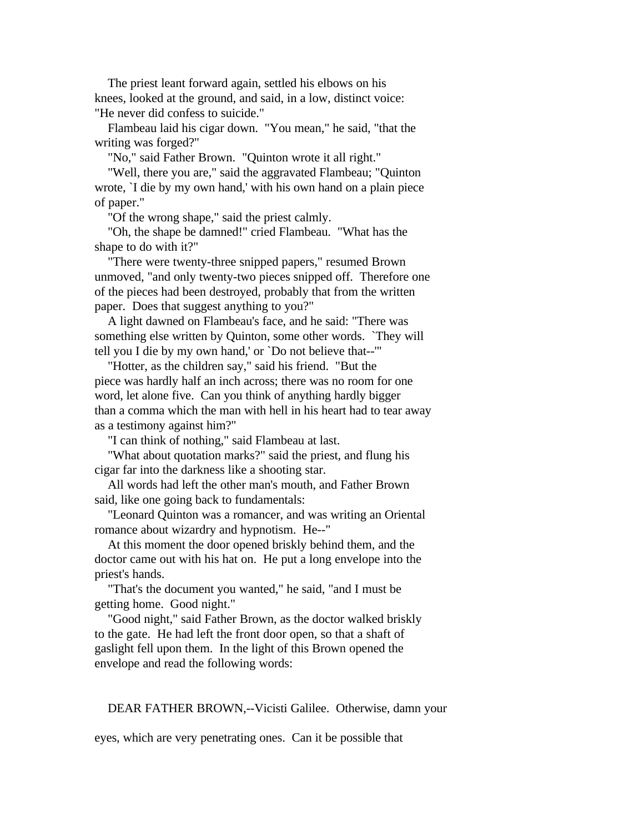The priest leant forward again, settled his elbows on his knees, looked at the ground, and said, in a low, distinct voice: "He never did confess to suicide."

 Flambeau laid his cigar down. "You mean," he said, "that the writing was forged?"

"No," said Father Brown. "Quinton wrote it all right."

 "Well, there you are," said the aggravated Flambeau; "Quinton wrote, `I die by my own hand,' with his own hand on a plain piece of paper."

"Of the wrong shape," said the priest calmly.

 "Oh, the shape be damned!" cried Flambeau. "What has the shape to do with it?"

 "There were twenty-three snipped papers," resumed Brown unmoved, "and only twenty-two pieces snipped off. Therefore one of the pieces had been destroyed, probably that from the written paper. Does that suggest anything to you?"

 A light dawned on Flambeau's face, and he said: "There was something else written by Quinton, some other words. `They will tell you I die by my own hand,' or `Do not believe that--'"

 "Hotter, as the children say," said his friend. "But the piece was hardly half an inch across; there was no room for one word, let alone five. Can you think of anything hardly bigger than a comma which the man with hell in his heart had to tear away as a testimony against him?"

"I can think of nothing," said Flambeau at last.

 "What about quotation marks?" said the priest, and flung his cigar far into the darkness like a shooting star.

 All words had left the other man's mouth, and Father Brown said, like one going back to fundamentals:

 "Leonard Quinton was a romancer, and was writing an Oriental romance about wizardry and hypnotism. He--"

 At this moment the door opened briskly behind them, and the doctor came out with his hat on. He put a long envelope into the priest's hands.

 "That's the document you wanted," he said, "and I must be getting home. Good night."

 "Good night," said Father Brown, as the doctor walked briskly to the gate. He had left the front door open, so that a shaft of gaslight fell upon them. In the light of this Brown opened the envelope and read the following words:

#### DEAR FATHER BROWN,--Vicisti Galilee. Otherwise, damn your

eyes, which are very penetrating ones. Can it be possible that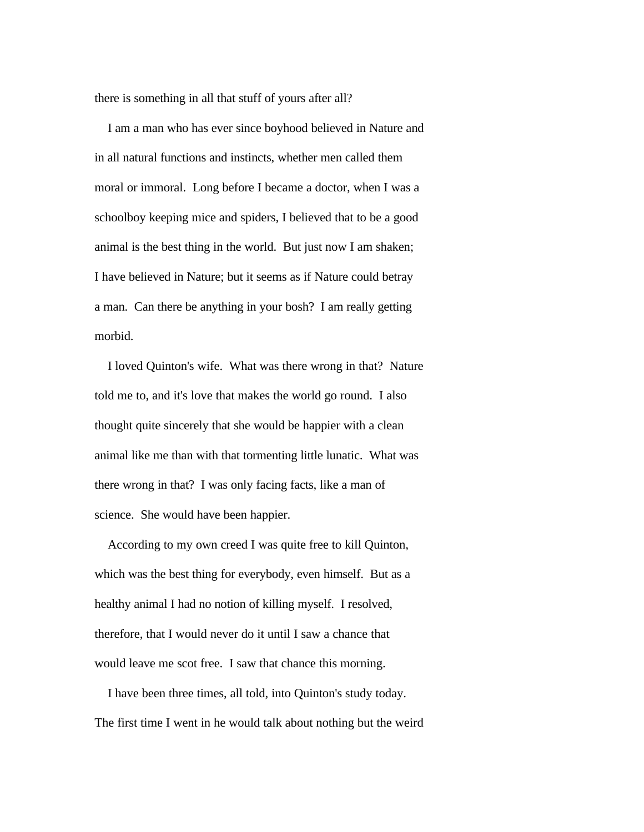there is something in all that stuff of yours after all?

 I am a man who has ever since boyhood believed in Nature and in all natural functions and instincts, whether men called them moral or immoral. Long before I became a doctor, when I was a schoolboy keeping mice and spiders, I believed that to be a good animal is the best thing in the world. But just now I am shaken; I have believed in Nature; but it seems as if Nature could betray a man. Can there be anything in your bosh? I am really getting morbid.

 I loved Quinton's wife. What was there wrong in that? Nature told me to, and it's love that makes the world go round. I also thought quite sincerely that she would be happier with a clean animal like me than with that tormenting little lunatic. What was there wrong in that? I was only facing facts, like a man of science. She would have been happier.

 According to my own creed I was quite free to kill Quinton, which was the best thing for everybody, even himself. But as a healthy animal I had no notion of killing myself. I resolved, therefore, that I would never do it until I saw a chance that would leave me scot free. I saw that chance this morning.

 I have been three times, all told, into Quinton's study today. The first time I went in he would talk about nothing but the weird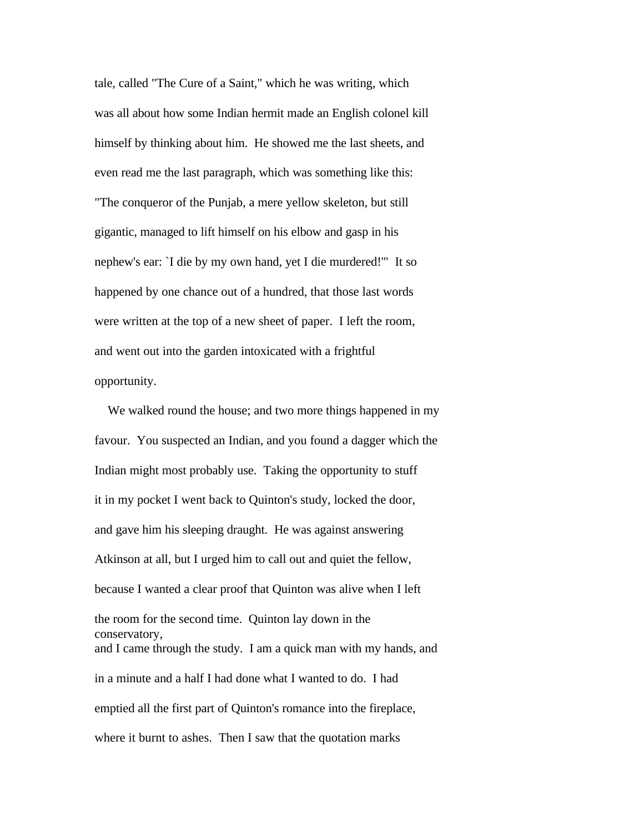tale, called "The Cure of a Saint," which he was writing, which was all about how some Indian hermit made an English colonel kill himself by thinking about him. He showed me the last sheets, and even read me the last paragraph, which was something like this: "The conqueror of the Punjab, a mere yellow skeleton, but still gigantic, managed to lift himself on his elbow and gasp in his nephew's ear: `I die by my own hand, yet I die murdered!'" It so happened by one chance out of a hundred, that those last words were written at the top of a new sheet of paper. I left the room, and went out into the garden intoxicated with a frightful opportunity.

 We walked round the house; and two more things happened in my favour. You suspected an Indian, and you found a dagger which the Indian might most probably use. Taking the opportunity to stuff it in my pocket I went back to Quinton's study, locked the door, and gave him his sleeping draught. He was against answering Atkinson at all, but I urged him to call out and quiet the fellow, because I wanted a clear proof that Quinton was alive when I left the room for the second time. Quinton lay down in the conservatory, and I came through the study. I am a quick man with my hands, and in a minute and a half I had done what I wanted to do. I had emptied all the first part of Quinton's romance into the fireplace, where it burnt to ashes. Then I saw that the quotation marks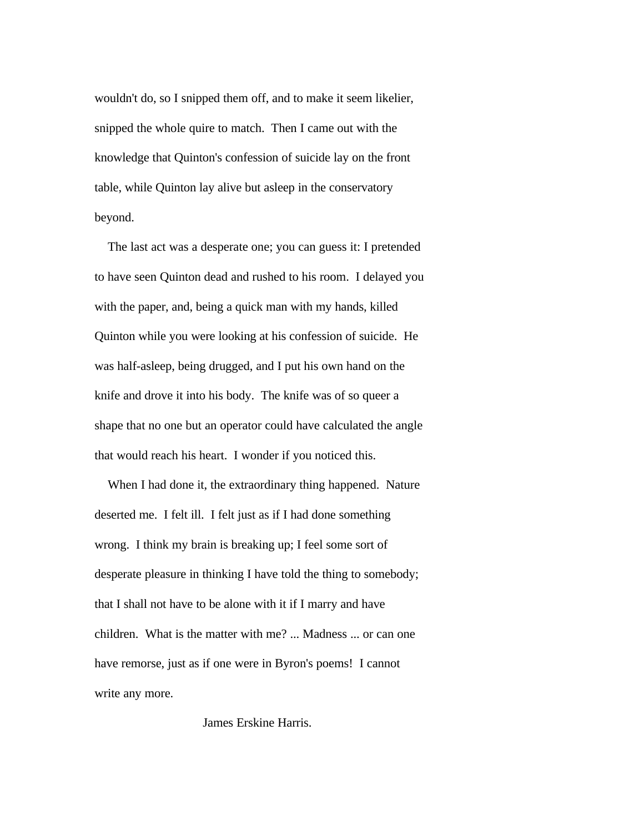wouldn't do, so I snipped them off, and to make it seem likelier, snipped the whole quire to match. Then I came out with the knowledge that Quinton's confession of suicide lay on the front table, while Quinton lay alive but asleep in the conservatory beyond.

 The last act was a desperate one; you can guess it: I pretended to have seen Quinton dead and rushed to his room. I delayed you with the paper, and, being a quick man with my hands, killed Quinton while you were looking at his confession of suicide. He was half-asleep, being drugged, and I put his own hand on the knife and drove it into his body. The knife was of so queer a shape that no one but an operator could have calculated the angle that would reach his heart. I wonder if you noticed this.

 When I had done it, the extraordinary thing happened. Nature deserted me. I felt ill. I felt just as if I had done something wrong. I think my brain is breaking up; I feel some sort of desperate pleasure in thinking I have told the thing to somebody; that I shall not have to be alone with it if I marry and have children. What is the matter with me? ... Madness ... or can one have remorse, just as if one were in Byron's poems! I cannot write any more.

# James Erskine Harris.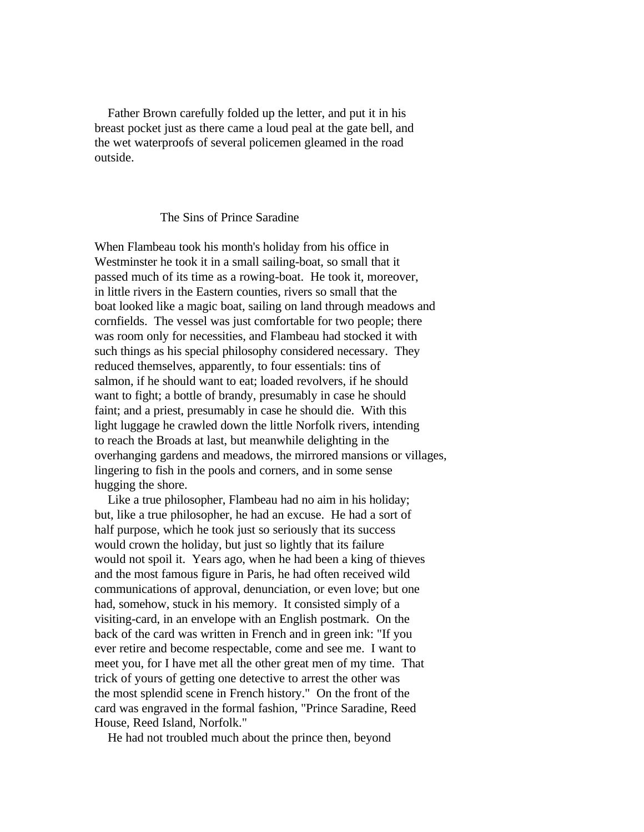Father Brown carefully folded up the letter, and put it in his breast pocket just as there came a loud peal at the gate bell, and the wet waterproofs of several policemen gleamed in the road outside.

### The Sins of Prince Saradine

When Flambeau took his month's holiday from his office in Westminster he took it in a small sailing-boat, so small that it passed much of its time as a rowing-boat. He took it, moreover, in little rivers in the Eastern counties, rivers so small that the boat looked like a magic boat, sailing on land through meadows and cornfields. The vessel was just comfortable for two people; there was room only for necessities, and Flambeau had stocked it with such things as his special philosophy considered necessary. They reduced themselves, apparently, to four essentials: tins of salmon, if he should want to eat; loaded revolvers, if he should want to fight; a bottle of brandy, presumably in case he should faint; and a priest, presumably in case he should die. With this light luggage he crawled down the little Norfolk rivers, intending to reach the Broads at last, but meanwhile delighting in the overhanging gardens and meadows, the mirrored mansions or villages, lingering to fish in the pools and corners, and in some sense hugging the shore.

 Like a true philosopher, Flambeau had no aim in his holiday; but, like a true philosopher, he had an excuse. He had a sort of half purpose, which he took just so seriously that its success would crown the holiday, but just so lightly that its failure would not spoil it. Years ago, when he had been a king of thieves and the most famous figure in Paris, he had often received wild communications of approval, denunciation, or even love; but one had, somehow, stuck in his memory. It consisted simply of a visiting-card, in an envelope with an English postmark. On the back of the card was written in French and in green ink: "If you ever retire and become respectable, come and see me. I want to meet you, for I have met all the other great men of my time. That trick of yours of getting one detective to arrest the other was the most splendid scene in French history." On the front of the card was engraved in the formal fashion, "Prince Saradine, Reed House, Reed Island, Norfolk."

He had not troubled much about the prince then, beyond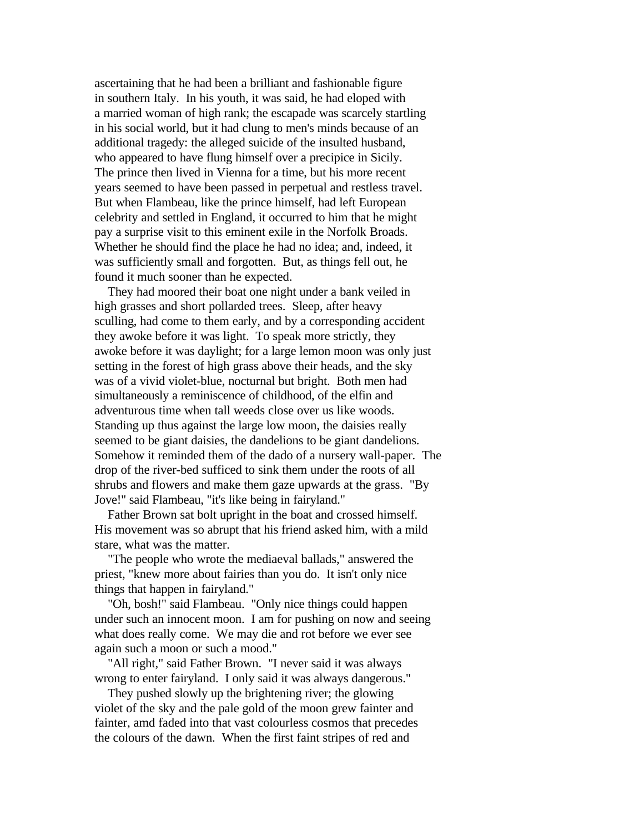ascertaining that he had been a brilliant and fashionable figure in southern Italy. In his youth, it was said, he had eloped with a married woman of high rank; the escapade was scarcely startling in his social world, but it had clung to men's minds because of an additional tragedy: the alleged suicide of the insulted husband, who appeared to have flung himself over a precipice in Sicily. The prince then lived in Vienna for a time, but his more recent years seemed to have been passed in perpetual and restless travel. But when Flambeau, like the prince himself, had left European celebrity and settled in England, it occurred to him that he might pay a surprise visit to this eminent exile in the Norfolk Broads. Whether he should find the place he had no idea; and, indeed, it was sufficiently small and forgotten. But, as things fell out, he found it much sooner than he expected.

 They had moored their boat one night under a bank veiled in high grasses and short pollarded trees. Sleep, after heavy sculling, had come to them early, and by a corresponding accident they awoke before it was light. To speak more strictly, they awoke before it was daylight; for a large lemon moon was only just setting in the forest of high grass above their heads, and the sky was of a vivid violet-blue, nocturnal but bright. Both men had simultaneously a reminiscence of childhood, of the elfin and adventurous time when tall weeds close over us like woods. Standing up thus against the large low moon, the daisies really seemed to be giant daisies, the dandelions to be giant dandelions. Somehow it reminded them of the dado of a nursery wall-paper. The drop of the river-bed sufficed to sink them under the roots of all shrubs and flowers and make them gaze upwards at the grass. "By Jove!" said Flambeau, "it's like being in fairyland."

 Father Brown sat bolt upright in the boat and crossed himself. His movement was so abrupt that his friend asked him, with a mild stare, what was the matter.

 "The people who wrote the mediaeval ballads," answered the priest, "knew more about fairies than you do. It isn't only nice things that happen in fairyland."

 "Oh, bosh!" said Flambeau. "Only nice things could happen under such an innocent moon. I am for pushing on now and seeing what does really come. We may die and rot before we ever see again such a moon or such a mood."

 "All right," said Father Brown. "I never said it was always wrong to enter fairyland. I only said it was always dangerous."

 They pushed slowly up the brightening river; the glowing violet of the sky and the pale gold of the moon grew fainter and fainter, amd faded into that vast colourless cosmos that precedes the colours of the dawn. When the first faint stripes of red and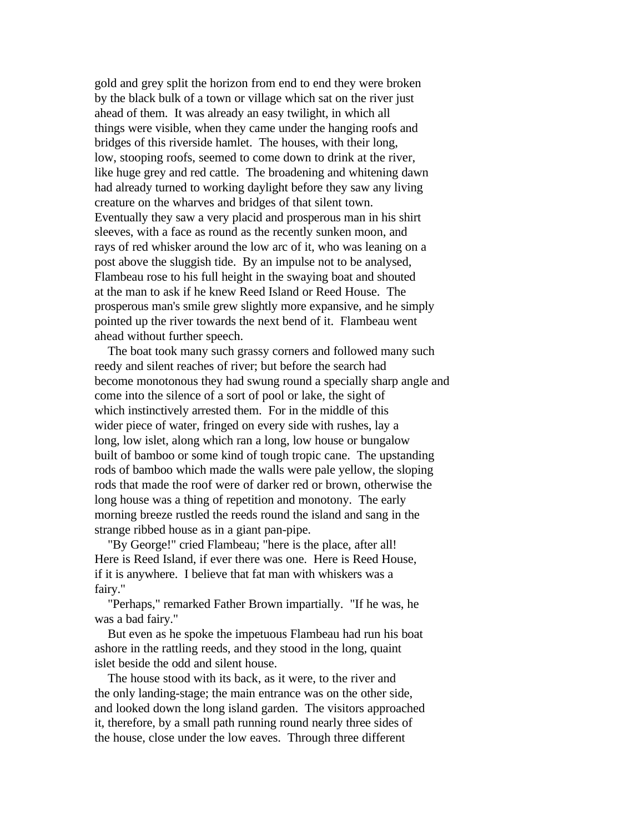gold and grey split the horizon from end to end they were broken by the black bulk of a town or village which sat on the river just ahead of them. It was already an easy twilight, in which all things were visible, when they came under the hanging roofs and bridges of this riverside hamlet. The houses, with their long, low, stooping roofs, seemed to come down to drink at the river, like huge grey and red cattle. The broadening and whitening dawn had already turned to working daylight before they saw any living creature on the wharves and bridges of that silent town. Eventually they saw a very placid and prosperous man in his shirt sleeves, with a face as round as the recently sunken moon, and rays of red whisker around the low arc of it, who was leaning on a post above the sluggish tide. By an impulse not to be analysed, Flambeau rose to his full height in the swaying boat and shouted at the man to ask if he knew Reed Island or Reed House. The prosperous man's smile grew slightly more expansive, and he simply pointed up the river towards the next bend of it. Flambeau went ahead without further speech.

 The boat took many such grassy corners and followed many such reedy and silent reaches of river; but before the search had become monotonous they had swung round a specially sharp angle and come into the silence of a sort of pool or lake, the sight of which instinctively arrested them. For in the middle of this wider piece of water, fringed on every side with rushes, lay a long, low islet, along which ran a long, low house or bungalow built of bamboo or some kind of tough tropic cane. The upstanding rods of bamboo which made the walls were pale yellow, the sloping rods that made the roof were of darker red or brown, otherwise the long house was a thing of repetition and monotony. The early morning breeze rustled the reeds round the island and sang in the strange ribbed house as in a giant pan-pipe.

 "By George!" cried Flambeau; "here is the place, after all! Here is Reed Island, if ever there was one. Here is Reed House, if it is anywhere. I believe that fat man with whiskers was a fairy."

 "Perhaps," remarked Father Brown impartially. "If he was, he was a bad fairy."

 But even as he spoke the impetuous Flambeau had run his boat ashore in the rattling reeds, and they stood in the long, quaint islet beside the odd and silent house.

 The house stood with its back, as it were, to the river and the only landing-stage; the main entrance was on the other side, and looked down the long island garden. The visitors approached it, therefore, by a small path running round nearly three sides of the house, close under the low eaves. Through three different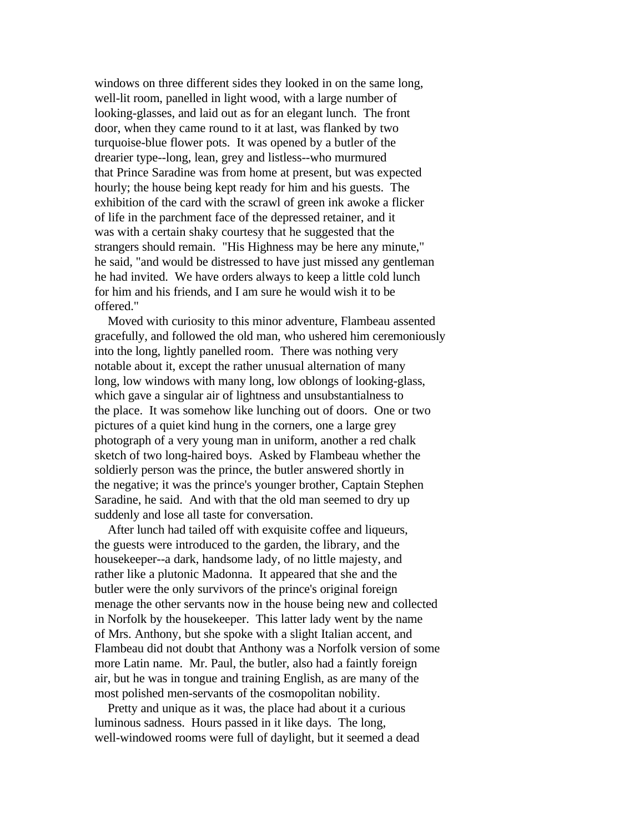windows on three different sides they looked in on the same long, well-lit room, panelled in light wood, with a large number of looking-glasses, and laid out as for an elegant lunch. The front door, when they came round to it at last, was flanked by two turquoise-blue flower pots. It was opened by a butler of the drearier type--long, lean, grey and listless--who murmured that Prince Saradine was from home at present, but was expected hourly; the house being kept ready for him and his guests. The exhibition of the card with the scrawl of green ink awoke a flicker of life in the parchment face of the depressed retainer, and it was with a certain shaky courtesy that he suggested that the strangers should remain. "His Highness may be here any minute," he said, "and would be distressed to have just missed any gentleman he had invited. We have orders always to keep a little cold lunch for him and his friends, and I am sure he would wish it to be offered."

 Moved with curiosity to this minor adventure, Flambeau assented gracefully, and followed the old man, who ushered him ceremoniously into the long, lightly panelled room. There was nothing very notable about it, except the rather unusual alternation of many long, low windows with many long, low oblongs of looking-glass, which gave a singular air of lightness and unsubstantialness to the place. It was somehow like lunching out of doors. One or two pictures of a quiet kind hung in the corners, one a large grey photograph of a very young man in uniform, another a red chalk sketch of two long-haired boys. Asked by Flambeau whether the soldierly person was the prince, the butler answered shortly in the negative; it was the prince's younger brother, Captain Stephen Saradine, he said. And with that the old man seemed to dry up suddenly and lose all taste for conversation.

 After lunch had tailed off with exquisite coffee and liqueurs, the guests were introduced to the garden, the library, and the housekeeper--a dark, handsome lady, of no little majesty, and rather like a plutonic Madonna. It appeared that she and the butler were the only survivors of the prince's original foreign menage the other servants now in the house being new and collected in Norfolk by the housekeeper. This latter lady went by the name of Mrs. Anthony, but she spoke with a slight Italian accent, and Flambeau did not doubt that Anthony was a Norfolk version of some more Latin name. Mr. Paul, the butler, also had a faintly foreign air, but he was in tongue and training English, as are many of the most polished men-servants of the cosmopolitan nobility.

 Pretty and unique as it was, the place had about it a curious luminous sadness. Hours passed in it like days. The long, well-windowed rooms were full of daylight, but it seemed a dead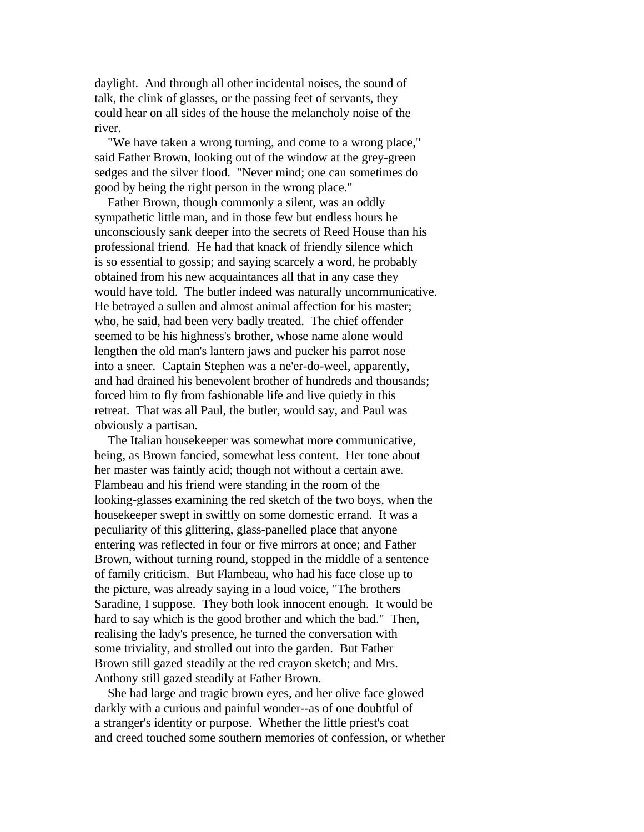daylight. And through all other incidental noises, the sound of talk, the clink of glasses, or the passing feet of servants, they could hear on all sides of the house the melancholy noise of the river.

 "We have taken a wrong turning, and come to a wrong place," said Father Brown, looking out of the window at the grey-green sedges and the silver flood. "Never mind; one can sometimes do good by being the right person in the wrong place."

 Father Brown, though commonly a silent, was an oddly sympathetic little man, and in those few but endless hours he unconsciously sank deeper into the secrets of Reed House than his professional friend. He had that knack of friendly silence which is so essential to gossip; and saying scarcely a word, he probably obtained from his new acquaintances all that in any case they would have told. The butler indeed was naturally uncommunicative. He betrayed a sullen and almost animal affection for his master; who, he said, had been very badly treated. The chief offender seemed to be his highness's brother, whose name alone would lengthen the old man's lantern jaws and pucker his parrot nose into a sneer. Captain Stephen was a ne'er-do-weel, apparently, and had drained his benevolent brother of hundreds and thousands; forced him to fly from fashionable life and live quietly in this retreat. That was all Paul, the butler, would say, and Paul was obviously a partisan.

 The Italian housekeeper was somewhat more communicative, being, as Brown fancied, somewhat less content. Her tone about her master was faintly acid; though not without a certain awe. Flambeau and his friend were standing in the room of the looking-glasses examining the red sketch of the two boys, when the housekeeper swept in swiftly on some domestic errand. It was a peculiarity of this glittering, glass-panelled place that anyone entering was reflected in four or five mirrors at once; and Father Brown, without turning round, stopped in the middle of a sentence of family criticism. But Flambeau, who had his face close up to the picture, was already saying in a loud voice, "The brothers Saradine, I suppose. They both look innocent enough. It would be hard to say which is the good brother and which the bad." Then, realising the lady's presence, he turned the conversation with some triviality, and strolled out into the garden. But Father Brown still gazed steadily at the red crayon sketch; and Mrs. Anthony still gazed steadily at Father Brown.

 She had large and tragic brown eyes, and her olive face glowed darkly with a curious and painful wonder--as of one doubtful of a stranger's identity or purpose. Whether the little priest's coat and creed touched some southern memories of confession, or whether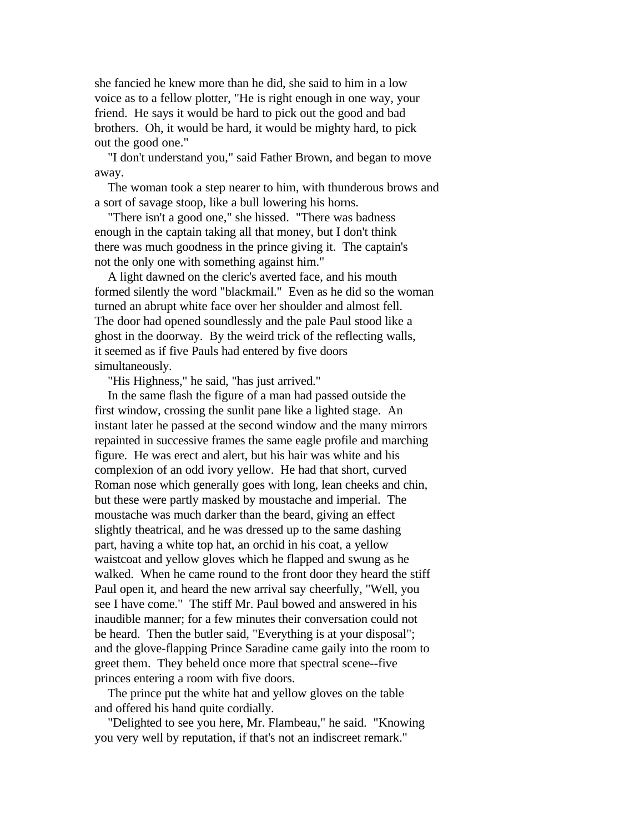she fancied he knew more than he did, she said to him in a low voice as to a fellow plotter, "He is right enough in one way, your friend. He says it would be hard to pick out the good and bad brothers. Oh, it would be hard, it would be mighty hard, to pick out the good one."

 "I don't understand you," said Father Brown, and began to move away.

 The woman took a step nearer to him, with thunderous brows and a sort of savage stoop, like a bull lowering his horns.

 "There isn't a good one," she hissed. "There was badness enough in the captain taking all that money, but I don't think there was much goodness in the prince giving it. The captain's not the only one with something against him."

 A light dawned on the cleric's averted face, and his mouth formed silently the word "blackmail." Even as he did so the woman turned an abrupt white face over her shoulder and almost fell. The door had opened soundlessly and the pale Paul stood like a ghost in the doorway. By the weird trick of the reflecting walls, it seemed as if five Pauls had entered by five doors simultaneously.

"His Highness," he said, "has just arrived."

 In the same flash the figure of a man had passed outside the first window, crossing the sunlit pane like a lighted stage. An instant later he passed at the second window and the many mirrors repainted in successive frames the same eagle profile and marching figure. He was erect and alert, but his hair was white and his complexion of an odd ivory yellow. He had that short, curved Roman nose which generally goes with long, lean cheeks and chin, but these were partly masked by moustache and imperial. The moustache was much darker than the beard, giving an effect slightly theatrical, and he was dressed up to the same dashing part, having a white top hat, an orchid in his coat, a yellow waistcoat and yellow gloves which he flapped and swung as he walked. When he came round to the front door they heard the stiff Paul open it, and heard the new arrival say cheerfully, "Well, you see I have come." The stiff Mr. Paul bowed and answered in his inaudible manner; for a few minutes their conversation could not be heard. Then the butler said, "Everything is at your disposal"; and the glove-flapping Prince Saradine came gaily into the room to greet them. They beheld once more that spectral scene--five princes entering a room with five doors.

 The prince put the white hat and yellow gloves on the table and offered his hand quite cordially.

 "Delighted to see you here, Mr. Flambeau," he said. "Knowing you very well by reputation, if that's not an indiscreet remark."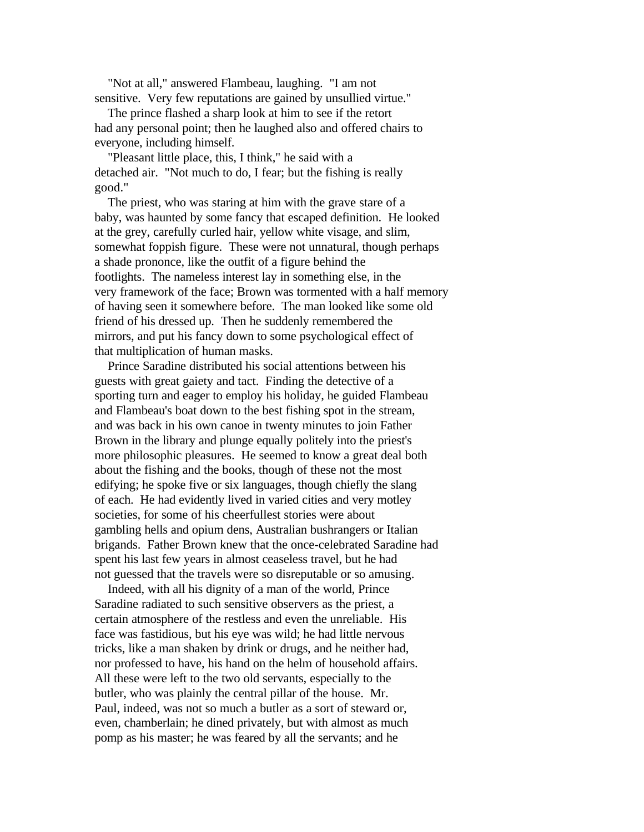"Not at all," answered Flambeau, laughing. "I am not sensitive. Very few reputations are gained by unsullied virtue."

 The prince flashed a sharp look at him to see if the retort had any personal point; then he laughed also and offered chairs to everyone, including himself.

 "Pleasant little place, this, I think," he said with a detached air. "Not much to do, I fear; but the fishing is really good."

 The priest, who was staring at him with the grave stare of a baby, was haunted by some fancy that escaped definition. He looked at the grey, carefully curled hair, yellow white visage, and slim, somewhat foppish figure. These were not unnatural, though perhaps a shade prononce, like the outfit of a figure behind the footlights. The nameless interest lay in something else, in the very framework of the face; Brown was tormented with a half memory of having seen it somewhere before. The man looked like some old friend of his dressed up. Then he suddenly remembered the mirrors, and put his fancy down to some psychological effect of that multiplication of human masks.

 Prince Saradine distributed his social attentions between his guests with great gaiety and tact. Finding the detective of a sporting turn and eager to employ his holiday, he guided Flambeau and Flambeau's boat down to the best fishing spot in the stream, and was back in his own canoe in twenty minutes to join Father Brown in the library and plunge equally politely into the priest's more philosophic pleasures. He seemed to know a great deal both about the fishing and the books, though of these not the most edifying; he spoke five or six languages, though chiefly the slang of each. He had evidently lived in varied cities and very motley societies, for some of his cheerfullest stories were about gambling hells and opium dens, Australian bushrangers or Italian brigands. Father Brown knew that the once-celebrated Saradine had spent his last few years in almost ceaseless travel, but he had not guessed that the travels were so disreputable or so amusing.

 Indeed, with all his dignity of a man of the world, Prince Saradine radiated to such sensitive observers as the priest, a certain atmosphere of the restless and even the unreliable. His face was fastidious, but his eye was wild; he had little nervous tricks, like a man shaken by drink or drugs, and he neither had, nor professed to have, his hand on the helm of household affairs. All these were left to the two old servants, especially to the butler, who was plainly the central pillar of the house. Mr. Paul, indeed, was not so much a butler as a sort of steward or, even, chamberlain; he dined privately, but with almost as much pomp as his master; he was feared by all the servants; and he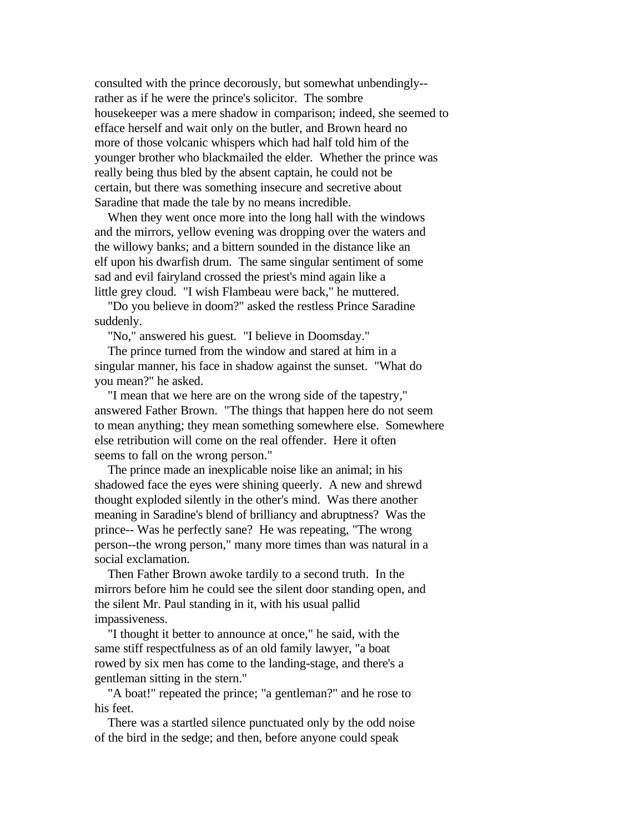consulted with the prince decorously, but somewhat unbendingly- rather as if he were the prince's solicitor. The sombre housekeeper was a mere shadow in comparison; indeed, she seemed to efface herself and wait only on the butler, and Brown heard no more of those volcanic whispers which had half told him of the younger brother who blackmailed the elder. Whether the prince was really being thus bled by the absent captain, he could not be certain, but there was something insecure and secretive about Saradine that made the tale by no means incredible.

 When they went once more into the long hall with the windows and the mirrors, yellow evening was dropping over the waters and the willowy banks; and a bittern sounded in the distance like an elf upon his dwarfish drum. The same singular sentiment of some sad and evil fairyland crossed the priest's mind again like a little grey cloud. "I wish Flambeau were back," he muttered.

 "Do you believe in doom?" asked the restless Prince Saradine suddenly.

"No," answered his guest. "I believe in Doomsday."

 The prince turned from the window and stared at him in a singular manner, his face in shadow against the sunset. "What do you mean?" he asked.

 "I mean that we here are on the wrong side of the tapestry," answered Father Brown. "The things that happen here do not seem to mean anything; they mean something somewhere else. Somewhere else retribution will come on the real offender. Here it often seems to fall on the wrong person."

 The prince made an inexplicable noise like an animal; in his shadowed face the eyes were shining queerly. A new and shrewd thought exploded silently in the other's mind. Was there another meaning in Saradine's blend of brilliancy and abruptness? Was the prince-- Was he perfectly sane? He was repeating, "The wrong person--the wrong person," many more times than was natural in a social exclamation.

 Then Father Brown awoke tardily to a second truth. In the mirrors before him he could see the silent door standing open, and the silent Mr. Paul standing in it, with his usual pallid impassiveness.

 "I thought it better to announce at once," he said, with the same stiff respectfulness as of an old family lawyer, "a boat rowed by six men has come to the landing-stage, and there's a gentleman sitting in the stern."

 "A boat!" repeated the prince; "a gentleman?" and he rose to his feet.

 There was a startled silence punctuated only by the odd noise of the bird in the sedge; and then, before anyone could speak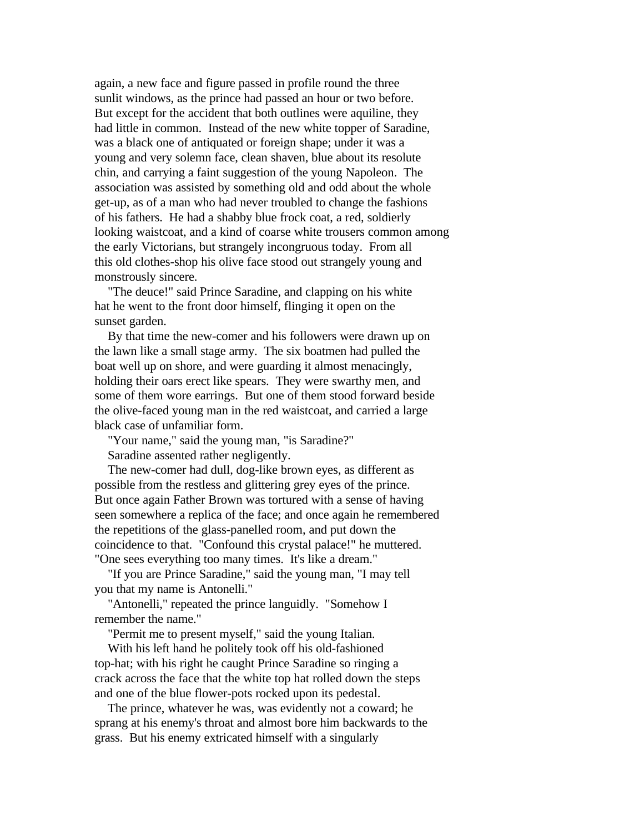again, a new face and figure passed in profile round the three sunlit windows, as the prince had passed an hour or two before. But except for the accident that both outlines were aquiline, they had little in common. Instead of the new white topper of Saradine, was a black one of antiquated or foreign shape; under it was a young and very solemn face, clean shaven, blue about its resolute chin, and carrying a faint suggestion of the young Napoleon. The association was assisted by something old and odd about the whole get-up, as of a man who had never troubled to change the fashions of his fathers. He had a shabby blue frock coat, a red, soldierly looking waistcoat, and a kind of coarse white trousers common among the early Victorians, but strangely incongruous today. From all this old clothes-shop his olive face stood out strangely young and monstrously sincere.

 "The deuce!" said Prince Saradine, and clapping on his white hat he went to the front door himself, flinging it open on the sunset garden.

 By that time the new-comer and his followers were drawn up on the lawn like a small stage army. The six boatmen had pulled the boat well up on shore, and were guarding it almost menacingly, holding their oars erect like spears. They were swarthy men, and some of them wore earrings. But one of them stood forward beside the olive-faced young man in the red waistcoat, and carried a large black case of unfamiliar form.

 "Your name," said the young man, "is Saradine?" Saradine assented rather negligently.

 The new-comer had dull, dog-like brown eyes, as different as possible from the restless and glittering grey eyes of the prince. But once again Father Brown was tortured with a sense of having seen somewhere a replica of the face; and once again he remembered the repetitions of the glass-panelled room, and put down the coincidence to that. "Confound this crystal palace!" he muttered. "One sees everything too many times. It's like a dream."

 "If you are Prince Saradine," said the young man, "I may tell you that my name is Antonelli."

 "Antonelli," repeated the prince languidly. "Somehow I remember the name."

"Permit me to present myself," said the young Italian.

 With his left hand he politely took off his old-fashioned top-hat; with his right he caught Prince Saradine so ringing a crack across the face that the white top hat rolled down the steps and one of the blue flower-pots rocked upon its pedestal.

 The prince, whatever he was, was evidently not a coward; he sprang at his enemy's throat and almost bore him backwards to the grass. But his enemy extricated himself with a singularly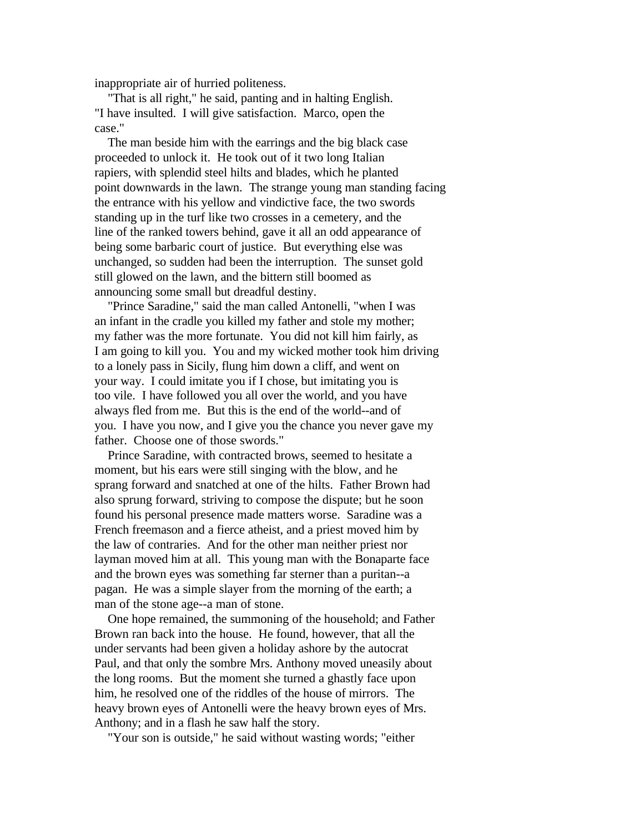inappropriate air of hurried politeness.

 "That is all right," he said, panting and in halting English. "I have insulted. I will give satisfaction. Marco, open the case."

 The man beside him with the earrings and the big black case proceeded to unlock it. He took out of it two long Italian rapiers, with splendid steel hilts and blades, which he planted point downwards in the lawn. The strange young man standing facing the entrance with his yellow and vindictive face, the two swords standing up in the turf like two crosses in a cemetery, and the line of the ranked towers behind, gave it all an odd appearance of being some barbaric court of justice. But everything else was unchanged, so sudden had been the interruption. The sunset gold still glowed on the lawn, and the bittern still boomed as announcing some small but dreadful destiny.

 "Prince Saradine," said the man called Antonelli, "when I was an infant in the cradle you killed my father and stole my mother; my father was the more fortunate. You did not kill him fairly, as I am going to kill you. You and my wicked mother took him driving to a lonely pass in Sicily, flung him down a cliff, and went on your way. I could imitate you if I chose, but imitating you is too vile. I have followed you all over the world, and you have always fled from me. But this is the end of the world--and of you. I have you now, and I give you the chance you never gave my father. Choose one of those swords."

 Prince Saradine, with contracted brows, seemed to hesitate a moment, but his ears were still singing with the blow, and he sprang forward and snatched at one of the hilts. Father Brown had also sprung forward, striving to compose the dispute; but he soon found his personal presence made matters worse. Saradine was a French freemason and a fierce atheist, and a priest moved him by the law of contraries. And for the other man neither priest nor layman moved him at all. This young man with the Bonaparte face and the brown eyes was something far sterner than a puritan--a pagan. He was a simple slayer from the morning of the earth; a man of the stone age--a man of stone.

 One hope remained, the summoning of the household; and Father Brown ran back into the house. He found, however, that all the under servants had been given a holiday ashore by the autocrat Paul, and that only the sombre Mrs. Anthony moved uneasily about the long rooms. But the moment she turned a ghastly face upon him, he resolved one of the riddles of the house of mirrors. The heavy brown eyes of Antonelli were the heavy brown eyes of Mrs. Anthony; and in a flash he saw half the story.

"Your son is outside," he said without wasting words; "either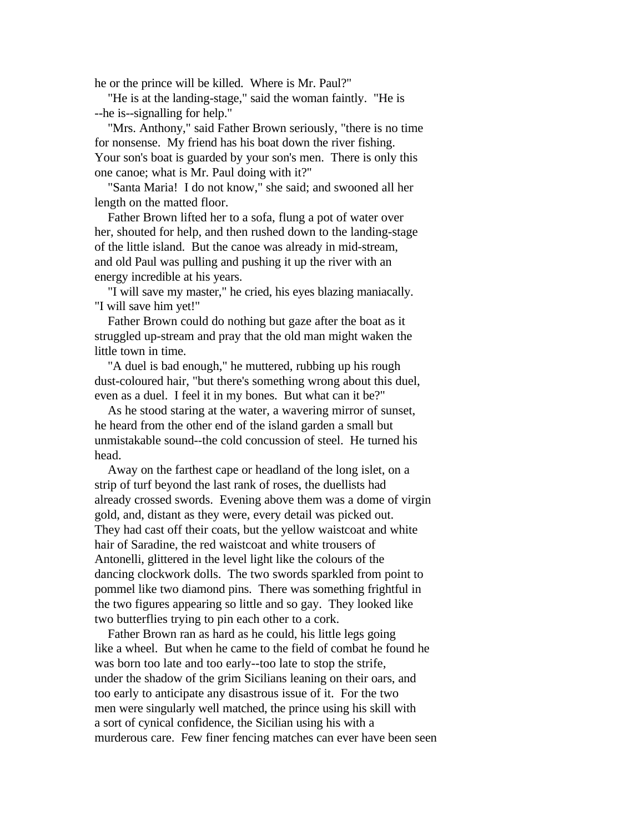he or the prince will be killed. Where is Mr. Paul?"

 "He is at the landing-stage," said the woman faintly. "He is --he is--signalling for help."

 "Mrs. Anthony," said Father Brown seriously, "there is no time for nonsense. My friend has his boat down the river fishing. Your son's boat is guarded by your son's men. There is only this one canoe; what is Mr. Paul doing with it?"

 "Santa Maria! I do not know," she said; and swooned all her length on the matted floor.

 Father Brown lifted her to a sofa, flung a pot of water over her, shouted for help, and then rushed down to the landing-stage of the little island. But the canoe was already in mid-stream, and old Paul was pulling and pushing it up the river with an energy incredible at his years.

 "I will save my master," he cried, his eyes blazing maniacally. "I will save him yet!"

 Father Brown could do nothing but gaze after the boat as it struggled up-stream and pray that the old man might waken the little town in time.

 "A duel is bad enough," he muttered, rubbing up his rough dust-coloured hair, "but there's something wrong about this duel, even as a duel. I feel it in my bones. But what can it be?"

 As he stood staring at the water, a wavering mirror of sunset, he heard from the other end of the island garden a small but unmistakable sound--the cold concussion of steel. He turned his head.

 Away on the farthest cape or headland of the long islet, on a strip of turf beyond the last rank of roses, the duellists had already crossed swords. Evening above them was a dome of virgin gold, and, distant as they were, every detail was picked out. They had cast off their coats, but the yellow waistcoat and white hair of Saradine, the red waistcoat and white trousers of Antonelli, glittered in the level light like the colours of the dancing clockwork dolls. The two swords sparkled from point to pommel like two diamond pins. There was something frightful in the two figures appearing so little and so gay. They looked like two butterflies trying to pin each other to a cork.

 Father Brown ran as hard as he could, his little legs going like a wheel. But when he came to the field of combat he found he was born too late and too early--too late to stop the strife, under the shadow of the grim Sicilians leaning on their oars, and too early to anticipate any disastrous issue of it. For the two men were singularly well matched, the prince using his skill with a sort of cynical confidence, the Sicilian using his with a murderous care. Few finer fencing matches can ever have been seen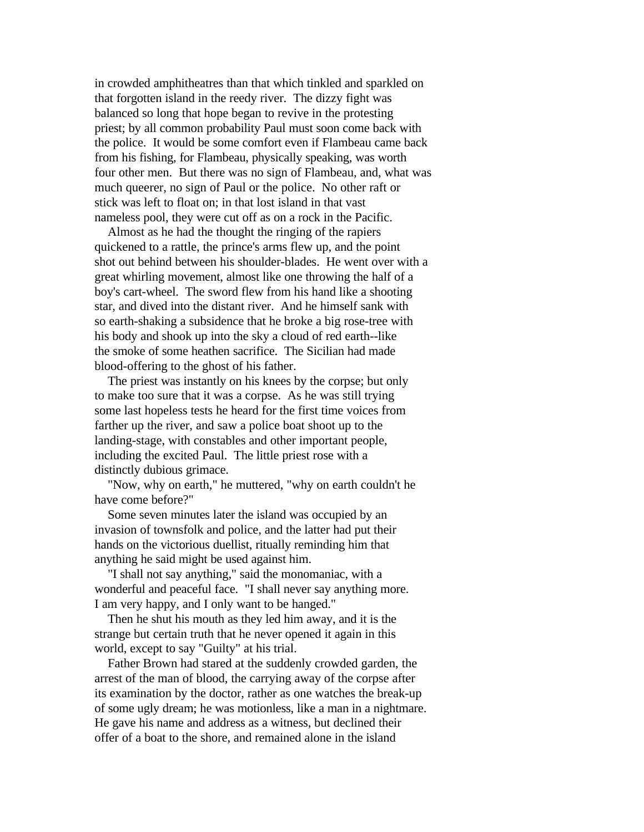in crowded amphitheatres than that which tinkled and sparkled on that forgotten island in the reedy river. The dizzy fight was balanced so long that hope began to revive in the protesting priest; by all common probability Paul must soon come back with the police. It would be some comfort even if Flambeau came back from his fishing, for Flambeau, physically speaking, was worth four other men. But there was no sign of Flambeau, and, what was much queerer, no sign of Paul or the police. No other raft or stick was left to float on; in that lost island in that vast nameless pool, they were cut off as on a rock in the Pacific.

 Almost as he had the thought the ringing of the rapiers quickened to a rattle, the prince's arms flew up, and the point shot out behind between his shoulder-blades. He went over with a great whirling movement, almost like one throwing the half of a boy's cart-wheel. The sword flew from his hand like a shooting star, and dived into the distant river. And he himself sank with so earth-shaking a subsidence that he broke a big rose-tree with his body and shook up into the sky a cloud of red earth--like the smoke of some heathen sacrifice. The Sicilian had made blood-offering to the ghost of his father.

 The priest was instantly on his knees by the corpse; but only to make too sure that it was a corpse. As he was still trying some last hopeless tests he heard for the first time voices from farther up the river, and saw a police boat shoot up to the landing-stage, with constables and other important people, including the excited Paul. The little priest rose with a distinctly dubious grimace.

 "Now, why on earth," he muttered, "why on earth couldn't he have come before?"

 Some seven minutes later the island was occupied by an invasion of townsfolk and police, and the latter had put their hands on the victorious duellist, ritually reminding him that anything he said might be used against him.

 "I shall not say anything," said the monomaniac, with a wonderful and peaceful face. "I shall never say anything more. I am very happy, and I only want to be hanged."

 Then he shut his mouth as they led him away, and it is the strange but certain truth that he never opened it again in this world, except to say "Guilty" at his trial.

 Father Brown had stared at the suddenly crowded garden, the arrest of the man of blood, the carrying away of the corpse after its examination by the doctor, rather as one watches the break-up of some ugly dream; he was motionless, like a man in a nightmare. He gave his name and address as a witness, but declined their offer of a boat to the shore, and remained alone in the island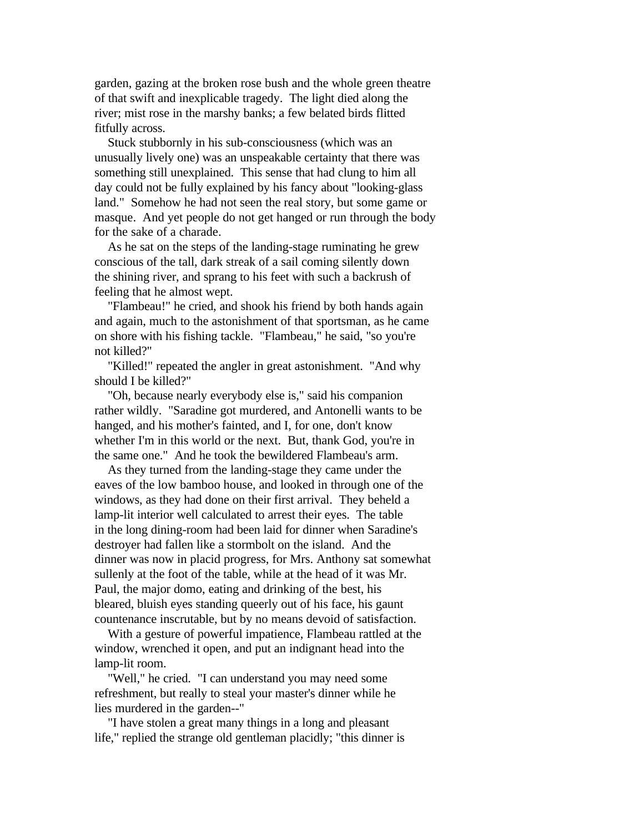garden, gazing at the broken rose bush and the whole green theatre of that swift and inexplicable tragedy. The light died along the river; mist rose in the marshy banks; a few belated birds flitted fitfully across.

 Stuck stubbornly in his sub-consciousness (which was an unusually lively one) was an unspeakable certainty that there was something still unexplained. This sense that had clung to him all day could not be fully explained by his fancy about "looking-glass land." Somehow he had not seen the real story, but some game or masque. And yet people do not get hanged or run through the body for the sake of a charade.

 As he sat on the steps of the landing-stage ruminating he grew conscious of the tall, dark streak of a sail coming silently down the shining river, and sprang to his feet with such a backrush of feeling that he almost wept.

 "Flambeau!" he cried, and shook his friend by both hands again and again, much to the astonishment of that sportsman, as he came on shore with his fishing tackle. "Flambeau," he said, "so you're not killed?"

 "Killed!" repeated the angler in great astonishment. "And why should I be killed?"

 "Oh, because nearly everybody else is," said his companion rather wildly. "Saradine got murdered, and Antonelli wants to be hanged, and his mother's fainted, and I, for one, don't know whether I'm in this world or the next. But, thank God, you're in the same one." And he took the bewildered Flambeau's arm.

 As they turned from the landing-stage they came under the eaves of the low bamboo house, and looked in through one of the windows, as they had done on their first arrival. They beheld a lamp-lit interior well calculated to arrest their eyes. The table in the long dining-room had been laid for dinner when Saradine's destroyer had fallen like a stormbolt on the island. And the dinner was now in placid progress, for Mrs. Anthony sat somewhat sullenly at the foot of the table, while at the head of it was Mr. Paul, the major domo, eating and drinking of the best, his bleared, bluish eyes standing queerly out of his face, his gaunt countenance inscrutable, but by no means devoid of satisfaction.

 With a gesture of powerful impatience, Flambeau rattled at the window, wrenched it open, and put an indignant head into the lamp-lit room.

 "Well," he cried. "I can understand you may need some refreshment, but really to steal your master's dinner while he lies murdered in the garden--"

 "I have stolen a great many things in a long and pleasant life," replied the strange old gentleman placidly; "this dinner is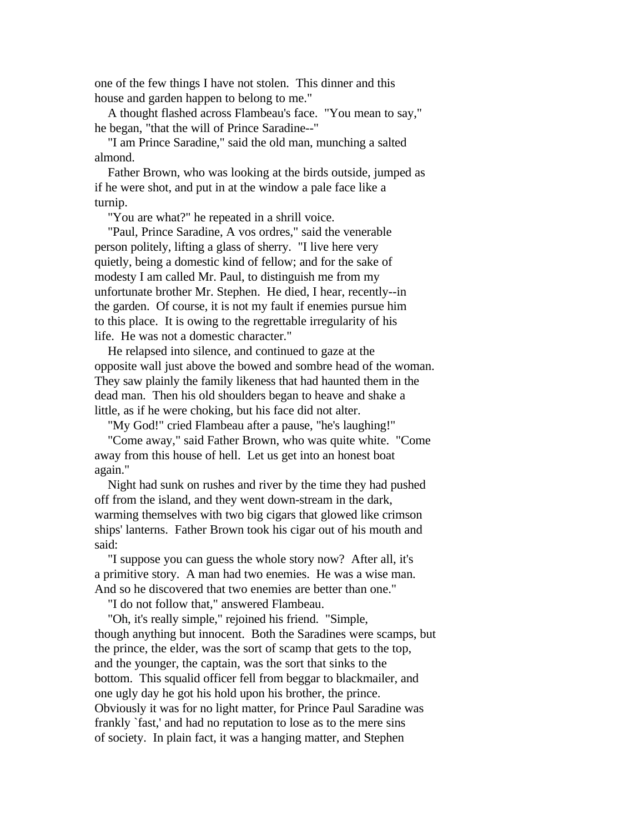one of the few things I have not stolen. This dinner and this house and garden happen to belong to me."

 A thought flashed across Flambeau's face. "You mean to say," he began, "that the will of Prince Saradine--"

 "I am Prince Saradine," said the old man, munching a salted almond.

 Father Brown, who was looking at the birds outside, jumped as if he were shot, and put in at the window a pale face like a turnip.

"You are what?" he repeated in a shrill voice.

 "Paul, Prince Saradine, A vos ordres," said the venerable person politely, lifting a glass of sherry. "I live here very quietly, being a domestic kind of fellow; and for the sake of modesty I am called Mr. Paul, to distinguish me from my unfortunate brother Mr. Stephen. He died, I hear, recently--in the garden. Of course, it is not my fault if enemies pursue him to this place. It is owing to the regrettable irregularity of his life. He was not a domestic character."

 He relapsed into silence, and continued to gaze at the opposite wall just above the bowed and sombre head of the woman. They saw plainly the family likeness that had haunted them in the dead man. Then his old shoulders began to heave and shake a little, as if he were choking, but his face did not alter.

"My God!" cried Flambeau after a pause, "he's laughing!"

 "Come away," said Father Brown, who was quite white. "Come away from this house of hell. Let us get into an honest boat again."

 Night had sunk on rushes and river by the time they had pushed off from the island, and they went down-stream in the dark, warming themselves with two big cigars that glowed like crimson ships' lanterns. Father Brown took his cigar out of his mouth and said:

 "I suppose you can guess the whole story now? After all, it's a primitive story. A man had two enemies. He was a wise man. And so he discovered that two enemies are better than one."

"I do not follow that," answered Flambeau.

 "Oh, it's really simple," rejoined his friend. "Simple, though anything but innocent. Both the Saradines were scamps, but the prince, the elder, was the sort of scamp that gets to the top, and the younger, the captain, was the sort that sinks to the bottom. This squalid officer fell from beggar to blackmailer, and one ugly day he got his hold upon his brother, the prince. Obviously it was for no light matter, for Prince Paul Saradine was frankly `fast,' and had no reputation to lose as to the mere sins of society. In plain fact, it was a hanging matter, and Stephen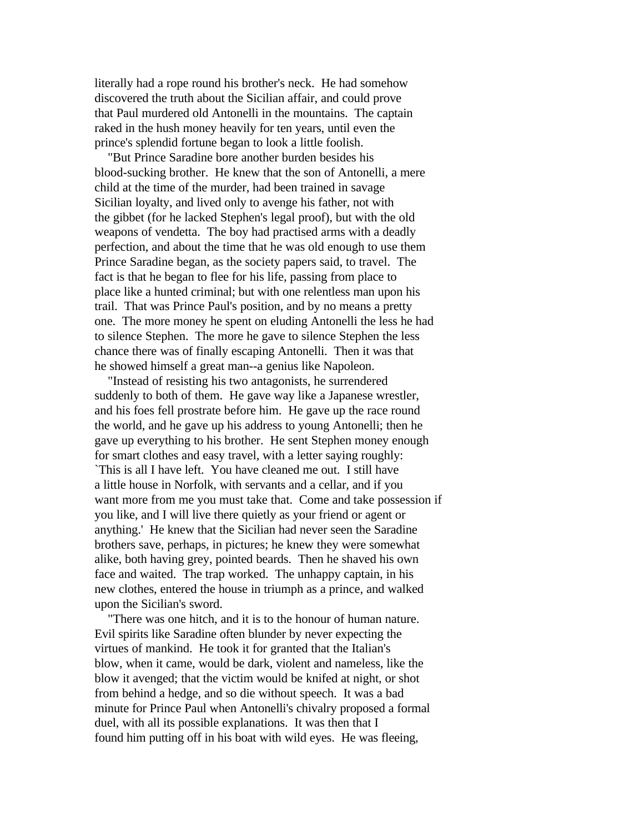literally had a rope round his brother's neck. He had somehow discovered the truth about the Sicilian affair, and could prove that Paul murdered old Antonelli in the mountains. The captain raked in the hush money heavily for ten years, until even the prince's splendid fortune began to look a little foolish.

 "But Prince Saradine bore another burden besides his blood-sucking brother. He knew that the son of Antonelli, a mere child at the time of the murder, had been trained in savage Sicilian loyalty, and lived only to avenge his father, not with the gibbet (for he lacked Stephen's legal proof), but with the old weapons of vendetta. The boy had practised arms with a deadly perfection, and about the time that he was old enough to use them Prince Saradine began, as the society papers said, to travel. The fact is that he began to flee for his life, passing from place to place like a hunted criminal; but with one relentless man upon his trail. That was Prince Paul's position, and by no means a pretty one. The more money he spent on eluding Antonelli the less he had to silence Stephen. The more he gave to silence Stephen the less chance there was of finally escaping Antonelli. Then it was that he showed himself a great man--a genius like Napoleon.

 "Instead of resisting his two antagonists, he surrendered suddenly to both of them. He gave way like a Japanese wrestler, and his foes fell prostrate before him. He gave up the race round the world, and he gave up his address to young Antonelli; then he gave up everything to his brother. He sent Stephen money enough for smart clothes and easy travel, with a letter saying roughly: `This is all I have left. You have cleaned me out. I still have a little house in Norfolk, with servants and a cellar, and if you want more from me you must take that. Come and take possession if you like, and I will live there quietly as your friend or agent or anything.' He knew that the Sicilian had never seen the Saradine brothers save, perhaps, in pictures; he knew they were somewhat alike, both having grey, pointed beards. Then he shaved his own face and waited. The trap worked. The unhappy captain, in his new clothes, entered the house in triumph as a prince, and walked upon the Sicilian's sword.

 "There was one hitch, and it is to the honour of human nature. Evil spirits like Saradine often blunder by never expecting the virtues of mankind. He took it for granted that the Italian's blow, when it came, would be dark, violent and nameless, like the blow it avenged; that the victim would be knifed at night, or shot from behind a hedge, and so die without speech. It was a bad minute for Prince Paul when Antonelli's chivalry proposed a formal duel, with all its possible explanations. It was then that I found him putting off in his boat with wild eyes. He was fleeing,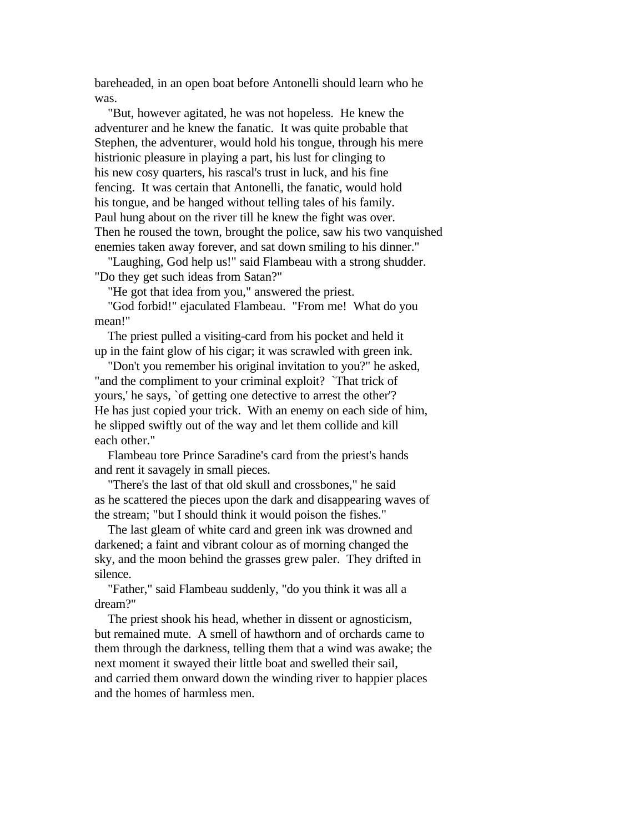bareheaded, in an open boat before Antonelli should learn who he was.

 "But, however agitated, he was not hopeless. He knew the adventurer and he knew the fanatic. It was quite probable that Stephen, the adventurer, would hold his tongue, through his mere histrionic pleasure in playing a part, his lust for clinging to his new cosy quarters, his rascal's trust in luck, and his fine fencing. It was certain that Antonelli, the fanatic, would hold his tongue, and be hanged without telling tales of his family. Paul hung about on the river till he knew the fight was over. Then he roused the town, brought the police, saw his two vanquished enemies taken away forever, and sat down smiling to his dinner."

 "Laughing, God help us!" said Flambeau with a strong shudder. "Do they get such ideas from Satan?"

"He got that idea from you," answered the priest.

 "God forbid!" ejaculated Flambeau. "From me! What do you mean!"

 The priest pulled a visiting-card from his pocket and held it up in the faint glow of his cigar; it was scrawled with green ink.

 "Don't you remember his original invitation to you?" he asked, "and the compliment to your criminal exploit? `That trick of yours,' he says, `of getting one detective to arrest the other'? He has just copied your trick. With an enemy on each side of him, he slipped swiftly out of the way and let them collide and kill each other."

 Flambeau tore Prince Saradine's card from the priest's hands and rent it savagely in small pieces.

 "There's the last of that old skull and crossbones," he said as he scattered the pieces upon the dark and disappearing waves of the stream; "but I should think it would poison the fishes."

 The last gleam of white card and green ink was drowned and darkened; a faint and vibrant colour as of morning changed the sky, and the moon behind the grasses grew paler. They drifted in silence.

 "Father," said Flambeau suddenly, "do you think it was all a dream?"

 The priest shook his head, whether in dissent or agnosticism, but remained mute. A smell of hawthorn and of orchards came to them through the darkness, telling them that a wind was awake; the next moment it swayed their little boat and swelled their sail, and carried them onward down the winding river to happier places and the homes of harmless men.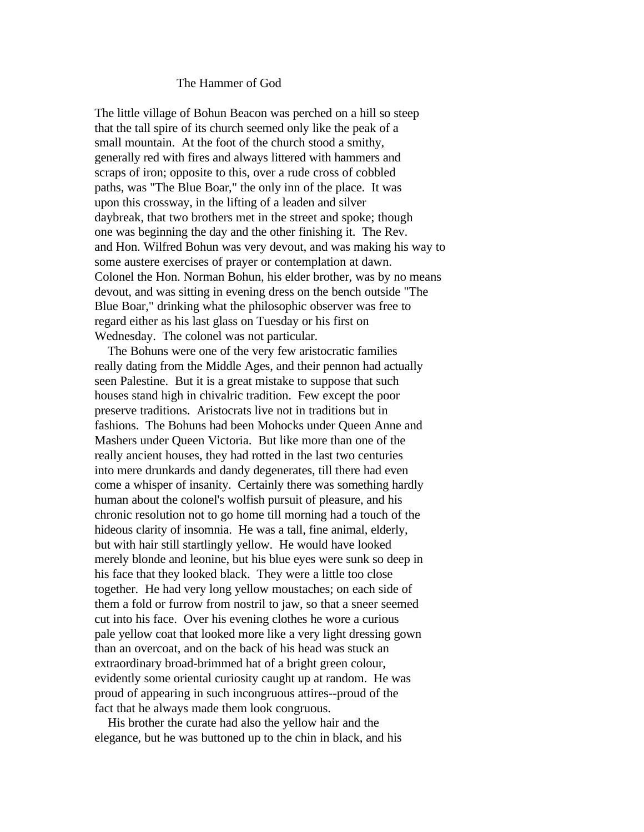## The Hammer of God

The little village of Bohun Beacon was perched on a hill so steep that the tall spire of its church seemed only like the peak of a small mountain. At the foot of the church stood a smithy, generally red with fires and always littered with hammers and scraps of iron; opposite to this, over a rude cross of cobbled paths, was "The Blue Boar," the only inn of the place. It was upon this crossway, in the lifting of a leaden and silver daybreak, that two brothers met in the street and spoke; though one was beginning the day and the other finishing it. The Rev. and Hon. Wilfred Bohun was very devout, and was making his way to some austere exercises of prayer or contemplation at dawn. Colonel the Hon. Norman Bohun, his elder brother, was by no means devout, and was sitting in evening dress on the bench outside "The Blue Boar," drinking what the philosophic observer was free to regard either as his last glass on Tuesday or his first on Wednesday. The colonel was not particular.

 The Bohuns were one of the very few aristocratic families really dating from the Middle Ages, and their pennon had actually seen Palestine. But it is a great mistake to suppose that such houses stand high in chivalric tradition. Few except the poor preserve traditions. Aristocrats live not in traditions but in fashions. The Bohuns had been Mohocks under Queen Anne and Mashers under Queen Victoria. But like more than one of the really ancient houses, they had rotted in the last two centuries into mere drunkards and dandy degenerates, till there had even come a whisper of insanity. Certainly there was something hardly human about the colonel's wolfish pursuit of pleasure, and his chronic resolution not to go home till morning had a touch of the hideous clarity of insomnia. He was a tall, fine animal, elderly, but with hair still startlingly yellow. He would have looked merely blonde and leonine, but his blue eyes were sunk so deep in his face that they looked black. They were a little too close together. He had very long yellow moustaches; on each side of them a fold or furrow from nostril to jaw, so that a sneer seemed cut into his face. Over his evening clothes he wore a curious pale yellow coat that looked more like a very light dressing gown than an overcoat, and on the back of his head was stuck an extraordinary broad-brimmed hat of a bright green colour, evidently some oriental curiosity caught up at random. He was proud of appearing in such incongruous attires--proud of the fact that he always made them look congruous.

 His brother the curate had also the yellow hair and the elegance, but he was buttoned up to the chin in black, and his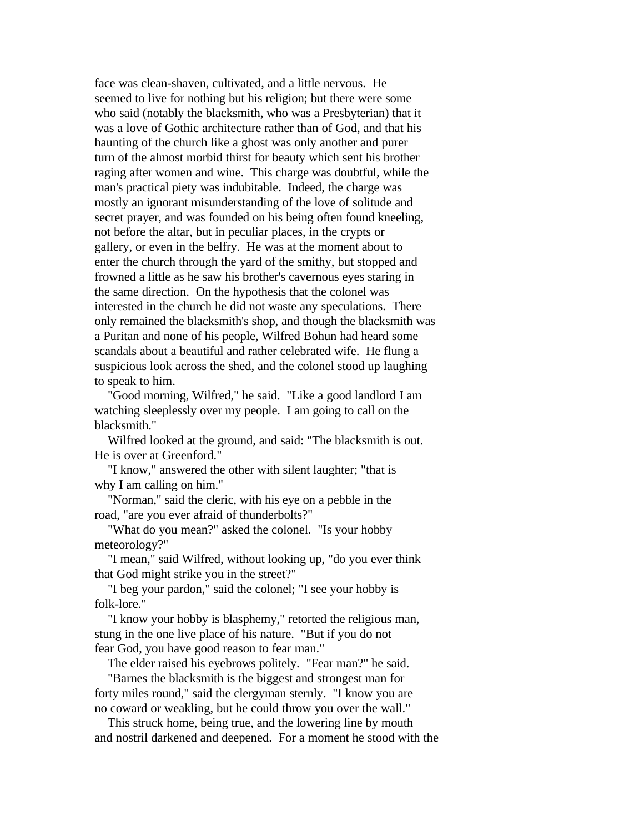face was clean-shaven, cultivated, and a little nervous. He seemed to live for nothing but his religion; but there were some who said (notably the blacksmith, who was a Presbyterian) that it was a love of Gothic architecture rather than of God, and that his haunting of the church like a ghost was only another and purer turn of the almost morbid thirst for beauty which sent his brother raging after women and wine. This charge was doubtful, while the man's practical piety was indubitable. Indeed, the charge was mostly an ignorant misunderstanding of the love of solitude and secret prayer, and was founded on his being often found kneeling, not before the altar, but in peculiar places, in the crypts or gallery, or even in the belfry. He was at the moment about to enter the church through the yard of the smithy, but stopped and frowned a little as he saw his brother's cavernous eyes staring in the same direction. On the hypothesis that the colonel was interested in the church he did not waste any speculations. There only remained the blacksmith's shop, and though the blacksmith was a Puritan and none of his people, Wilfred Bohun had heard some scandals about a beautiful and rather celebrated wife. He flung a suspicious look across the shed, and the colonel stood up laughing to speak to him.

 "Good morning, Wilfred," he said. "Like a good landlord I am watching sleeplessly over my people. I am going to call on the blacksmith."

 Wilfred looked at the ground, and said: "The blacksmith is out. He is over at Greenford."

 "I know," answered the other with silent laughter; "that is why I am calling on him."

 "Norman," said the cleric, with his eye on a pebble in the road, "are you ever afraid of thunderbolts?"

 "What do you mean?" asked the colonel. "Is your hobby meteorology?"

 "I mean," said Wilfred, without looking up, "do you ever think that God might strike you in the street?"

 "I beg your pardon," said the colonel; "I see your hobby is folk-lore."

 "I know your hobby is blasphemy," retorted the religious man, stung in the one live place of his nature. "But if you do not fear God, you have good reason to fear man."

The elder raised his eyebrows politely. "Fear man?" he said.

 "Barnes the blacksmith is the biggest and strongest man for forty miles round," said the clergyman sternly. "I know you are no coward or weakling, but he could throw you over the wall."

 This struck home, being true, and the lowering line by mouth and nostril darkened and deepened. For a moment he stood with the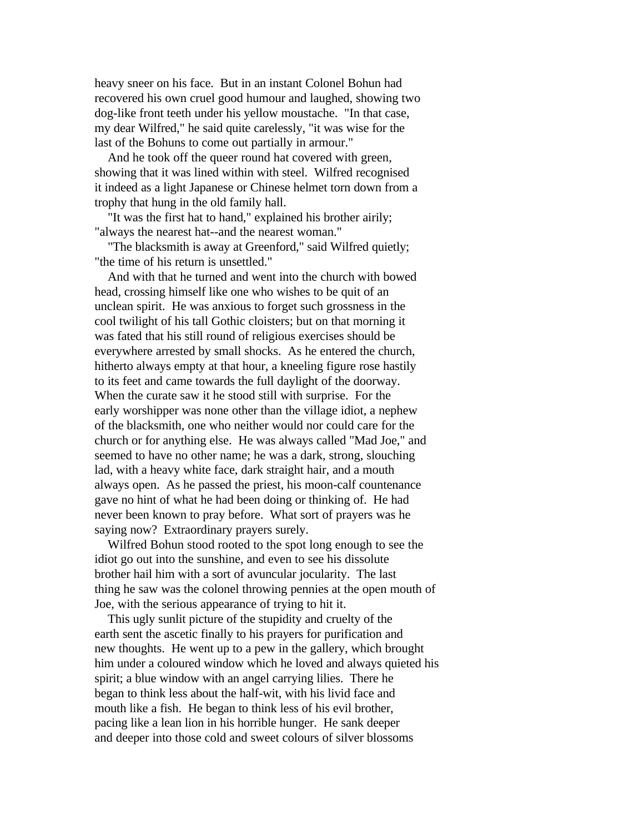heavy sneer on his face. But in an instant Colonel Bohun had recovered his own cruel good humour and laughed, showing two dog-like front teeth under his yellow moustache. "In that case, my dear Wilfred," he said quite carelessly, "it was wise for the last of the Bohuns to come out partially in armour."

 And he took off the queer round hat covered with green, showing that it was lined within with steel. Wilfred recognised it indeed as a light Japanese or Chinese helmet torn down from a trophy that hung in the old family hall.

 "It was the first hat to hand," explained his brother airily; "always the nearest hat--and the nearest woman."

 "The blacksmith is away at Greenford," said Wilfred quietly; "the time of his return is unsettled."

 And with that he turned and went into the church with bowed head, crossing himself like one who wishes to be quit of an unclean spirit. He was anxious to forget such grossness in the cool twilight of his tall Gothic cloisters; but on that morning it was fated that his still round of religious exercises should be everywhere arrested by small shocks. As he entered the church, hitherto always empty at that hour, a kneeling figure rose hastily to its feet and came towards the full daylight of the doorway. When the curate saw it he stood still with surprise. For the early worshipper was none other than the village idiot, a nephew of the blacksmith, one who neither would nor could care for the church or for anything else. He was always called "Mad Joe," and seemed to have no other name; he was a dark, strong, slouching lad, with a heavy white face, dark straight hair, and a mouth always open. As he passed the priest, his moon-calf countenance gave no hint of what he had been doing or thinking of. He had never been known to pray before. What sort of prayers was he saying now? Extraordinary prayers surely.

 Wilfred Bohun stood rooted to the spot long enough to see the idiot go out into the sunshine, and even to see his dissolute brother hail him with a sort of avuncular jocularity. The last thing he saw was the colonel throwing pennies at the open mouth of Joe, with the serious appearance of trying to hit it.

 This ugly sunlit picture of the stupidity and cruelty of the earth sent the ascetic finally to his prayers for purification and new thoughts. He went up to a pew in the gallery, which brought him under a coloured window which he loved and always quieted his spirit; a blue window with an angel carrying lilies. There he began to think less about the half-wit, with his livid face and mouth like a fish. He began to think less of his evil brother, pacing like a lean lion in his horrible hunger. He sank deeper and deeper into those cold and sweet colours of silver blossoms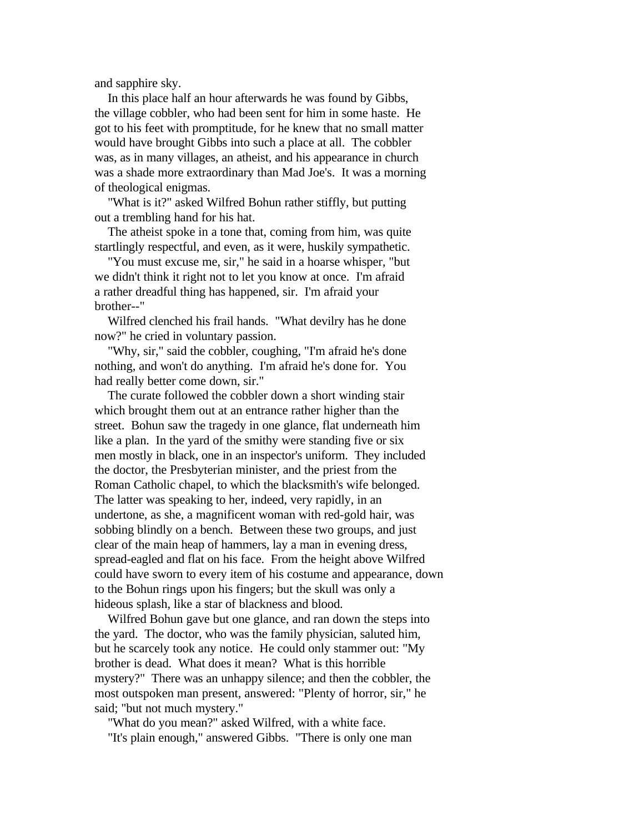and sapphire sky.

 In this place half an hour afterwards he was found by Gibbs, the village cobbler, who had been sent for him in some haste. He got to his feet with promptitude, for he knew that no small matter would have brought Gibbs into such a place at all. The cobbler was, as in many villages, an atheist, and his appearance in church was a shade more extraordinary than Mad Joe's. It was a morning of theological enigmas.

 "What is it?" asked Wilfred Bohun rather stiffly, but putting out a trembling hand for his hat.

 The atheist spoke in a tone that, coming from him, was quite startlingly respectful, and even, as it were, huskily sympathetic.

 "You must excuse me, sir," he said in a hoarse whisper, "but we didn't think it right not to let you know at once. I'm afraid a rather dreadful thing has happened, sir. I'm afraid your brother--"

 Wilfred clenched his frail hands. "What devilry has he done now?" he cried in voluntary passion.

 "Why, sir," said the cobbler, coughing, "I'm afraid he's done nothing, and won't do anything. I'm afraid he's done for. You had really better come down, sir."

 The curate followed the cobbler down a short winding stair which brought them out at an entrance rather higher than the street. Bohun saw the tragedy in one glance, flat underneath him like a plan. In the yard of the smithy were standing five or six men mostly in black, one in an inspector's uniform. They included the doctor, the Presbyterian minister, and the priest from the Roman Catholic chapel, to which the blacksmith's wife belonged. The latter was speaking to her, indeed, very rapidly, in an undertone, as she, a magnificent woman with red-gold hair, was sobbing blindly on a bench. Between these two groups, and just clear of the main heap of hammers, lay a man in evening dress, spread-eagled and flat on his face. From the height above Wilfred could have sworn to every item of his costume and appearance, down to the Bohun rings upon his fingers; but the skull was only a hideous splash, like a star of blackness and blood.

 Wilfred Bohun gave but one glance, and ran down the steps into the yard. The doctor, who was the family physician, saluted him, but he scarcely took any notice. He could only stammer out: "My brother is dead. What does it mean? What is this horrible mystery?" There was an unhappy silence; and then the cobbler, the most outspoken man present, answered: "Plenty of horror, sir," he said; "but not much mystery."

 "What do you mean?" asked Wilfred, with a white face. "It's plain enough," answered Gibbs. "There is only one man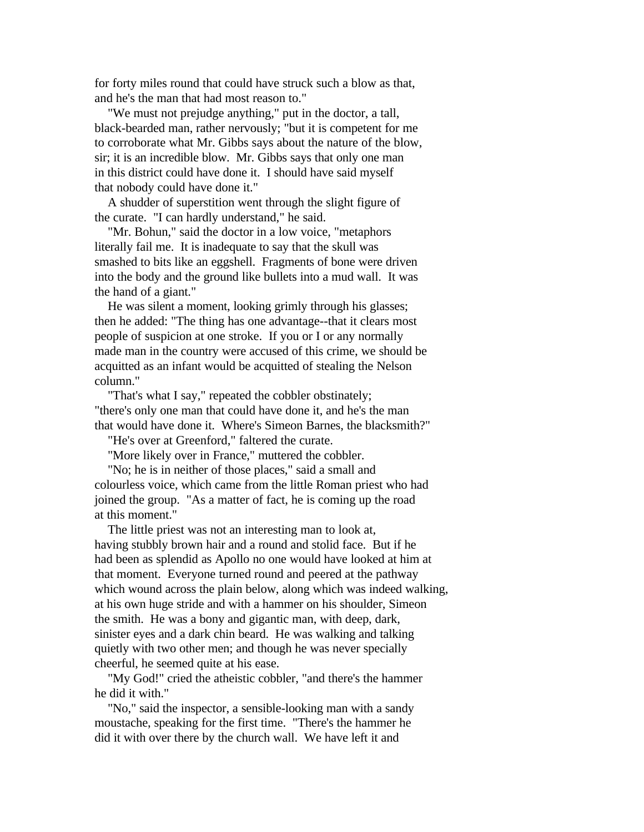for forty miles round that could have struck such a blow as that, and he's the man that had most reason to."

 "We must not prejudge anything," put in the doctor, a tall, black-bearded man, rather nervously; "but it is competent for me to corroborate what Mr. Gibbs says about the nature of the blow, sir; it is an incredible blow. Mr. Gibbs says that only one man in this district could have done it. I should have said myself that nobody could have done it."

 A shudder of superstition went through the slight figure of the curate. "I can hardly understand," he said.

 "Mr. Bohun," said the doctor in a low voice, "metaphors literally fail me. It is inadequate to say that the skull was smashed to bits like an eggshell. Fragments of bone were driven into the body and the ground like bullets into a mud wall. It was the hand of a giant."

 He was silent a moment, looking grimly through his glasses; then he added: "The thing has one advantage--that it clears most people of suspicion at one stroke. If you or I or any normally made man in the country were accused of this crime, we should be acquitted as an infant would be acquitted of stealing the Nelson column."

 "That's what I say," repeated the cobbler obstinately; "there's only one man that could have done it, and he's the man that would have done it. Where's Simeon Barnes, the blacksmith?"

"He's over at Greenford," faltered the curate.

"More likely over in France," muttered the cobbler.

 "No; he is in neither of those places," said a small and colourless voice, which came from the little Roman priest who had joined the group. "As a matter of fact, he is coming up the road at this moment."

 The little priest was not an interesting man to look at, having stubbly brown hair and a round and stolid face. But if he had been as splendid as Apollo no one would have looked at him at that moment. Everyone turned round and peered at the pathway which wound across the plain below, along which was indeed walking, at his own huge stride and with a hammer on his shoulder, Simeon the smith. He was a bony and gigantic man, with deep, dark, sinister eyes and a dark chin beard. He was walking and talking quietly with two other men; and though he was never specially cheerful, he seemed quite at his ease.

 "My God!" cried the atheistic cobbler, "and there's the hammer he did it with."

 "No," said the inspector, a sensible-looking man with a sandy moustache, speaking for the first time. "There's the hammer he did it with over there by the church wall. We have left it and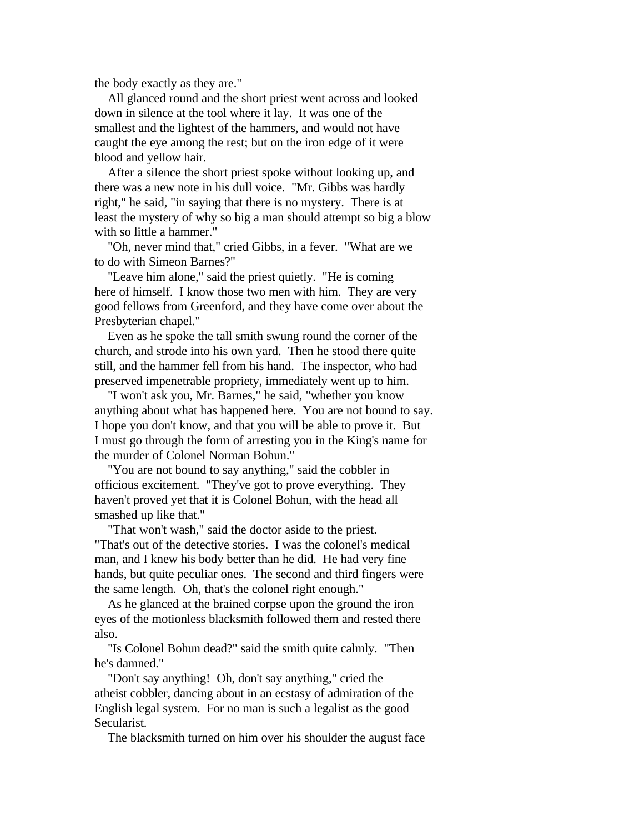the body exactly as they are."

 All glanced round and the short priest went across and looked down in silence at the tool where it lay. It was one of the smallest and the lightest of the hammers, and would not have caught the eye among the rest; but on the iron edge of it were blood and yellow hair.

 After a silence the short priest spoke without looking up, and there was a new note in his dull voice. "Mr. Gibbs was hardly right," he said, "in saying that there is no mystery. There is at least the mystery of why so big a man should attempt so big a blow with so little a hammer."

 "Oh, never mind that," cried Gibbs, in a fever. "What are we to do with Simeon Barnes?"

 "Leave him alone," said the priest quietly. "He is coming here of himself. I know those two men with him. They are very good fellows from Greenford, and they have come over about the Presbyterian chapel."

 Even as he spoke the tall smith swung round the corner of the church, and strode into his own yard. Then he stood there quite still, and the hammer fell from his hand. The inspector, who had preserved impenetrable propriety, immediately went up to him.

 "I won't ask you, Mr. Barnes," he said, "whether you know anything about what has happened here. You are not bound to say. I hope you don't know, and that you will be able to prove it. But I must go through the form of arresting you in the King's name for the murder of Colonel Norman Bohun."

 "You are not bound to say anything," said the cobbler in officious excitement. "They've got to prove everything. They haven't proved yet that it is Colonel Bohun, with the head all smashed up like that."

 "That won't wash," said the doctor aside to the priest. "That's out of the detective stories. I was the colonel's medical man, and I knew his body better than he did. He had very fine hands, but quite peculiar ones. The second and third fingers were the same length. Oh, that's the colonel right enough."

 As he glanced at the brained corpse upon the ground the iron eyes of the motionless blacksmith followed them and rested there also.

 "Is Colonel Bohun dead?" said the smith quite calmly. "Then he's damned."

 "Don't say anything! Oh, don't say anything," cried the atheist cobbler, dancing about in an ecstasy of admiration of the English legal system. For no man is such a legalist as the good Secularist.

The blacksmith turned on him over his shoulder the august face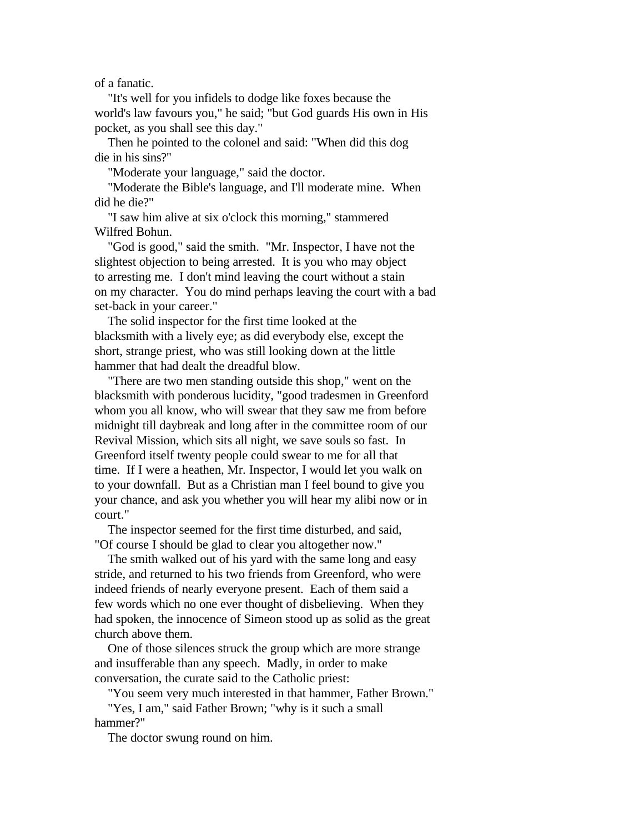of a fanatic.

 "It's well for you infidels to dodge like foxes because the world's law favours you," he said; "but God guards His own in His pocket, as you shall see this day."

 Then he pointed to the colonel and said: "When did this dog die in his sins?"

"Moderate your language," said the doctor.

 "Moderate the Bible's language, and I'll moderate mine. When did he die?"

 "I saw him alive at six o'clock this morning," stammered Wilfred Bohun.

 "God is good," said the smith. "Mr. Inspector, I have not the slightest objection to being arrested. It is you who may object to arresting me. I don't mind leaving the court without a stain on my character. You do mind perhaps leaving the court with a bad set-back in your career."

 The solid inspector for the first time looked at the blacksmith with a lively eye; as did everybody else, except the short, strange priest, who was still looking down at the little hammer that had dealt the dreadful blow.

 "There are two men standing outside this shop," went on the blacksmith with ponderous lucidity, "good tradesmen in Greenford whom you all know, who will swear that they saw me from before midnight till daybreak and long after in the committee room of our Revival Mission, which sits all night, we save souls so fast. In Greenford itself twenty people could swear to me for all that time. If I were a heathen, Mr. Inspector, I would let you walk on to your downfall. But as a Christian man I feel bound to give you your chance, and ask you whether you will hear my alibi now or in court."

 The inspector seemed for the first time disturbed, and said, "Of course I should be glad to clear you altogether now."

 The smith walked out of his yard with the same long and easy stride, and returned to his two friends from Greenford, who were indeed friends of nearly everyone present. Each of them said a few words which no one ever thought of disbelieving. When they had spoken, the innocence of Simeon stood up as solid as the great church above them.

 One of those silences struck the group which are more strange and insufferable than any speech. Madly, in order to make conversation, the curate said to the Catholic priest:

 "You seem very much interested in that hammer, Father Brown." "Yes, I am," said Father Brown; "why is it such a small hammer?"

The doctor swung round on him.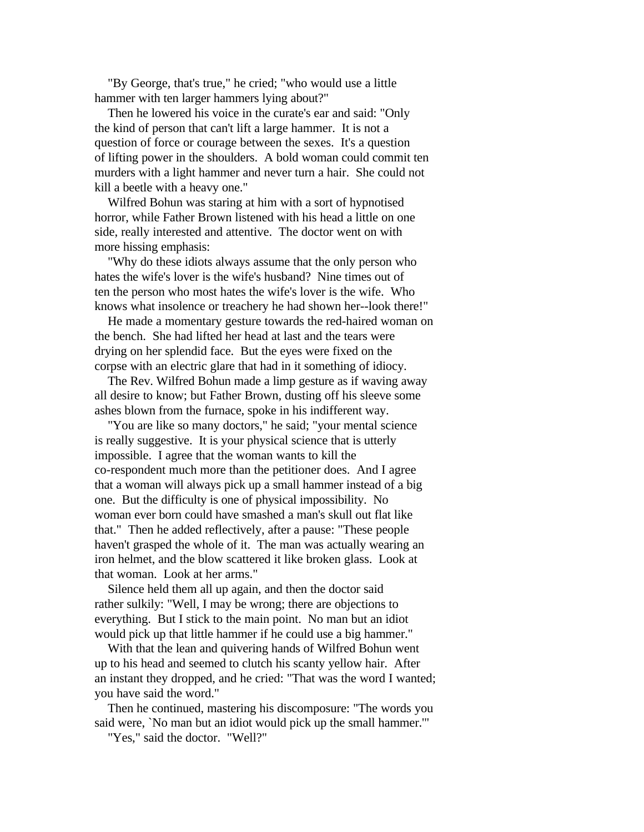"By George, that's true," he cried; "who would use a little hammer with ten larger hammers lying about?"

 Then he lowered his voice in the curate's ear and said: "Only the kind of person that can't lift a large hammer. It is not a question of force or courage between the sexes. It's a question of lifting power in the shoulders. A bold woman could commit ten murders with a light hammer and never turn a hair. She could not kill a beetle with a heavy one."

 Wilfred Bohun was staring at him with a sort of hypnotised horror, while Father Brown listened with his head a little on one side, really interested and attentive. The doctor went on with more hissing emphasis:

 "Why do these idiots always assume that the only person who hates the wife's lover is the wife's husband? Nine times out of ten the person who most hates the wife's lover is the wife. Who knows what insolence or treachery he had shown her--look there!"

 He made a momentary gesture towards the red-haired woman on the bench. She had lifted her head at last and the tears were drying on her splendid face. But the eyes were fixed on the corpse with an electric glare that had in it something of idiocy.

 The Rev. Wilfred Bohun made a limp gesture as if waving away all desire to know; but Father Brown, dusting off his sleeve some ashes blown from the furnace, spoke in his indifferent way.

 "You are like so many doctors," he said; "your mental science is really suggestive. It is your physical science that is utterly impossible. I agree that the woman wants to kill the co-respondent much more than the petitioner does. And I agree that a woman will always pick up a small hammer instead of a big one. But the difficulty is one of physical impossibility. No woman ever born could have smashed a man's skull out flat like that." Then he added reflectively, after a pause: "These people haven't grasped the whole of it. The man was actually wearing an iron helmet, and the blow scattered it like broken glass. Look at that woman. Look at her arms."

 Silence held them all up again, and then the doctor said rather sulkily: "Well, I may be wrong; there are objections to everything. But I stick to the main point. No man but an idiot would pick up that little hammer if he could use a big hammer."

 With that the lean and quivering hands of Wilfred Bohun went up to his head and seemed to clutch his scanty yellow hair. After an instant they dropped, and he cried: "That was the word I wanted; you have said the word."

 Then he continued, mastering his discomposure: "The words you said were, `No man but an idiot would pick up the small hammer.'"

"Yes," said the doctor. "Well?"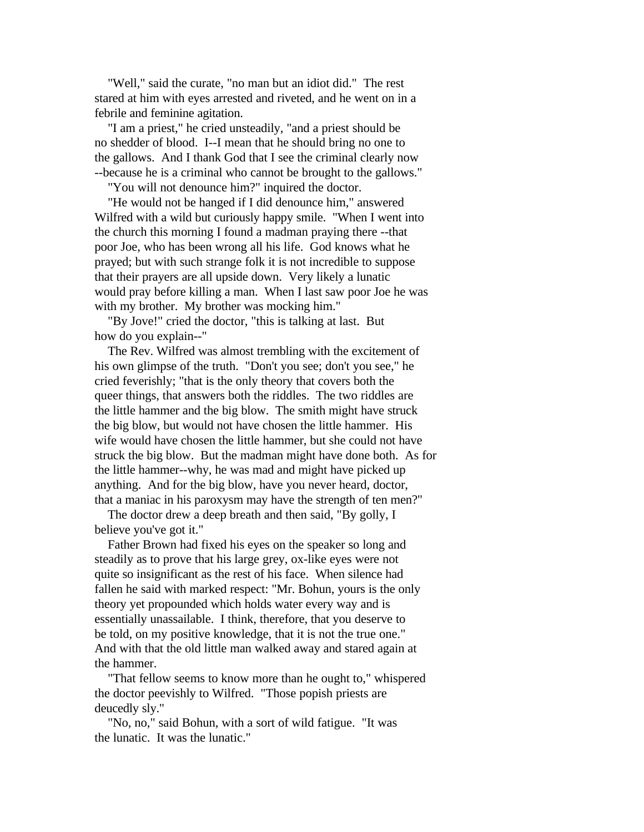"Well," said the curate, "no man but an idiot did." The rest stared at him with eyes arrested and riveted, and he went on in a febrile and feminine agitation.

 "I am a priest," he cried unsteadily, "and a priest should be no shedder of blood. I--I mean that he should bring no one to the gallows. And I thank God that I see the criminal clearly now --because he is a criminal who cannot be brought to the gallows."

"You will not denounce him?" inquired the doctor.

 "He would not be hanged if I did denounce him," answered Wilfred with a wild but curiously happy smile. "When I went into the church this morning I found a madman praying there --that poor Joe, who has been wrong all his life. God knows what he prayed; but with such strange folk it is not incredible to suppose that their prayers are all upside down. Very likely a lunatic would pray before killing a man. When I last saw poor Joe he was with my brother. My brother was mocking him."

 "By Jove!" cried the doctor, "this is talking at last. But how do you explain--"

 The Rev. Wilfred was almost trembling with the excitement of his own glimpse of the truth. "Don't you see; don't you see," he cried feverishly; "that is the only theory that covers both the queer things, that answers both the riddles. The two riddles are the little hammer and the big blow. The smith might have struck the big blow, but would not have chosen the little hammer. His wife would have chosen the little hammer, but she could not have struck the big blow. But the madman might have done both. As for the little hammer--why, he was mad and might have picked up anything. And for the big blow, have you never heard, doctor, that a maniac in his paroxysm may have the strength of ten men?"

 The doctor drew a deep breath and then said, "By golly, I believe you've got it."

 Father Brown had fixed his eyes on the speaker so long and steadily as to prove that his large grey, ox-like eyes were not quite so insignificant as the rest of his face. When silence had fallen he said with marked respect: "Mr. Bohun, yours is the only theory yet propounded which holds water every way and is essentially unassailable. I think, therefore, that you deserve to be told, on my positive knowledge, that it is not the true one." And with that the old little man walked away and stared again at the hammer.

 "That fellow seems to know more than he ought to," whispered the doctor peevishly to Wilfred. "Those popish priests are deucedly sly."

 "No, no," said Bohun, with a sort of wild fatigue. "It was the lunatic. It was the lunatic."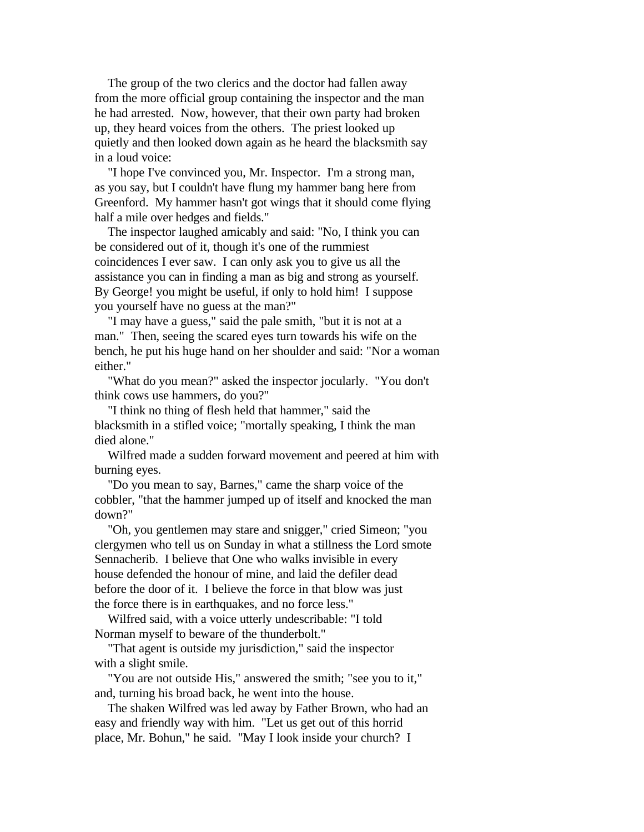The group of the two clerics and the doctor had fallen away from the more official group containing the inspector and the man he had arrested. Now, however, that their own party had broken up, they heard voices from the others. The priest looked up quietly and then looked down again as he heard the blacksmith say in a loud voice:

 "I hope I've convinced you, Mr. Inspector. I'm a strong man, as you say, but I couldn't have flung my hammer bang here from Greenford. My hammer hasn't got wings that it should come flying half a mile over hedges and fields."

 The inspector laughed amicably and said: "No, I think you can be considered out of it, though it's one of the rummiest coincidences I ever saw. I can only ask you to give us all the assistance you can in finding a man as big and strong as yourself. By George! you might be useful, if only to hold him! I suppose you yourself have no guess at the man?"

 "I may have a guess," said the pale smith, "but it is not at a man." Then, seeing the scared eyes turn towards his wife on the bench, he put his huge hand on her shoulder and said: "Nor a woman either."

 "What do you mean?" asked the inspector jocularly. "You don't think cows use hammers, do you?"

 "I think no thing of flesh held that hammer," said the blacksmith in a stifled voice; "mortally speaking, I think the man died alone."

 Wilfred made a sudden forward movement and peered at him with burning eyes.

 "Do you mean to say, Barnes," came the sharp voice of the cobbler, "that the hammer jumped up of itself and knocked the man down?"

 "Oh, you gentlemen may stare and snigger," cried Simeon; "you clergymen who tell us on Sunday in what a stillness the Lord smote Sennacherib. I believe that One who walks invisible in every house defended the honour of mine, and laid the defiler dead before the door of it. I believe the force in that blow was just the force there is in earthquakes, and no force less."

 Wilfred said, with a voice utterly undescribable: "I told Norman myself to beware of the thunderbolt."

 "That agent is outside my jurisdiction," said the inspector with a slight smile.

 "You are not outside His," answered the smith; "see you to it," and, turning his broad back, he went into the house.

 The shaken Wilfred was led away by Father Brown, who had an easy and friendly way with him. "Let us get out of this horrid place, Mr. Bohun," he said. "May I look inside your church? I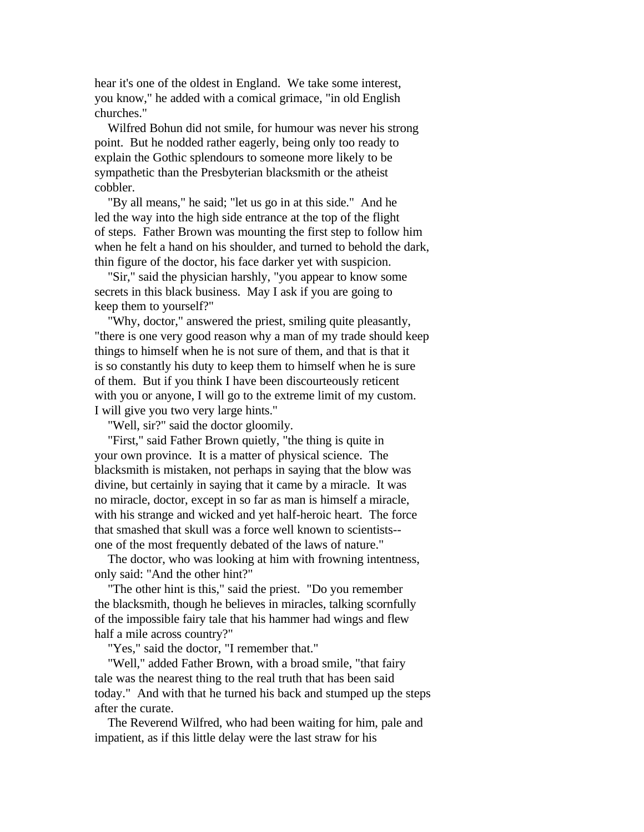hear it's one of the oldest in England. We take some interest, you know," he added with a comical grimace, "in old English churches."

 Wilfred Bohun did not smile, for humour was never his strong point. But he nodded rather eagerly, being only too ready to explain the Gothic splendours to someone more likely to be sympathetic than the Presbyterian blacksmith or the atheist cobbler.

 "By all means," he said; "let us go in at this side." And he led the way into the high side entrance at the top of the flight of steps. Father Brown was mounting the first step to follow him when he felt a hand on his shoulder, and turned to behold the dark, thin figure of the doctor, his face darker yet with suspicion.

 "Sir," said the physician harshly, "you appear to know some secrets in this black business. May I ask if you are going to keep them to yourself?"

 "Why, doctor," answered the priest, smiling quite pleasantly, "there is one very good reason why a man of my trade should keep things to himself when he is not sure of them, and that is that it is so constantly his duty to keep them to himself when he is sure of them. But if you think I have been discourteously reticent with you or anyone, I will go to the extreme limit of my custom. I will give you two very large hints."

"Well, sir?" said the doctor gloomily.

 "First," said Father Brown quietly, "the thing is quite in your own province. It is a matter of physical science. The blacksmith is mistaken, not perhaps in saying that the blow was divine, but certainly in saying that it came by a miracle. It was no miracle, doctor, except in so far as man is himself a miracle, with his strange and wicked and yet half-heroic heart. The force that smashed that skull was a force well known to scientists- one of the most frequently debated of the laws of nature."

 The doctor, who was looking at him with frowning intentness, only said: "And the other hint?"

 "The other hint is this," said the priest. "Do you remember the blacksmith, though he believes in miracles, talking scornfully of the impossible fairy tale that his hammer had wings and flew half a mile across country?"

"Yes," said the doctor, "I remember that."

 "Well," added Father Brown, with a broad smile, "that fairy tale was the nearest thing to the real truth that has been said today." And with that he turned his back and stumped up the steps after the curate.

 The Reverend Wilfred, who had been waiting for him, pale and impatient, as if this little delay were the last straw for his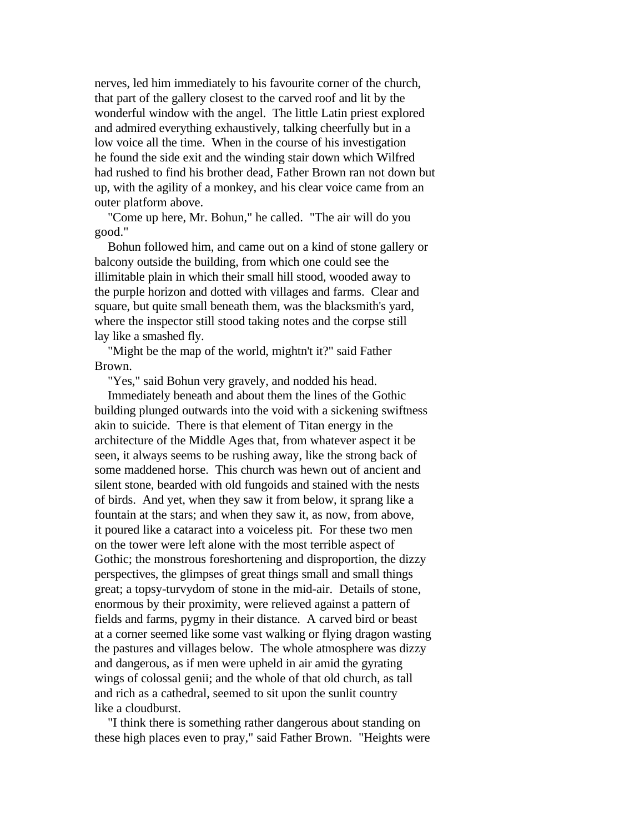nerves, led him immediately to his favourite corner of the church, that part of the gallery closest to the carved roof and lit by the wonderful window with the angel. The little Latin priest explored and admired everything exhaustively, talking cheerfully but in a low voice all the time. When in the course of his investigation he found the side exit and the winding stair down which Wilfred had rushed to find his brother dead, Father Brown ran not down but up, with the agility of a monkey, and his clear voice came from an outer platform above.

 "Come up here, Mr. Bohun," he called. "The air will do you good."

 Bohun followed him, and came out on a kind of stone gallery or balcony outside the building, from which one could see the illimitable plain in which their small hill stood, wooded away to the purple horizon and dotted with villages and farms. Clear and square, but quite small beneath them, was the blacksmith's yard, where the inspector still stood taking notes and the corpse still lay like a smashed fly.

 "Might be the map of the world, mightn't it?" said Father Brown.

"Yes," said Bohun very gravely, and nodded his head.

 Immediately beneath and about them the lines of the Gothic building plunged outwards into the void with a sickening swiftness akin to suicide. There is that element of Titan energy in the architecture of the Middle Ages that, from whatever aspect it be seen, it always seems to be rushing away, like the strong back of some maddened horse. This church was hewn out of ancient and silent stone, bearded with old fungoids and stained with the nests of birds. And yet, when they saw it from below, it sprang like a fountain at the stars; and when they saw it, as now, from above, it poured like a cataract into a voiceless pit. For these two men on the tower were left alone with the most terrible aspect of Gothic; the monstrous foreshortening and disproportion, the dizzy perspectives, the glimpses of great things small and small things great; a topsy-turvydom of stone in the mid-air. Details of stone, enormous by their proximity, were relieved against a pattern of fields and farms, pygmy in their distance. A carved bird or beast at a corner seemed like some vast walking or flying dragon wasting the pastures and villages below. The whole atmosphere was dizzy and dangerous, as if men were upheld in air amid the gyrating wings of colossal genii; and the whole of that old church, as tall and rich as a cathedral, seemed to sit upon the sunlit country like a cloudburst.

 "I think there is something rather dangerous about standing on these high places even to pray," said Father Brown. "Heights were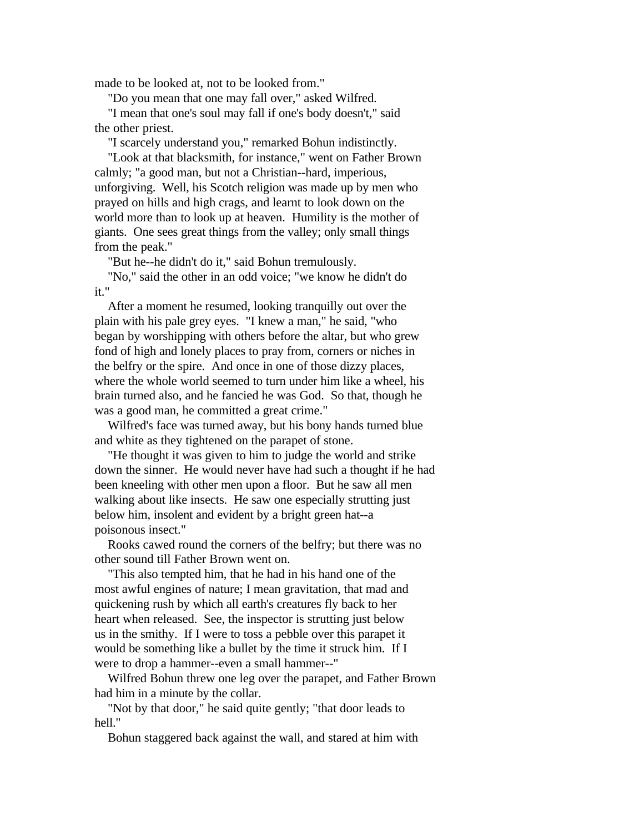made to be looked at, not to be looked from."

"Do you mean that one may fall over," asked Wilfred.

 "I mean that one's soul may fall if one's body doesn't," said the other priest.

"I scarcely understand you," remarked Bohun indistinctly.

 "Look at that blacksmith, for instance," went on Father Brown calmly; "a good man, but not a Christian--hard, imperious, unforgiving. Well, his Scotch religion was made up by men who prayed on hills and high crags, and learnt to look down on the world more than to look up at heaven. Humility is the mother of giants. One sees great things from the valley; only small things from the peak."

"But he--he didn't do it," said Bohun tremulously.

 "No," said the other in an odd voice; "we know he didn't do it."

 After a moment he resumed, looking tranquilly out over the plain with his pale grey eyes. "I knew a man," he said, "who began by worshipping with others before the altar, but who grew fond of high and lonely places to pray from, corners or niches in the belfry or the spire. And once in one of those dizzy places, where the whole world seemed to turn under him like a wheel, his brain turned also, and he fancied he was God. So that, though he was a good man, he committed a great crime."

 Wilfred's face was turned away, but his bony hands turned blue and white as they tightened on the parapet of stone.

 "He thought it was given to him to judge the world and strike down the sinner. He would never have had such a thought if he had been kneeling with other men upon a floor. But he saw all men walking about like insects. He saw one especially strutting just below him, insolent and evident by a bright green hat--a poisonous insect."

 Rooks cawed round the corners of the belfry; but there was no other sound till Father Brown went on.

 "This also tempted him, that he had in his hand one of the most awful engines of nature; I mean gravitation, that mad and quickening rush by which all earth's creatures fly back to her heart when released. See, the inspector is strutting just below us in the smithy. If I were to toss a pebble over this parapet it would be something like a bullet by the time it struck him. If I were to drop a hammer--even a small hammer--"

 Wilfred Bohun threw one leg over the parapet, and Father Brown had him in a minute by the collar.

 "Not by that door," he said quite gently; "that door leads to hell."

Bohun staggered back against the wall, and stared at him with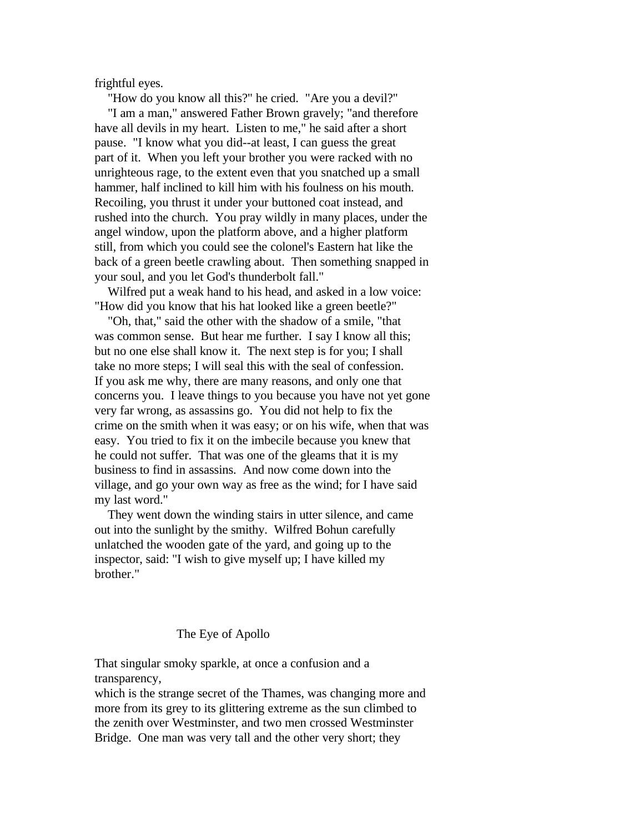frightful eyes.

 "How do you know all this?" he cried. "Are you a devil?" "I am a man," answered Father Brown gravely; "and therefore have all devils in my heart. Listen to me," he said after a short pause. "I know what you did--at least, I can guess the great part of it. When you left your brother you were racked with no unrighteous rage, to the extent even that you snatched up a small hammer, half inclined to kill him with his foulness on his mouth. Recoiling, you thrust it under your buttoned coat instead, and rushed into the church. You pray wildly in many places, under the angel window, upon the platform above, and a higher platform still, from which you could see the colonel's Eastern hat like the back of a green beetle crawling about. Then something snapped in your soul, and you let God's thunderbolt fall."

 Wilfred put a weak hand to his head, and asked in a low voice: "How did you know that his hat looked like a green beetle?"

 "Oh, that," said the other with the shadow of a smile, "that was common sense. But hear me further. I say I know all this; but no one else shall know it. The next step is for you; I shall take no more steps; I will seal this with the seal of confession. If you ask me why, there are many reasons, and only one that concerns you. I leave things to you because you have not yet gone very far wrong, as assassins go. You did not help to fix the crime on the smith when it was easy; or on his wife, when that was easy. You tried to fix it on the imbecile because you knew that he could not suffer. That was one of the gleams that it is my business to find in assassins. And now come down into the village, and go your own way as free as the wind; for I have said my last word."

 They went down the winding stairs in utter silence, and came out into the sunlight by the smithy. Wilfred Bohun carefully unlatched the wooden gate of the yard, and going up to the inspector, said: "I wish to give myself up; I have killed my brother."

## The Eye of Apollo

That singular smoky sparkle, at once a confusion and a transparency,

which is the strange secret of the Thames, was changing more and more from its grey to its glittering extreme as the sun climbed to the zenith over Westminster, and two men crossed Westminster Bridge. One man was very tall and the other very short; they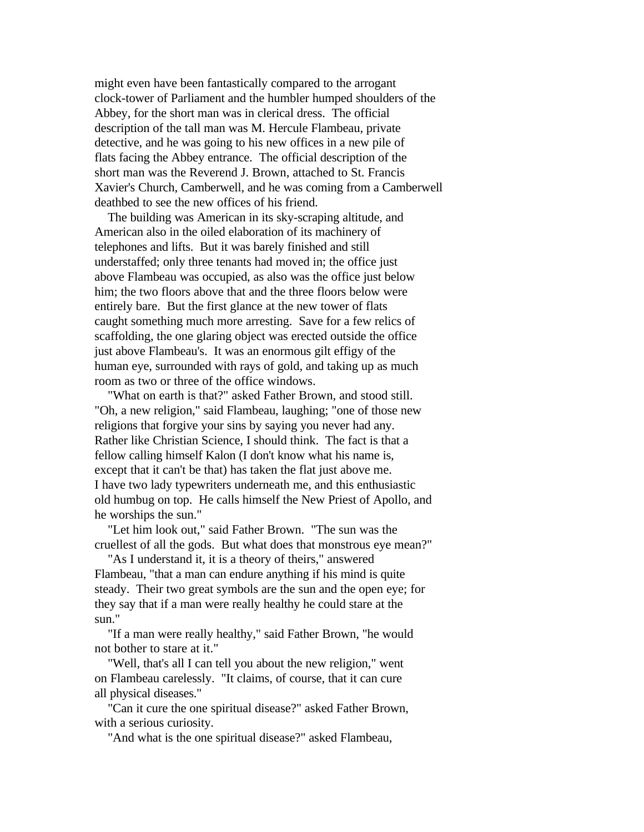might even have been fantastically compared to the arrogant clock-tower of Parliament and the humbler humped shoulders of the Abbey, for the short man was in clerical dress. The official description of the tall man was M. Hercule Flambeau, private detective, and he was going to his new offices in a new pile of flats facing the Abbey entrance. The official description of the short man was the Reverend J. Brown, attached to St. Francis Xavier's Church, Camberwell, and he was coming from a Camberwell deathbed to see the new offices of his friend.

 The building was American in its sky-scraping altitude, and American also in the oiled elaboration of its machinery of telephones and lifts. But it was barely finished and still understaffed; only three tenants had moved in; the office just above Flambeau was occupied, as also was the office just below him; the two floors above that and the three floors below were entirely bare. But the first glance at the new tower of flats caught something much more arresting. Save for a few relics of scaffolding, the one glaring object was erected outside the office just above Flambeau's. It was an enormous gilt effigy of the human eye, surrounded with rays of gold, and taking up as much room as two or three of the office windows.

 "What on earth is that?" asked Father Brown, and stood still. "Oh, a new religion," said Flambeau, laughing; "one of those new religions that forgive your sins by saying you never had any. Rather like Christian Science, I should think. The fact is that a fellow calling himself Kalon (I don't know what his name is, except that it can't be that) has taken the flat just above me. I have two lady typewriters underneath me, and this enthusiastic old humbug on top. He calls himself the New Priest of Apollo, and he worships the sun."

 "Let him look out," said Father Brown. "The sun was the cruellest of all the gods. But what does that monstrous eye mean?"

 "As I understand it, it is a theory of theirs," answered Flambeau, "that a man can endure anything if his mind is quite steady. Their two great symbols are the sun and the open eye; for they say that if a man were really healthy he could stare at the sun."

 "If a man were really healthy," said Father Brown, "he would not bother to stare at it."

 "Well, that's all I can tell you about the new religion," went on Flambeau carelessly. "It claims, of course, that it can cure all physical diseases."

 "Can it cure the one spiritual disease?" asked Father Brown, with a serious curiosity.

"And what is the one spiritual disease?" asked Flambeau,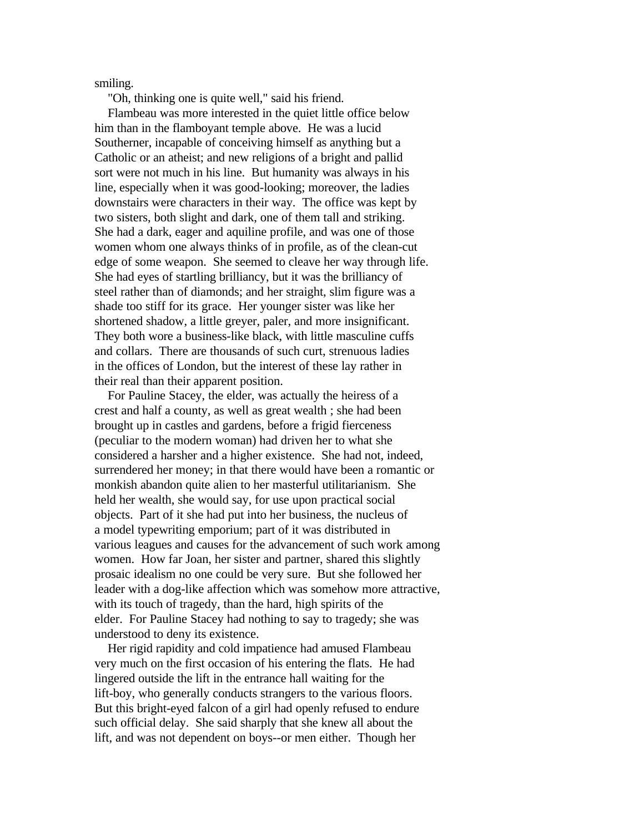smiling.

"Oh, thinking one is quite well," said his friend.

 Flambeau was more interested in the quiet little office below him than in the flamboyant temple above. He was a lucid Southerner, incapable of conceiving himself as anything but a Catholic or an atheist; and new religions of a bright and pallid sort were not much in his line. But humanity was always in his line, especially when it was good-looking; moreover, the ladies downstairs were characters in their way. The office was kept by two sisters, both slight and dark, one of them tall and striking. She had a dark, eager and aquiline profile, and was one of those women whom one always thinks of in profile, as of the clean-cut edge of some weapon. She seemed to cleave her way through life. She had eyes of startling brilliancy, but it was the brilliancy of steel rather than of diamonds; and her straight, slim figure was a shade too stiff for its grace. Her younger sister was like her shortened shadow, a little greyer, paler, and more insignificant. They both wore a business-like black, with little masculine cuffs and collars. There are thousands of such curt, strenuous ladies in the offices of London, but the interest of these lay rather in their real than their apparent position.

 For Pauline Stacey, the elder, was actually the heiress of a crest and half a county, as well as great wealth ; she had been brought up in castles and gardens, before a frigid fierceness (peculiar to the modern woman) had driven her to what she considered a harsher and a higher existence. She had not, indeed, surrendered her money; in that there would have been a romantic or monkish abandon quite alien to her masterful utilitarianism. She held her wealth, she would say, for use upon practical social objects. Part of it she had put into her business, the nucleus of a model typewriting emporium; part of it was distributed in various leagues and causes for the advancement of such work among women. How far Joan, her sister and partner, shared this slightly prosaic idealism no one could be very sure. But she followed her leader with a dog-like affection which was somehow more attractive, with its touch of tragedy, than the hard, high spirits of the elder. For Pauline Stacey had nothing to say to tragedy; she was understood to deny its existence.

 Her rigid rapidity and cold impatience had amused Flambeau very much on the first occasion of his entering the flats. He had lingered outside the lift in the entrance hall waiting for the lift-boy, who generally conducts strangers to the various floors. But this bright-eyed falcon of a girl had openly refused to endure such official delay. She said sharply that she knew all about the lift, and was not dependent on boys--or men either. Though her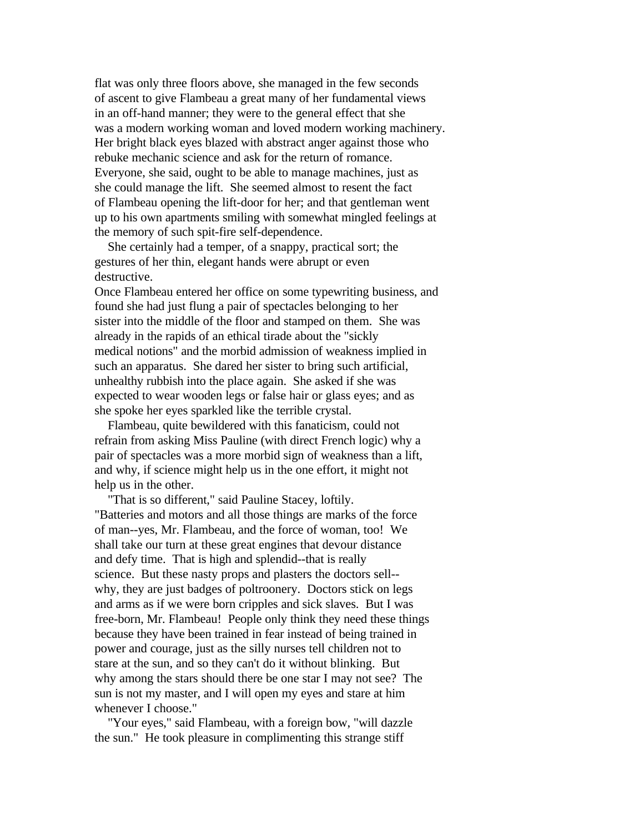flat was only three floors above, she managed in the few seconds of ascent to give Flambeau a great many of her fundamental views in an off-hand manner; they were to the general effect that she was a modern working woman and loved modern working machinery. Her bright black eyes blazed with abstract anger against those who rebuke mechanic science and ask for the return of romance. Everyone, she said, ought to be able to manage machines, just as she could manage the lift. She seemed almost to resent the fact of Flambeau opening the lift-door for her; and that gentleman went up to his own apartments smiling with somewhat mingled feelings at the memory of such spit-fire self-dependence.

 She certainly had a temper, of a snappy, practical sort; the gestures of her thin, elegant hands were abrupt or even destructive.

Once Flambeau entered her office on some typewriting business, and found she had just flung a pair of spectacles belonging to her sister into the middle of the floor and stamped on them. She was already in the rapids of an ethical tirade about the "sickly medical notions" and the morbid admission of weakness implied in such an apparatus. She dared her sister to bring such artificial, unhealthy rubbish into the place again. She asked if she was expected to wear wooden legs or false hair or glass eyes; and as she spoke her eyes sparkled like the terrible crystal.

 Flambeau, quite bewildered with this fanaticism, could not refrain from asking Miss Pauline (with direct French logic) why a pair of spectacles was a more morbid sign of weakness than a lift, and why, if science might help us in the one effort, it might not help us in the other.

 "That is so different," said Pauline Stacey, loftily. "Batteries and motors and all those things are marks of the force of man--yes, Mr. Flambeau, and the force of woman, too! We shall take our turn at these great engines that devour distance and defy time. That is high and splendid--that is really science. But these nasty props and plasters the doctors sell- why, they are just badges of poltroonery. Doctors stick on legs and arms as if we were born cripples and sick slaves. But I was free-born, Mr. Flambeau! People only think they need these things because they have been trained in fear instead of being trained in power and courage, just as the silly nurses tell children not to stare at the sun, and so they can't do it without blinking. But why among the stars should there be one star I may not see? The sun is not my master, and I will open my eyes and stare at him whenever I choose."

 "Your eyes," said Flambeau, with a foreign bow, "will dazzle the sun." He took pleasure in complimenting this strange stiff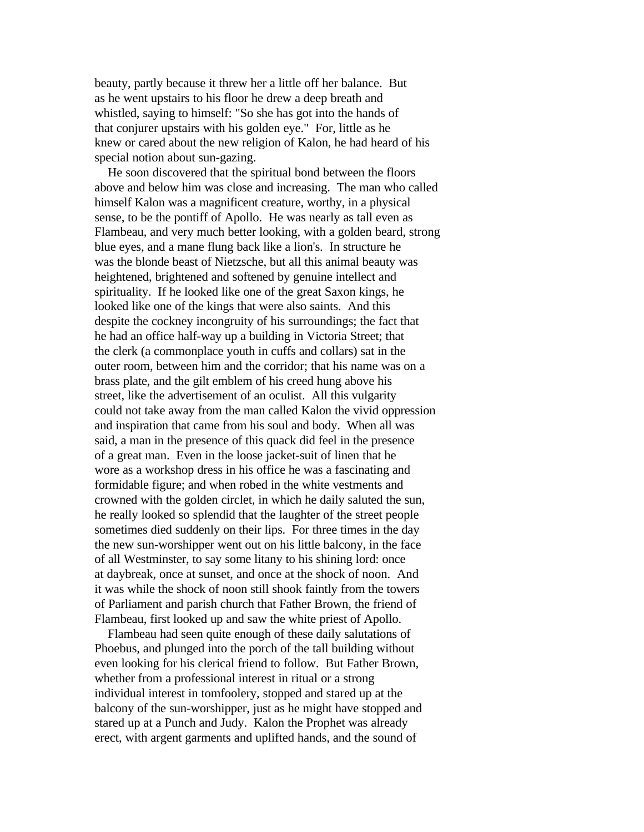beauty, partly because it threw her a little off her balance. But as he went upstairs to his floor he drew a deep breath and whistled, saying to himself: "So she has got into the hands of that conjurer upstairs with his golden eye." For, little as he knew or cared about the new religion of Kalon, he had heard of his special notion about sun-gazing.

 He soon discovered that the spiritual bond between the floors above and below him was close and increasing. The man who called himself Kalon was a magnificent creature, worthy, in a physical sense, to be the pontiff of Apollo. He was nearly as tall even as Flambeau, and very much better looking, with a golden beard, strong blue eyes, and a mane flung back like a lion's. In structure he was the blonde beast of Nietzsche, but all this animal beauty was heightened, brightened and softened by genuine intellect and spirituality. If he looked like one of the great Saxon kings, he looked like one of the kings that were also saints. And this despite the cockney incongruity of his surroundings; the fact that he had an office half-way up a building in Victoria Street; that the clerk (a commonplace youth in cuffs and collars) sat in the outer room, between him and the corridor; that his name was on a brass plate, and the gilt emblem of his creed hung above his street, like the advertisement of an oculist. All this vulgarity could not take away from the man called Kalon the vivid oppression and inspiration that came from his soul and body. When all was said, a man in the presence of this quack did feel in the presence of a great man. Even in the loose jacket-suit of linen that he wore as a workshop dress in his office he was a fascinating and formidable figure; and when robed in the white vestments and crowned with the golden circlet, in which he daily saluted the sun, he really looked so splendid that the laughter of the street people sometimes died suddenly on their lips. For three times in the day the new sun-worshipper went out on his little balcony, in the face of all Westminster, to say some litany to his shining lord: once at daybreak, once at sunset, and once at the shock of noon. And it was while the shock of noon still shook faintly from the towers of Parliament and parish church that Father Brown, the friend of Flambeau, first looked up and saw the white priest of Apollo.

 Flambeau had seen quite enough of these daily salutations of Phoebus, and plunged into the porch of the tall building without even looking for his clerical friend to follow. But Father Brown, whether from a professional interest in ritual or a strong individual interest in tomfoolery, stopped and stared up at the balcony of the sun-worshipper, just as he might have stopped and stared up at a Punch and Judy. Kalon the Prophet was already erect, with argent garments and uplifted hands, and the sound of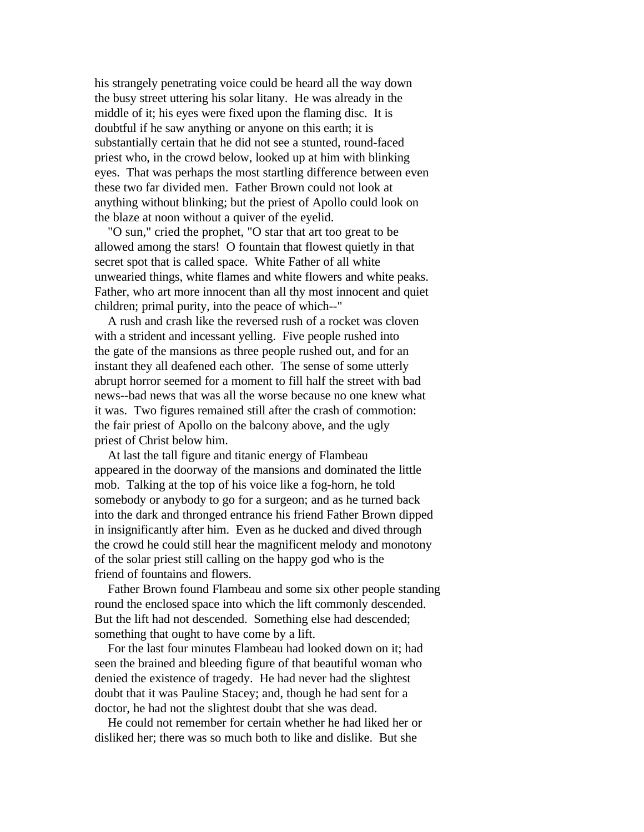his strangely penetrating voice could be heard all the way down the busy street uttering his solar litany. He was already in the middle of it; his eyes were fixed upon the flaming disc. It is doubtful if he saw anything or anyone on this earth; it is substantially certain that he did not see a stunted, round-faced priest who, in the crowd below, looked up at him with blinking eyes. That was perhaps the most startling difference between even these two far divided men. Father Brown could not look at anything without blinking; but the priest of Apollo could look on the blaze at noon without a quiver of the eyelid.

 "O sun," cried the prophet, "O star that art too great to be allowed among the stars! O fountain that flowest quietly in that secret spot that is called space. White Father of all white unwearied things, white flames and white flowers and white peaks. Father, who art more innocent than all thy most innocent and quiet children; primal purity, into the peace of which--"

 A rush and crash like the reversed rush of a rocket was cloven with a strident and incessant yelling. Five people rushed into the gate of the mansions as three people rushed out, and for an instant they all deafened each other. The sense of some utterly abrupt horror seemed for a moment to fill half the street with bad news--bad news that was all the worse because no one knew what it was. Two figures remained still after the crash of commotion: the fair priest of Apollo on the balcony above, and the ugly priest of Christ below him.

 At last the tall figure and titanic energy of Flambeau appeared in the doorway of the mansions and dominated the little mob. Talking at the top of his voice like a fog-horn, he told somebody or anybody to go for a surgeon; and as he turned back into the dark and thronged entrance his friend Father Brown dipped in insignificantly after him. Even as he ducked and dived through the crowd he could still hear the magnificent melody and monotony of the solar priest still calling on the happy god who is the friend of fountains and flowers.

 Father Brown found Flambeau and some six other people standing round the enclosed space into which the lift commonly descended. But the lift had not descended. Something else had descended; something that ought to have come by a lift.

 For the last four minutes Flambeau had looked down on it; had seen the brained and bleeding figure of that beautiful woman who denied the existence of tragedy. He had never had the slightest doubt that it was Pauline Stacey; and, though he had sent for a doctor, he had not the slightest doubt that she was dead.

 He could not remember for certain whether he had liked her or disliked her; there was so much both to like and dislike. But she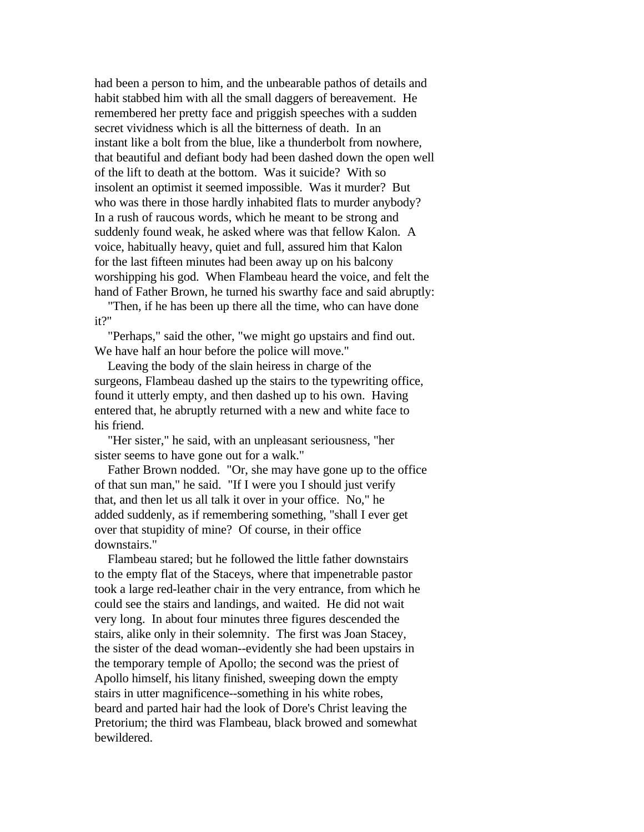had been a person to him, and the unbearable pathos of details and habit stabbed him with all the small daggers of bereavement. He remembered her pretty face and priggish speeches with a sudden secret vividness which is all the bitterness of death. In an instant like a bolt from the blue, like a thunderbolt from nowhere, that beautiful and defiant body had been dashed down the open well of the lift to death at the bottom. Was it suicide? With so insolent an optimist it seemed impossible. Was it murder? But who was there in those hardly inhabited flats to murder anybody? In a rush of raucous words, which he meant to be strong and suddenly found weak, he asked where was that fellow Kalon. A voice, habitually heavy, quiet and full, assured him that Kalon for the last fifteen minutes had been away up on his balcony worshipping his god. When Flambeau heard the voice, and felt the hand of Father Brown, he turned his swarthy face and said abruptly:

 "Then, if he has been up there all the time, who can have done it?"

 "Perhaps," said the other, "we might go upstairs and find out. We have half an hour before the police will move."

 Leaving the body of the slain heiress in charge of the surgeons, Flambeau dashed up the stairs to the typewriting office, found it utterly empty, and then dashed up to his own. Having entered that, he abruptly returned with a new and white face to his friend.

 "Her sister," he said, with an unpleasant seriousness, "her sister seems to have gone out for a walk."

 Father Brown nodded. "Or, she may have gone up to the office of that sun man," he said. "If I were you I should just verify that, and then let us all talk it over in your office. No," he added suddenly, as if remembering something, "shall I ever get over that stupidity of mine? Of course, in their office downstairs."

 Flambeau stared; but he followed the little father downstairs to the empty flat of the Staceys, where that impenetrable pastor took a large red-leather chair in the very entrance, from which he could see the stairs and landings, and waited. He did not wait very long. In about four minutes three figures descended the stairs, alike only in their solemnity. The first was Joan Stacey, the sister of the dead woman--evidently she had been upstairs in the temporary temple of Apollo; the second was the priest of Apollo himself, his litany finished, sweeping down the empty stairs in utter magnificence--something in his white robes, beard and parted hair had the look of Dore's Christ leaving the Pretorium; the third was Flambeau, black browed and somewhat bewildered.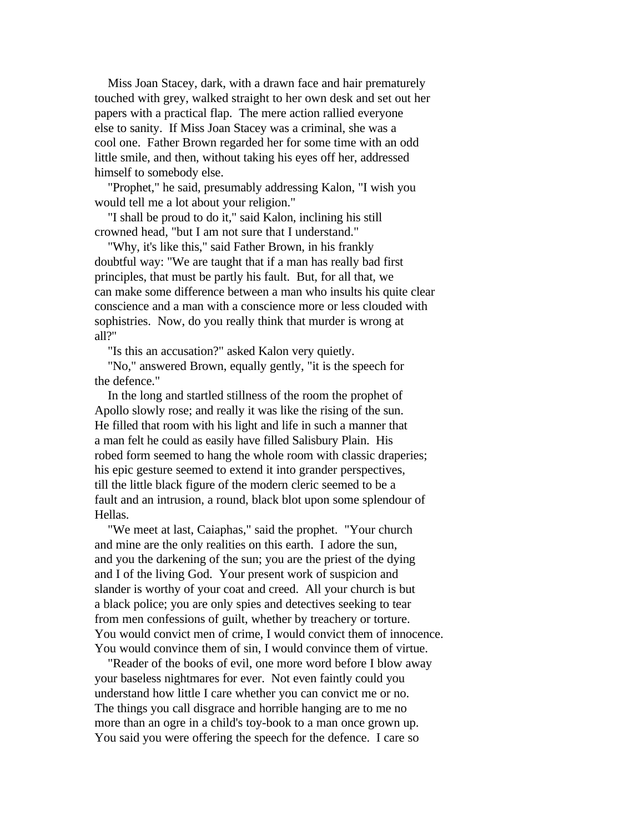Miss Joan Stacey, dark, with a drawn face and hair prematurely touched with grey, walked straight to her own desk and set out her papers with a practical flap. The mere action rallied everyone else to sanity. If Miss Joan Stacey was a criminal, she was a cool one. Father Brown regarded her for some time with an odd little smile, and then, without taking his eyes off her, addressed himself to somebody else.

 "Prophet," he said, presumably addressing Kalon, "I wish you would tell me a lot about your religion."

 "I shall be proud to do it," said Kalon, inclining his still crowned head, "but I am not sure that I understand."

 "Why, it's like this," said Father Brown, in his frankly doubtful way: "We are taught that if a man has really bad first principles, that must be partly his fault. But, for all that, we can make some difference between a man who insults his quite clear conscience and a man with a conscience more or less clouded with sophistries. Now, do you really think that murder is wrong at all?"

"Is this an accusation?" asked Kalon very quietly.

 "No," answered Brown, equally gently, "it is the speech for the defence."

 In the long and startled stillness of the room the prophet of Apollo slowly rose; and really it was like the rising of the sun. He filled that room with his light and life in such a manner that a man felt he could as easily have filled Salisbury Plain. His robed form seemed to hang the whole room with classic draperies; his epic gesture seemed to extend it into grander perspectives, till the little black figure of the modern cleric seemed to be a fault and an intrusion, a round, black blot upon some splendour of Hellas.

 "We meet at last, Caiaphas," said the prophet. "Your church and mine are the only realities on this earth. I adore the sun, and you the darkening of the sun; you are the priest of the dying and I of the living God. Your present work of suspicion and slander is worthy of your coat and creed. All your church is but a black police; you are only spies and detectives seeking to tear from men confessions of guilt, whether by treachery or torture. You would convict men of crime, I would convict them of innocence. You would convince them of sin, I would convince them of virtue.

 "Reader of the books of evil, one more word before I blow away your baseless nightmares for ever. Not even faintly could you understand how little I care whether you can convict me or no. The things you call disgrace and horrible hanging are to me no more than an ogre in a child's toy-book to a man once grown up. You said you were offering the speech for the defence. I care so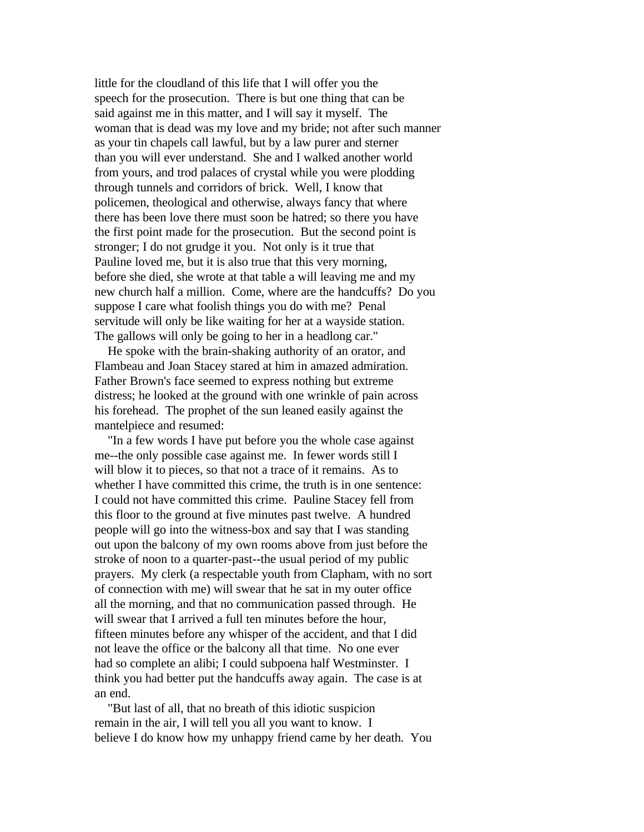little for the cloudland of this life that I will offer you the speech for the prosecution. There is but one thing that can be said against me in this matter, and I will say it myself. The woman that is dead was my love and my bride; not after such manner as your tin chapels call lawful, but by a law purer and sterner than you will ever understand. She and I walked another world from yours, and trod palaces of crystal while you were plodding through tunnels and corridors of brick. Well, I know that policemen, theological and otherwise, always fancy that where there has been love there must soon be hatred; so there you have the first point made for the prosecution. But the second point is stronger; I do not grudge it you. Not only is it true that Pauline loved me, but it is also true that this very morning, before she died, she wrote at that table a will leaving me and my new church half a million. Come, where are the handcuffs? Do you suppose I care what foolish things you do with me? Penal servitude will only be like waiting for her at a wayside station. The gallows will only be going to her in a headlong car."

 He spoke with the brain-shaking authority of an orator, and Flambeau and Joan Stacey stared at him in amazed admiration. Father Brown's face seemed to express nothing but extreme distress; he looked at the ground with one wrinkle of pain across his forehead. The prophet of the sun leaned easily against the mantelpiece and resumed:

 "In a few words I have put before you the whole case against me--the only possible case against me. In fewer words still I will blow it to pieces, so that not a trace of it remains. As to whether I have committed this crime, the truth is in one sentence: I could not have committed this crime. Pauline Stacey fell from this floor to the ground at five minutes past twelve. A hundred people will go into the witness-box and say that I was standing out upon the balcony of my own rooms above from just before the stroke of noon to a quarter-past--the usual period of my public prayers. My clerk (a respectable youth from Clapham, with no sort of connection with me) will swear that he sat in my outer office all the morning, and that no communication passed through. He will swear that I arrived a full ten minutes before the hour, fifteen minutes before any whisper of the accident, and that I did not leave the office or the balcony all that time. No one ever had so complete an alibi; I could subpoena half Westminster. I think you had better put the handcuffs away again. The case is at an end.

 "But last of all, that no breath of this idiotic suspicion remain in the air, I will tell you all you want to know. I believe I do know how my unhappy friend came by her death. You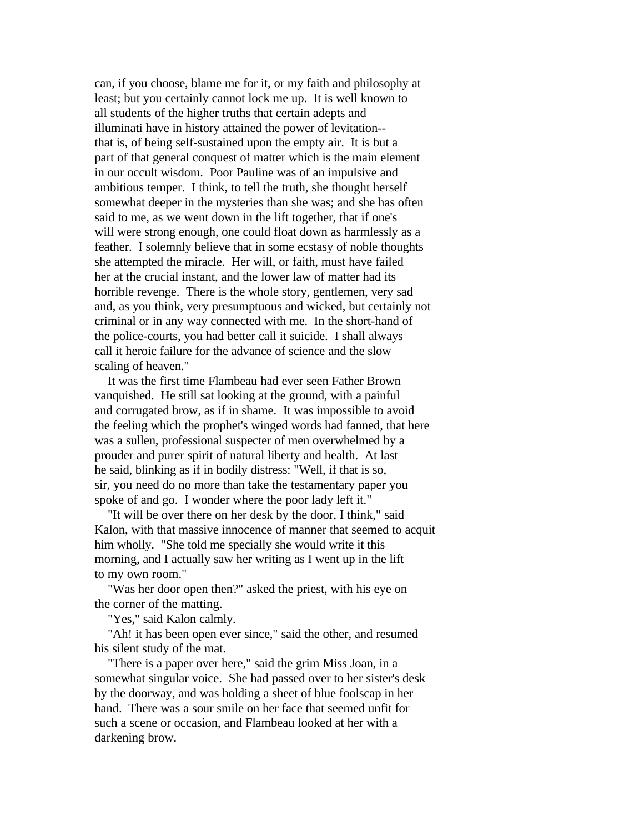can, if you choose, blame me for it, or my faith and philosophy at least; but you certainly cannot lock me up. It is well known to all students of the higher truths that certain adepts and illuminati have in history attained the power of levitation- that is, of being self-sustained upon the empty air. It is but a part of that general conquest of matter which is the main element in our occult wisdom. Poor Pauline was of an impulsive and ambitious temper. I think, to tell the truth, she thought herself somewhat deeper in the mysteries than she was; and she has often said to me, as we went down in the lift together, that if one's will were strong enough, one could float down as harmlessly as a feather. I solemnly believe that in some ecstasy of noble thoughts she attempted the miracle. Her will, or faith, must have failed her at the crucial instant, and the lower law of matter had its horrible revenge. There is the whole story, gentlemen, very sad and, as you think, very presumptuous and wicked, but certainly not criminal or in any way connected with me. In the short-hand of the police-courts, you had better call it suicide. I shall always call it heroic failure for the advance of science and the slow scaling of heaven."

 It was the first time Flambeau had ever seen Father Brown vanquished. He still sat looking at the ground, with a painful and corrugated brow, as if in shame. It was impossible to avoid the feeling which the prophet's winged words had fanned, that here was a sullen, professional suspecter of men overwhelmed by a prouder and purer spirit of natural liberty and health. At last he said, blinking as if in bodily distress: "Well, if that is so, sir, you need do no more than take the testamentary paper you spoke of and go. I wonder where the poor lady left it."

 "It will be over there on her desk by the door, I think," said Kalon, with that massive innocence of manner that seemed to acquit him wholly. "She told me specially she would write it this morning, and I actually saw her writing as I went up in the lift to my own room."

 "Was her door open then?" asked the priest, with his eye on the corner of the matting.

"Yes," said Kalon calmly.

 "Ah! it has been open ever since," said the other, and resumed his silent study of the mat.

 "There is a paper over here," said the grim Miss Joan, in a somewhat singular voice. She had passed over to her sister's desk by the doorway, and was holding a sheet of blue foolscap in her hand. There was a sour smile on her face that seemed unfit for such a scene or occasion, and Flambeau looked at her with a darkening brow.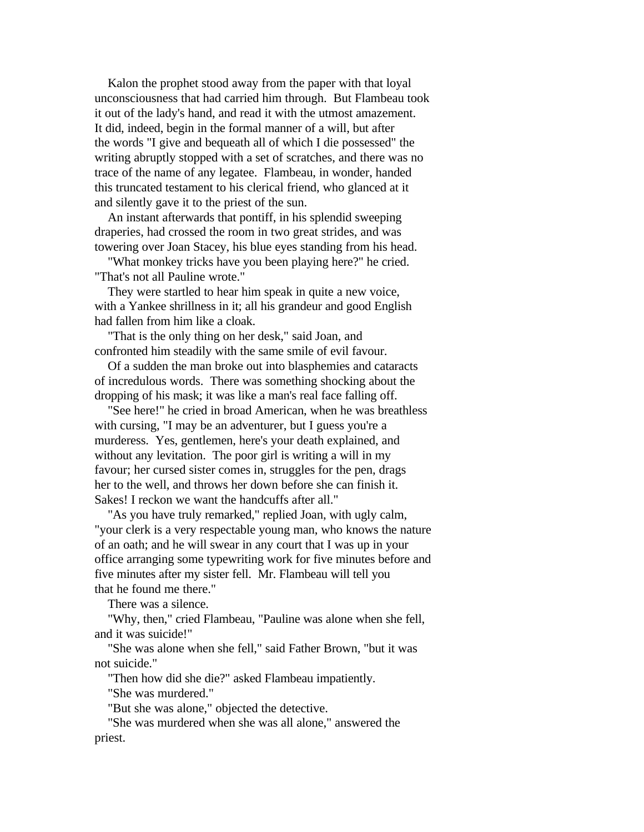Kalon the prophet stood away from the paper with that loyal unconsciousness that had carried him through. But Flambeau took it out of the lady's hand, and read it with the utmost amazement. It did, indeed, begin in the formal manner of a will, but after the words "I give and bequeath all of which I die possessed" the writing abruptly stopped with a set of scratches, and there was no trace of the name of any legatee. Flambeau, in wonder, handed this truncated testament to his clerical friend, who glanced at it and silently gave it to the priest of the sun.

 An instant afterwards that pontiff, in his splendid sweeping draperies, had crossed the room in two great strides, and was towering over Joan Stacey, his blue eyes standing from his head.

 "What monkey tricks have you been playing here?" he cried. "That's not all Pauline wrote."

 They were startled to hear him speak in quite a new voice, with a Yankee shrillness in it; all his grandeur and good English had fallen from him like a cloak.

 "That is the only thing on her desk," said Joan, and confronted him steadily with the same smile of evil favour.

 Of a sudden the man broke out into blasphemies and cataracts of incredulous words. There was something shocking about the dropping of his mask; it was like a man's real face falling off.

 "See here!" he cried in broad American, when he was breathless with cursing, "I may be an adventurer, but I guess you're a murderess. Yes, gentlemen, here's your death explained, and without any levitation. The poor girl is writing a will in my favour; her cursed sister comes in, struggles for the pen, drags her to the well, and throws her down before she can finish it. Sakes! I reckon we want the handcuffs after all."

 "As you have truly remarked," replied Joan, with ugly calm, "your clerk is a very respectable young man, who knows the nature of an oath; and he will swear in any court that I was up in your office arranging some typewriting work for five minutes before and five minutes after my sister fell. Mr. Flambeau will tell you that he found me there."

There was a silence.

 "Why, then," cried Flambeau, "Pauline was alone when she fell, and it was suicide!"

 "She was alone when she fell," said Father Brown, "but it was not suicide."

"Then how did she die?" asked Flambeau impatiently.

"She was murdered."

"But she was alone," objected the detective.

 "She was murdered when she was all alone," answered the priest.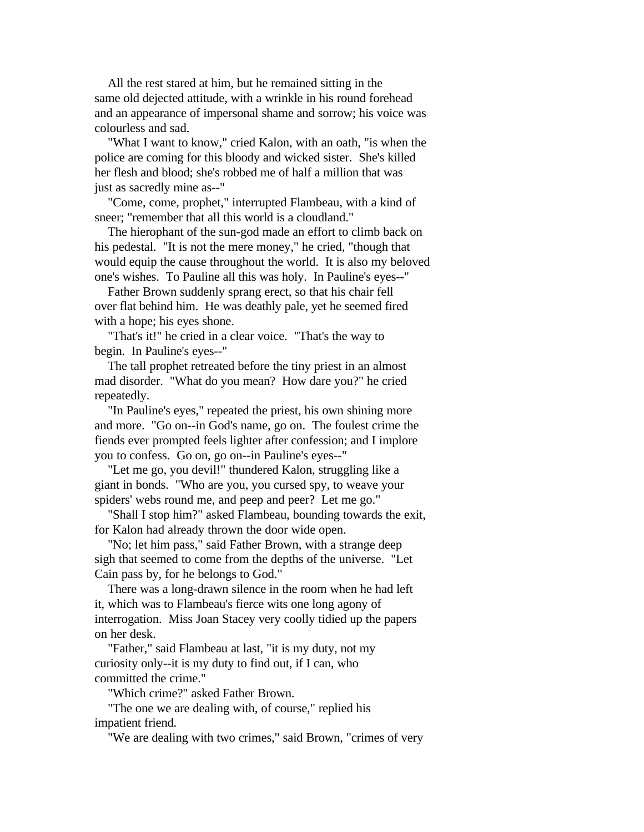All the rest stared at him, but he remained sitting in the same old dejected attitude, with a wrinkle in his round forehead and an appearance of impersonal shame and sorrow; his voice was colourless and sad.

 "What I want to know," cried Kalon, with an oath, "is when the police are coming for this bloody and wicked sister. She's killed her flesh and blood; she's robbed me of half a million that was just as sacredly mine as--"

 "Come, come, prophet," interrupted Flambeau, with a kind of sneer; "remember that all this world is a cloudland."

 The hierophant of the sun-god made an effort to climb back on his pedestal. "It is not the mere money," he cried, "though that would equip the cause throughout the world. It is also my beloved one's wishes. To Pauline all this was holy. In Pauline's eyes--"

 Father Brown suddenly sprang erect, so that his chair fell over flat behind him. He was deathly pale, yet he seemed fired with a hope; his eyes shone.

 "That's it!" he cried in a clear voice. "That's the way to begin. In Pauline's eyes--"

 The tall prophet retreated before the tiny priest in an almost mad disorder. "What do you mean? How dare you?" he cried repeatedly.

 "In Pauline's eyes," repeated the priest, his own shining more and more. "Go on--in God's name, go on. The foulest crime the fiends ever prompted feels lighter after confession; and I implore you to confess. Go on, go on--in Pauline's eyes--"

 "Let me go, you devil!" thundered Kalon, struggling like a giant in bonds. "Who are you, you cursed spy, to weave your spiders' webs round me, and peep and peer? Let me go."

 "Shall I stop him?" asked Flambeau, bounding towards the exit, for Kalon had already thrown the door wide open.

 "No; let him pass," said Father Brown, with a strange deep sigh that seemed to come from the depths of the universe. "Let Cain pass by, for he belongs to God."

 There was a long-drawn silence in the room when he had left it, which was to Flambeau's fierce wits one long agony of interrogation. Miss Joan Stacey very coolly tidied up the papers on her desk.

 "Father," said Flambeau at last, "it is my duty, not my curiosity only--it is my duty to find out, if I can, who committed the crime."

"Which crime?" asked Father Brown.

 "The one we are dealing with, of course," replied his impatient friend.

"We are dealing with two crimes," said Brown, "crimes of very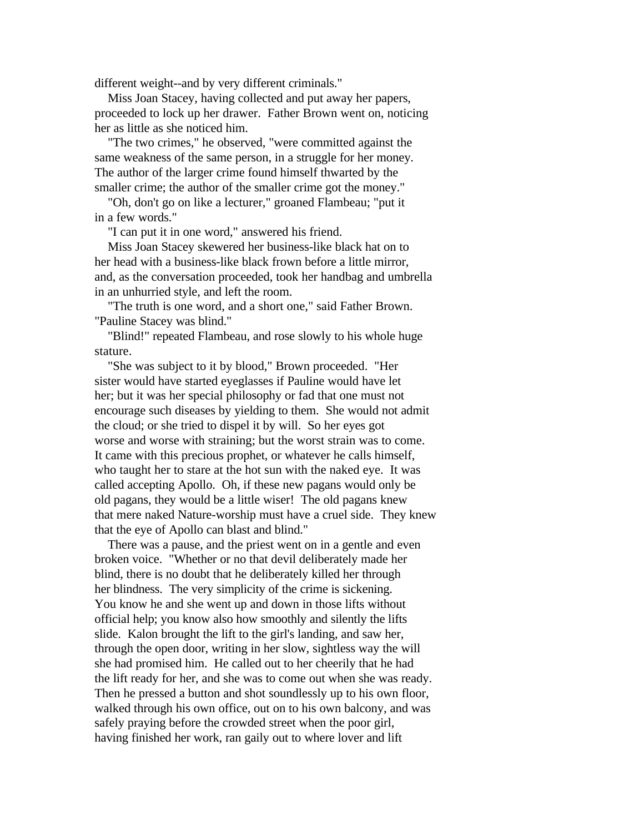different weight--and by very different criminals."

 Miss Joan Stacey, having collected and put away her papers, proceeded to lock up her drawer. Father Brown went on, noticing her as little as she noticed him.

 "The two crimes," he observed, "were committed against the same weakness of the same person, in a struggle for her money. The author of the larger crime found himself thwarted by the smaller crime; the author of the smaller crime got the money."

 "Oh, don't go on like a lecturer," groaned Flambeau; "put it in a few words."

"I can put it in one word," answered his friend.

 Miss Joan Stacey skewered her business-like black hat on to her head with a business-like black frown before a little mirror, and, as the conversation proceeded, took her handbag and umbrella in an unhurried style, and left the room.

 "The truth is one word, and a short one," said Father Brown. "Pauline Stacey was blind."

 "Blind!" repeated Flambeau, and rose slowly to his whole huge stature.

 "She was subject to it by blood," Brown proceeded. "Her sister would have started eyeglasses if Pauline would have let her; but it was her special philosophy or fad that one must not encourage such diseases by yielding to them. She would not admit the cloud; or she tried to dispel it by will. So her eyes got worse and worse with straining; but the worst strain was to come. It came with this precious prophet, or whatever he calls himself, who taught her to stare at the hot sun with the naked eye. It was called accepting Apollo. Oh, if these new pagans would only be old pagans, they would be a little wiser! The old pagans knew that mere naked Nature-worship must have a cruel side. They knew that the eye of Apollo can blast and blind."

 There was a pause, and the priest went on in a gentle and even broken voice. "Whether or no that devil deliberately made her blind, there is no doubt that he deliberately killed her through her blindness. The very simplicity of the crime is sickening. You know he and she went up and down in those lifts without official help; you know also how smoothly and silently the lifts slide. Kalon brought the lift to the girl's landing, and saw her, through the open door, writing in her slow, sightless way the will she had promised him. He called out to her cheerily that he had the lift ready for her, and she was to come out when she was ready. Then he pressed a button and shot soundlessly up to his own floor, walked through his own office, out on to his own balcony, and was safely praying before the crowded street when the poor girl, having finished her work, ran gaily out to where lover and lift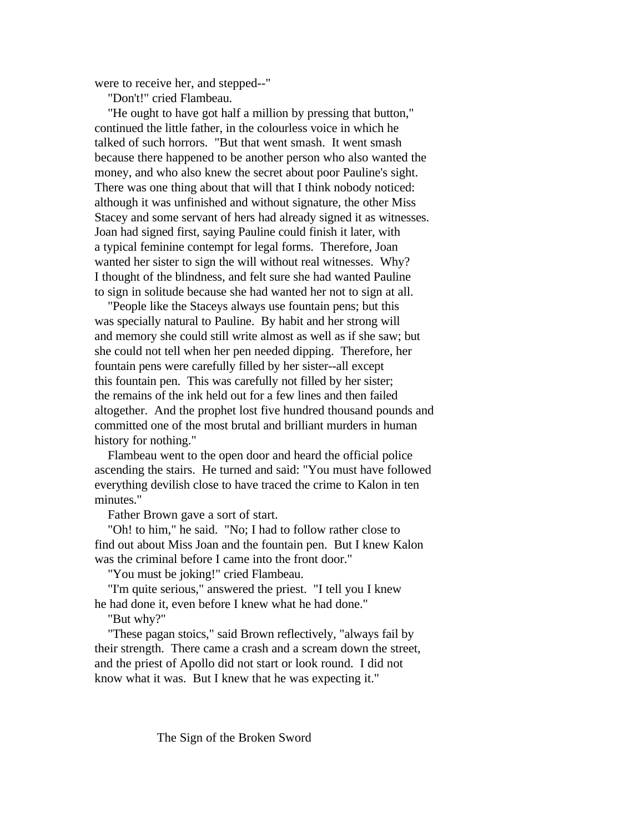were to receive her, and stepped--"

"Don't!" cried Flambeau.

 "He ought to have got half a million by pressing that button," continued the little father, in the colourless voice in which he talked of such horrors. "But that went smash. It went smash because there happened to be another person who also wanted the money, and who also knew the secret about poor Pauline's sight. There was one thing about that will that I think nobody noticed: although it was unfinished and without signature, the other Miss Stacey and some servant of hers had already signed it as witnesses. Joan had signed first, saying Pauline could finish it later, with a typical feminine contempt for legal forms. Therefore, Joan wanted her sister to sign the will without real witnesses. Why? I thought of the blindness, and felt sure she had wanted Pauline to sign in solitude because she had wanted her not to sign at all.

 "People like the Staceys always use fountain pens; but this was specially natural to Pauline. By habit and her strong will and memory she could still write almost as well as if she saw; but she could not tell when her pen needed dipping. Therefore, her fountain pens were carefully filled by her sister--all except this fountain pen. This was carefully not filled by her sister; the remains of the ink held out for a few lines and then failed altogether. And the prophet lost five hundred thousand pounds and committed one of the most brutal and brilliant murders in human history for nothing."

 Flambeau went to the open door and heard the official police ascending the stairs. He turned and said: "You must have followed everything devilish close to have traced the crime to Kalon in ten minutes."

Father Brown gave a sort of start.

 "Oh! to him," he said. "No; I had to follow rather close to find out about Miss Joan and the fountain pen. But I knew Kalon was the criminal before I came into the front door."

"You must be joking!" cried Flambeau.

 "I'm quite serious," answered the priest. "I tell you I knew he had done it, even before I knew what he had done."

"But why?"

 "These pagan stoics," said Brown reflectively, "always fail by their strength. There came a crash and a scream down the street, and the priest of Apollo did not start or look round. I did not know what it was. But I knew that he was expecting it."

The Sign of the Broken Sword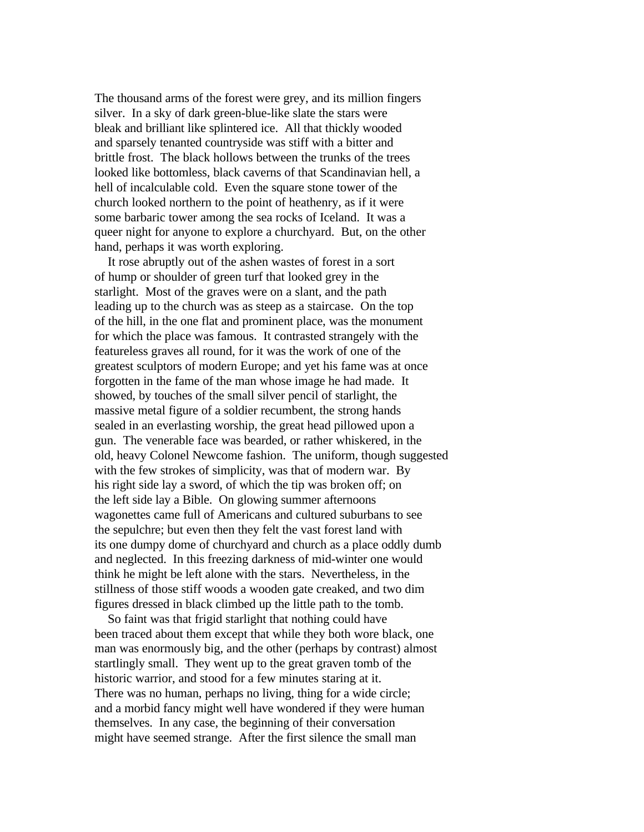The thousand arms of the forest were grey, and its million fingers silver. In a sky of dark green-blue-like slate the stars were bleak and brilliant like splintered ice. All that thickly wooded and sparsely tenanted countryside was stiff with a bitter and brittle frost. The black hollows between the trunks of the trees looked like bottomless, black caverns of that Scandinavian hell, a hell of incalculable cold. Even the square stone tower of the church looked northern to the point of heathenry, as if it were some barbaric tower among the sea rocks of Iceland. It was a queer night for anyone to explore a churchyard. But, on the other hand, perhaps it was worth exploring.

 It rose abruptly out of the ashen wastes of forest in a sort of hump or shoulder of green turf that looked grey in the starlight. Most of the graves were on a slant, and the path leading up to the church was as steep as a staircase. On the top of the hill, in the one flat and prominent place, was the monument for which the place was famous. It contrasted strangely with the featureless graves all round, for it was the work of one of the greatest sculptors of modern Europe; and yet his fame was at once forgotten in the fame of the man whose image he had made. It showed, by touches of the small silver pencil of starlight, the massive metal figure of a soldier recumbent, the strong hands sealed in an everlasting worship, the great head pillowed upon a gun. The venerable face was bearded, or rather whiskered, in the old, heavy Colonel Newcome fashion. The uniform, though suggested with the few strokes of simplicity, was that of modern war. By his right side lay a sword, of which the tip was broken off; on the left side lay a Bible. On glowing summer afternoons wagonettes came full of Americans and cultured suburbans to see the sepulchre; but even then they felt the vast forest land with its one dumpy dome of churchyard and church as a place oddly dumb and neglected. In this freezing darkness of mid-winter one would think he might be left alone with the stars. Nevertheless, in the stillness of those stiff woods a wooden gate creaked, and two dim figures dressed in black climbed up the little path to the tomb.

 So faint was that frigid starlight that nothing could have been traced about them except that while they both wore black, one man was enormously big, and the other (perhaps by contrast) almost startlingly small. They went up to the great graven tomb of the historic warrior, and stood for a few minutes staring at it. There was no human, perhaps no living, thing for a wide circle; and a morbid fancy might well have wondered if they were human themselves. In any case, the beginning of their conversation might have seemed strange. After the first silence the small man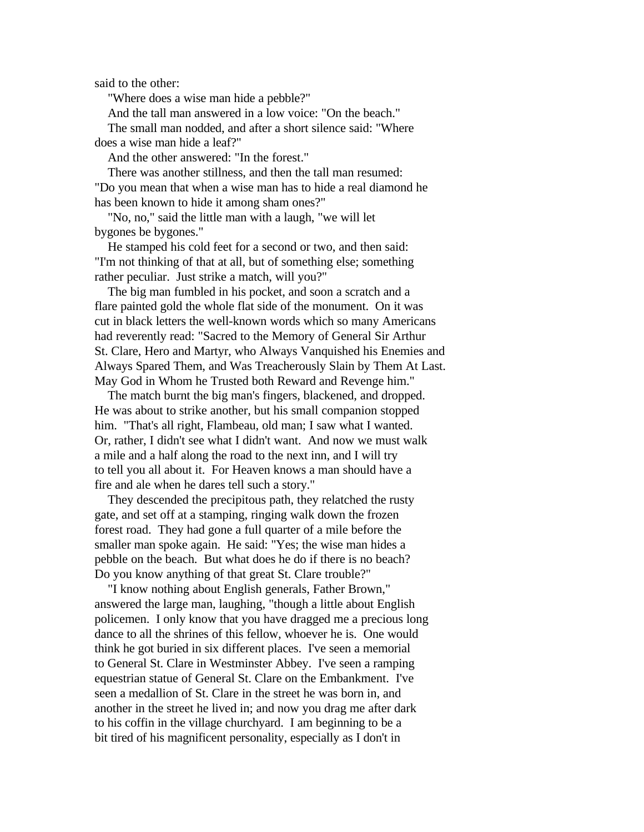said to the other:

"Where does a wise man hide a pebble?"

And the tall man answered in a low voice: "On the beach."

 The small man nodded, and after a short silence said: "Where does a wise man hide a leaf?"

And the other answered: "In the forest."

 There was another stillness, and then the tall man resumed: "Do you mean that when a wise man has to hide a real diamond he has been known to hide it among sham ones?"

 "No, no," said the little man with a laugh, "we will let bygones be bygones."

 He stamped his cold feet for a second or two, and then said: "I'm not thinking of that at all, but of something else; something rather peculiar. Just strike a match, will you?"

 The big man fumbled in his pocket, and soon a scratch and a flare painted gold the whole flat side of the monument. On it was cut in black letters the well-known words which so many Americans had reverently read: "Sacred to the Memory of General Sir Arthur St. Clare, Hero and Martyr, who Always Vanquished his Enemies and Always Spared Them, and Was Treacherously Slain by Them At Last. May God in Whom he Trusted both Reward and Revenge him."

 The match burnt the big man's fingers, blackened, and dropped. He was about to strike another, but his small companion stopped him. "That's all right, Flambeau, old man; I saw what I wanted. Or, rather, I didn't see what I didn't want. And now we must walk a mile and a half along the road to the next inn, and I will try to tell you all about it. For Heaven knows a man should have a fire and ale when he dares tell such a story."

 They descended the precipitous path, they relatched the rusty gate, and set off at a stamping, ringing walk down the frozen forest road. They had gone a full quarter of a mile before the smaller man spoke again. He said: "Yes; the wise man hides a pebble on the beach. But what does he do if there is no beach? Do you know anything of that great St. Clare trouble?"

 "I know nothing about English generals, Father Brown," answered the large man, laughing, "though a little about English policemen. I only know that you have dragged me a precious long dance to all the shrines of this fellow, whoever he is. One would think he got buried in six different places. I've seen a memorial to General St. Clare in Westminster Abbey. I've seen a ramping equestrian statue of General St. Clare on the Embankment. I've seen a medallion of St. Clare in the street he was born in, and another in the street he lived in; and now you drag me after dark to his coffin in the village churchyard. I am beginning to be a bit tired of his magnificent personality, especially as I don't in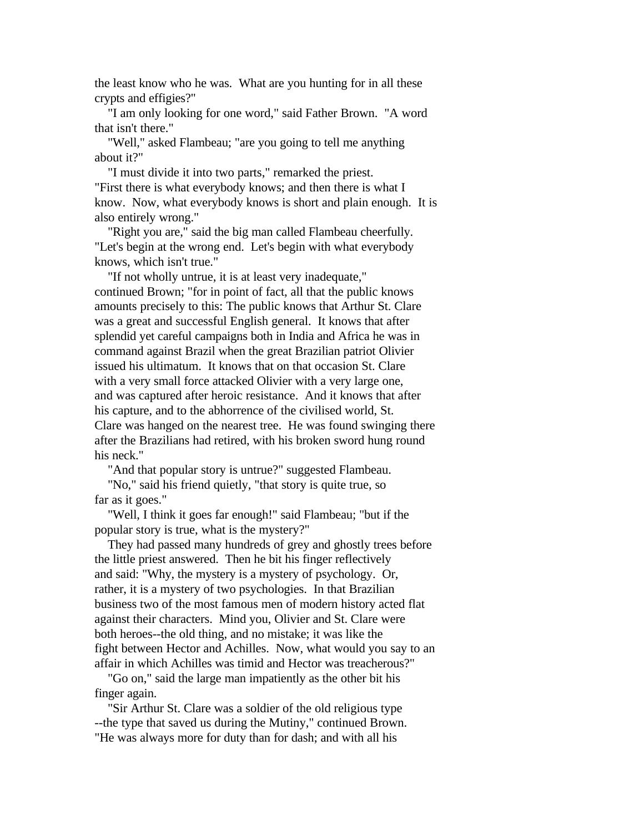the least know who he was. What are you hunting for in all these crypts and effigies?"

 "I am only looking for one word," said Father Brown. "A word that isn't there."

 "Well," asked Flambeau; "are you going to tell me anything about it?"

 "I must divide it into two parts," remarked the priest. "First there is what everybody knows; and then there is what I know. Now, what everybody knows is short and plain enough. It is also entirely wrong."

 "Right you are," said the big man called Flambeau cheerfully. "Let's begin at the wrong end. Let's begin with what everybody knows, which isn't true."

 "If not wholly untrue, it is at least very inadequate," continued Brown; "for in point of fact, all that the public knows amounts precisely to this: The public knows that Arthur St. Clare was a great and successful English general. It knows that after splendid yet careful campaigns both in India and Africa he was in command against Brazil when the great Brazilian patriot Olivier issued his ultimatum. It knows that on that occasion St. Clare with a very small force attacked Olivier with a very large one, and was captured after heroic resistance. And it knows that after his capture, and to the abhorrence of the civilised world, St. Clare was hanged on the nearest tree. He was found swinging there after the Brazilians had retired, with his broken sword hung round his neck."

"And that popular story is untrue?" suggested Flambeau.

 "No," said his friend quietly, "that story is quite true, so far as it goes."

 "Well, I think it goes far enough!" said Flambeau; "but if the popular story is true, what is the mystery?"

 They had passed many hundreds of grey and ghostly trees before the little priest answered. Then he bit his finger reflectively and said: "Why, the mystery is a mystery of psychology. Or, rather, it is a mystery of two psychologies. In that Brazilian business two of the most famous men of modern history acted flat against their characters. Mind you, Olivier and St. Clare were both heroes--the old thing, and no mistake; it was like the fight between Hector and Achilles. Now, what would you say to an affair in which Achilles was timid and Hector was treacherous?"

 "Go on," said the large man impatiently as the other bit his finger again.

 "Sir Arthur St. Clare was a soldier of the old religious type --the type that saved us during the Mutiny," continued Brown. "He was always more for duty than for dash; and with all his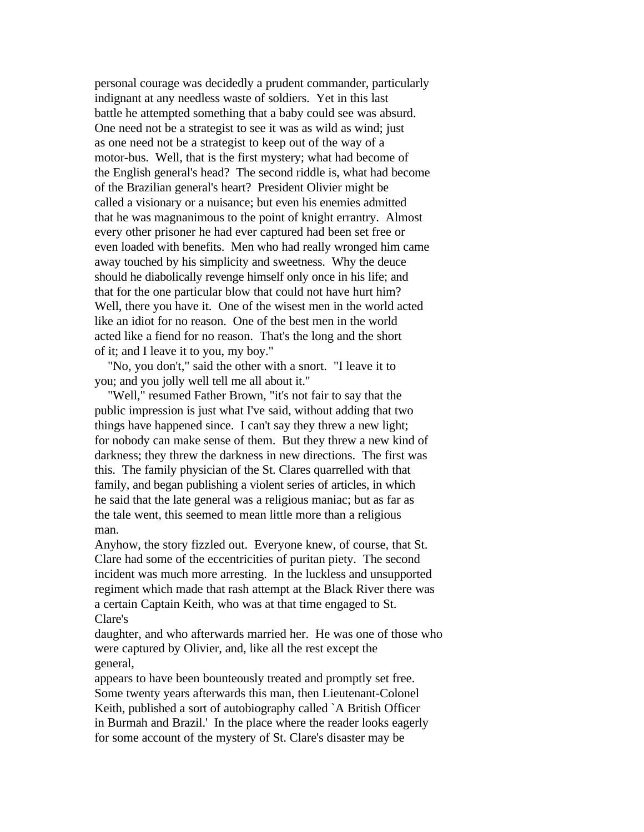personal courage was decidedly a prudent commander, particularly indignant at any needless waste of soldiers. Yet in this last battle he attempted something that a baby could see was absurd. One need not be a strategist to see it was as wild as wind; just as one need not be a strategist to keep out of the way of a motor-bus. Well, that is the first mystery; what had become of the English general's head? The second riddle is, what had become of the Brazilian general's heart? President Olivier might be called a visionary or a nuisance; but even his enemies admitted that he was magnanimous to the point of knight errantry. Almost every other prisoner he had ever captured had been set free or even loaded with benefits. Men who had really wronged him came away touched by his simplicity and sweetness. Why the deuce should he diabolically revenge himself only once in his life; and that for the one particular blow that could not have hurt him? Well, there you have it. One of the wisest men in the world acted like an idiot for no reason. One of the best men in the world acted like a fiend for no reason. That's the long and the short of it; and I leave it to you, my boy."

 "No, you don't," said the other with a snort. "I leave it to you; and you jolly well tell me all about it."

 "Well," resumed Father Brown, "it's not fair to say that the public impression is just what I've said, without adding that two things have happened since. I can't say they threw a new light; for nobody can make sense of them. But they threw a new kind of darkness; they threw the darkness in new directions. The first was this. The family physician of the St. Clares quarrelled with that family, and began publishing a violent series of articles, in which he said that the late general was a religious maniac; but as far as the tale went, this seemed to mean little more than a religious man.

Anyhow, the story fizzled out. Everyone knew, of course, that St. Clare had some of the eccentricities of puritan piety. The second incident was much more arresting. In the luckless and unsupported regiment which made that rash attempt at the Black River there was a certain Captain Keith, who was at that time engaged to St. Clare's

daughter, and who afterwards married her. He was one of those who were captured by Olivier, and, like all the rest except the general,

appears to have been bounteously treated and promptly set free. Some twenty years afterwards this man, then Lieutenant-Colonel Keith, published a sort of autobiography called `A British Officer in Burmah and Brazil.' In the place where the reader looks eagerly for some account of the mystery of St. Clare's disaster may be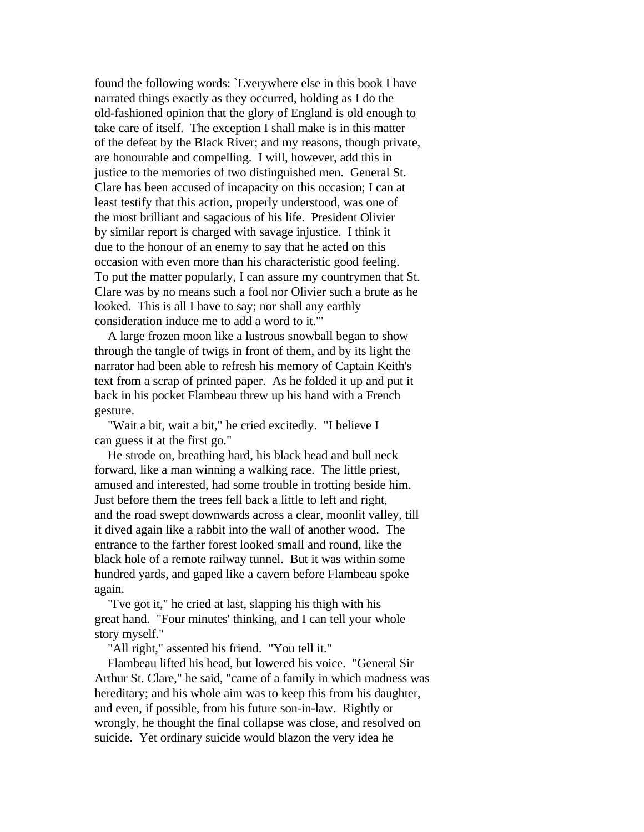found the following words: `Everywhere else in this book I have narrated things exactly as they occurred, holding as I do the old-fashioned opinion that the glory of England is old enough to take care of itself. The exception I shall make is in this matter of the defeat by the Black River; and my reasons, though private, are honourable and compelling. I will, however, add this in justice to the memories of two distinguished men. General St. Clare has been accused of incapacity on this occasion; I can at least testify that this action, properly understood, was one of the most brilliant and sagacious of his life. President Olivier by similar report is charged with savage injustice. I think it due to the honour of an enemy to say that he acted on this occasion with even more than his characteristic good feeling. To put the matter popularly, I can assure my countrymen that St. Clare was by no means such a fool nor Olivier such a brute as he looked. This is all I have to say; nor shall any earthly consideration induce me to add a word to it.'"

 A large frozen moon like a lustrous snowball began to show through the tangle of twigs in front of them, and by its light the narrator had been able to refresh his memory of Captain Keith's text from a scrap of printed paper. As he folded it up and put it back in his pocket Flambeau threw up his hand with a French gesture.

 "Wait a bit, wait a bit," he cried excitedly. "I believe I can guess it at the first go."

 He strode on, breathing hard, his black head and bull neck forward, like a man winning a walking race. The little priest, amused and interested, had some trouble in trotting beside him. Just before them the trees fell back a little to left and right, and the road swept downwards across a clear, moonlit valley, till it dived again like a rabbit into the wall of another wood. The entrance to the farther forest looked small and round, like the black hole of a remote railway tunnel. But it was within some hundred yards, and gaped like a cavern before Flambeau spoke again.

 "I've got it," he cried at last, slapping his thigh with his great hand. "Four minutes' thinking, and I can tell your whole story myself."

"All right," assented his friend. "You tell it."

 Flambeau lifted his head, but lowered his voice. "General Sir Arthur St. Clare," he said, "came of a family in which madness was hereditary; and his whole aim was to keep this from his daughter, and even, if possible, from his future son-in-law. Rightly or wrongly, he thought the final collapse was close, and resolved on suicide. Yet ordinary suicide would blazon the very idea he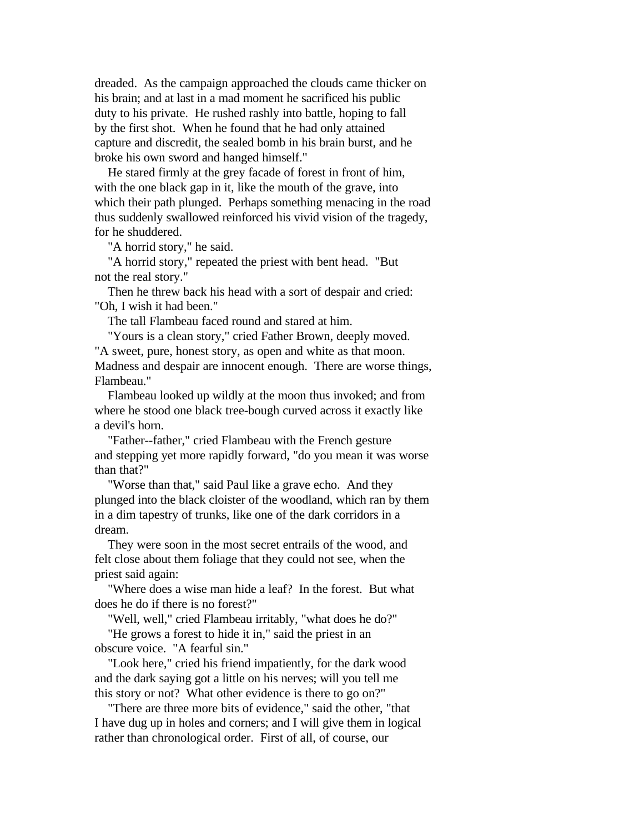dreaded. As the campaign approached the clouds came thicker on his brain; and at last in a mad moment he sacrificed his public duty to his private. He rushed rashly into battle, hoping to fall by the first shot. When he found that he had only attained capture and discredit, the sealed bomb in his brain burst, and he broke his own sword and hanged himself."

 He stared firmly at the grey facade of forest in front of him, with the one black gap in it, like the mouth of the grave, into which their path plunged. Perhaps something menacing in the road thus suddenly swallowed reinforced his vivid vision of the tragedy, for he shuddered.

"A horrid story," he said.

 "A horrid story," repeated the priest with bent head. "But not the real story."

 Then he threw back his head with a sort of despair and cried: "Oh, I wish it had been."

The tall Flambeau faced round and stared at him.

"Yours is a clean story," cried Father Brown, deeply moved.

"A sweet, pure, honest story, as open and white as that moon. Madness and despair are innocent enough. There are worse things, Flambeau."

 Flambeau looked up wildly at the moon thus invoked; and from where he stood one black tree-bough curved across it exactly like a devil's horn.

 "Father--father," cried Flambeau with the French gesture and stepping yet more rapidly forward, "do you mean it was worse than that?"

 "Worse than that," said Paul like a grave echo. And they plunged into the black cloister of the woodland, which ran by them in a dim tapestry of trunks, like one of the dark corridors in a dream.

 They were soon in the most secret entrails of the wood, and felt close about them foliage that they could not see, when the priest said again:

 "Where does a wise man hide a leaf? In the forest. But what does he do if there is no forest?"

 "Well, well," cried Flambeau irritably, "what does he do?" "He grows a forest to hide it in," said the priest in an

obscure voice. "A fearful sin."

 "Look here," cried his friend impatiently, for the dark wood and the dark saying got a little on his nerves; will you tell me this story or not? What other evidence is there to go on?"

 "There are three more bits of evidence," said the other, "that I have dug up in holes and corners; and I will give them in logical rather than chronological order. First of all, of course, our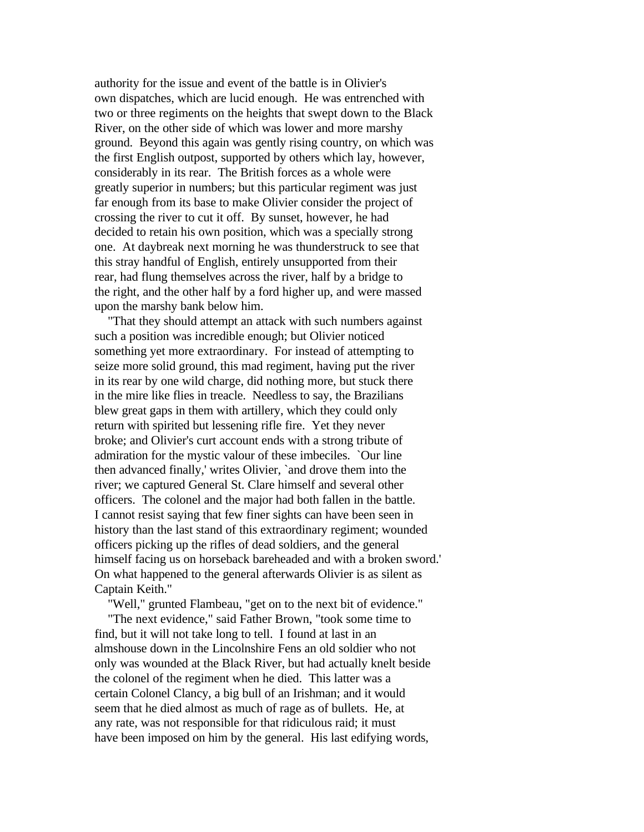authority for the issue and event of the battle is in Olivier's own dispatches, which are lucid enough. He was entrenched with two or three regiments on the heights that swept down to the Black River, on the other side of which was lower and more marshy ground. Beyond this again was gently rising country, on which was the first English outpost, supported by others which lay, however, considerably in its rear. The British forces as a whole were greatly superior in numbers; but this particular regiment was just far enough from its base to make Olivier consider the project of crossing the river to cut it off. By sunset, however, he had decided to retain his own position, which was a specially strong one. At daybreak next morning he was thunderstruck to see that this stray handful of English, entirely unsupported from their rear, had flung themselves across the river, half by a bridge to the right, and the other half by a ford higher up, and were massed upon the marshy bank below him.

 "That they should attempt an attack with such numbers against such a position was incredible enough; but Olivier noticed something yet more extraordinary. For instead of attempting to seize more solid ground, this mad regiment, having put the river in its rear by one wild charge, did nothing more, but stuck there in the mire like flies in treacle. Needless to say, the Brazilians blew great gaps in them with artillery, which they could only return with spirited but lessening rifle fire. Yet they never broke; and Olivier's curt account ends with a strong tribute of admiration for the mystic valour of these imbeciles. `Our line then advanced finally,' writes Olivier, `and drove them into the river; we captured General St. Clare himself and several other officers. The colonel and the major had both fallen in the battle. I cannot resist saying that few finer sights can have been seen in history than the last stand of this extraordinary regiment; wounded officers picking up the rifles of dead soldiers, and the general himself facing us on horseback bareheaded and with a broken sword.' On what happened to the general afterwards Olivier is as silent as Captain Keith."

 "Well," grunted Flambeau, "get on to the next bit of evidence." "The next evidence," said Father Brown, "took some time to find, but it will not take long to tell. I found at last in an almshouse down in the Lincolnshire Fens an old soldier who not only was wounded at the Black River, but had actually knelt beside the colonel of the regiment when he died. This latter was a certain Colonel Clancy, a big bull of an Irishman; and it would seem that he died almost as much of rage as of bullets. He, at any rate, was not responsible for that ridiculous raid; it must have been imposed on him by the general. His last edifying words,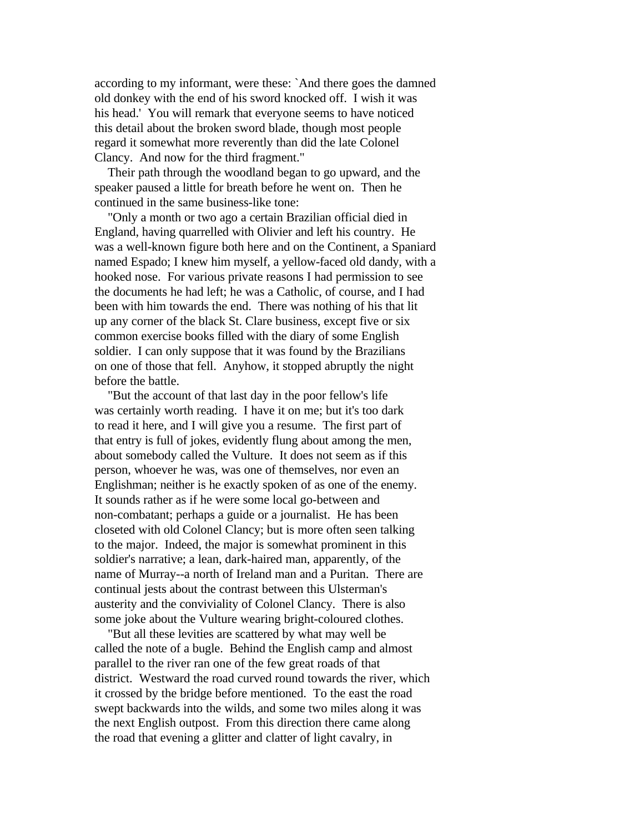according to my informant, were these: `And there goes the damned old donkey with the end of his sword knocked off. I wish it was his head.' You will remark that everyone seems to have noticed this detail about the broken sword blade, though most people regard it somewhat more reverently than did the late Colonel Clancy. And now for the third fragment."

 Their path through the woodland began to go upward, and the speaker paused a little for breath before he went on. Then he continued in the same business-like tone:

 "Only a month or two ago a certain Brazilian official died in England, having quarrelled with Olivier and left his country. He was a well-known figure both here and on the Continent, a Spaniard named Espado; I knew him myself, a yellow-faced old dandy, with a hooked nose. For various private reasons I had permission to see the documents he had left; he was a Catholic, of course, and I had been with him towards the end. There was nothing of his that lit up any corner of the black St. Clare business, except five or six common exercise books filled with the diary of some English soldier. I can only suppose that it was found by the Brazilians on one of those that fell. Anyhow, it stopped abruptly the night before the battle.

 "But the account of that last day in the poor fellow's life was certainly worth reading. I have it on me; but it's too dark to read it here, and I will give you a resume. The first part of that entry is full of jokes, evidently flung about among the men, about somebody called the Vulture. It does not seem as if this person, whoever he was, was one of themselves, nor even an Englishman; neither is he exactly spoken of as one of the enemy. It sounds rather as if he were some local go-between and non-combatant; perhaps a guide or a journalist. He has been closeted with old Colonel Clancy; but is more often seen talking to the major. Indeed, the major is somewhat prominent in this soldier's narrative; a lean, dark-haired man, apparently, of the name of Murray--a north of Ireland man and a Puritan. There are continual jests about the contrast between this Ulsterman's austerity and the conviviality of Colonel Clancy. There is also some joke about the Vulture wearing bright-coloured clothes.

 "But all these levities are scattered by what may well be called the note of a bugle. Behind the English camp and almost parallel to the river ran one of the few great roads of that district. Westward the road curved round towards the river, which it crossed by the bridge before mentioned. To the east the road swept backwards into the wilds, and some two miles along it was the next English outpost. From this direction there came along the road that evening a glitter and clatter of light cavalry, in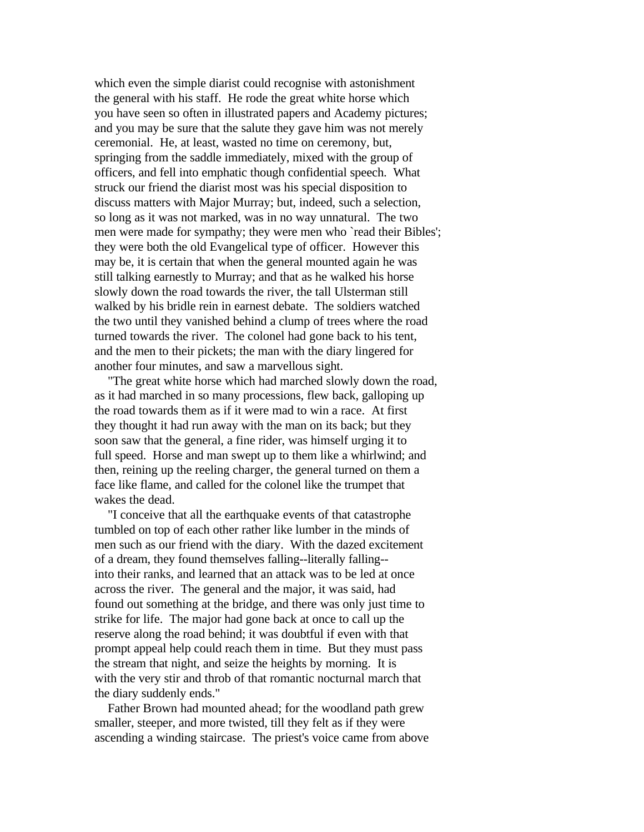which even the simple diarist could recognise with astonishment the general with his staff. He rode the great white horse which you have seen so often in illustrated papers and Academy pictures; and you may be sure that the salute they gave him was not merely ceremonial. He, at least, wasted no time on ceremony, but, springing from the saddle immediately, mixed with the group of officers, and fell into emphatic though confidential speech. What struck our friend the diarist most was his special disposition to discuss matters with Major Murray; but, indeed, such a selection, so long as it was not marked, was in no way unnatural. The two men were made for sympathy; they were men who 'read their Bibles': they were both the old Evangelical type of officer. However this may be, it is certain that when the general mounted again he was still talking earnestly to Murray; and that as he walked his horse slowly down the road towards the river, the tall Ulsterman still walked by his bridle rein in earnest debate. The soldiers watched the two until they vanished behind a clump of trees where the road turned towards the river. The colonel had gone back to his tent, and the men to their pickets; the man with the diary lingered for another four minutes, and saw a marvellous sight.

 "The great white horse which had marched slowly down the road, as it had marched in so many processions, flew back, galloping up the road towards them as if it were mad to win a race. At first they thought it had run away with the man on its back; but they soon saw that the general, a fine rider, was himself urging it to full speed. Horse and man swept up to them like a whirlwind; and then, reining up the reeling charger, the general turned on them a face like flame, and called for the colonel like the trumpet that wakes the dead.

 "I conceive that all the earthquake events of that catastrophe tumbled on top of each other rather like lumber in the minds of men such as our friend with the diary. With the dazed excitement of a dream, they found themselves falling--literally falling- into their ranks, and learned that an attack was to be led at once across the river. The general and the major, it was said, had found out something at the bridge, and there was only just time to strike for life. The major had gone back at once to call up the reserve along the road behind; it was doubtful if even with that prompt appeal help could reach them in time. But they must pass the stream that night, and seize the heights by morning. It is with the very stir and throb of that romantic nocturnal march that the diary suddenly ends."

 Father Brown had mounted ahead; for the woodland path grew smaller, steeper, and more twisted, till they felt as if they were ascending a winding staircase. The priest's voice came from above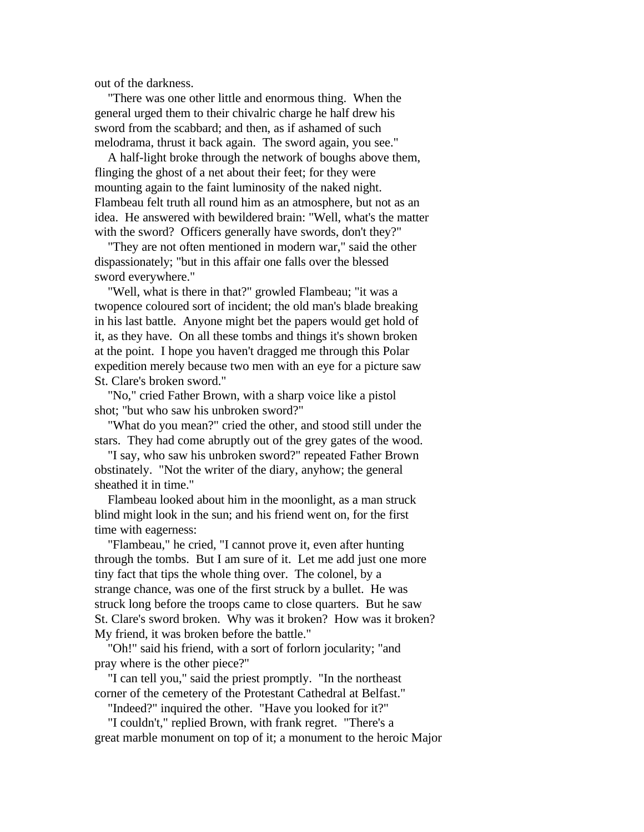out of the darkness.

 "There was one other little and enormous thing. When the general urged them to their chivalric charge he half drew his sword from the scabbard; and then, as if ashamed of such melodrama, thrust it back again. The sword again, you see."

 A half-light broke through the network of boughs above them, flinging the ghost of a net about their feet; for they were mounting again to the faint luminosity of the naked night. Flambeau felt truth all round him as an atmosphere, but not as an idea. He answered with bewildered brain: "Well, what's the matter with the sword? Officers generally have swords, don't they?"

 "They are not often mentioned in modern war," said the other dispassionately; "but in this affair one falls over the blessed sword everywhere."

 "Well, what is there in that?" growled Flambeau; "it was a twopence coloured sort of incident; the old man's blade breaking in his last battle. Anyone might bet the papers would get hold of it, as they have. On all these tombs and things it's shown broken at the point. I hope you haven't dragged me through this Polar expedition merely because two men with an eye for a picture saw St. Clare's broken sword."

 "No," cried Father Brown, with a sharp voice like a pistol shot; "but who saw his unbroken sword?"

 "What do you mean?" cried the other, and stood still under the stars. They had come abruptly out of the grey gates of the wood.

 "I say, who saw his unbroken sword?" repeated Father Brown obstinately. "Not the writer of the diary, anyhow; the general sheathed it in time."

 Flambeau looked about him in the moonlight, as a man struck blind might look in the sun; and his friend went on, for the first time with eagerness:

 "Flambeau," he cried, "I cannot prove it, even after hunting through the tombs. But I am sure of it. Let me add just one more tiny fact that tips the whole thing over. The colonel, by a strange chance, was one of the first struck by a bullet. He was struck long before the troops came to close quarters. But he saw St. Clare's sword broken. Why was it broken? How was it broken? My friend, it was broken before the battle."

 "Oh!" said his friend, with a sort of forlorn jocularity; "and pray where is the other piece?"

 "I can tell you," said the priest promptly. "In the northeast corner of the cemetery of the Protestant Cathedral at Belfast."

"Indeed?" inquired the other. "Have you looked for it?"

 "I couldn't," replied Brown, with frank regret. "There's a great marble monument on top of it; a monument to the heroic Major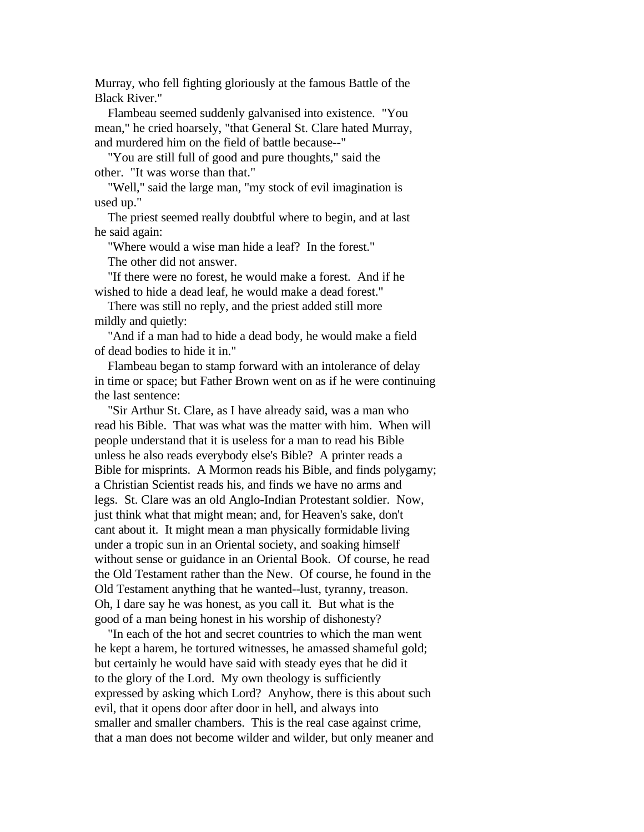Murray, who fell fighting gloriously at the famous Battle of the Black River."

 Flambeau seemed suddenly galvanised into existence. "You mean," he cried hoarsely, "that General St. Clare hated Murray, and murdered him on the field of battle because--"

 "You are still full of good and pure thoughts," said the other. "It was worse than that."

 "Well," said the large man, "my stock of evil imagination is used up."

 The priest seemed really doubtful where to begin, and at last he said again:

"Where would a wise man hide a leaf? In the forest."

The other did not answer.

 "If there were no forest, he would make a forest. And if he wished to hide a dead leaf, he would make a dead forest."

 There was still no reply, and the priest added still more mildly and quietly:

 "And if a man had to hide a dead body, he would make a field of dead bodies to hide it in."

 Flambeau began to stamp forward with an intolerance of delay in time or space; but Father Brown went on as if he were continuing the last sentence:

 "Sir Arthur St. Clare, as I have already said, was a man who read his Bible. That was what was the matter with him. When will people understand that it is useless for a man to read his Bible unless he also reads everybody else's Bible? A printer reads a Bible for misprints. A Mormon reads his Bible, and finds polygamy; a Christian Scientist reads his, and finds we have no arms and legs. St. Clare was an old Anglo-Indian Protestant soldier. Now, just think what that might mean; and, for Heaven's sake, don't cant about it. It might mean a man physically formidable living under a tropic sun in an Oriental society, and soaking himself without sense or guidance in an Oriental Book. Of course, he read the Old Testament rather than the New. Of course, he found in the Old Testament anything that he wanted--lust, tyranny, treason. Oh, I dare say he was honest, as you call it. But what is the good of a man being honest in his worship of dishonesty?

 "In each of the hot and secret countries to which the man went he kept a harem, he tortured witnesses, he amassed shameful gold; but certainly he would have said with steady eyes that he did it to the glory of the Lord. My own theology is sufficiently expressed by asking which Lord? Anyhow, there is this about such evil, that it opens door after door in hell, and always into smaller and smaller chambers. This is the real case against crime, that a man does not become wilder and wilder, but only meaner and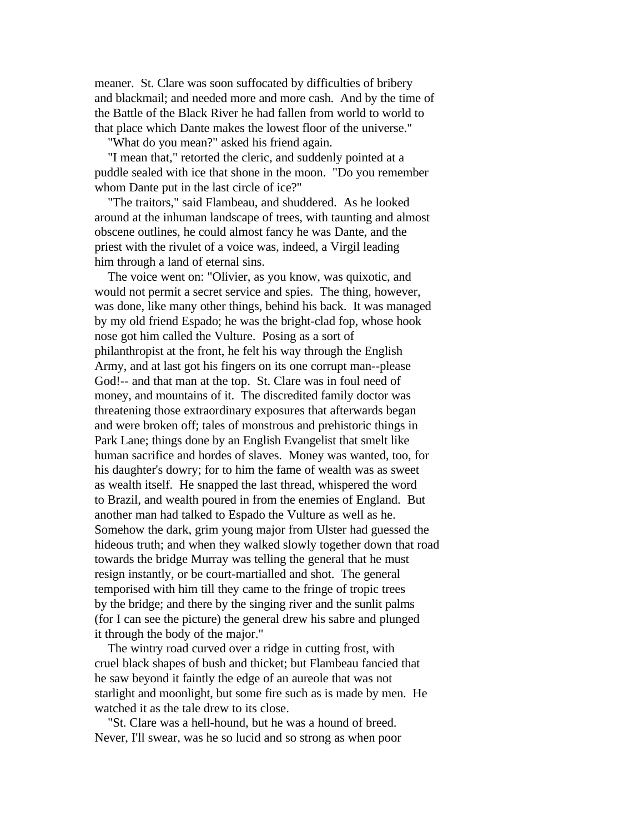meaner. St. Clare was soon suffocated by difficulties of bribery and blackmail; and needed more and more cash. And by the time of the Battle of the Black River he had fallen from world to world to that place which Dante makes the lowest floor of the universe."

"What do you mean?" asked his friend again.

 "I mean that," retorted the cleric, and suddenly pointed at a puddle sealed with ice that shone in the moon. "Do you remember whom Dante put in the last circle of ice?"

 "The traitors," said Flambeau, and shuddered. As he looked around at the inhuman landscape of trees, with taunting and almost obscene outlines, he could almost fancy he was Dante, and the priest with the rivulet of a voice was, indeed, a Virgil leading him through a land of eternal sins.

 The voice went on: "Olivier, as you know, was quixotic, and would not permit a secret service and spies. The thing, however, was done, like many other things, behind his back. It was managed by my old friend Espado; he was the bright-clad fop, whose hook nose got him called the Vulture. Posing as a sort of philanthropist at the front, he felt his way through the English Army, and at last got his fingers on its one corrupt man--please God!-- and that man at the top. St. Clare was in foul need of money, and mountains of it. The discredited family doctor was threatening those extraordinary exposures that afterwards began and were broken off; tales of monstrous and prehistoric things in Park Lane; things done by an English Evangelist that smelt like human sacrifice and hordes of slaves. Money was wanted, too, for his daughter's dowry; for to him the fame of wealth was as sweet as wealth itself. He snapped the last thread, whispered the word to Brazil, and wealth poured in from the enemies of England. But another man had talked to Espado the Vulture as well as he. Somehow the dark, grim young major from Ulster had guessed the hideous truth; and when they walked slowly together down that road towards the bridge Murray was telling the general that he must resign instantly, or be court-martialled and shot. The general temporised with him till they came to the fringe of tropic trees by the bridge; and there by the singing river and the sunlit palms (for I can see the picture) the general drew his sabre and plunged it through the body of the major."

 The wintry road curved over a ridge in cutting frost, with cruel black shapes of bush and thicket; but Flambeau fancied that he saw beyond it faintly the edge of an aureole that was not starlight and moonlight, but some fire such as is made by men. He watched it as the tale drew to its close.

 "St. Clare was a hell-hound, but he was a hound of breed. Never, I'll swear, was he so lucid and so strong as when poor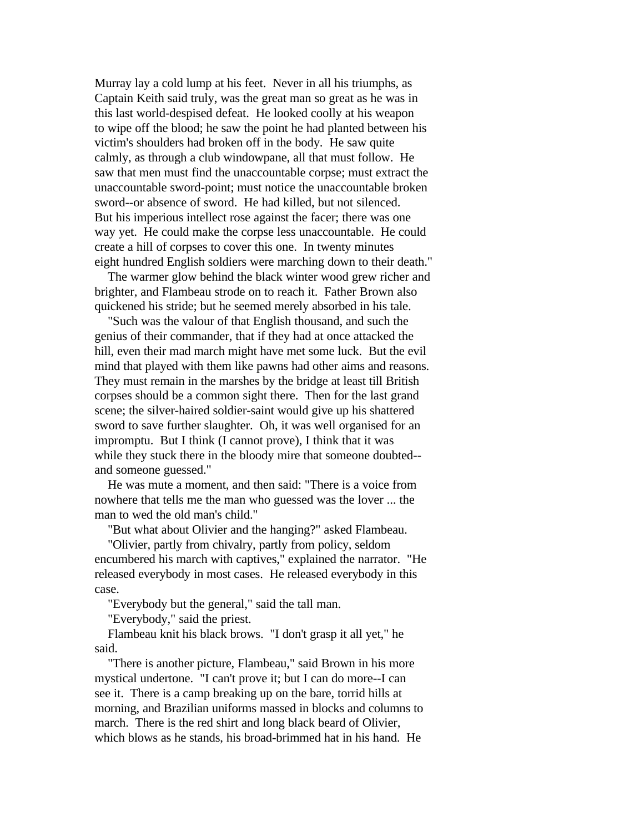Murray lay a cold lump at his feet. Never in all his triumphs, as Captain Keith said truly, was the great man so great as he was in this last world-despised defeat. He looked coolly at his weapon to wipe off the blood; he saw the point he had planted between his victim's shoulders had broken off in the body. He saw quite calmly, as through a club windowpane, all that must follow. He saw that men must find the unaccountable corpse; must extract the unaccountable sword-point; must notice the unaccountable broken sword--or absence of sword. He had killed, but not silenced. But his imperious intellect rose against the facer; there was one way yet. He could make the corpse less unaccountable. He could create a hill of corpses to cover this one. In twenty minutes eight hundred English soldiers were marching down to their death."

 The warmer glow behind the black winter wood grew richer and brighter, and Flambeau strode on to reach it. Father Brown also quickened his stride; but he seemed merely absorbed in his tale.

 "Such was the valour of that English thousand, and such the genius of their commander, that if they had at once attacked the hill, even their mad march might have met some luck. But the evil mind that played with them like pawns had other aims and reasons. They must remain in the marshes by the bridge at least till British corpses should be a common sight there. Then for the last grand scene; the silver-haired soldier-saint would give up his shattered sword to save further slaughter. Oh, it was well organised for an impromptu. But I think (I cannot prove), I think that it was while they stuck there in the bloody mire that someone doubted- and someone guessed."

 He was mute a moment, and then said: "There is a voice from nowhere that tells me the man who guessed was the lover ... the man to wed the old man's child."

"But what about Olivier and the hanging?" asked Flambeau.

 "Olivier, partly from chivalry, partly from policy, seldom encumbered his march with captives," explained the narrator. "He released everybody in most cases. He released everybody in this case.

"Everybody but the general," said the tall man.

"Everybody," said the priest.

 Flambeau knit his black brows. "I don't grasp it all yet," he said.

 "There is another picture, Flambeau," said Brown in his more mystical undertone. "I can't prove it; but I can do more--I can see it. There is a camp breaking up on the bare, torrid hills at morning, and Brazilian uniforms massed in blocks and columns to march. There is the red shirt and long black beard of Olivier, which blows as he stands, his broad-brimmed hat in his hand. He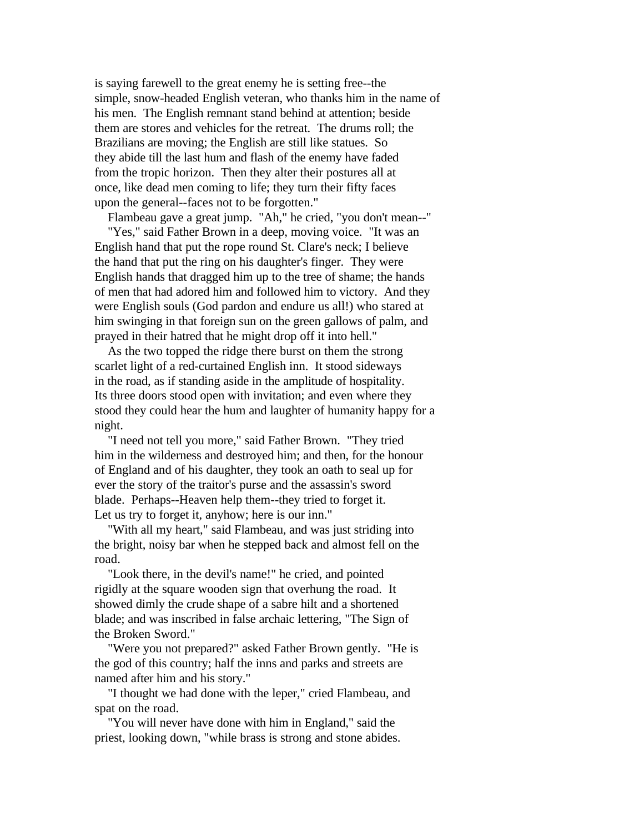is saying farewell to the great enemy he is setting free--the simple, snow-headed English veteran, who thanks him in the name of his men. The English remnant stand behind at attention; beside them are stores and vehicles for the retreat. The drums roll; the Brazilians are moving; the English are still like statues. So they abide till the last hum and flash of the enemy have faded from the tropic horizon. Then they alter their postures all at once, like dead men coming to life; they turn their fifty faces upon the general--faces not to be forgotten."

Flambeau gave a great jump. "Ah," he cried, "you don't mean--"

 "Yes," said Father Brown in a deep, moving voice. "It was an English hand that put the rope round St. Clare's neck; I believe the hand that put the ring on his daughter's finger. They were English hands that dragged him up to the tree of shame; the hands of men that had adored him and followed him to victory. And they were English souls (God pardon and endure us all!) who stared at him swinging in that foreign sun on the green gallows of palm, and prayed in their hatred that he might drop off it into hell."

 As the two topped the ridge there burst on them the strong scarlet light of a red-curtained English inn. It stood sideways in the road, as if standing aside in the amplitude of hospitality. Its three doors stood open with invitation; and even where they stood they could hear the hum and laughter of humanity happy for a night.

 "I need not tell you more," said Father Brown. "They tried him in the wilderness and destroyed him; and then, for the honour of England and of his daughter, they took an oath to seal up for ever the story of the traitor's purse and the assassin's sword blade. Perhaps--Heaven help them--they tried to forget it. Let us try to forget it, anyhow; here is our inn."

 "With all my heart," said Flambeau, and was just striding into the bright, noisy bar when he stepped back and almost fell on the road.

 "Look there, in the devil's name!" he cried, and pointed rigidly at the square wooden sign that overhung the road. It showed dimly the crude shape of a sabre hilt and a shortened blade; and was inscribed in false archaic lettering, "The Sign of the Broken Sword."

 "Were you not prepared?" asked Father Brown gently. "He is the god of this country; half the inns and parks and streets are named after him and his story."

 "I thought we had done with the leper," cried Flambeau, and spat on the road.

 "You will never have done with him in England," said the priest, looking down, "while brass is strong and stone abides.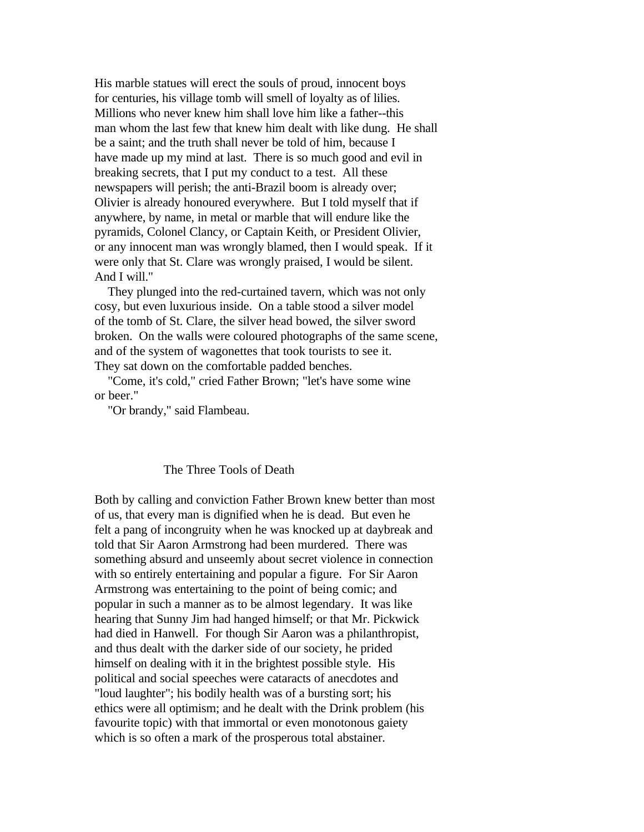His marble statues will erect the souls of proud, innocent boys for centuries, his village tomb will smell of loyalty as of lilies. Millions who never knew him shall love him like a father--this man whom the last few that knew him dealt with like dung. He shall be a saint; and the truth shall never be told of him, because I have made up my mind at last. There is so much good and evil in breaking secrets, that I put my conduct to a test. All these newspapers will perish; the anti-Brazil boom is already over; Olivier is already honoured everywhere. But I told myself that if anywhere, by name, in metal or marble that will endure like the pyramids, Colonel Clancy, or Captain Keith, or President Olivier, or any innocent man was wrongly blamed, then I would speak. If it were only that St. Clare was wrongly praised, I would be silent. And I will."

 They plunged into the red-curtained tavern, which was not only cosy, but even luxurious inside. On a table stood a silver model of the tomb of St. Clare, the silver head bowed, the silver sword broken. On the walls were coloured photographs of the same scene, and of the system of wagonettes that took tourists to see it. They sat down on the comfortable padded benches.

 "Come, it's cold," cried Father Brown; "let's have some wine or beer."

"Or brandy," said Flambeau.

## The Three Tools of Death

Both by calling and conviction Father Brown knew better than most of us, that every man is dignified when he is dead. But even he felt a pang of incongruity when he was knocked up at daybreak and told that Sir Aaron Armstrong had been murdered. There was something absurd and unseemly about secret violence in connection with so entirely entertaining and popular a figure. For Sir Aaron Armstrong was entertaining to the point of being comic; and popular in such a manner as to be almost legendary. It was like hearing that Sunny Jim had hanged himself; or that Mr. Pickwick had died in Hanwell. For though Sir Aaron was a philanthropist, and thus dealt with the darker side of our society, he prided himself on dealing with it in the brightest possible style. His political and social speeches were cataracts of anecdotes and "loud laughter"; his bodily health was of a bursting sort; his ethics were all optimism; and he dealt with the Drink problem (his favourite topic) with that immortal or even monotonous gaiety which is so often a mark of the prosperous total abstainer.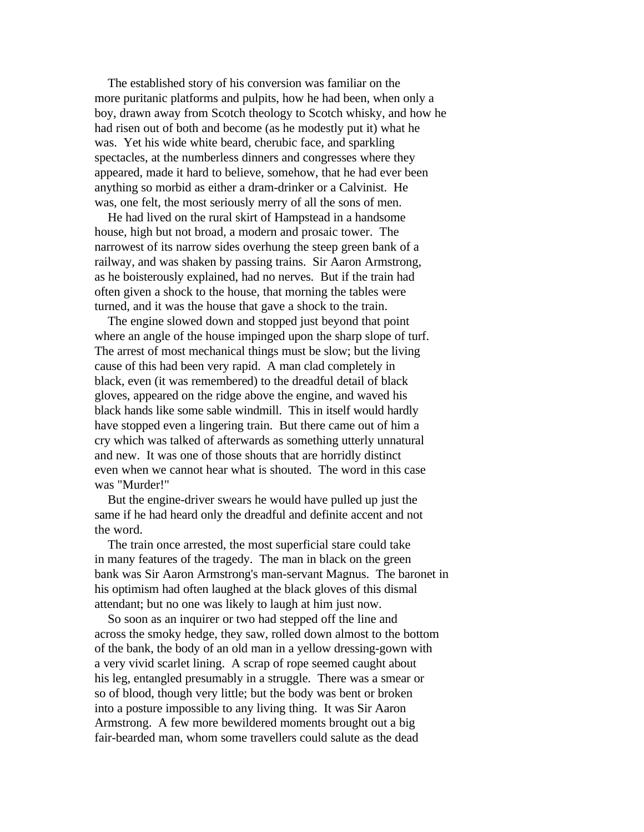The established story of his conversion was familiar on the more puritanic platforms and pulpits, how he had been, when only a boy, drawn away from Scotch theology to Scotch whisky, and how he had risen out of both and become (as he modestly put it) what he was. Yet his wide white beard, cherubic face, and sparkling spectacles, at the numberless dinners and congresses where they appeared, made it hard to believe, somehow, that he had ever been anything so morbid as either a dram-drinker or a Calvinist. He was, one felt, the most seriously merry of all the sons of men.

 He had lived on the rural skirt of Hampstead in a handsome house, high but not broad, a modern and prosaic tower. The narrowest of its narrow sides overhung the steep green bank of a railway, and was shaken by passing trains. Sir Aaron Armstrong, as he boisterously explained, had no nerves. But if the train had often given a shock to the house, that morning the tables were turned, and it was the house that gave a shock to the train.

 The engine slowed down and stopped just beyond that point where an angle of the house impinged upon the sharp slope of turf. The arrest of most mechanical things must be slow; but the living cause of this had been very rapid. A man clad completely in black, even (it was remembered) to the dreadful detail of black gloves, appeared on the ridge above the engine, and waved his black hands like some sable windmill. This in itself would hardly have stopped even a lingering train. But there came out of him a cry which was talked of afterwards as something utterly unnatural and new. It was one of those shouts that are horridly distinct even when we cannot hear what is shouted. The word in this case was "Murder!"

 But the engine-driver swears he would have pulled up just the same if he had heard only the dreadful and definite accent and not the word.

 The train once arrested, the most superficial stare could take in many features of the tragedy. The man in black on the green bank was Sir Aaron Armstrong's man-servant Magnus. The baronet in his optimism had often laughed at the black gloves of this dismal attendant; but no one was likely to laugh at him just now.

 So soon as an inquirer or two had stepped off the line and across the smoky hedge, they saw, rolled down almost to the bottom of the bank, the body of an old man in a yellow dressing-gown with a very vivid scarlet lining. A scrap of rope seemed caught about his leg, entangled presumably in a struggle. There was a smear or so of blood, though very little; but the body was bent or broken into a posture impossible to any living thing. It was Sir Aaron Armstrong. A few more bewildered moments brought out a big fair-bearded man, whom some travellers could salute as the dead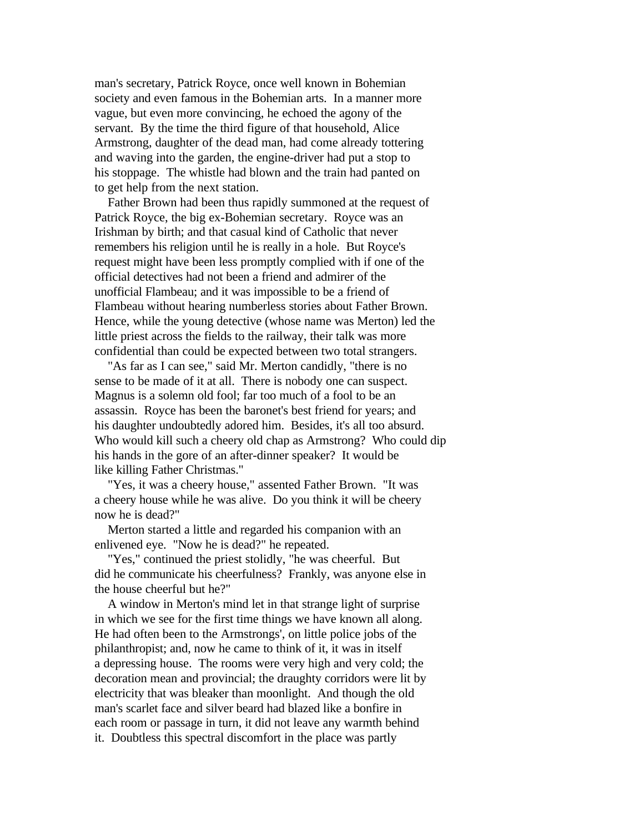man's secretary, Patrick Royce, once well known in Bohemian society and even famous in the Bohemian arts. In a manner more vague, but even more convincing, he echoed the agony of the servant. By the time the third figure of that household, Alice Armstrong, daughter of the dead man, had come already tottering and waving into the garden, the engine-driver had put a stop to his stoppage. The whistle had blown and the train had panted on to get help from the next station.

 Father Brown had been thus rapidly summoned at the request of Patrick Royce, the big ex-Bohemian secretary. Royce was an Irishman by birth; and that casual kind of Catholic that never remembers his religion until he is really in a hole. But Royce's request might have been less promptly complied with if one of the official detectives had not been a friend and admirer of the unofficial Flambeau; and it was impossible to be a friend of Flambeau without hearing numberless stories about Father Brown. Hence, while the young detective (whose name was Merton) led the little priest across the fields to the railway, their talk was more confidential than could be expected between two total strangers.

"As far as I can see," said Mr. Merton candidly, "there is no sense to be made of it at all. There is nobody one can suspect. Magnus is a solemn old fool; far too much of a fool to be an assassin. Royce has been the baronet's best friend for years; and his daughter undoubtedly adored him. Besides, it's all too absurd. Who would kill such a cheery old chap as Armstrong? Who could dip his hands in the gore of an after-dinner speaker? It would be like killing Father Christmas."

 "Yes, it was a cheery house," assented Father Brown. "It was a cheery house while he was alive. Do you think it will be cheery now he is dead?"

 Merton started a little and regarded his companion with an enlivened eye. "Now he is dead?" he repeated.

 "Yes," continued the priest stolidly, "he was cheerful. But did he communicate his cheerfulness? Frankly, was anyone else in the house cheerful but he?"

 A window in Merton's mind let in that strange light of surprise in which we see for the first time things we have known all along. He had often been to the Armstrongs', on little police jobs of the philanthropist; and, now he came to think of it, it was in itself a depressing house. The rooms were very high and very cold; the decoration mean and provincial; the draughty corridors were lit by electricity that was bleaker than moonlight. And though the old man's scarlet face and silver beard had blazed like a bonfire in each room or passage in turn, it did not leave any warmth behind it. Doubtless this spectral discomfort in the place was partly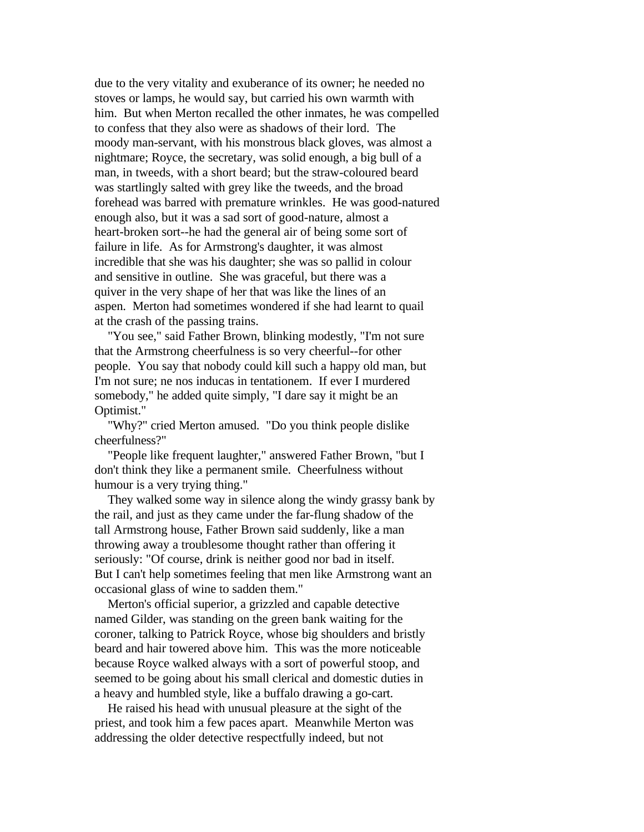due to the very vitality and exuberance of its owner; he needed no stoves or lamps, he would say, but carried his own warmth with him. But when Merton recalled the other inmates, he was compelled to confess that they also were as shadows of their lord. The moody man-servant, with his monstrous black gloves, was almost a nightmare; Royce, the secretary, was solid enough, a big bull of a man, in tweeds, with a short beard; but the straw-coloured beard was startlingly salted with grey like the tweeds, and the broad forehead was barred with premature wrinkles. He was good-natured enough also, but it was a sad sort of good-nature, almost a heart-broken sort--he had the general air of being some sort of failure in life. As for Armstrong's daughter, it was almost incredible that she was his daughter; she was so pallid in colour and sensitive in outline. She was graceful, but there was a quiver in the very shape of her that was like the lines of an aspen. Merton had sometimes wondered if she had learnt to quail at the crash of the passing trains.

 "You see," said Father Brown, blinking modestly, "I'm not sure that the Armstrong cheerfulness is so very cheerful--for other people. You say that nobody could kill such a happy old man, but I'm not sure; ne nos inducas in tentationem. If ever I murdered somebody," he added quite simply, "I dare say it might be an Optimist."

 "Why?" cried Merton amused. "Do you think people dislike cheerfulness?"

 "People like frequent laughter," answered Father Brown, "but I don't think they like a permanent smile. Cheerfulness without humour is a very trying thing."

 They walked some way in silence along the windy grassy bank by the rail, and just as they came under the far-flung shadow of the tall Armstrong house, Father Brown said suddenly, like a man throwing away a troublesome thought rather than offering it seriously: "Of course, drink is neither good nor bad in itself. But I can't help sometimes feeling that men like Armstrong want an occasional glass of wine to sadden them."

 Merton's official superior, a grizzled and capable detective named Gilder, was standing on the green bank waiting for the coroner, talking to Patrick Royce, whose big shoulders and bristly beard and hair towered above him. This was the more noticeable because Royce walked always with a sort of powerful stoop, and seemed to be going about his small clerical and domestic duties in a heavy and humbled style, like a buffalo drawing a go-cart.

 He raised his head with unusual pleasure at the sight of the priest, and took him a few paces apart. Meanwhile Merton was addressing the older detective respectfully indeed, but not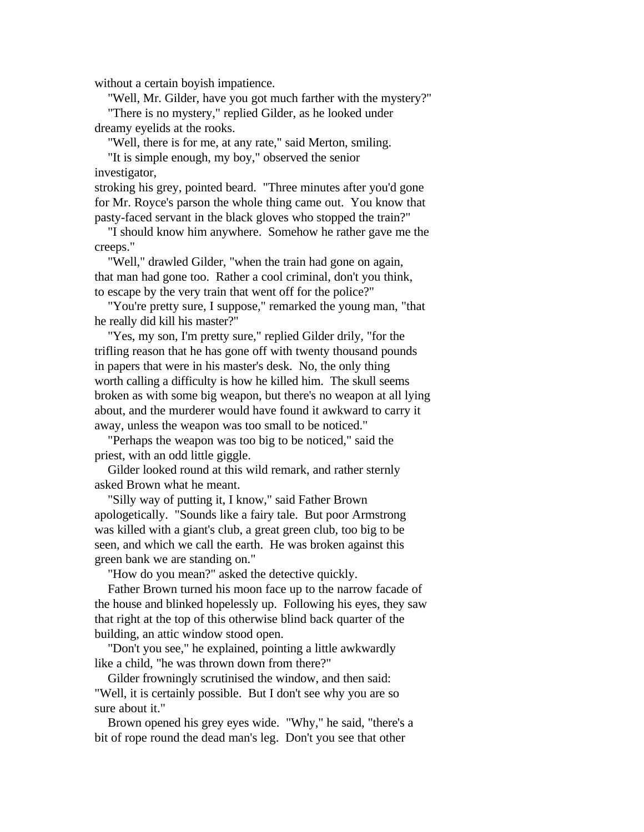without a certain boyish impatience.

 "Well, Mr. Gilder, have you got much farther with the mystery?" "There is no mystery," replied Gilder, as he looked under dreamy eyelids at the rooks.

"Well, there is for me, at any rate," said Merton, smiling.

 "It is simple enough, my boy," observed the senior investigator,

stroking his grey, pointed beard. "Three minutes after you'd gone for Mr. Royce's parson the whole thing came out. You know that pasty-faced servant in the black gloves who stopped the train?"

 "I should know him anywhere. Somehow he rather gave me the creeps."

 "Well," drawled Gilder, "when the train had gone on again, that man had gone too. Rather a cool criminal, don't you think, to escape by the very train that went off for the police?"

 "You're pretty sure, I suppose," remarked the young man, "that he really did kill his master?"

 "Yes, my son, I'm pretty sure," replied Gilder drily, "for the trifling reason that he has gone off with twenty thousand pounds in papers that were in his master's desk. No, the only thing worth calling a difficulty is how he killed him. The skull seems broken as with some big weapon, but there's no weapon at all lying about, and the murderer would have found it awkward to carry it away, unless the weapon was too small to be noticed."

 "Perhaps the weapon was too big to be noticed," said the priest, with an odd little giggle.

 Gilder looked round at this wild remark, and rather sternly asked Brown what he meant.

 "Silly way of putting it, I know," said Father Brown apologetically. "Sounds like a fairy tale. But poor Armstrong was killed with a giant's club, a great green club, too big to be seen, and which we call the earth. He was broken against this green bank we are standing on."

"How do you mean?" asked the detective quickly.

 Father Brown turned his moon face up to the narrow facade of the house and blinked hopelessly up. Following his eyes, they saw that right at the top of this otherwise blind back quarter of the building, an attic window stood open.

 "Don't you see," he explained, pointing a little awkwardly like a child, "he was thrown down from there?"

 Gilder frowningly scrutinised the window, and then said: "Well, it is certainly possible. But I don't see why you are so sure about it."

 Brown opened his grey eyes wide. "Why," he said, "there's a bit of rope round the dead man's leg. Don't you see that other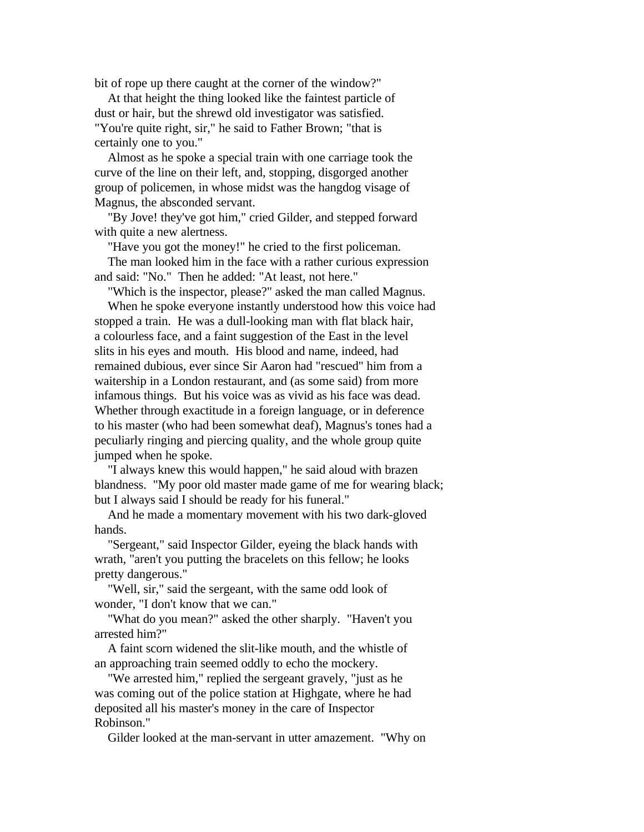bit of rope up there caught at the corner of the window?"

 At that height the thing looked like the faintest particle of dust or hair, but the shrewd old investigator was satisfied. "You're quite right, sir," he said to Father Brown; "that is certainly one to you."

 Almost as he spoke a special train with one carriage took the curve of the line on their left, and, stopping, disgorged another group of policemen, in whose midst was the hangdog visage of Magnus, the absconded servant.

 "By Jove! they've got him," cried Gilder, and stepped forward with quite a new alertness.

 "Have you got the money!" he cried to the first policeman. The man looked him in the face with a rather curious expression and said: "No." Then he added: "At least, not here."

 "Which is the inspector, please?" asked the man called Magnus. When he spoke everyone instantly understood how this voice had stopped a train. He was a dull-looking man with flat black hair, a colourless face, and a faint suggestion of the East in the level slits in his eyes and mouth. His blood and name, indeed, had remained dubious, ever since Sir Aaron had "rescued" him from a waitership in a London restaurant, and (as some said) from more infamous things. But his voice was as vivid as his face was dead. Whether through exactitude in a foreign language, or in deference to his master (who had been somewhat deaf), Magnus's tones had a peculiarly ringing and piercing quality, and the whole group quite jumped when he spoke.

 "I always knew this would happen," he said aloud with brazen blandness. "My poor old master made game of me for wearing black; but I always said I should be ready for his funeral."

 And he made a momentary movement with his two dark-gloved hands.

 "Sergeant," said Inspector Gilder, eyeing the black hands with wrath, "aren't you putting the bracelets on this fellow; he looks pretty dangerous."

 "Well, sir," said the sergeant, with the same odd look of wonder, "I don't know that we can."

 "What do you mean?" asked the other sharply. "Haven't you arrested him?"

 A faint scorn widened the slit-like mouth, and the whistle of an approaching train seemed oddly to echo the mockery.

 "We arrested him," replied the sergeant gravely, "just as he was coming out of the police station at Highgate, where he had deposited all his master's money in the care of Inspector Robinson."

Gilder looked at the man-servant in utter amazement. "Why on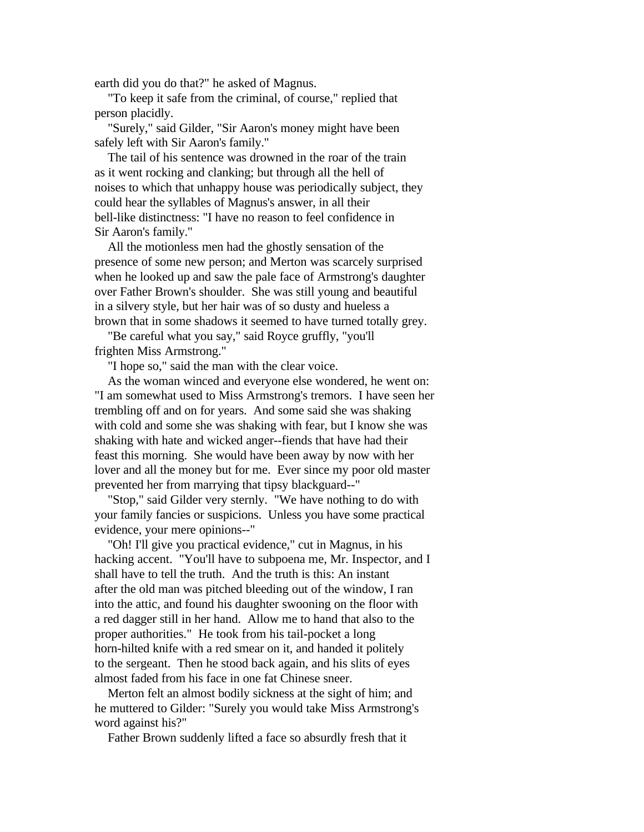earth did you do that?" he asked of Magnus.

 "To keep it safe from the criminal, of course," replied that person placidly.

 "Surely," said Gilder, "Sir Aaron's money might have been safely left with Sir Aaron's family."

 The tail of his sentence was drowned in the roar of the train as it went rocking and clanking; but through all the hell of noises to which that unhappy house was periodically subject, they could hear the syllables of Magnus's answer, in all their bell-like distinctness: "I have no reason to feel confidence in Sir Aaron's family."

 All the motionless men had the ghostly sensation of the presence of some new person; and Merton was scarcely surprised when he looked up and saw the pale face of Armstrong's daughter over Father Brown's shoulder. She was still young and beautiful in a silvery style, but her hair was of so dusty and hueless a brown that in some shadows it seemed to have turned totally grey.

 "Be careful what you say," said Royce gruffly, "you'll frighten Miss Armstrong."

"I hope so," said the man with the clear voice.

 As the woman winced and everyone else wondered, he went on: "I am somewhat used to Miss Armstrong's tremors. I have seen her trembling off and on for years. And some said she was shaking with cold and some she was shaking with fear, but I know she was shaking with hate and wicked anger--fiends that have had their feast this morning. She would have been away by now with her lover and all the money but for me. Ever since my poor old master prevented her from marrying that tipsy blackguard--"

 "Stop," said Gilder very sternly. "We have nothing to do with your family fancies or suspicions. Unless you have some practical evidence, your mere opinions--"

 "Oh! I'll give you practical evidence," cut in Magnus, in his hacking accent. "You'll have to subpoena me, Mr. Inspector, and I shall have to tell the truth. And the truth is this: An instant after the old man was pitched bleeding out of the window, I ran into the attic, and found his daughter swooning on the floor with a red dagger still in her hand. Allow me to hand that also to the proper authorities." He took from his tail-pocket a long horn-hilted knife with a red smear on it, and handed it politely to the sergeant. Then he stood back again, and his slits of eyes almost faded from his face in one fat Chinese sneer.

 Merton felt an almost bodily sickness at the sight of him; and he muttered to Gilder: "Surely you would take Miss Armstrong's word against his?"

Father Brown suddenly lifted a face so absurdly fresh that it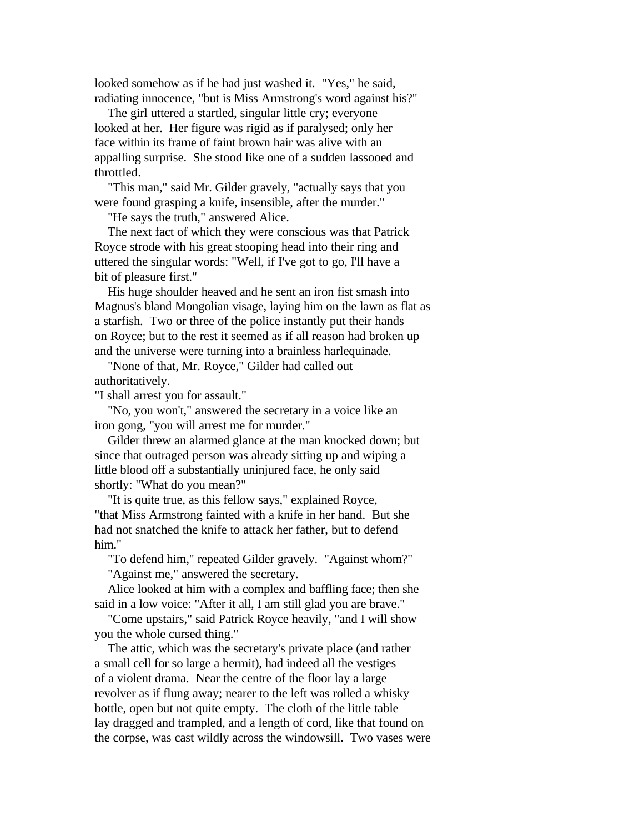looked somehow as if he had just washed it. "Yes," he said, radiating innocence, "but is Miss Armstrong's word against his?"

 The girl uttered a startled, singular little cry; everyone looked at her. Her figure was rigid as if paralysed; only her face within its frame of faint brown hair was alive with an appalling surprise. She stood like one of a sudden lassooed and throttled.

 "This man," said Mr. Gilder gravely, "actually says that you were found grasping a knife, insensible, after the murder."

"He says the truth," answered Alice.

 The next fact of which they were conscious was that Patrick Royce strode with his great stooping head into their ring and uttered the singular words: "Well, if I've got to go, I'll have a bit of pleasure first."

 His huge shoulder heaved and he sent an iron fist smash into Magnus's bland Mongolian visage, laying him on the lawn as flat as a starfish. Two or three of the police instantly put their hands on Royce; but to the rest it seemed as if all reason had broken up and the universe were turning into a brainless harlequinade.

 "None of that, Mr. Royce," Gilder had called out authoritatively.

"I shall arrest you for assault."

 "No, you won't," answered the secretary in a voice like an iron gong, "you will arrest me for murder."

 Gilder threw an alarmed glance at the man knocked down; but since that outraged person was already sitting up and wiping a little blood off a substantially uninjured face, he only said shortly: "What do you mean?"

 "It is quite true, as this fellow says," explained Royce, "that Miss Armstrong fainted with a knife in her hand. But she had not snatched the knife to attack her father, but to defend him."

 "To defend him," repeated Gilder gravely. "Against whom?" "Against me," answered the secretary.

 Alice looked at him with a complex and baffling face; then she said in a low voice: "After it all, I am still glad you are brave."

 "Come upstairs," said Patrick Royce heavily, "and I will show you the whole cursed thing."

 The attic, which was the secretary's private place (and rather a small cell for so large a hermit), had indeed all the vestiges of a violent drama. Near the centre of the floor lay a large revolver as if flung away; nearer to the left was rolled a whisky bottle, open but not quite empty. The cloth of the little table lay dragged and trampled, and a length of cord, like that found on the corpse, was cast wildly across the windowsill. Two vases were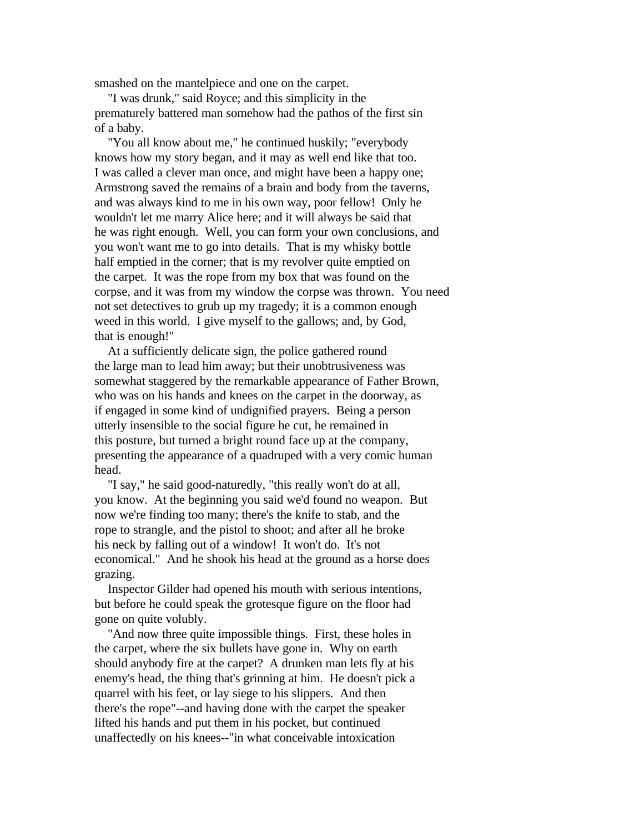smashed on the mantelpiece and one on the carpet.

 "I was drunk," said Royce; and this simplicity in the prematurely battered man somehow had the pathos of the first sin of a baby.

 "You all know about me," he continued huskily; "everybody knows how my story began, and it may as well end like that too. I was called a clever man once, and might have been a happy one; Armstrong saved the remains of a brain and body from the taverns, and was always kind to me in his own way, poor fellow! Only he wouldn't let me marry Alice here; and it will always be said that he was right enough. Well, you can form your own conclusions, and you won't want me to go into details. That is my whisky bottle half emptied in the corner; that is my revolver quite emptied on the carpet. It was the rope from my box that was found on the corpse, and it was from my window the corpse was thrown. You need not set detectives to grub up my tragedy; it is a common enough weed in this world. I give myself to the gallows; and, by God, that is enough!"

 At a sufficiently delicate sign, the police gathered round the large man to lead him away; but their unobtrusiveness was somewhat staggered by the remarkable appearance of Father Brown, who was on his hands and knees on the carpet in the doorway, as if engaged in some kind of undignified prayers. Being a person utterly insensible to the social figure he cut, he remained in this posture, but turned a bright round face up at the company, presenting the appearance of a quadruped with a very comic human head.

 "I say," he said good-naturedly, "this really won't do at all, you know. At the beginning you said we'd found no weapon. But now we're finding too many; there's the knife to stab, and the rope to strangle, and the pistol to shoot; and after all he broke his neck by falling out of a window! It won't do. It's not economical." And he shook his head at the ground as a horse does grazing.

 Inspector Gilder had opened his mouth with serious intentions, but before he could speak the grotesque figure on the floor had gone on quite volubly.

 "And now three quite impossible things. First, these holes in the carpet, where the six bullets have gone in. Why on earth should anybody fire at the carpet? A drunken man lets fly at his enemy's head, the thing that's grinning at him. He doesn't pick a quarrel with his feet, or lay siege to his slippers. And then there's the rope"--and having done with the carpet the speaker lifted his hands and put them in his pocket, but continued unaffectedly on his knees--"in what conceivable intoxication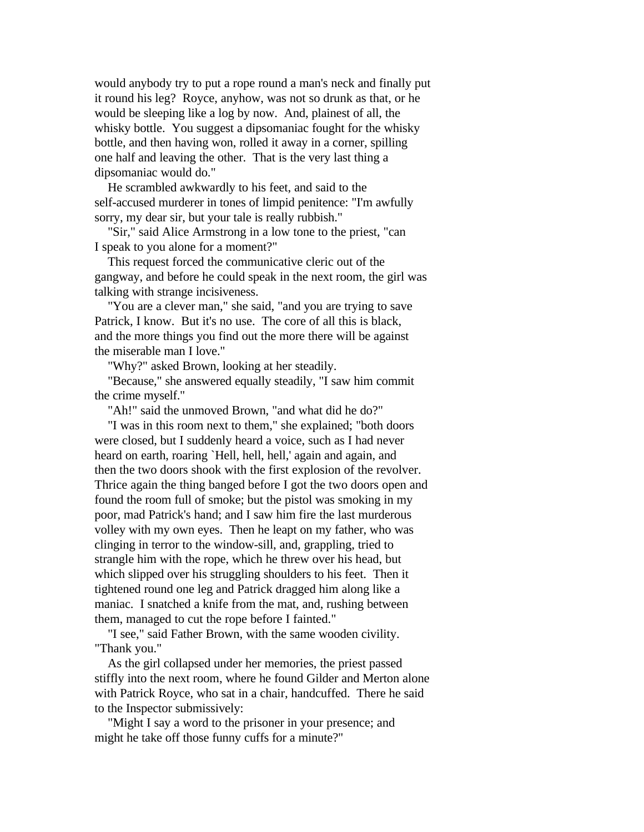would anybody try to put a rope round a man's neck and finally put it round his leg? Royce, anyhow, was not so drunk as that, or he would be sleeping like a log by now. And, plainest of all, the whisky bottle. You suggest a dipsomaniac fought for the whisky bottle, and then having won, rolled it away in a corner, spilling one half and leaving the other. That is the very last thing a dipsomaniac would do."

 He scrambled awkwardly to his feet, and said to the self-accused murderer in tones of limpid penitence: "I'm awfully sorry, my dear sir, but your tale is really rubbish."

 "Sir," said Alice Armstrong in a low tone to the priest, "can I speak to you alone for a moment?"

 This request forced the communicative cleric out of the gangway, and before he could speak in the next room, the girl was talking with strange incisiveness.

 "You are a clever man," she said, "and you are trying to save Patrick, I know. But it's no use. The core of all this is black, and the more things you find out the more there will be against the miserable man I love."

"Why?" asked Brown, looking at her steadily.

 "Because," she answered equally steadily, "I saw him commit the crime myself."

"Ah!" said the unmoved Brown, "and what did he do?"

 "I was in this room next to them," she explained; "both doors were closed, but I suddenly heard a voice, such as I had never heard on earth, roaring `Hell, hell, hell,' again and again, and then the two doors shook with the first explosion of the revolver. Thrice again the thing banged before I got the two doors open and found the room full of smoke; but the pistol was smoking in my poor, mad Patrick's hand; and I saw him fire the last murderous volley with my own eyes. Then he leapt on my father, who was clinging in terror to the window-sill, and, grappling, tried to strangle him with the rope, which he threw over his head, but which slipped over his struggling shoulders to his feet. Then it tightened round one leg and Patrick dragged him along like a maniac. I snatched a knife from the mat, and, rushing between them, managed to cut the rope before I fainted."

 "I see," said Father Brown, with the same wooden civility. "Thank you."

 As the girl collapsed under her memories, the priest passed stiffly into the next room, where he found Gilder and Merton alone with Patrick Royce, who sat in a chair, handcuffed. There he said to the Inspector submissively:

 "Might I say a word to the prisoner in your presence; and might he take off those funny cuffs for a minute?"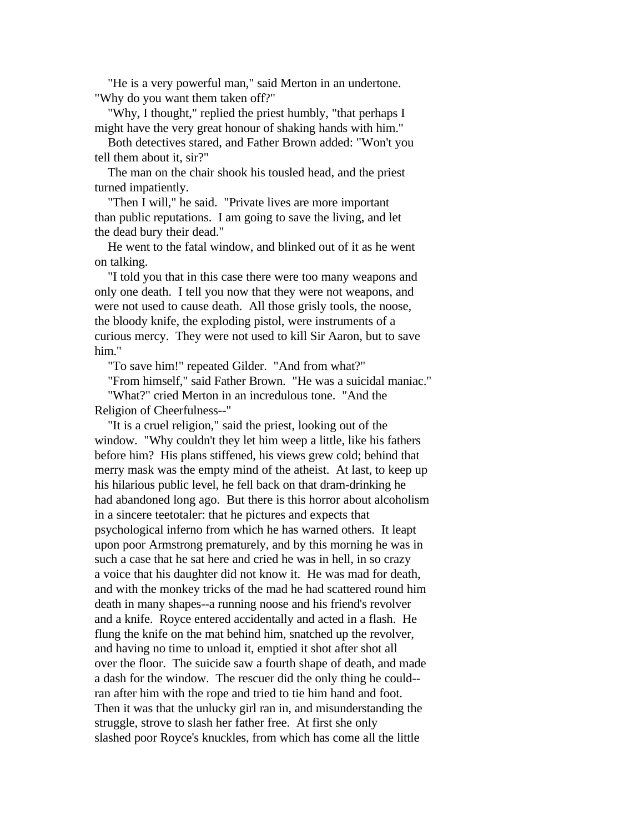"He is a very powerful man," said Merton in an undertone. "Why do you want them taken off?"

 "Why, I thought," replied the priest humbly, "that perhaps I might have the very great honour of shaking hands with him."

 Both detectives stared, and Father Brown added: "Won't you tell them about it, sir?"

 The man on the chair shook his tousled head, and the priest turned impatiently.

 "Then I will," he said. "Private lives are more important than public reputations. I am going to save the living, and let the dead bury their dead."

 He went to the fatal window, and blinked out of it as he went on talking.

 "I told you that in this case there were too many weapons and only one death. I tell you now that they were not weapons, and were not used to cause death. All those grisly tools, the noose, the bloody knife, the exploding pistol, were instruments of a curious mercy. They were not used to kill Sir Aaron, but to save him."

"To save him!" repeated Gilder. "And from what?"

 "From himself," said Father Brown. "He was a suicidal maniac." "What?" cried Merton in an incredulous tone. "And the Religion of Cheerfulness--"

 "It is a cruel religion," said the priest, looking out of the window. "Why couldn't they let him weep a little, like his fathers before him? His plans stiffened, his views grew cold; behind that merry mask was the empty mind of the atheist. At last, to keep up his hilarious public level, he fell back on that dram-drinking he had abandoned long ago. But there is this horror about alcoholism in a sincere teetotaler: that he pictures and expects that psychological inferno from which he has warned others. It leapt upon poor Armstrong prematurely, and by this morning he was in such a case that he sat here and cried he was in hell, in so crazy a voice that his daughter did not know it. He was mad for death, and with the monkey tricks of the mad he had scattered round him death in many shapes--a running noose and his friend's revolver and a knife. Royce entered accidentally and acted in a flash. He flung the knife on the mat behind him, snatched up the revolver, and having no time to unload it, emptied it shot after shot all over the floor. The suicide saw a fourth shape of death, and made a dash for the window. The rescuer did the only thing he could- ran after him with the rope and tried to tie him hand and foot. Then it was that the unlucky girl ran in, and misunderstanding the struggle, strove to slash her father free. At first she only slashed poor Royce's knuckles, from which has come all the little